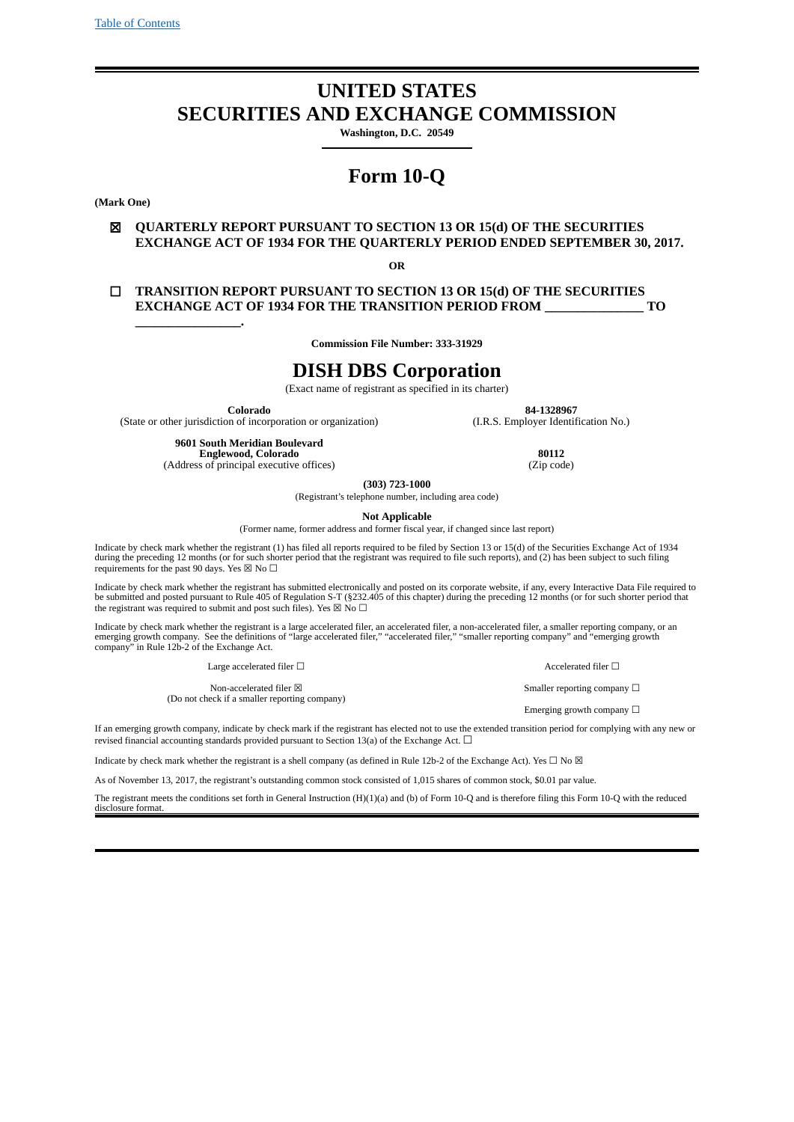# **UNITED STATES SECURITIES AND EXCHANGE COMMISSION**

**Washington, D.C. 20549**

# **Form 10‑Q**

**(Mark One)**

# ☒ **QUARTERLY REPORT PURSUANT TO SECTION 13 OR 15(d) OF THE SECURITIES EXCHANGE ACT OF 1934 FOR THE QUARTERLY PERIOD ENDED SEPTEMBER 30, 2017.**

**OR**

# ☐ **TRANSITION REPORT PURSUANT TO SECTION 13 OR 15(d) OF THE SECURITIES EXCHANGE ACT OF 1934 FOR THE TRANSITION PERIOD FROM \_\_\_\_\_\_\_\_\_\_\_\_\_\_\_ TO**

**Commission File Number: 333-31929**

# **DISH DBS Corporation**

(Exact name of registrant as specified in its charter)

**Colorado**<br> **84-1328967**<br> **84-1328967**<br> **84-1328967**<br> **COLORED SERVIDE CONTAINS (I.R.S. Employer Identification No.)** (State or other jurisdiction of incorporation or organization)

**\_\_\_\_\_\_\_\_\_\_\_\_\_\_\_\_.**

**9601 South Meridian Boulevard**

**Englewood, Colorado 80112**<br> **80112 80112 (Zip code) 80112 80112** (Address of principal executive offices)

**(303) 723-1000**

(Registrant's telephone number, including area code)

**Not Applicable**

(Former name, former address and former fiscal year, if changed since last report)

Indicate by check mark whether the registrant (1) has filed all reports required to be filed by Section 13 or 15(d) of the Securities Exchange Act of 1934<br>during the preceding 12 months (or for such shorter period that the requirements for the past 90 days. Yes  $\boxtimes$  No  $\Box$ 

Indicate by check mark whether the registrant has submitted electronically and posted on its corporate website, if any, every Interactive Data File required to be submitted and posted pursuant to Rule 405 of Regulation S‑T (§232.405 of this chapter) during the preceding 12 months (or for such shorter period that the registrant was required to submit and post such files). Yes  $\boxtimes$  No  $\Box$ 

Indicate by check mark whether the registrant is a large accelerated filer, an accelerated filer, a non-accelerated filer, a smaller reporting company, or an<br>emerging growth company. See the definitions of "large accelerat

Large accelerated filer ☐ Accelerated filer ☐

Non-accelerated filer  $\boxtimes$  Smaller reporting company  $\Box$ 

(Do not check if a smaller reporting company)

Emerging growth company  $\Box$ 

If an emerging growth company, indicate by check mark if the registrant has elected not to use the extended transition period for complying with any new or revised financial accounting standards provided pursuant to Section 13(a) of the Exchange Act.  $\Box$ 

Indicate by check mark whether the registrant is a shell company (as defined in Rule 12b-2 of the Exchange Act). Yes  $\Box$  No  $\boxtimes$ 

As of November 13, 2017, the registrant's outstanding common stock consisted of 1,015 shares of common stock, \$0.01 par value.

The registrant meets the conditions set forth in General Instruction (H)(1)(a) and (b) of Form 10‑Q and is therefore filing this Form 10‑Q with the reduced disclosure format.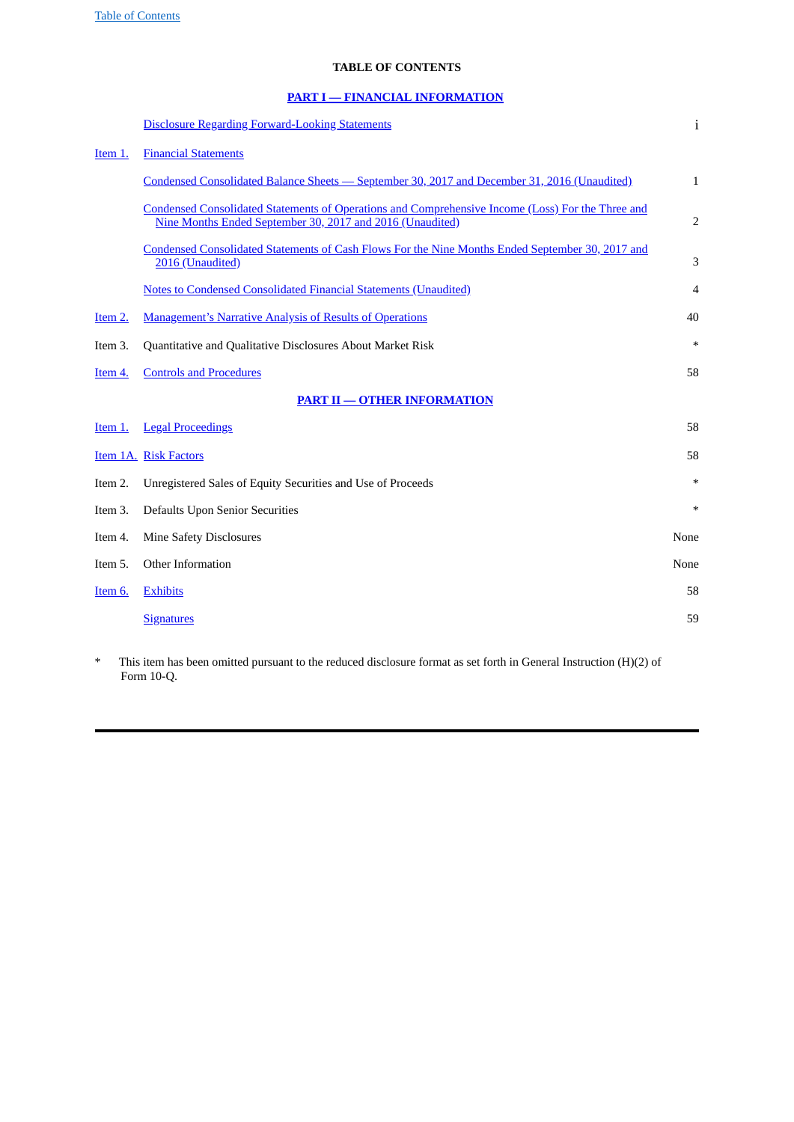# <span id="page-1-0"></span>**TABLE OF CONTENTS**

# **PART I — FINANCIAL [INFORMATION](#page-2-0)**

|         | <b>Disclosure Regarding Forward-Looking Statements</b>                                                                                                                | $\rm i$        |
|---------|-----------------------------------------------------------------------------------------------------------------------------------------------------------------------|----------------|
| Item 1. | <b>Financial Statements</b>                                                                                                                                           |                |
|         | Condensed Consolidated Balance Sheets — September 30, 2017 and December 31, 2016 (Unaudited)                                                                          | 1              |
|         | <b>Condensed Consolidated Statements of Operations and Comprehensive Income (Loss) For the Three and</b><br>Nine Months Ended September 30, 2017 and 2016 (Unaudited) | $\overline{2}$ |
|         | Condensed Consolidated Statements of Cash Flows For the Nine Months Ended September 30, 2017 and<br>2016 (Unaudited)                                                  | 3              |
|         | <b>Notes to Condensed Consolidated Financial Statements (Unaudited)</b>                                                                                               | $\overline{4}$ |
| Item 2. | <b>Management's Narrative Analysis of Results of Operations</b>                                                                                                       | 40             |
| Item 3. | Quantitative and Qualitative Disclosures About Market Risk                                                                                                            | $\ast$         |
| Item 4. | <b>Controls and Procedures</b>                                                                                                                                        | 58             |
|         | <b>PART II - OTHER INFORMATION</b>                                                                                                                                    |                |
| Item 1. | <b>Legal Proceedings</b>                                                                                                                                              | 58             |
|         | Item 1A. Risk Factors                                                                                                                                                 | 58             |
| Item 2. | Unregistered Sales of Equity Securities and Use of Proceeds                                                                                                           | $\ast$         |
| Item 3. | Defaults Upon Senior Securities                                                                                                                                       | ∗              |
| Item 4. | <b>Mine Safety Disclosures</b>                                                                                                                                        | None           |
| Item 5. | Other Information                                                                                                                                                     | None           |
| Item 6. | <b>Exhibits</b>                                                                                                                                                       | 58             |
|         | <b>Signatures</b>                                                                                                                                                     | 59             |

\* This item has been omitted pursuant to the reduced disclosure format as set forth in General Instruction (H)(2) of Form 10-Q.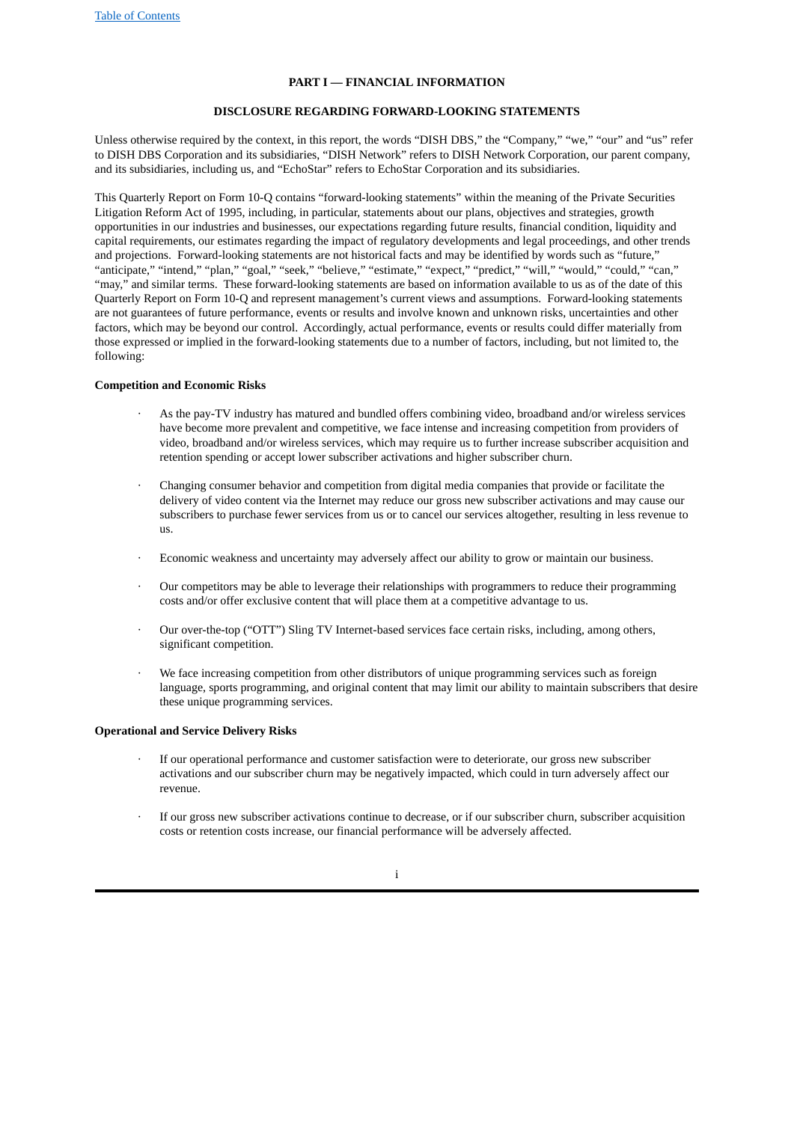# <span id="page-2-1"></span><span id="page-2-0"></span>**PART I — FINANCIAL INFORMATION**

#### **DISCLOSURE REGARDING FORWARD-LOOKING STATEMENTS**

Unless otherwise required by the context, in this report, the words "DISH DBS," the "Company," "we," "our" and "us" refer to DISH DBS Corporation and its subsidiaries, "DISH Network" refers to DISH Network Corporation, our parent company, and its subsidiaries, including us, and "EchoStar" refers to EchoStar Corporation and its subsidiaries.

This Quarterly Report on Form 10-Q contains "forward-looking statements" within the meaning of the Private Securities Litigation Reform Act of 1995, including, in particular, statements about our plans, objectives and strategies, growth opportunities in our industries and businesses, our expectations regarding future results, financial condition, liquidity and capital requirements, our estimates regarding the impact of regulatory developments and legal proceedings, and other trends and projections. Forward-looking statements are not historical facts and may be identified by words such as "future," "anticipate," "intend," "plan," "goal," "seek," "believe," "estimate," "expect," "predict," "will," "would," "could," "can," "may," and similar terms. These forward-looking statements are based on information available to us as of the date of this Quarterly Report on Form 10-Q and represent management's current views and assumptions. Forward-looking statements are not guarantees of future performance, events or results and involve known and unknown risks, uncertainties and other factors, which may be beyond our control. Accordingly, actual performance, events or results could differ materially from those expressed or implied in the forward-looking statements due to a number of factors, including, but not limited to, the following:

#### **Competition and Economic Risks**

- · As the pay-TV industry has matured and bundled offers combining video, broadband and/or wireless services have become more prevalent and competitive, we face intense and increasing competition from providers of video, broadband and/or wireless services, which may require us to further increase subscriber acquisition and retention spending or accept lower subscriber activations and higher subscriber churn.
- · Changing consumer behavior and competition from digital media companies that provide or facilitate the delivery of video content via the Internet may reduce our gross new subscriber activations and may cause our subscribers to purchase fewer services from us or to cancel our services altogether, resulting in less revenue to us.
- · Economic weakness and uncertainty may adversely affect our ability to grow or maintain our business.
- Our competitors may be able to leverage their relationships with programmers to reduce their programming costs and/or offer exclusive content that will place them at a competitive advantage to us.
- · Our over-the-top ("OTT") Sling TV Internet-based services face certain risks, including, among others, significant competition.
- We face increasing competition from other distributors of unique programming services such as foreign language, sports programming, and original content that may limit our ability to maintain subscribers that desire these unique programming services.

## **Operational and Service Delivery Risks**

- If our operational performance and customer satisfaction were to deteriorate, our gross new subscriber activations and our subscriber churn may be negatively impacted, which could in turn adversely affect our revenue.
- If our gross new subscriber activations continue to decrease, or if our subscriber churn, subscriber acquisition costs or retention costs increase, our financial performance will be adversely affected.

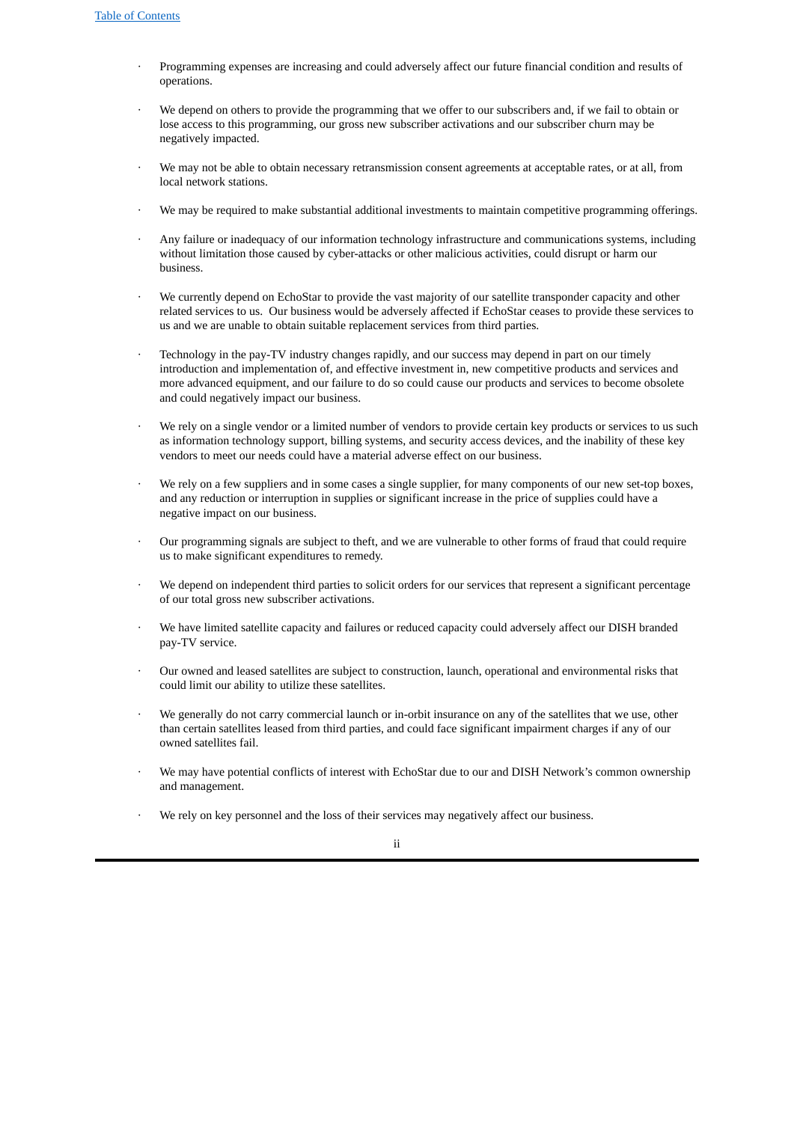- · Programming expenses are increasing and could adversely affect our future financial condition and results of operations.
- We depend on others to provide the programming that we offer to our subscribers and, if we fail to obtain or lose access to this programming, our gross new subscriber activations and our subscriber churn may be negatively impacted.
- We may not be able to obtain necessary retransmission consent agreements at acceptable rates, or at all, from local network stations.
- · We may be required to make substantial additional investments to maintain competitive programming offerings.
- · Any failure or inadequacy of our information technology infrastructure and communications systems, including without limitation those caused by cyber-attacks or other malicious activities, could disrupt or harm our business.
- We currently depend on EchoStar to provide the vast majority of our satellite transponder capacity and other related services to us. Our business would be adversely affected if EchoStar ceases to provide these services to us and we are unable to obtain suitable replacement services from third parties.
- Technology in the pay-TV industry changes rapidly, and our success may depend in part on our timely introduction and implementation of, and effective investment in, new competitive products and services and more advanced equipment, and our failure to do so could cause our products and services to become obsolete and could negatively impact our business.
- We rely on a single vendor or a limited number of vendors to provide certain key products or services to us such as information technology support, billing systems, and security access devices, and the inability of these key vendors to meet our needs could have a material adverse effect on our business.
- We rely on a few suppliers and in some cases a single supplier, for many components of our new set-top boxes, and any reduction or interruption in supplies or significant increase in the price of supplies could have a negative impact on our business.
- · Our programming signals are subject to theft, and we are vulnerable to other forms of fraud that could require us to make significant expenditures to remedy.
- We depend on independent third parties to solicit orders for our services that represent a significant percentage of our total gross new subscriber activations.
- We have limited satellite capacity and failures or reduced capacity could adversely affect our DISH branded pay-TV service.
- · Our owned and leased satellites are subject to construction, launch, operational and environmental risks that could limit our ability to utilize these satellites.
- We generally do not carry commercial launch or in-orbit insurance on any of the satellites that we use, other than certain satellites leased from third parties, and could face significant impairment charges if any of our owned satellites fail.
- We may have potential conflicts of interest with EchoStar due to our and DISH Network's common ownership and management.
- We rely on key personnel and the loss of their services may negatively affect our business.

ii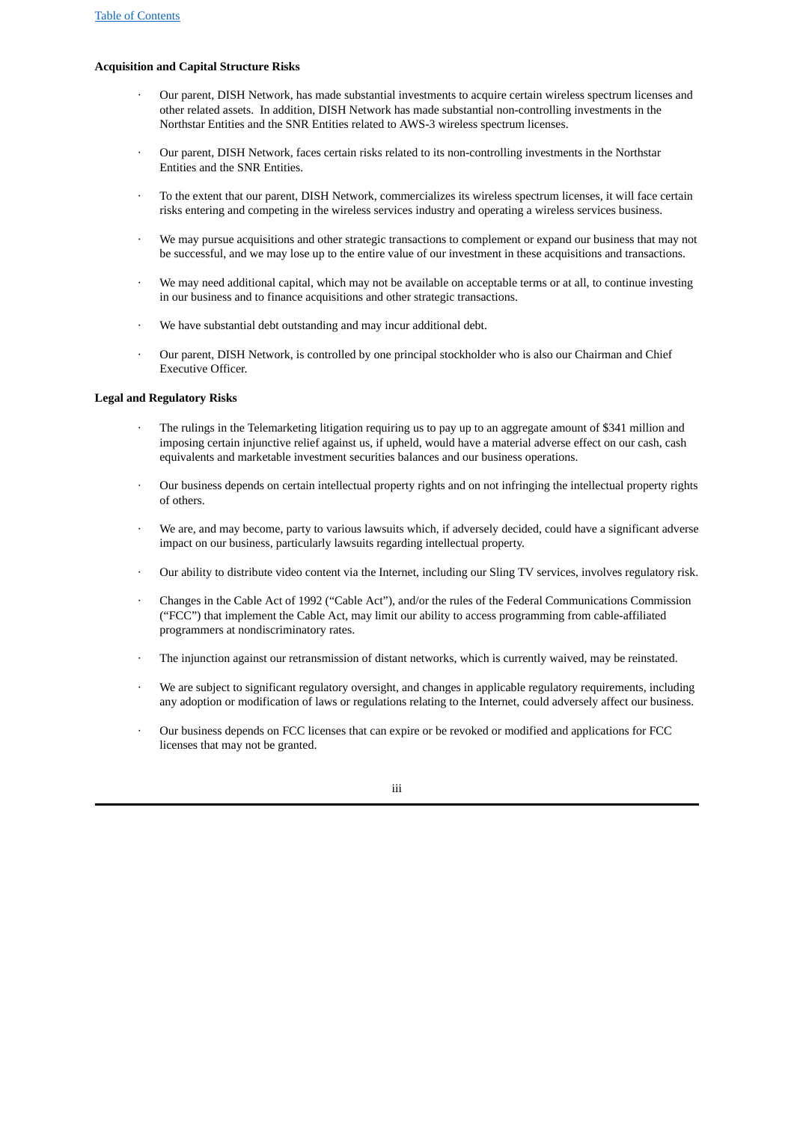#### **Acquisition and Capital Structure Risks**

- · Our parent, DISH Network, has made substantial investments to acquire certain wireless spectrum licenses and other related assets. In addition, DISH Network has made substantial non-controlling investments in the Northstar Entities and the SNR Entities related to AWS-3 wireless spectrum licenses.
- · Our parent, DISH Network, faces certain risks related to its non-controlling investments in the Northstar Entities and the SNR Entities.
- To the extent that our parent, DISH Network, commercializes its wireless spectrum licenses, it will face certain risks entering and competing in the wireless services industry and operating a wireless services business.
- We may pursue acquisitions and other strategic transactions to complement or expand our business that may not be successful, and we may lose up to the entire value of our investment in these acquisitions and transactions.
- We may need additional capital, which may not be available on acceptable terms or at all, to continue investing in our business and to finance acquisitions and other strategic transactions.
- We have substantial debt outstanding and may incur additional debt.
- · Our parent, DISH Network, is controlled by one principal stockholder who is also our Chairman and Chief Executive Officer.

#### **Legal and Regulatory Risks**

- The rulings in the Telemarketing litigation requiring us to pay up to an aggregate amount of \$341 million and imposing certain injunctive relief against us, if upheld, would have a material adverse effect on our cash, cash equivalents and marketable investment securities balances and our business operations.
- · Our business depends on certain intellectual property rights and on not infringing the intellectual property rights of others.
- We are, and may become, party to various lawsuits which, if adversely decided, could have a significant adverse impact on our business, particularly lawsuits regarding intellectual property.
- · Our ability to distribute video content via the Internet, including our Sling TV services, involves regulatory risk.
- · Changes in the Cable Act of 1992 ("Cable Act"), and/or the rules of the Federal Communications Commission ("FCC") that implement the Cable Act, may limit our ability to access programming from cable-affiliated programmers at nondiscriminatory rates.
- · The injunction against our retransmission of distant networks, which is currently waived, may be reinstated.
- We are subject to significant regulatory oversight, and changes in applicable regulatory requirements, including any adoption or modification of laws or regulations relating to the Internet, could adversely affect our business.
- · Our business depends on FCC licenses that can expire or be revoked or modified and applications for FCC licenses that may not be granted.

iii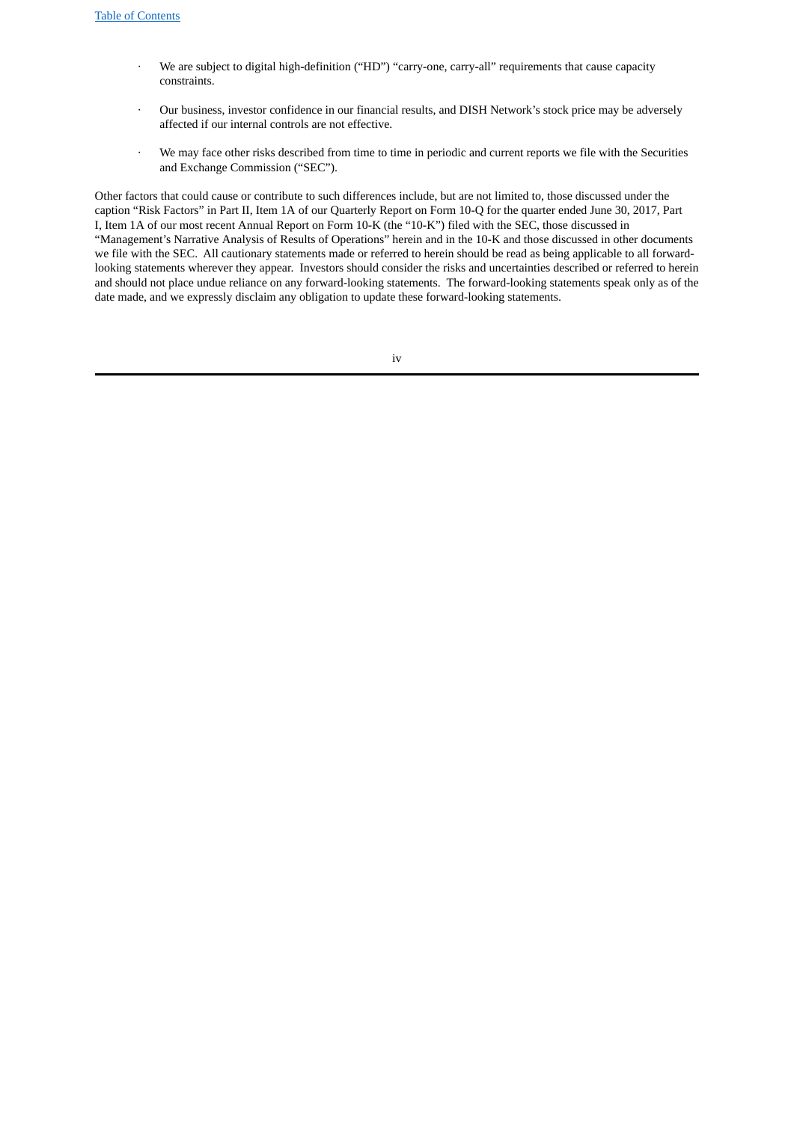- · We are subject to digital high-definition ("HD") "carry-one, carry-all" requirements that cause capacity constraints.
- · Our business, investor confidence in our financial results, and DISH Network's stock price may be adversely affected if our internal controls are not effective.
- · We may face other risks described from time to time in periodic and current reports we file with the Securities and Exchange Commission ("SEC").

Other factors that could cause or contribute to such differences include, but are not limited to, those discussed under the caption "Risk Factors" in Part II, Item 1A of our Quarterly Report on Form 10-Q for the quarter ended June 30, 2017, Part I, Item 1A of our most recent Annual Report on Form 10-K (the "10-K") filed with the SEC, those discussed in "Management's Narrative Analysis of Results of Operations" herein and in the 10-K and those discussed in other documents we file with the SEC. All cautionary statements made or referred to herein should be read as being applicable to all forwardlooking statements wherever they appear. Investors should consider the risks and uncertainties described or referred to herein and should not place undue reliance on any forward-looking statements. The forward-looking statements speak only as of the date made, and we expressly disclaim any obligation to update these forward-looking statements.

|  | I |
|--|---|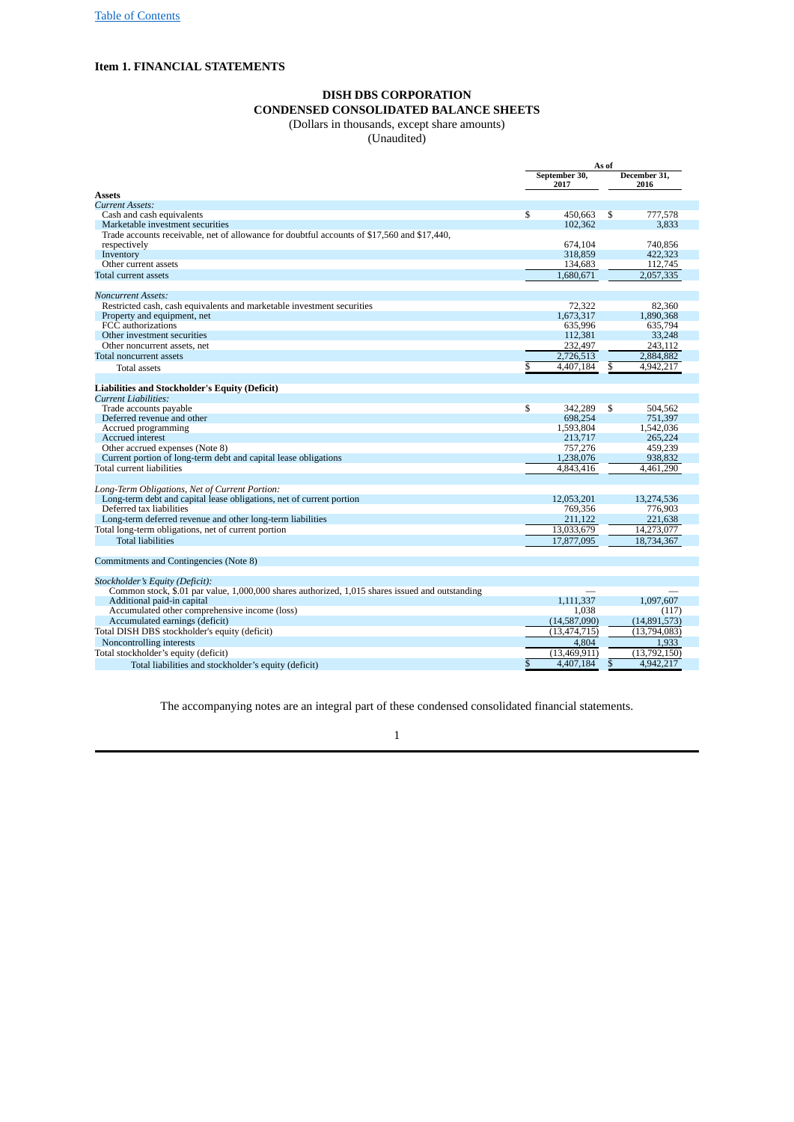# **Item 1. FINANCIAL STATEMENTS**

# <span id="page-6-0"></span>**DISH DBS CORPORATION CONDENSED CONSOLIDATED BALANCE SHEETS**

(Dollars in thousands, except share amounts)

<span id="page-6-1"></span>(Unaudited)

|                                                                                                 | As of                 |                    |    |                       |  |
|-------------------------------------------------------------------------------------------------|-----------------------|--------------------|----|-----------------------|--|
|                                                                                                 | September 30,<br>2017 |                    |    | December 31,<br>2016  |  |
| Assets                                                                                          |                       |                    |    |                       |  |
| Current Assets:                                                                                 |                       |                    |    |                       |  |
| Cash and cash equivalents                                                                       | \$                    | 450.663            | \$ | 777,578               |  |
| Marketable investment securities                                                                |                       | 102,362            |    | 3,833                 |  |
| Trade accounts receivable, net of allowance for doubtful accounts of \$17,560 and \$17,440,     |                       |                    |    |                       |  |
| respectively                                                                                    |                       | 674,104            |    | 740,856               |  |
| Inventory                                                                                       |                       | 318,859            |    | 422,323               |  |
| Other current assets                                                                            |                       | 134,683            |    | 112,745               |  |
| Total current assets                                                                            |                       | 1,680,671          |    | 2,057,335             |  |
| Noncurrent Assets:                                                                              |                       |                    |    |                       |  |
| Restricted cash, cash equivalents and marketable investment securities                          |                       | 72,322             |    | 82.360                |  |
| Property and equipment, net                                                                     |                       | 1,673,317          |    | 1,890,368             |  |
| FCC authorizations                                                                              |                       | 635,996            |    | 635,794               |  |
| Other investment securities                                                                     |                       | 112,381            |    | 33,248                |  |
| Other noncurrent assets, net                                                                    |                       | 232,497            |    | 243,112               |  |
| Total noncurrent assets                                                                         |                       | 2,726,513          |    | 2,884,882             |  |
| <b>Total assets</b>                                                                             | \$                    | 4.407.184          | \$ | 4.942.217             |  |
| <b>Liabilities and Stockholder's Equity (Deficit)</b>                                           |                       |                    |    |                       |  |
| <b>Current Liabilities:</b>                                                                     |                       |                    |    |                       |  |
| Trade accounts payable                                                                          | \$                    | 342.289            | \$ | 504,562               |  |
| Deferred revenue and other                                                                      |                       | 698.254            |    | 751.397               |  |
| Accrued programming                                                                             |                       | 1,593,804          |    | 1,542,036             |  |
| <b>Accrued</b> interest                                                                         |                       | 213,717            |    | 265,224               |  |
| Other accrued expenses (Note 8)                                                                 |                       | 757,276            |    | 459,239               |  |
| Current portion of long-term debt and capital lease obligations                                 |                       | 1,238,076          |    | 938,832               |  |
| <b>Total current liabilities</b>                                                                |                       | 4,843,416          |    | 4,461,290             |  |
| Long-Term Obligations, Net of Current Portion:                                                  |                       |                    |    |                       |  |
| Long-term debt and capital lease obligations, net of current portion                            |                       | 12,053,201         |    | 13,274,536            |  |
| Deferred tax liabilities                                                                        |                       | 769,356            |    | 776,903               |  |
| Long-term deferred revenue and other long-term liabilities                                      |                       | 211,122            |    | 221,638               |  |
| Total long-term obligations, net of current portion                                             |                       | 13,033,679         |    | 14,273,077            |  |
| <b>Total liabilities</b>                                                                        |                       | 17,877,095         |    | 18,734,367            |  |
| Commitments and Contingencies (Note 8)                                                          |                       |                    |    |                       |  |
|                                                                                                 |                       |                    |    |                       |  |
| Stockholder's Equity (Deficit):                                                                 |                       |                    |    |                       |  |
| Common stock, \$.01 par value, 1,000,000 shares authorized, 1,015 shares issued and outstanding |                       |                    |    |                       |  |
| Additional paid-in capital<br>Accumulated other comprehensive income (loss)                     |                       | 1,111,337<br>1.038 |    | 1,097,607             |  |
| Accumulated earnings (deficit)                                                                  |                       | (14,587,090)       |    | (117)                 |  |
|                                                                                                 |                       | (13, 474, 715)     |    | (14,891,573)          |  |
| Total DISH DBS stockholder's equity (deficit)                                                   |                       | 4.804              |    | (13,794,083)<br>1.933 |  |
| Noncontrolling interests                                                                        |                       |                    |    |                       |  |
| Total stockholder's equity (deficit)                                                            |                       | (13, 469, 911)     |    | (13,792,150)          |  |
| Total liabilities and stockholder's equity (deficit)                                            | \$                    | 4,407,184          | \$ | 4,942,217             |  |

The accompanying notes are an integral part of these condensed consolidated financial statements.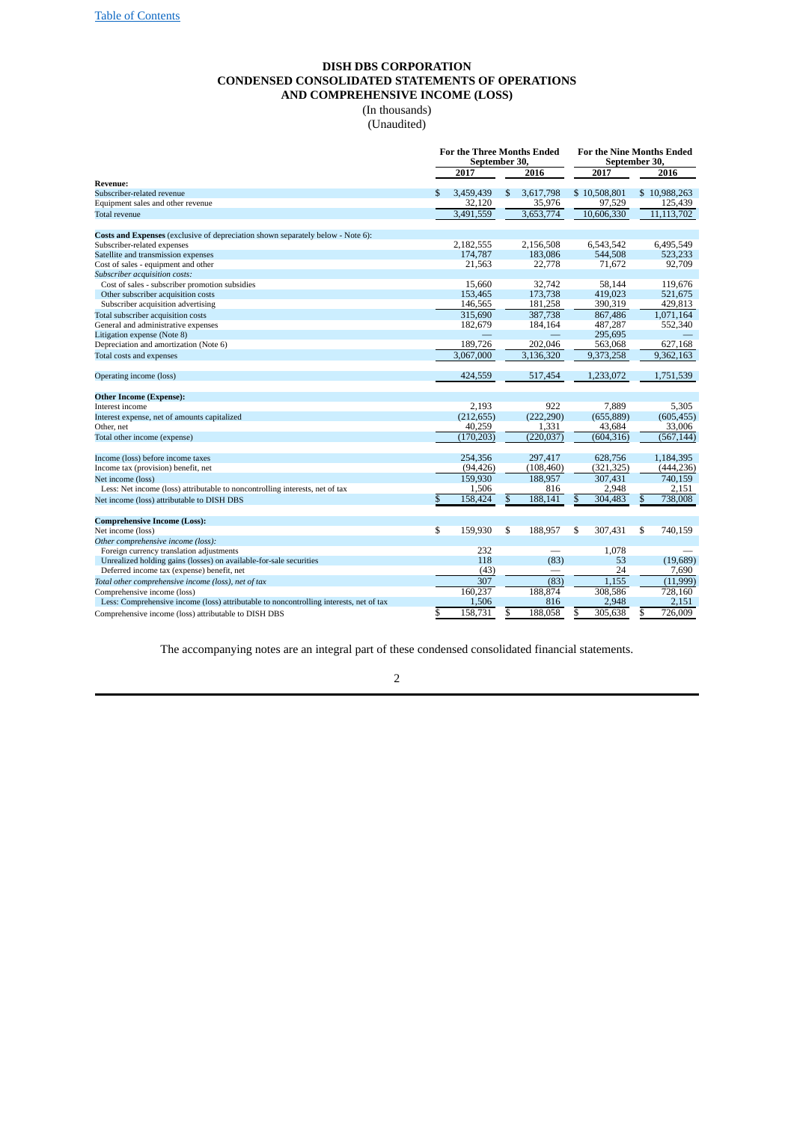# **DISH DBS CORPORATION CONDENSED CONSOLIDATED STATEMENTS OF OPERATIONS AND COMPREHENSIVE INCOME (LOSS)**

<span id="page-7-0"></span>(In thousands)  $\mathrm{U}$ Tunaudited)

|                                                                                        | <b>For the Three Months Ended</b><br>September 30, |            |                 |            | <b>For the Nine Months Ended</b><br>September 30, |              |              |              |
|----------------------------------------------------------------------------------------|----------------------------------------------------|------------|-----------------|------------|---------------------------------------------------|--------------|--------------|--------------|
|                                                                                        |                                                    | 2017       |                 | 2016       |                                                   | 2017         |              | 2016         |
| <b>Revenue:</b>                                                                        |                                                    |            |                 |            |                                                   |              |              |              |
| Subscriber-related revenue                                                             | \$                                                 | 3,459,439  | \$              | 3,617,798  |                                                   | \$10,508,801 |              | \$10,988,263 |
| Equipment sales and other revenue                                                      |                                                    | 32,120     |                 | 35,976     |                                                   | 97,529       |              | 125,439      |
| <b>Total revenue</b>                                                                   |                                                    | 3,491,559  |                 | 3,653,774  |                                                   | 10,606,330   |              | 11,113,702   |
| Costs and Expenses (exclusive of depreciation shown separately below - Note 6):        |                                                    |            |                 |            |                                                   |              |              |              |
| Subscriber-related expenses                                                            |                                                    | 2,182,555  |                 | 2,156,508  |                                                   | 6,543,542    |              | 6,495,549    |
| Satellite and transmission expenses                                                    |                                                    | 174,787    |                 | 183,086    |                                                   | 544,508      |              | 523,233      |
| Cost of sales - equipment and other                                                    |                                                    | 21,563     |                 | 22,778     |                                                   | 71,672       |              | 92,709       |
| Subscriber acquisition costs:                                                          |                                                    |            |                 |            |                                                   |              |              |              |
| Cost of sales - subscriber promotion subsidies                                         |                                                    | 15,660     |                 | 32,742     |                                                   | 58,144       |              | 119,676      |
| Other subscriber acquisition costs                                                     |                                                    | 153,465    |                 | 173,738    |                                                   | 419,023      |              | 521,675      |
| Subscriber acquisition advertising                                                     |                                                    | 146,565    |                 | 181,258    |                                                   | 390,319      |              | 429,813      |
| Total subscriber acquisition costs                                                     |                                                    | 315,690    |                 | 387,738    |                                                   | 867,486      |              | 1,071,164    |
| General and administrative expenses                                                    |                                                    | 182,679    |                 | 184,164    |                                                   | 487,287      |              | 552,340      |
| Litigation expense (Note 8)                                                            |                                                    |            |                 |            |                                                   | 295,695      |              |              |
| Depreciation and amortization (Note 6)                                                 |                                                    | 189,726    |                 | 202,046    |                                                   | 563,068      |              | 627,168      |
| Total costs and expenses                                                               |                                                    | 3,067,000  |                 | 3,136,320  |                                                   | 9,373,258    |              | 9,362,163    |
| Operating income (loss)                                                                |                                                    | 424,559    |                 | 517,454    |                                                   | 1,233,072    |              | 1,751,539    |
| <b>Other Income (Expense):</b>                                                         |                                                    |            |                 |            |                                                   |              |              |              |
| Interest income                                                                        |                                                    | 2.193      |                 | 922        |                                                   | 7.889        |              | 5,305        |
| Interest expense, net of amounts capitalized                                           |                                                    | (212, 655) |                 | (222, 290) |                                                   | (655, 889)   |              | (605, 455)   |
| Other, net                                                                             |                                                    | 40,259     |                 | 1,331      |                                                   | 43,684       |              | 33,006       |
| Total other income (expense)                                                           |                                                    | (170, 203) |                 | (220, 037) |                                                   | (604, 316)   |              | (567, 144)   |
| Income (loss) before income taxes                                                      |                                                    | 254,356    |                 | 297.417    |                                                   | 628,756      |              | 1,184,395    |
| Income tax (provision) benefit, net                                                    |                                                    | (94, 426)  |                 | (108, 460) |                                                   | (321, 325)   |              | (444, 236)   |
| Net income (loss)                                                                      |                                                    | 159,930    |                 | 188,957    |                                                   | 307,431      |              | 740,159      |
| Less: Net income (loss) attributable to noncontrolling interests, net of tax           |                                                    | 1,506      |                 | 816        |                                                   | 2,948        |              | 2,151        |
| Net income (loss) attributable to DISH DBS                                             | \$                                                 | 158,424    | $\mathbb{S}$    | 188,141    | \$                                                | 304,483      | $\mathbf{s}$ | 738,008      |
| <b>Comprehensive Income (Loss):</b>                                                    |                                                    |            |                 |            |                                                   |              |              |              |
| Net income (loss)                                                                      | \$                                                 | 159,930    | \$              | 188,957    | \$                                                | 307,431      | \$           | 740,159      |
| Other comprehensive income (loss):                                                     |                                                    |            |                 |            |                                                   |              |              |              |
| Foreign currency translation adjustments                                               |                                                    | 232        |                 |            |                                                   | 1,078        |              |              |
| Unrealized holding gains (losses) on available-for-sale securities                     |                                                    | 118        |                 | (83)       |                                                   | 53           |              | (19,689)     |
| Deferred income tax (expense) benefit, net                                             |                                                    | (43)       |                 |            |                                                   | 24           |              | 7,690        |
| Total other comprehensive income (loss), net of tax                                    |                                                    | 307        |                 | (83)       |                                                   | 1.155        |              | (11.999)     |
| Comprehensive income (loss)                                                            |                                                    | 160,237    |                 | 188,874    |                                                   | 308,586      |              | 728,160      |
| Less: Comprehensive income (loss) attributable to noncontrolling interests, net of tax |                                                    | 1,506      |                 | 816        |                                                   | 2,948        |              | 2,151        |
| Comprehensive income (loss) attributable to DISH DBS                                   | \$                                                 | 158,731    | $\overline{\$}$ | 188,058    | \$                                                | 305,638      | \$           | 726,009      |

The accompanying notes are an integral part of these condensed consolidated financial statements.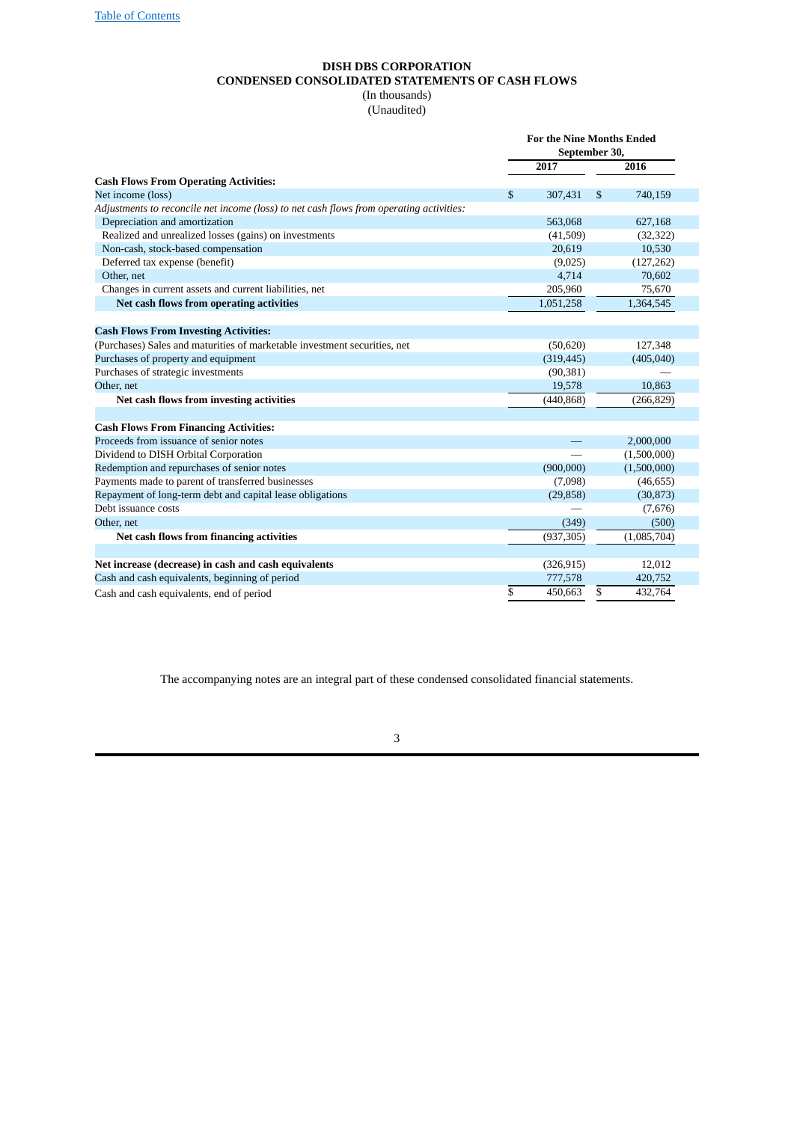# **DISH DBS CORPORATION CONDENSED CONSOLIDATED STATEMENTS OF CASH FLOWS** (In thousands)

<span id="page-8-0"></span>(Unaudited)

|                                                                                         | <b>For the Nine Months Ended</b><br>September 30, |            |    |             |  |
|-----------------------------------------------------------------------------------------|---------------------------------------------------|------------|----|-------------|--|
|                                                                                         |                                                   | 2017       |    | 2016        |  |
| <b>Cash Flows From Operating Activities:</b>                                            |                                                   |            |    |             |  |
| Net income (loss)                                                                       | \$                                                | 307,431    | S  | 740,159     |  |
| Adjustments to reconcile net income (loss) to net cash flows from operating activities: |                                                   |            |    |             |  |
| Depreciation and amortization                                                           |                                                   | 563,068    |    | 627,168     |  |
| Realized and unrealized losses (gains) on investments                                   |                                                   | (41,509)   |    | (32, 322)   |  |
| Non-cash, stock-based compensation                                                      |                                                   | 20,619     |    | 10,530      |  |
| Deferred tax expense (benefit)                                                          |                                                   | (9,025)    |    | (127, 262)  |  |
| Other, net                                                                              |                                                   | 4,714      |    | 70,602      |  |
| Changes in current assets and current liabilities, net                                  |                                                   | 205,960    |    | 75,670      |  |
| Net cash flows from operating activities                                                |                                                   | 1,051,258  |    | 1,364,545   |  |
|                                                                                         |                                                   |            |    |             |  |
| <b>Cash Flows From Investing Activities:</b>                                            |                                                   |            |    |             |  |
| (Purchases) Sales and maturities of marketable investment securities, net               |                                                   | (50,620)   |    | 127,348     |  |
| Purchases of property and equipment                                                     |                                                   | (319, 445) |    | (405, 040)  |  |
| Purchases of strategic investments                                                      |                                                   | (90, 381)  |    |             |  |
| Other, net                                                                              |                                                   | 19,578     |    | 10,863      |  |
| Net cash flows from investing activities                                                |                                                   | (440, 868) |    | (266, 829)  |  |
|                                                                                         |                                                   |            |    |             |  |
| <b>Cash Flows From Financing Activities:</b>                                            |                                                   |            |    |             |  |
| Proceeds from issuance of senior notes                                                  |                                                   |            |    | 2,000,000   |  |
| Dividend to DISH Orbital Corporation                                                    |                                                   |            |    | (1,500,000) |  |
| Redemption and repurchases of senior notes                                              |                                                   | (900,000)  |    | (1,500,000) |  |
| Payments made to parent of transferred businesses                                       |                                                   | (7,098)    |    | (46, 655)   |  |
| Repayment of long-term debt and capital lease obligations                               |                                                   | (29, 858)  |    | (30, 873)   |  |
| Debt issuance costs                                                                     |                                                   |            |    | (7,676)     |  |
| Other, net                                                                              |                                                   | (349)      |    | (500)       |  |
| Net cash flows from financing activities                                                |                                                   | (937, 305) |    | (1,085,704) |  |
|                                                                                         |                                                   |            |    |             |  |
| Net increase (decrease) in cash and cash equivalents                                    |                                                   | (326, 915) |    | 12,012      |  |
| Cash and cash equivalents, beginning of period                                          |                                                   | 777,578    |    | 420,752     |  |
| Cash and cash equivalents, end of period                                                | \$                                                | 450,663    | \$ | 432,764     |  |

The accompanying notes are an integral part of these condensed consolidated financial statements.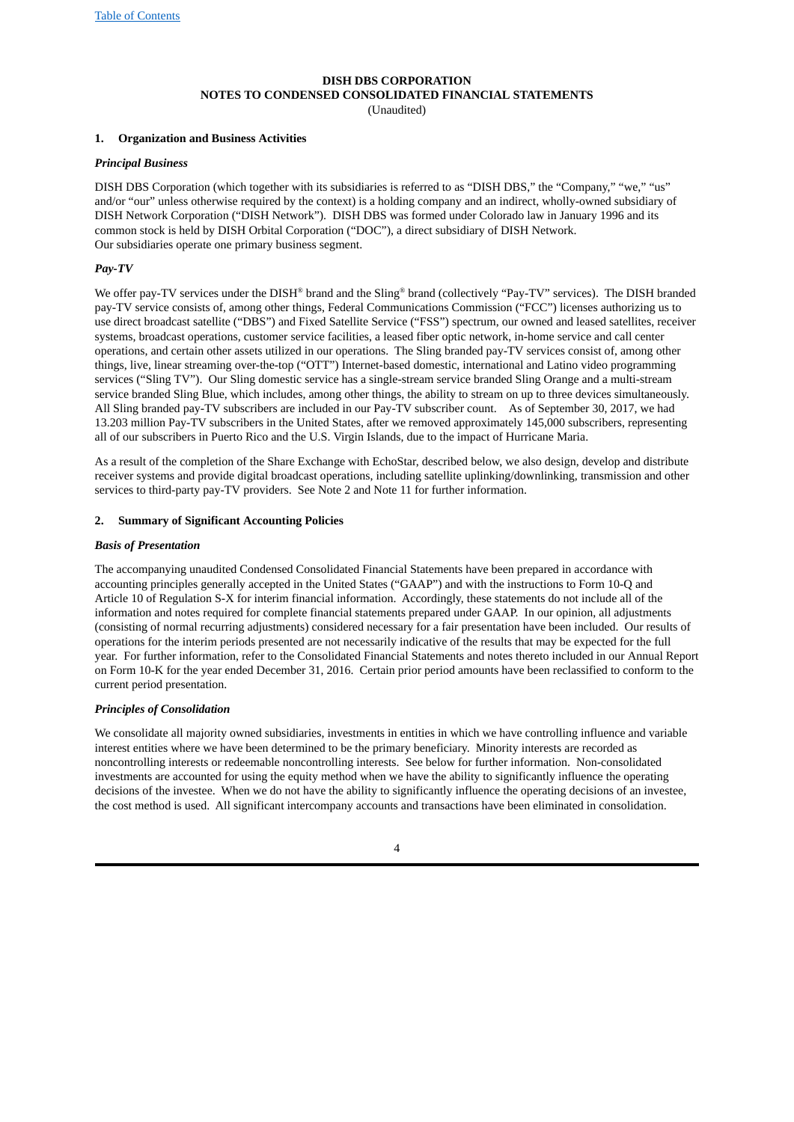# **DISH DBS CORPORATION NOTES TO CONDENSED CONSOLIDATED FINANCIAL STATEMENTS**

<span id="page-9-0"></span>(Unaudited)

## **1. Organization and Business Activities**

#### *Principal Business*

DISH DBS Corporation (which together with its subsidiaries is referred to as "DISH DBS," the "Company," "we," "us" and/or "our" unless otherwise required by the context) is a holding company and an indirect, wholly-owned subsidiary of DISH Network Corporation ("DISH Network"). DISH DBS was formed under Colorado law in January 1996 and its common stock is held by DISH Orbital Corporation ("DOC"), a direct subsidiary of DISH Network. Our subsidiaries operate one primary business segment.

#### *Pay-TV*

We offer pay-TV services under the  $DISH^*$  brand and the Sling<sup>®</sup> brand (collectively "Pay-TV" services). The DISH branded pay-TV service consists of, among other things, Federal Communications Commission ("FCC") licenses authorizing us to use direct broadcast satellite ("DBS") and Fixed Satellite Service ("FSS") spectrum, our owned and leased satellites, receiver systems, broadcast operations, customer service facilities, a leased fiber optic network, in-home service and call center operations, and certain other assets utilized in our operations. The Sling branded pay-TV services consist of, among other things, live, linear streaming over-the-top ("OTT") Internet-based domestic, international and Latino video programming services ("Sling TV"). Our Sling domestic service has a single-stream service branded Sling Orange and a multi-stream service branded Sling Blue, which includes, among other things, the ability to stream on up to three devices simultaneously. All Sling branded pay-TV subscribers are included in our Pay-TV subscriber count. As of September 30, 2017, we had 13.203 million Pay-TV subscribers in the United States, after we removed approximately 145,000 subscribers, representing all of our subscribers in Puerto Rico and the U.S. Virgin Islands, due to the impact of Hurricane Maria.

As a result of the completion of the Share Exchange with EchoStar, described below, we also design, develop and distribute receiver systems and provide digital broadcast operations, including satellite uplinking/downlinking, transmission and other services to third-party pay-TV providers. See Note 2 and Note 11 for further information.

#### **2. Summary of Significant Accounting Policies**

#### *Basis of Presentation*

The accompanying unaudited Condensed Consolidated Financial Statements have been prepared in accordance with accounting principles generally accepted in the United States ("GAAP") and with the instructions to Form 10-Q and Article 10 of Regulation S-X for interim financial information. Accordingly, these statements do not include all of the information and notes required for complete financial statements prepared under GAAP. In our opinion, all adjustments (consisting of normal recurring adjustments) considered necessary for a fair presentation have been included. Our results of operations for the interim periods presented are not necessarily indicative of the results that may be expected for the full year. For further information, refer to the Consolidated Financial Statements and notes thereto included in our Annual Report on Form 10-K for the year ended December 31, 2016. Certain prior period amounts have been reclassified to conform to the current period presentation.

#### *Principles of Consolidation*

We consolidate all majority owned subsidiaries, investments in entities in which we have controlling influence and variable interest entities where we have been determined to be the primary beneficiary. Minority interests are recorded as noncontrolling interests or redeemable noncontrolling interests. See below for further information. Non-consolidated investments are accounted for using the equity method when we have the ability to significantly influence the operating decisions of the investee. When we do not have the ability to significantly influence the operating decisions of an investee, the cost method is used. All significant intercompany accounts and transactions have been eliminated in consolidation.

<sup>4</sup>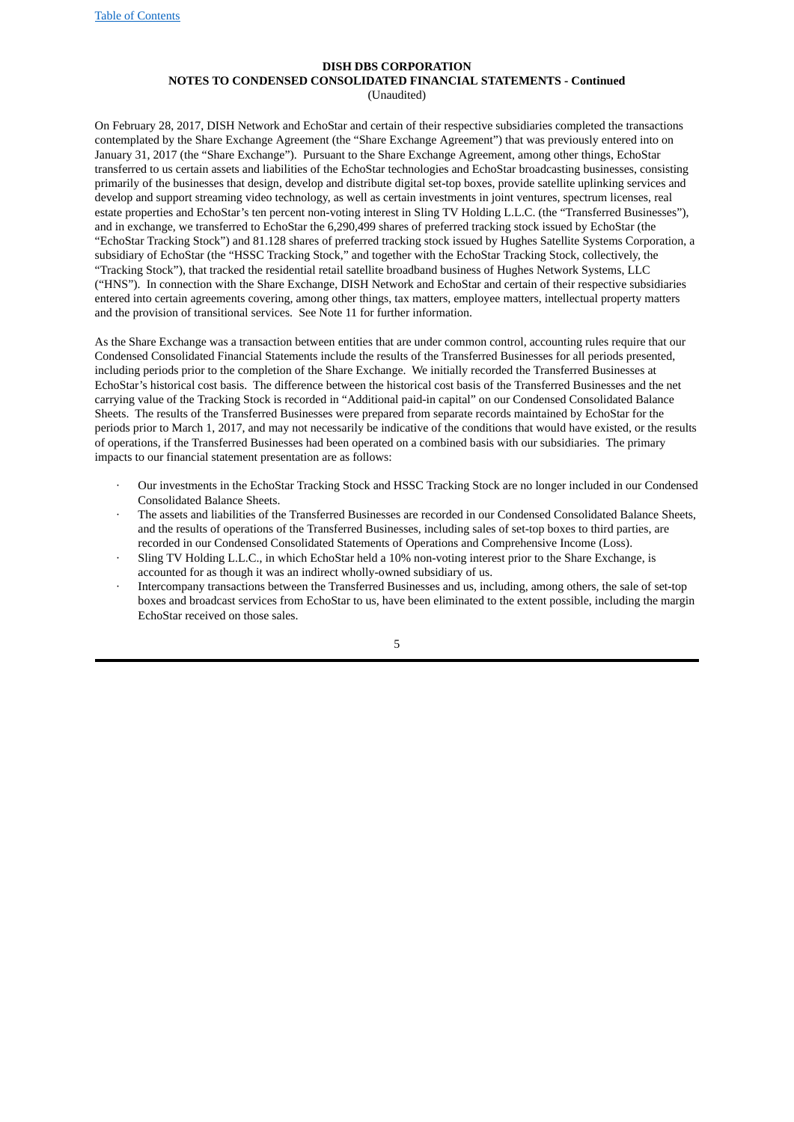## **DISH DBS CORPORATION**

# **NOTES TO CONDENSED CONSOLIDATED FINANCIAL STATEMENTS - Continued**

(Unaudited)

On February 28, 2017, DISH Network and EchoStar and certain of their respective subsidiaries completed the transactions contemplated by the Share Exchange Agreement (the "Share Exchange Agreement") that was previously entered into on January 31, 2017 (the "Share Exchange"). Pursuant to the Share Exchange Agreement, among other things, EchoStar transferred to us certain assets and liabilities of the EchoStar technologies and EchoStar broadcasting businesses, consisting primarily of the businesses that design, develop and distribute digital set-top boxes, provide satellite uplinking services and develop and support streaming video technology, as well as certain investments in joint ventures, spectrum licenses, real estate properties and EchoStar's ten percent non-voting interest in Sling TV Holding L.L.C. (the "Transferred Businesses"), and in exchange, we transferred to EchoStar the 6,290,499 shares of preferred tracking stock issued by EchoStar (the "EchoStar Tracking Stock") and 81.128 shares of preferred tracking stock issued by Hughes Satellite Systems Corporation, a subsidiary of EchoStar (the "HSSC Tracking Stock," and together with the EchoStar Tracking Stock, collectively, the "Tracking Stock"), that tracked the residential retail satellite broadband business of Hughes Network Systems, LLC ("HNS"). In connection with the Share Exchange, DISH Network and EchoStar and certain of their respective subsidiaries entered into certain agreements covering, among other things, tax matters, employee matters, intellectual property matters and the provision of transitional services. See Note 11 for further information.

As the Share Exchange was a transaction between entities that are under common control, accounting rules require that our Condensed Consolidated Financial Statements include the results of the Transferred Businesses for all periods presented, including periods prior to the completion of the Share Exchange. We initially recorded the Transferred Businesses at EchoStar's historical cost basis. The difference between the historical cost basis of the Transferred Businesses and the net carrying value of the Tracking Stock is recorded in "Additional paid-in capital" on our Condensed Consolidated Balance Sheets. The results of the Transferred Businesses were prepared from separate records maintained by EchoStar for the periods prior to March 1, 2017, and may not necessarily be indicative of the conditions that would have existed, or the results of operations, if the Transferred Businesses had been operated on a combined basis with our subsidiaries. The primary impacts to our financial statement presentation are as follows:

- · Our investments in the EchoStar Tracking Stock and HSSC Tracking Stock are no longer included in our Condensed Consolidated Balance Sheets.
- · The assets and liabilities of the Transferred Businesses are recorded in our Condensed Consolidated Balance Sheets, and the results of operations of the Transferred Businesses, including sales of set-top boxes to third parties, are recorded in our Condensed Consolidated Statements of Operations and Comprehensive Income (Loss).
- · Sling TV Holding L.L.C., in which EchoStar held a 10% non-voting interest prior to the Share Exchange, is accounted for as though it was an indirect wholly-owned subsidiary of us.
- · Intercompany transactions between the Transferred Businesses and us, including, among others, the sale of set-top boxes and broadcast services from EchoStar to us, have been eliminated to the extent possible, including the margin EchoStar received on those sales.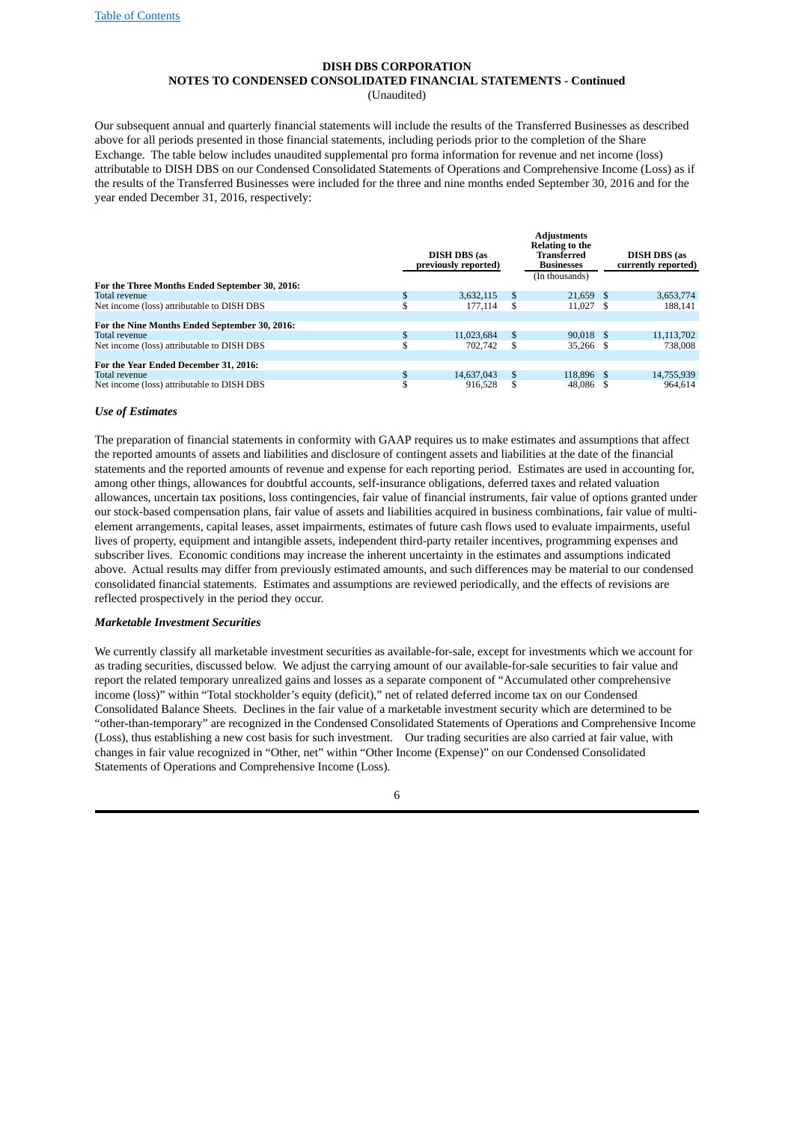Our subsequent annual and quarterly financial statements will include the results of the Transferred Businesses as described above for all periods presented in those financial statements, including periods prior to the completion of the Share Exchange. The table below includes unaudited supplemental pro forma information for revenue and net income (loss) attributable to DISH DBS on our Condensed Consolidated Statements of Operations and Comprehensive Income (Loss) as if the results of the Transferred Businesses were included for the three and nine months ended September 30, 2016 and for the year ended December 31, 2016, respectively:

|                                                | DISH DBS (as<br>previously reported) | <b>Adjustments</b><br><b>Relating to the</b><br><b>Transferred</b><br><b>Businesses</b><br>(In thousands) |      | <b>DISH DBS</b> (as<br>currently reported) |
|------------------------------------------------|--------------------------------------|-----------------------------------------------------------------------------------------------------------|------|--------------------------------------------|
| For the Three Months Ended September 30, 2016: |                                      |                                                                                                           |      |                                            |
| Total revenue                                  | \$<br>3.632.115                      | \$<br>21.659 \$                                                                                           |      | 3,653,774                                  |
| Net income (loss) attributable to DISH DBS     | \$<br>177,114                        | \$<br>11,027                                                                                              | S    | 188.141                                    |
|                                                |                                      |                                                                                                           |      |                                            |
| For the Nine Months Ended September 30, 2016:  |                                      |                                                                                                           |      |                                            |
| Total revenue                                  | \$<br>11.023.684                     | \$<br>$90.018$ \$                                                                                         |      | 11, 113, 702                               |
| Net income (loss) attributable to DISH DBS     | \$<br>702.742                        | \$<br>35,266                                                                                              |      | 738,008                                    |
|                                                |                                      |                                                                                                           |      |                                            |
| For the Year Ended December 31, 2016:          |                                      |                                                                                                           |      |                                            |
| Total revenue                                  | \$<br>14,637,043                     | \$<br>118,896                                                                                             | - \$ | 14,755,939                                 |
| Net income (loss) attributable to DISH DBS     | \$<br>916,528                        | \$<br>48.086                                                                                              |      | 964.614                                    |

#### *Use of Estimates*

The preparation of financial statements in conformity with GAAP requires us to make estimates and assumptions that affect the reported amounts of assets and liabilities and disclosure of contingent assets and liabilities at the date of the financial statements and the reported amounts of revenue and expense for each reporting period. Estimates are used in accounting for, among other things, allowances for doubtful accounts, self-insurance obligations, deferred taxes and related valuation allowances, uncertain tax positions, loss contingencies, fair value of financial instruments, fair value of options granted under our stock-based compensation plans, fair value of assets and liabilities acquired in business combinations, fair value of multielement arrangements, capital leases, asset impairments, estimates of future cash flows used to evaluate impairments, useful lives of property, equipment and intangible assets, independent third-party retailer incentives, programming expenses and subscriber lives. Economic conditions may increase the inherent uncertainty in the estimates and assumptions indicated above. Actual results may differ from previously estimated amounts, and such differences may be material to our condensed consolidated financial statements. Estimates and assumptions are reviewed periodically, and the effects of revisions are reflected prospectively in the period they occur.

#### *Marketable Investment Securities*

We currently classify all marketable investment securities as available-for-sale, except for investments which we account for as trading securities, discussed below. We adjust the carrying amount of our available-for-sale securities to fair value and report the related temporary unrealized gains and losses as a separate component of "Accumulated other comprehensive income (loss)" within "Total stockholder's equity (deficit)," net of related deferred income tax on our Condensed Consolidated Balance Sheets. Declines in the fair value of a marketable investment security which are determined to be "other-than-temporary" are recognized in the Condensed Consolidated Statements of Operations and Comprehensive Income (Loss), thus establishing a new cost basis for such investment. Our trading securities are also carried at fair value, with changes in fair value recognized in "Other, net" within "Other Income (Expense)" on our Condensed Consolidated Statements of Operations and Comprehensive Income (Loss).

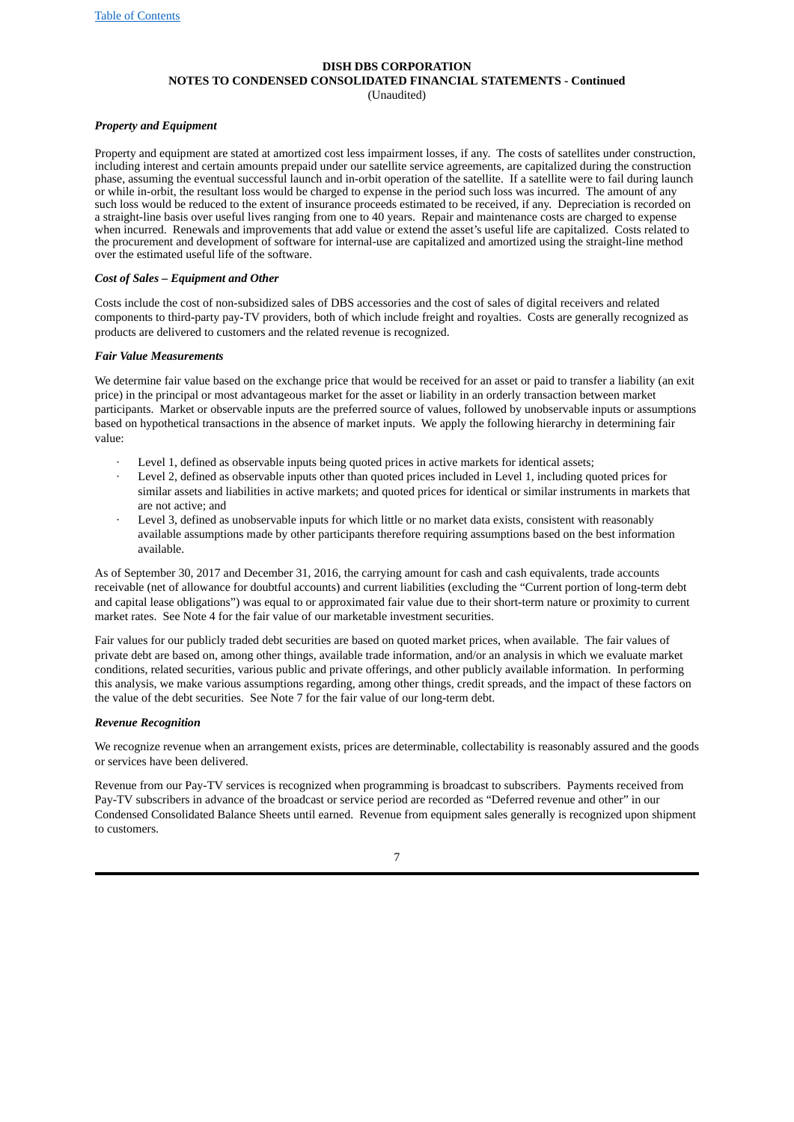#### *Property and Equipment*

Property and equipment are stated at amortized cost less impairment losses, if any. The costs of satellites under construction, including interest and certain amounts prepaid under our satellite service agreements, are capitalized during the construction phase, assuming the eventual successful launch and in-orbit operation of the satellite. If a satellite were to fail during launch or while in-orbit, the resultant loss would be charged to expense in the period such loss was incurred. The amount of any such loss would be reduced to the extent of insurance proceeds estimated to be received, if any. Depreciation is recorded on a straight-line basis over useful lives ranging from one to 40 years. Repair and maintenance costs are charged to expense when incurred. Renewals and improvements that add value or extend the asset's useful life are capitalized. Costs related to the procurement and development of software for internal-use are capitalized and amortized using the straight-line method over the estimated useful life of the software.

#### *Cost of Sales – Equipment and Other*

Costs include the cost of non-subsidized sales of DBS accessories and the cost of sales of digital receivers and related components to third-party pay-TV providers, both of which include freight and royalties. Costs are generally recognized as products are delivered to customers and the related revenue is recognized.

#### *Fair Value Measurements*

We determine fair value based on the exchange price that would be received for an asset or paid to transfer a liability (an exit price) in the principal or most advantageous market for the asset or liability in an orderly transaction between market participants. Market or observable inputs are the preferred source of values, followed by unobservable inputs or assumptions based on hypothetical transactions in the absence of market inputs. We apply the following hierarchy in determining fair value:

- Level 1, defined as observable inputs being quoted prices in active markets for identical assets;
- Level 2, defined as observable inputs other than quoted prices included in Level 1, including quoted prices for similar assets and liabilities in active markets; and quoted prices for identical or similar instruments in markets that are not active; and
- Level 3, defined as unobservable inputs for which little or no market data exists, consistent with reasonably available assumptions made by other participants therefore requiring assumptions based on the best information available.

As of September 30, 2017 and December 31, 2016, the carrying amount for cash and cash equivalents, trade accounts receivable (net of allowance for doubtful accounts) and current liabilities (excluding the "Current portion of long-term debt and capital lease obligations") was equal to or approximated fair value due to their short-term nature or proximity to current market rates. See Note 4 for the fair value of our marketable investment securities.

Fair values for our publicly traded debt securities are based on quoted market prices, when available. The fair values of private debt are based on, among other things, available trade information, and/or an analysis in which we evaluate market conditions, related securities, various public and private offerings, and other publicly available information. In performing this analysis, we make various assumptions regarding, among other things, credit spreads, and the impact of these factors on the value of the debt securities. See Note 7 for the fair value of our long-term debt.

#### *Revenue Recognition*

We recognize revenue when an arrangement exists, prices are determinable, collectability is reasonably assured and the goods or services have been delivered.

Revenue from our Pay-TV services is recognized when programming is broadcast to subscribers. Payments received from Pay-TV subscribers in advance of the broadcast or service period are recorded as "Deferred revenue and other" in our Condensed Consolidated Balance Sheets until earned. Revenue from equipment sales generally is recognized upon shipment to customers.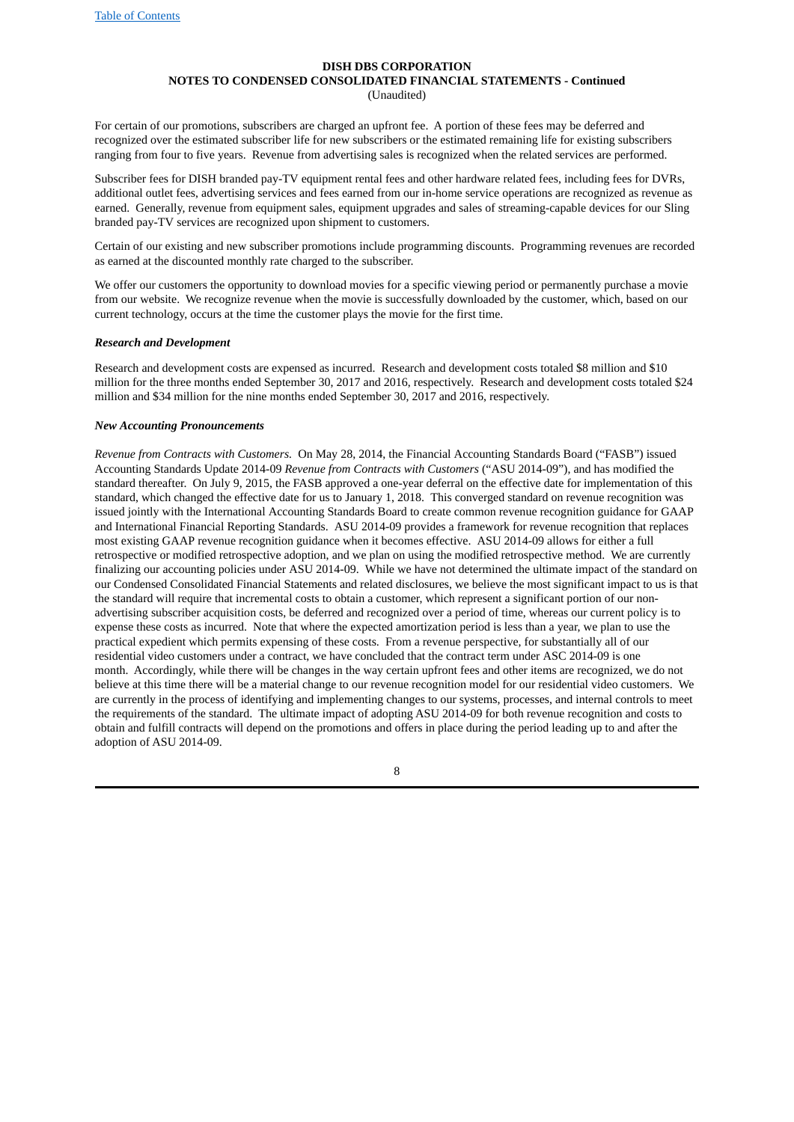# **DISH DBS CORPORATION**

# **NOTES TO CONDENSED CONSOLIDATED FINANCIAL STATEMENTS - Continued**

(Unaudited)

For certain of our promotions, subscribers are charged an upfront fee. A portion of these fees may be deferred and recognized over the estimated subscriber life for new subscribers or the estimated remaining life for existing subscribers ranging from four to five years. Revenue from advertising sales is recognized when the related services are performed.

Subscriber fees for DISH branded pay-TV equipment rental fees and other hardware related fees, including fees for DVRs, additional outlet fees, advertising services and fees earned from our in-home service operations are recognized as revenue as earned. Generally, revenue from equipment sales, equipment upgrades and sales of streaming-capable devices for our Sling branded pay-TV services are recognized upon shipment to customers.

Certain of our existing and new subscriber promotions include programming discounts. Programming revenues are recorded as earned at the discounted monthly rate charged to the subscriber.

We offer our customers the opportunity to download movies for a specific viewing period or permanently purchase a movie from our website. We recognize revenue when the movie is successfully downloaded by the customer, which, based on our current technology, occurs at the time the customer plays the movie for the first time.

#### *Research and Development*

Research and development costs are expensed as incurred. Research and development costs totaled \$8 million and \$10 million for the three months ended September 30, 2017 and 2016, respectively. Research and development costs totaled \$24 million and \$34 million for the nine months ended September 30, 2017 and 2016, respectively.

#### *New Accounting Pronouncements*

*Revenue from Contracts with Customers.* On May 28, 2014, the Financial Accounting Standards Board ("FASB") issued Accounting Standards Update 2014-09 *Revenue from Contracts with Customers* ("ASU 2014-09"), and has modified the standard thereafter. On July 9, 2015, the FASB approved a one-year deferral on the effective date for implementation of this standard, which changed the effective date for us to January 1, 2018. This converged standard on revenue recognition was issued jointly with the International Accounting Standards Board to create common revenue recognition guidance for GAAP and International Financial Reporting Standards. ASU 2014-09 provides a framework for revenue recognition that replaces most existing GAAP revenue recognition guidance when it becomes effective. ASU 2014-09 allows for either a full retrospective or modified retrospective adoption, and we plan on using the modified retrospective method. We are currently finalizing our accounting policies under ASU 2014-09. While we have not determined the ultimate impact of the standard on our Condensed Consolidated Financial Statements and related disclosures, we believe the most significant impact to us is that the standard will require that incremental costs to obtain a customer, which represent a significant portion of our nonadvertising subscriber acquisition costs, be deferred and recognized over a period of time, whereas our current policy is to expense these costs as incurred. Note that where the expected amortization period is less than a year, we plan to use the practical expedient which permits expensing of these costs. From a revenue perspective, for substantially all of our residential video customers under a contract, we have concluded that the contract term under ASC 2014-09 is one month. Accordingly, while there will be changes in the way certain upfront fees and other items are recognized, we do not believe at this time there will be a material change to our revenue recognition model for our residential video customers. We are currently in the process of identifying and implementing changes to our systems, processes, and internal controls to meet the requirements of the standard. The ultimate impact of adopting ASU 2014-09 for both revenue recognition and costs to obtain and fulfill contracts will depend on the promotions and offers in place during the period leading up to and after the adoption of ASU 2014-09.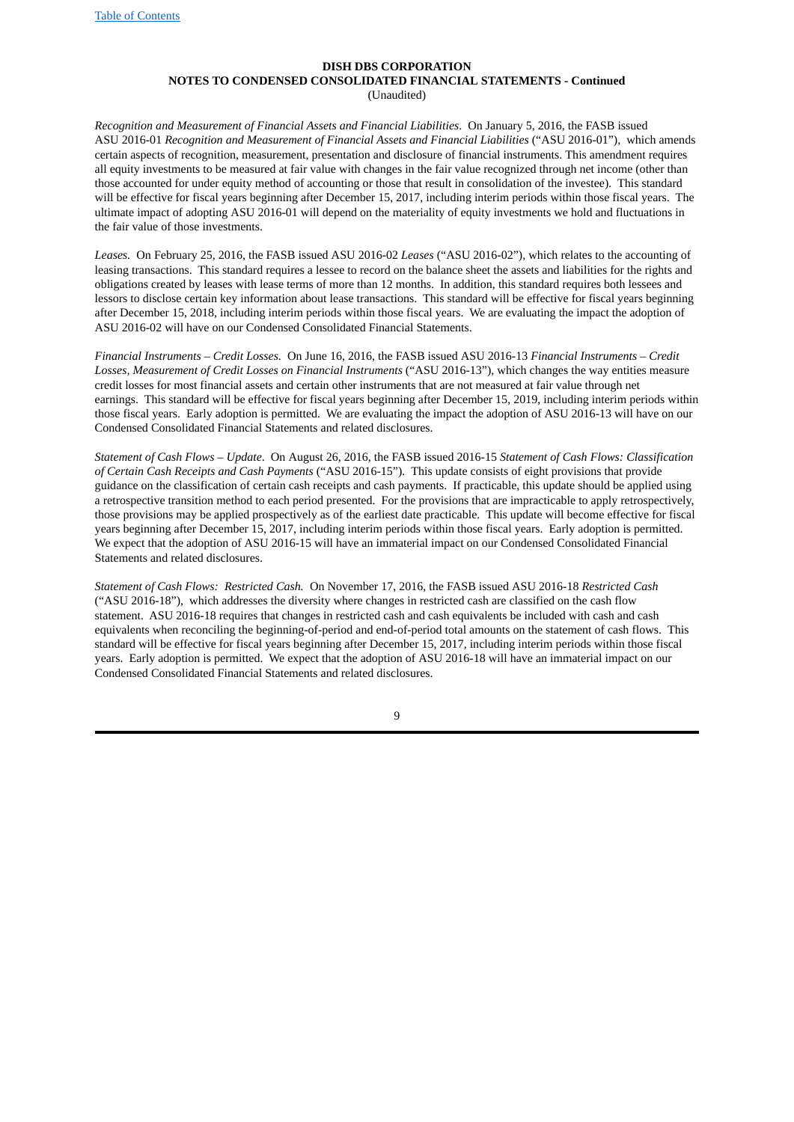*Recognition and Measurement of Financial Assets and Financial Liabilities*. On January 5, 2016, the FASB issued ASU 2016-01 *Recognition and Measurement of Financial Assets and Financial Liabilities* ("ASU 2016-01")*,* which amends certain aspects of recognition, measurement, presentation and disclosure of financial instruments. This amendment requires all equity investments to be measured at fair value with changes in the fair value recognized through net income (other than those accounted for under equity method of accounting or those that result in consolidation of the investee). This standard will be effective for fiscal years beginning after December 15, 2017, including interim periods within those fiscal years. The ultimate impact of adopting ASU 2016-01 will depend on the materiality of equity investments we hold and fluctuations in the fair value of those investments.

*Leases.* On February 25, 2016, the FASB issued ASU 2016-02 *Leases* ("ASU 2016-02"), which relates to the accounting of leasing transactions. This standard requires a lessee to record on the balance sheet the assets and liabilities for the rights and obligations created by leases with lease terms of more than 12 months. In addition, this standard requires both lessees and lessors to disclose certain key information about lease transactions. This standard will be effective for fiscal years beginning after December 15, 2018, including interim periods within those fiscal years. We are evaluating the impact the adoption of ASU 2016-02 will have on our Condensed Consolidated Financial Statements.

*Financial Instruments – Credit Losses.* On June 16, 2016, the FASB issued ASU 2016-13 *Financial Instruments – Credit Losses, Measurement of Credit Losses on Financial Instruments* ("ASU 2016-13"), which changes the way entities measure credit losses for most financial assets and certain other instruments that are not measured at fair value through net earnings. This standard will be effective for fiscal years beginning after December 15, 2019, including interim periods within those fiscal years. Early adoption is permitted. We are evaluating the impact the adoption of ASU 2016-13 will have on our Condensed Consolidated Financial Statements and related disclosures.

*Statement of Cash Flows – Update*. On August 26, 2016, the FASB issued 2016-15 *Statement of Cash Flows: Classification of Certain Cash Receipts and Cash Payments* ("ASU 2016-15"). This update consists of eight provisions that provide guidance on the classification of certain cash receipts and cash payments. If practicable, this update should be applied using a retrospective transition method to each period presented. For the provisions that are impracticable to apply retrospectively, those provisions may be applied prospectively as of the earliest date practicable. This update will become effective for fiscal years beginning after December 15, 2017, including interim periods within those fiscal years. Early adoption is permitted. We expect that the adoption of ASU 2016-15 will have an immaterial impact on our Condensed Consolidated Financial Statements and related disclosures.

*Statement of Cash Flows: Restricted Cash.* On November 17, 2016, the FASB issued ASU 2016-18 *Restricted Cash* ("ASU 2016-18")*,* which addresses the diversity where changes in restricted cash are classified on the cash flow statement. ASU 2016-18 requires that changes in restricted cash and cash equivalents be included with cash and cash equivalents when reconciling the beginning-of-period and end-of-period total amounts on the statement of cash flows. This standard will be effective for fiscal years beginning after December 15, 2017, including interim periods within those fiscal years. Early adoption is permitted. We expect that the adoption of ASU 2016-18 will have an immaterial impact on our Condensed Consolidated Financial Statements and related disclosures.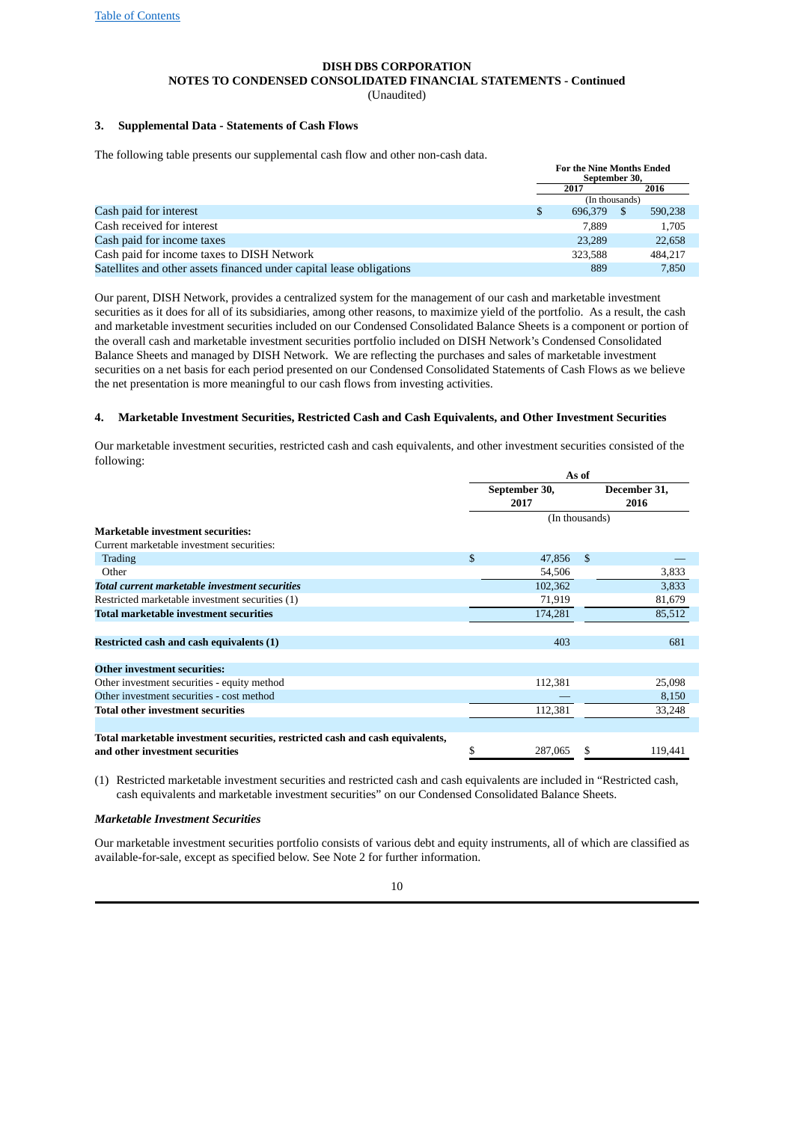(Unaudited)

#### **3. Supplemental Data - Statements of Cash Flows**

The following table presents our supplemental cash flow and other non-cash data.

|                                                                      | <b>For the Nine Months Ended</b><br>September 30, |                |    |         |
|----------------------------------------------------------------------|---------------------------------------------------|----------------|----|---------|
|                                                                      |                                                   | 2017           |    | 2016    |
|                                                                      |                                                   | (In thousands) |    |         |
| Cash paid for interest                                               | \$                                                | 696,379        | -S | 590,238 |
| Cash received for interest                                           |                                                   | 7.889          |    | 1,705   |
| Cash paid for income taxes                                           |                                                   | 23,289         |    | 22,658  |
| Cash paid for income taxes to DISH Network                           |                                                   | 323,588        |    | 484,217 |
| Satellites and other assets financed under capital lease obligations |                                                   | 889            |    | 7,850   |
|                                                                      |                                                   |                |    |         |

Our parent, DISH Network, provides a centralized system for the management of our cash and marketable investment securities as it does for all of its subsidiaries, among other reasons, to maximize yield of the portfolio. As a result, the cash and marketable investment securities included on our Condensed Consolidated Balance Sheets is a component or portion of the overall cash and marketable investment securities portfolio included on DISH Network's Condensed Consolidated Balance Sheets and managed by DISH Network. We are reflecting the purchases and sales of marketable investment securities on a net basis for each period presented on our Condensed Consolidated Statements of Cash Flows as we believe the net presentation is more meaningful to our cash flows from investing activities.

# **4. Marketable Investment Securities, Restricted Cash and Cash Equivalents, and Other Investment Securities**

Our marketable investment securities, restricted cash and cash equivalents, and other investment securities consisted of the following:

|                                                                               | As of |               |                |              |  |  |
|-------------------------------------------------------------------------------|-------|---------------|----------------|--------------|--|--|
|                                                                               |       | September 30, |                | December 31, |  |  |
|                                                                               |       | 2017          |                | 2016         |  |  |
|                                                                               |       |               | (In thousands) |              |  |  |
| <b>Marketable investment securities:</b>                                      |       |               |                |              |  |  |
| Current marketable investment securities:                                     |       |               |                |              |  |  |
| <b>Trading</b>                                                                | \$    | 47,856        | \$.            |              |  |  |
| Other                                                                         |       | 54,506        |                | 3,833        |  |  |
| <b>Total current marketable investment securities</b>                         |       | 102,362       |                | 3,833        |  |  |
| Restricted marketable investment securities (1)                               |       | 71,919        |                | 81,679       |  |  |
| <b>Total marketable investment securities</b>                                 |       | 174,281       |                | 85,512       |  |  |
|                                                                               |       |               |                |              |  |  |
| Restricted cash and cash equivalents (1)                                      |       | 403           |                | 681          |  |  |
|                                                                               |       |               |                |              |  |  |
| <b>Other investment securities:</b>                                           |       |               |                |              |  |  |
| Other investment securities - equity method                                   |       | 112,381       |                | 25,098       |  |  |
| Other investment securities - cost method                                     |       |               |                | 8,150        |  |  |
| <b>Total other investment securities</b>                                      |       | 112,381       |                | 33,248       |  |  |
|                                                                               |       |               |                |              |  |  |
| Total marketable investment securities, restricted cash and cash equivalents, |       |               |                |              |  |  |
| and other investment securities                                               | \$    | 287,065       | \$.            | 119,441      |  |  |

(1) Restricted marketable investment securities and restricted cash and cash equivalents are included in "Restricted cash, cash equivalents and marketable investment securities" on our Condensed Consolidated Balance Sheets.

#### *Marketable Investment Securities*

Our marketable investment securities portfolio consists of various debt and equity instruments, all of which are classified as available-for-sale, except as specified below. See Note 2 for further information.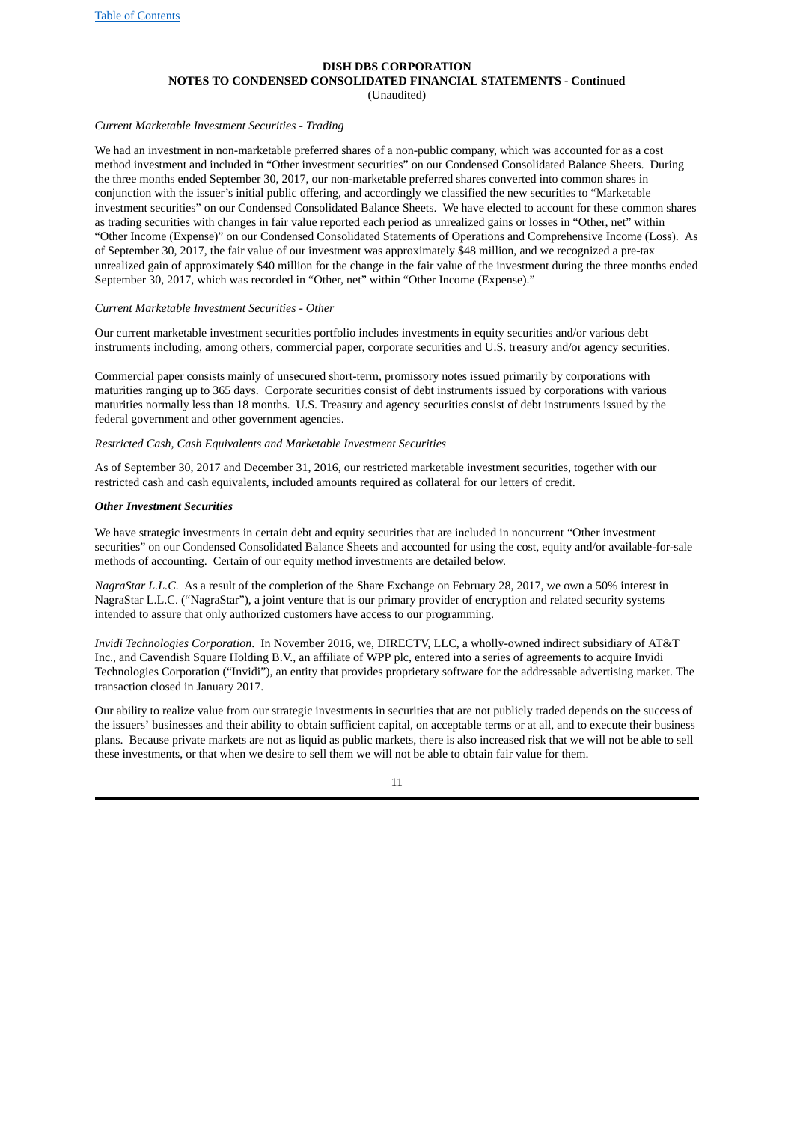#### *Current Marketable Investment Securities - Trading*

We had an investment in non-marketable preferred shares of a non-public company, which was accounted for as a cost method investment and included in "Other investment securities" on our Condensed Consolidated Balance Sheets. During the three months ended September 30, 2017, our non-marketable preferred shares converted into common shares in conjunction with the issuer's initial public offering, and accordingly we classified the new securities to "Marketable investment securities" on our Condensed Consolidated Balance Sheets. We have elected to account for these common shares as trading securities with changes in fair value reported each period as unrealized gains or losses in "Other, net" within "Other Income (Expense)" on our Condensed Consolidated Statements of Operations and Comprehensive Income (Loss). As of September 30, 2017, the fair value of our investment was approximately \$48 million, and we recognized a pre-tax unrealized gain of approximately \$40 million for the change in the fair value of the investment during the three months ended September 30, 2017, which was recorded in "Other, net" within "Other Income (Expense)."

#### *Current Marketable Investment Securities - Other*

Our current marketable investment securities portfolio includes investments in equity securities and/or various debt instruments including, among others, commercial paper, corporate securities and U.S. treasury and/or agency securities.

Commercial paper consists mainly of unsecured short-term, promissory notes issued primarily by corporations with maturities ranging up to 365 days. Corporate securities consist of debt instruments issued by corporations with various maturities normally less than 18 months. U.S. Treasury and agency securities consist of debt instruments issued by the federal government and other government agencies.

#### *Restricted Cash, Cash Equivalents and Marketable Investment Securities*

As of September 30, 2017 and December 31, 2016, our restricted marketable investment securities, together with our restricted cash and cash equivalents, included amounts required as collateral for our letters of credit.

#### *Other Investment Securities*

We have strategic investments in certain debt and equity securities that are included in noncurrent "Other investment securities" on our Condensed Consolidated Balance Sheets and accounted for using the cost, equity and/or available-for-sale methods of accounting. Certain of our equity method investments are detailed below.

*NagraStar L.L.C.* As a result of the completion of the Share Exchange on February 28, 2017, we own a 50% interest in NagraStar L.L.C. ("NagraStar"), a joint venture that is our primary provider of encryption and related security systems intended to assure that only authorized customers have access to our programming.

*Invidi Technologies Corporation*. In November 2016, we, DIRECTV, LLC, a wholly-owned indirect subsidiary of AT&T Inc., and Cavendish Square Holding B.V., an affiliate of WPP plc, entered into a series of agreements to acquire Invidi Technologies Corporation ("Invidi"), an entity that provides proprietary software for the addressable advertising market. The transaction closed in January 2017.

Our ability to realize value from our strategic investments in securities that are not publicly traded depends on the success of the issuers' businesses and their ability to obtain sufficient capital, on acceptable terms or at all, and to execute their business plans. Because private markets are not as liquid as public markets, there is also increased risk that we will not be able to sell these investments, or that when we desire to sell them we will not be able to obtain fair value for them.

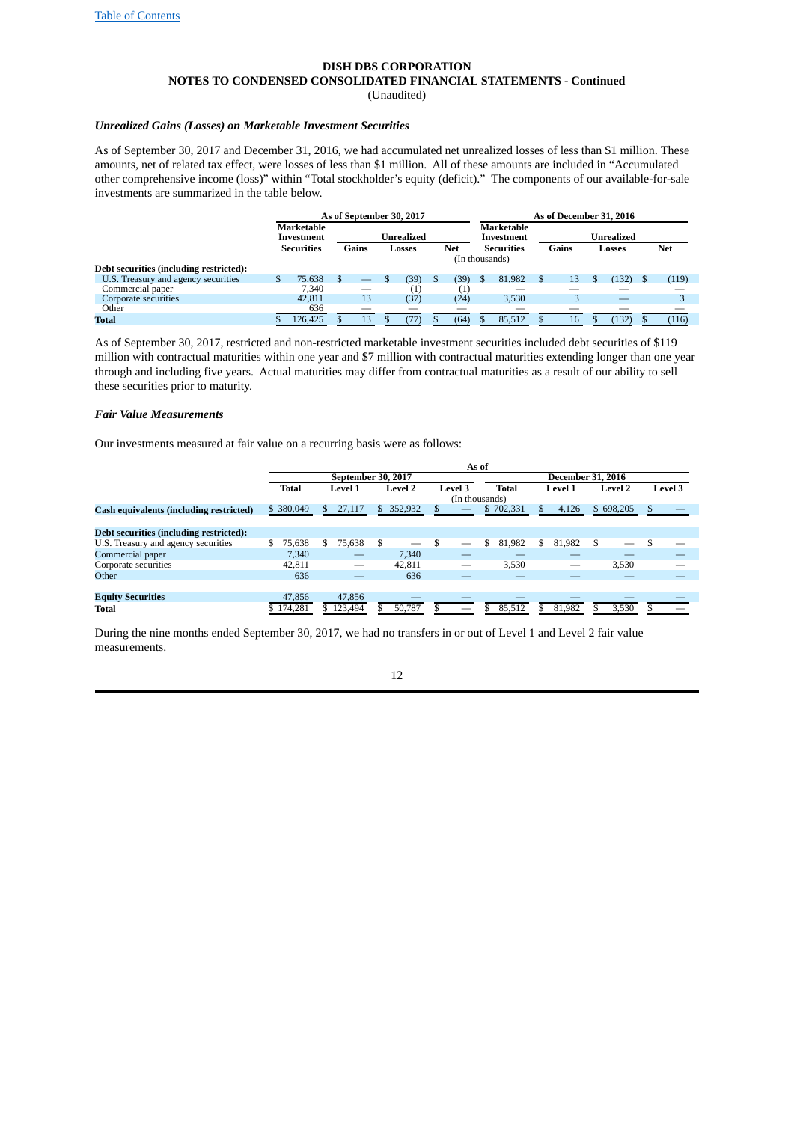#### **DISH DBS CORPORATION**

**NOTES TO CONDENSED CONSOLIDATED FINANCIAL STATEMENTS - Continued**

(Unaudited)

## *Unrealized Gains (Losses) on Marketable Investment Securities*

As of September 30, 2017 and December 31, 2016, we had accumulated net unrealized losses of less than \$1 million. These amounts, net of related tax effect, were losses of less than \$1 million. All of these amounts are included in "Accumulated other comprehensive income (loss)" within "Total stockholder's equity (deficit)." The components of our available-for-sale investments are summarized in the table below.

|                                         |                                 |       | As of September 30, 2017 |   |      |                                 | As of December 31, 2016 |            |       |
|-----------------------------------------|---------------------------------|-------|--------------------------|---|------|---------------------------------|-------------------------|------------|-------|
|                                         | <b>Marketable</b><br>Investment |       | Unrealized               |   |      | <b>Marketable</b><br>Investment |                         | Unrealized |       |
|                                         | <b>Securities</b>               | Gains | Losses                   |   | Net  | <b>Securities</b>               | Gains                   | Losses     | Net   |
|                                         |                                 |       |                          |   |      | (In thousands)                  |                         |            |       |
| Debt securities (including restricted): |                                 |       |                          |   |      |                                 |                         |            |       |
| U.S. Treasury and agency securities     | 75.638                          |       | (39)                     | S | (39) | 81.982                          | 13                      | 132)       | (119) |
| Commercial paper                        | 7,340                           |       | (1)                      |   |      |                                 |                         |            |       |
| Corporate securities                    | 42,811                          | 13    | (37)                     |   | (24) | 3,530                           | 3                       | __         |       |
| Other                                   | 636                             |       |                          |   |      |                                 |                         |            |       |
| <b>Total</b>                            | 126.425                         | 13    | 77)                      |   | (64) | 85,512                          | 16                      | (132)      | (116) |

As of September 30, 2017, restricted and non-restricted marketable investment securities included debt securities of \$119 million with contractual maturities within one year and \$7 million with contractual maturities extending longer than one year through and including five years. Actual maturities may differ from contractual maturities as a result of our ability to sell these securities prior to maturity.

#### *Fair Value Measurements*

Our investments measured at fair value on a recurring basis were as follows:

|                                         |            |         |                    | As of          |                          |              |                |                |  |  |  |
|-----------------------------------------|------------|---------|--------------------|----------------|--------------------------|--------------|----------------|----------------|--|--|--|
|                                         |            |         | September 30, 2017 |                | <b>December 31, 2016</b> |              |                |                |  |  |  |
|                                         | Total      | Level 1 | <b>Level 2</b>     | <b>Level 3</b> | <b>Total</b>             | Level 1      | <b>Level 2</b> | <b>Level 3</b> |  |  |  |
|                                         |            |         |                    |                | (In thousands)           |              |                |                |  |  |  |
| Cash equivalents (including restricted) | \$ 380,049 | 27,117  | 352,932<br>S.      |                | \$702,331                | 4,126<br>\$. | \$698,205      |                |  |  |  |
|                                         |            |         |                    |                |                          |              |                |                |  |  |  |
| Debt securities (including restricted): |            |         |                    |                |                          |              |                |                |  |  |  |
| U.S. Treasury and agency securities     | 75,638     | 75,638  | \$.                |                | 81,982<br>\$             | 81,982<br>\$ | S              |                |  |  |  |
| Commercial paper                        | 7,340      |         | 7,340              |                |                          |              |                |                |  |  |  |
| Corporate securities                    | 42,811     |         | 42.811             |                | 3.530                    |              | 3.530          |                |  |  |  |
| Other                                   | 636        |         | 636                |                |                          |              |                |                |  |  |  |
|                                         |            |         |                    |                |                          |              |                |                |  |  |  |
| <b>Equity Securities</b>                | 47,856     | 47,856  |                    |                |                          |              |                |                |  |  |  |
| <b>Total</b>                            | \$174,281  | 123,494 | 50,787             |                | 85,512                   | 81,982       | 3,530          |                |  |  |  |

During the nine months ended September 30, 2017, we had no transfers in or out of Level 1 and Level 2 fair value measurements.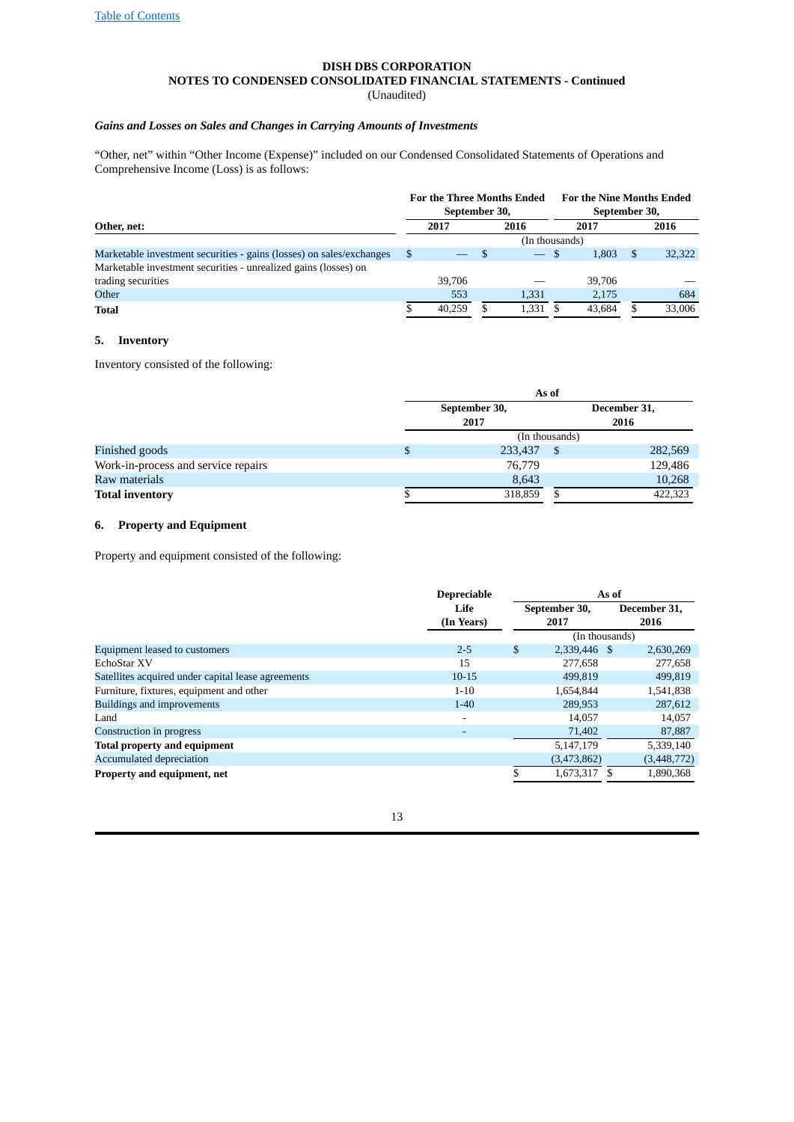# **DISH DBS CORPORATION**

**NOTES TO CONDENSED CONSOLIDATED FINANCIAL STATEMENTS - Continued**

(Unaudited)

# *Gains and Losses on Sales and Changes in Carrying Amounts of Investments*

"Other, net" within "Other Income (Expense)" included on our Condensed Consolidated Statements of Operations and Comprehensive Income (Loss) is as follows:

|                                                                      |                | <b>For the Three Months Ended</b><br>September 30, |      |        | <b>For the Nine Months Ended</b><br>September 30, |        |  |        |  |
|----------------------------------------------------------------------|----------------|----------------------------------------------------|------|--------|---------------------------------------------------|--------|--|--------|--|
| Other, net:                                                          | 2017           |                                                    |      | 2016   | 2017                                              |        |  | 2016   |  |
|                                                                      | (In thousands) |                                                    |      |        |                                                   |        |  |        |  |
| Marketable investment securities - gains (losses) on sales/exchanges | -55            |                                                    | - \$ | $-$ \$ |                                                   | 1.803  |  | 32,322 |  |
| Marketable investment securities - unrealized gains (losses) on      |                |                                                    |      |        |                                                   |        |  |        |  |
| trading securities                                                   |                | 39,706                                             |      |        |                                                   | 39,706 |  |        |  |
| Other                                                                |                | 553                                                |      | 1,331  |                                                   | 2,175  |  | 684    |  |
| <b>Total</b>                                                         |                | 40.259                                             |      | 1.331  |                                                   | 43.684 |  | 33,006 |  |

### **5. Inventory**

Inventory consisted of the following:

|                                     | As of         |         |                |              |  |  |  |
|-------------------------------------|---------------|---------|----------------|--------------|--|--|--|
|                                     | September 30, |         |                | December 31, |  |  |  |
|                                     |               | 2017    | 2016           |              |  |  |  |
|                                     |               |         | (In thousands) |              |  |  |  |
| Finished goods                      | \$            | 233,437 |                | 282,569      |  |  |  |
| Work-in-process and service repairs |               | 76,779  |                | 129,486      |  |  |  |
| Raw materials                       |               | 8,643   |                | 10,268       |  |  |  |
| <b>Total inventory</b>              |               | 318,859 |                | 422,323      |  |  |  |

# **6. Property and Equipment**

Property and equipment consisted of the following:

|                                                    | <b>Depreciable</b> |                       | As of |                      |  |
|----------------------------------------------------|--------------------|-----------------------|-------|----------------------|--|
|                                                    | Life<br>(In Years) | September 30,<br>2017 |       | December 31,<br>2016 |  |
|                                                    |                    | (In thousands)        |       |                      |  |
| Equipment leased to customers                      | $2 - 5$            | \$<br>2,339,446 \$    |       | 2,630,269            |  |
| EchoStar XV                                        | 15                 | 277,658               |       | 277,658              |  |
| Satellites acquired under capital lease agreements | $10 - 15$          | 499.819               |       | 499.819              |  |
| Furniture, fixtures, equipment and other           | $1 - 10$           | 1,654,844             |       | 1,541,838            |  |
| Buildings and improvements                         | $1 - 40$           | 289,953               |       | 287,612              |  |
| Land                                               |                    | 14,057                |       | 14,057               |  |
| Construction in progress                           |                    | 71,402                |       | 87,887               |  |
| Total property and equipment                       |                    | 5,147,179             |       | 5,339,140            |  |
| Accumulated depreciation                           |                    | (3,473,862)           |       | (3,448,772)          |  |
| Property and equipment, net                        |                    | 1,673,317 \$          |       | 1,890,368            |  |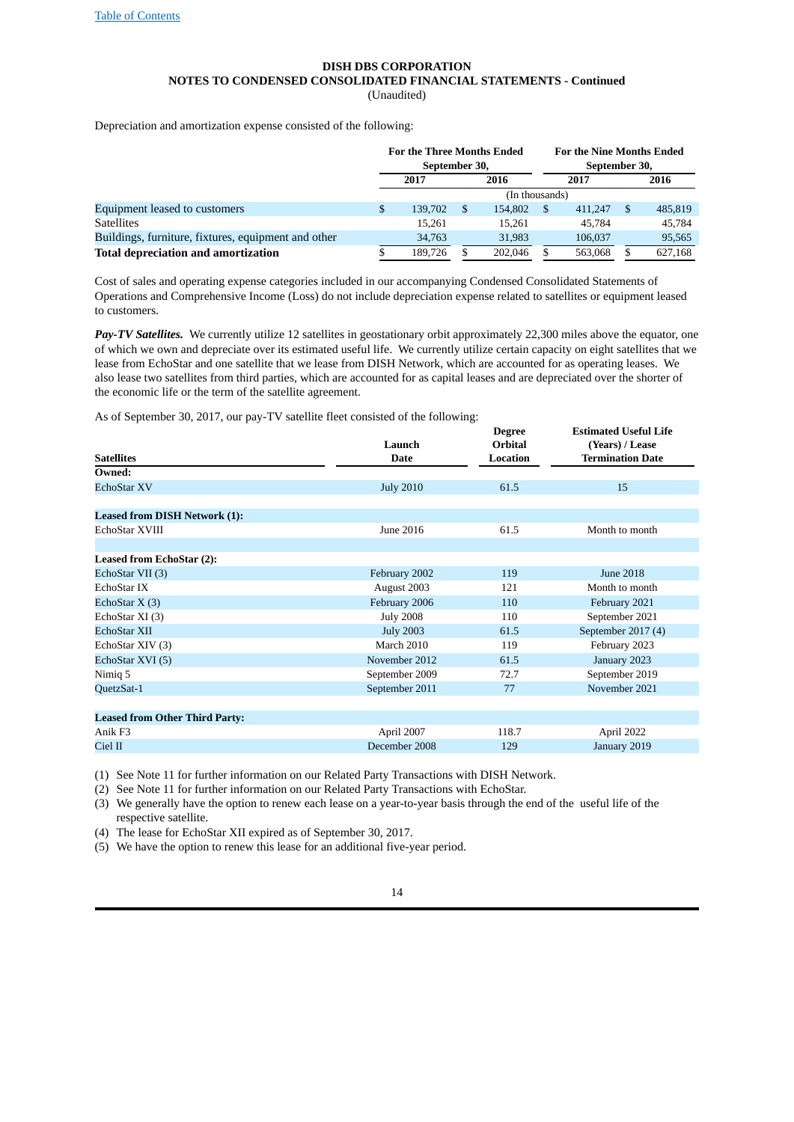Depreciation and amortization expense consisted of the following:

|                                                     | <b>For the Three Months Ended</b><br>September 30, |         |               |                |               | <b>For the Nine Months Ended</b><br>September 30, |   |         |  |
|-----------------------------------------------------|----------------------------------------------------|---------|---------------|----------------|---------------|---------------------------------------------------|---|---------|--|
|                                                     |                                                    | 2017    |               | 2016           |               | 2017                                              |   | 2016    |  |
|                                                     |                                                    |         |               | (In thousands) |               |                                                   |   |         |  |
| Equipment leased to customers                       | S                                                  | 139,702 | <sup>\$</sup> | 154,802        | <sup>\$</sup> | 411.247                                           | S | 485,819 |  |
| <b>Satellites</b>                                   |                                                    | 15,261  |               | 15.261         |               | 45,784                                            |   | 45.784  |  |
| Buildings, furniture, fixtures, equipment and other |                                                    | 34,763  |               | 31,983         |               | 106.037                                           |   | 95,565  |  |
| <b>Total depreciation and amortization</b>          |                                                    | 189.726 |               | 202,046        |               | 563.068                                           |   | 627.168 |  |

Cost of sales and operating expense categories included in our accompanying Condensed Consolidated Statements of Operations and Comprehensive Income (Loss) do not include depreciation expense related to satellites or equipment leased to customers.

*Pay-TV Satellites.* We currently utilize 12 satellites in geostationary orbit approximately 22,300 miles above the equator, one of which we own and depreciate over its estimated useful life. We currently utilize certain capacity on eight satellites that we lease from EchoStar and one satellite that we lease from DISH Network, which are accounted for as operating leases. We also lease two satellites from third parties, which are accounted for as capital leases and are depreciated over the shorter of the economic life or the term of the satellite agreement.

As of September 30, 2017, our pay-TV satellite fleet consisted of the following:

|                                       | Launch           | <b>Degree</b><br><b>Orbital</b> | <b>Estimated Useful Life</b><br>(Years) / Lease |
|---------------------------------------|------------------|---------------------------------|-------------------------------------------------|
| <b>Satellites</b>                     | <b>Date</b>      | Location                        | <b>Termination Date</b>                         |
| Owned:                                |                  |                                 |                                                 |
| EchoStar XV                           | <b>July 2010</b> | 61.5                            | 15                                              |
|                                       |                  |                                 |                                                 |
| <b>Leased from DISH Network (1):</b>  |                  |                                 |                                                 |
| EchoStar XVIII                        | June 2016        | 61.5                            | Month to month                                  |
|                                       |                  |                                 |                                                 |
| <b>Leased from EchoStar (2):</b>      |                  |                                 |                                                 |
| EchoStar VII (3)                      | February 2002    | 119                             | <b>June 2018</b>                                |
| EchoStar IX                           | August 2003      | 121                             | Month to month                                  |
| EchoStar $X(3)$                       | February 2006    | 110                             | February 2021                                   |
| EchoStar XI (3)                       | <b>July 2008</b> | 110                             | September 2021                                  |
| EchoStar XII                          | <b>July 2003</b> | 61.5                            | September 2017 (4)                              |
| EchoStar XIV (3)                      | March 2010       | 119                             | February 2023                                   |
| EchoStar XVI (5)                      | November 2012    | 61.5                            | January 2023                                    |
| Nimig 5                               | September 2009   | 72.7                            | September 2019                                  |
| QuetzSat-1                            | September 2011   | 77                              | November 2021                                   |
|                                       |                  |                                 |                                                 |
| <b>Leased from Other Third Party:</b> |                  |                                 |                                                 |
| Anik F3                               | April 2007       | 118.7                           | April 2022                                      |
| Ciel II                               | December 2008    | 129                             | January 2019                                    |
|                                       |                  |                                 |                                                 |

(1) See Note 11 for further information on our Related Party Transactions with DISH Network.

(2) See Note 11 for further information on our Related Party Transactions with EchoStar.

(3) We generally have the option to renew each lease on a year-to-year basis through the end of the useful life of the respective satellite.

(4) The lease for EchoStar XII expired as of September 30, 2017.

(5) We have the option to renew this lease for an additional five-year period.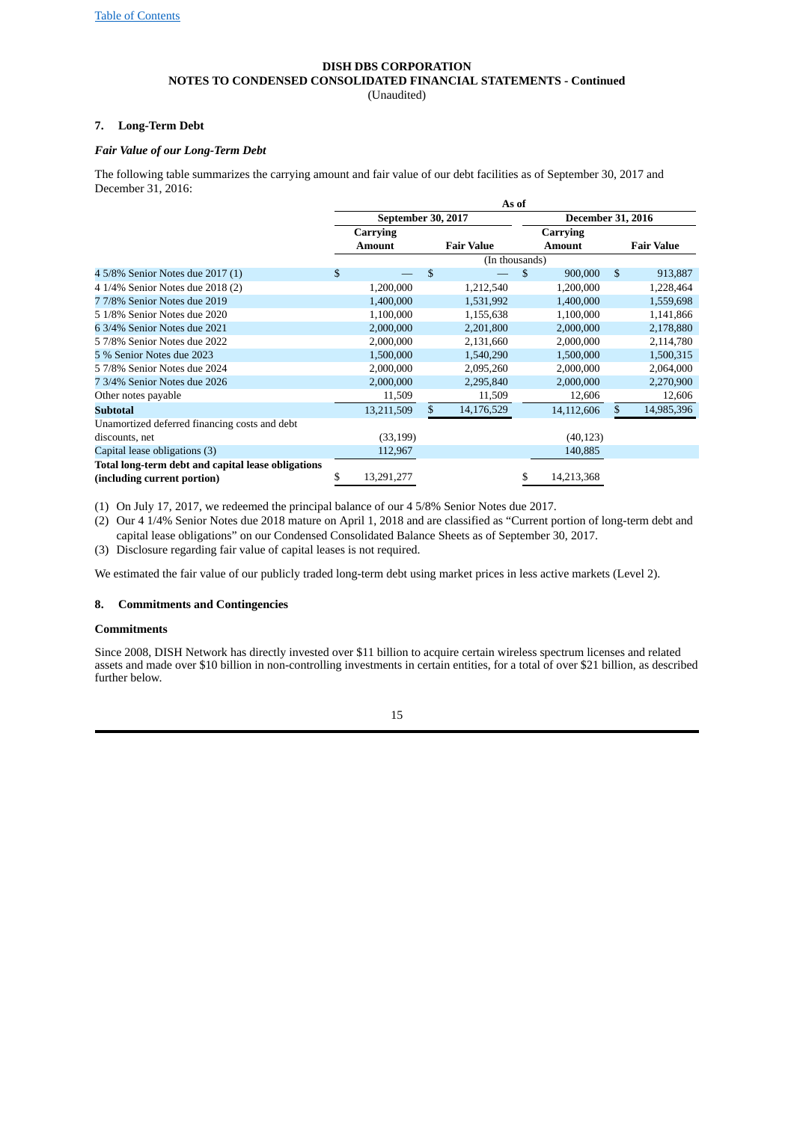#### **7. Long-Term Debt**

#### *Fair Value of our Long-Term Debt*

The following table summarizes the carrying amount and fair value of our debt facilities as of September 30, 2017 and December 31, 2016:

|                                                    | As of              |              |                   |                          |               |              |                   |  |  |
|----------------------------------------------------|--------------------|--------------|-------------------|--------------------------|---------------|--------------|-------------------|--|--|
|                                                    | September 30, 2017 |              |                   | <b>December 31, 2016</b> |               |              |                   |  |  |
|                                                    | Carrying           |              |                   |                          | Carrying      |              |                   |  |  |
|                                                    | <b>Amount</b>      |              | <b>Fair Value</b> |                          | <b>Amount</b> |              | <b>Fair Value</b> |  |  |
|                                                    |                    |              | (In thousands)    |                          |               |              |                   |  |  |
| 4 5/8% Senior Notes due 2017 (1)                   | \$                 | $\mathbb{S}$ |                   | \$                       | 900,000       | $\mathbb{S}$ | 913,887           |  |  |
| 4 1/4% Senior Notes due 2018 (2)                   | 1,200,000          |              | 1,212,540         |                          | 1,200,000     |              | 1,228,464         |  |  |
| 7 7/8% Senior Notes due 2019                       | 1,400,000          |              | 1,531,992         |                          | 1,400,000     |              | 1,559,698         |  |  |
| 5 1/8% Senior Notes due 2020                       | 1,100,000          |              | 1,155,638         |                          | 1,100,000     |              | 1,141,866         |  |  |
| 6 3/4% Senior Notes due 2021                       | 2,000,000          |              | 2,201,800         |                          | 2,000,000     |              | 2,178,880         |  |  |
| 5 7/8% Senior Notes due 2022                       | 2,000,000          |              | 2,131,660         |                          | 2,000,000     |              | 2,114,780         |  |  |
| 5 % Senior Notes due 2023                          | 1,500,000          |              | 1,540,290         |                          | 1,500,000     |              | 1,500,315         |  |  |
| 5 7/8% Senior Notes due 2024                       | 2,000,000          |              | 2,095,260         |                          | 2,000,000     |              | 2,064,000         |  |  |
| 7 3/4% Senior Notes due 2026                       | 2,000,000          |              | 2,295,840         |                          | 2,000,000     |              | 2,270,900         |  |  |
| Other notes payable                                | 11,509             |              | 11,509            |                          | 12,606        |              | 12,606            |  |  |
| <b>Subtotal</b>                                    | 13,211,509         |              | 14,176,529        |                          | 14,112,606    | \$           | 14,985,396        |  |  |
| Unamortized deferred financing costs and debt      |                    |              |                   |                          |               |              |                   |  |  |
| discounts, net                                     | (33, 199)          |              |                   |                          | (40, 123)     |              |                   |  |  |
| Capital lease obligations (3)                      | 112,967            |              |                   |                          | 140,885       |              |                   |  |  |
| Total long-term debt and capital lease obligations |                    |              |                   |                          |               |              |                   |  |  |
| (including current portion)                        | \$<br>13,291,277   |              |                   | \$                       | 14,213,368    |              |                   |  |  |

(1) On July 17, 2017, we redeemed the principal balance of our 4 5/8% Senior Notes due 2017.

(2) Our 4 1/4% Senior Notes due 2018 mature on April 1, 2018 and are classified as "Current portion of long-term debt and capital lease obligations" on our Condensed Consolidated Balance Sheets as of September 30, 2017.

(3) Disclosure regarding fair value of capital leases is not required.

We estimated the fair value of our publicly traded long-term debt using market prices in less active markets (Level 2).

### **8. Commitments and Contingencies**

#### **Commitments**

Since 2008, DISH Network has directly invested over \$11 billion to acquire certain wireless spectrum licenses and related assets and made over \$10 billion in non-controlling investments in certain entities, for a total of over \$21 billion, as described further below.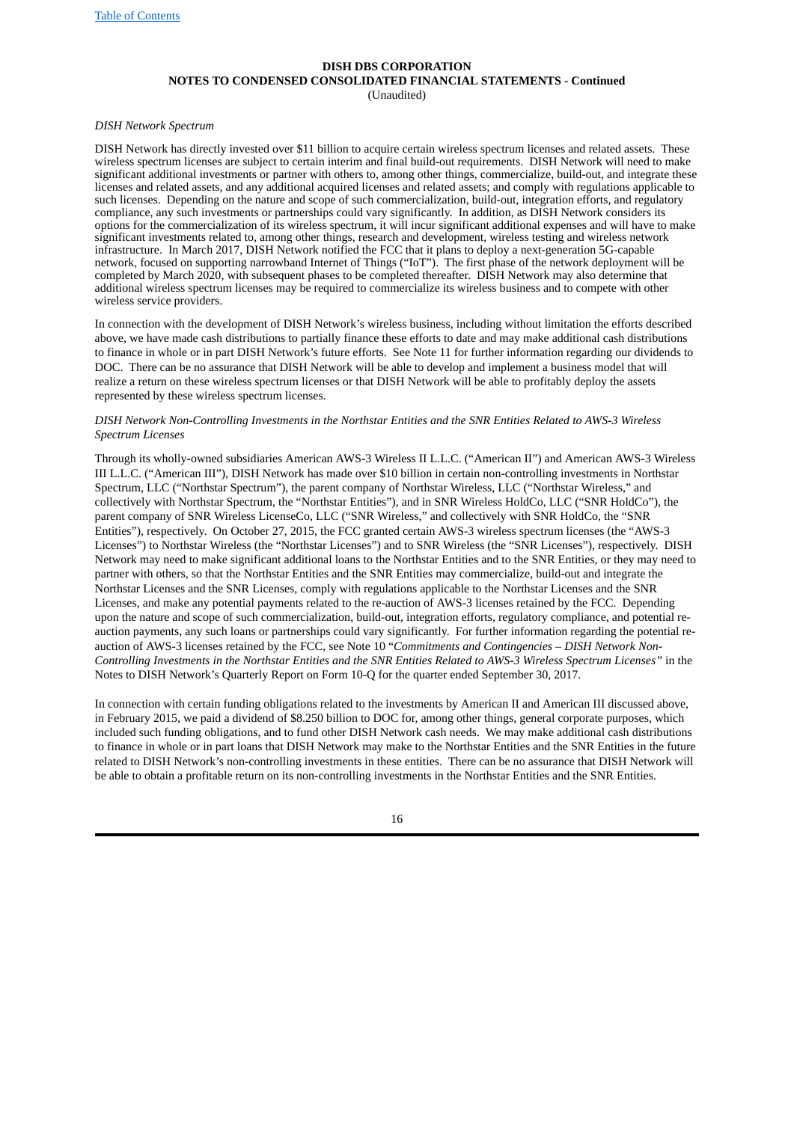*DISH Network Spectrum*

DISH Network has directly invested over \$11 billion to acquire certain wireless spectrum licenses and related assets. These wireless spectrum licenses are subject to certain interim and final build-out requirements. DISH Network will need to make significant additional investments or partner with others to, among other things, commercialize, build-out, and integrate these licenses and related assets, and any additional acquired licenses and related assets; and comply with regulations applicable to such licenses. Depending on the nature and scope of such commercialization, build-out, integration efforts, and regulatory compliance, any such investments or partnerships could vary significantly. In addition, as DISH Network considers its options for the commercialization of its wireless spectrum, it will incur significant additional expenses and will have to make significant investments related to, among other things, research and development, wireless testing and wireless network infrastructure. In March 2017, DISH Network notified the FCC that it plans to deploy a next-generation 5G-capable network, focused on supporting narrowband Internet of Things ("IoT"). The first phase of the network deployment will be completed by March 2020, with subsequent phases to be completed thereafter. DISH Network may also determine that additional wireless spectrum licenses may be required to commercialize its wireless business and to compete with other wireless service providers.

In connection with the development of DISH Network's wireless business, including without limitation the efforts described above, we have made cash distributions to partially finance these efforts to date and may make additional cash distributions to finance in whole or in part DISH Network's future efforts. See Note 11 for further information regarding our dividends to DOC. There can be no assurance that DISH Network will be able to develop and implement a business model that will realize a return on these wireless spectrum licenses or that DISH Network will be able to profitably deploy the assets represented by these wireless spectrum licenses.

#### DISH Network Non-Controlling Investments in the Northstar Entities and the SNR Entities Related to AWS-3 Wireless *Spectrum Licenses*

Through its wholly-owned subsidiaries American AWS-3 Wireless II L.L.C. ("American II") and American AWS-3 Wireless III L.L.C. ("American III"), DISH Network has made over \$10 billion in certain non-controlling investments in Northstar Spectrum, LLC ("Northstar Spectrum"), the parent company of Northstar Wireless, LLC ("Northstar Wireless," and collectively with Northstar Spectrum, the "Northstar Entities"), and in SNR Wireless HoldCo, LLC ("SNR HoldCo"), the parent company of SNR Wireless LicenseCo, LLC ("SNR Wireless," and collectively with SNR HoldCo, the "SNR Entities"), respectively. On October 27, 2015, the FCC granted certain AWS-3 wireless spectrum licenses (the "AWS-3 Licenses") to Northstar Wireless (the "Northstar Licenses") and to SNR Wireless (the "SNR Licenses"), respectively. DISH Network may need to make significant additional loans to the Northstar Entities and to the SNR Entities, or they may need to partner with others, so that the Northstar Entities and the SNR Entities may commercialize, build-out and integrate the Northstar Licenses and the SNR Licenses, comply with regulations applicable to the Northstar Licenses and the SNR Licenses, and make any potential payments related to the re-auction of AWS-3 licenses retained by the FCC. Depending upon the nature and scope of such commercialization, build-out, integration efforts, regulatory compliance, and potential reauction payments, any such loans or partnerships could vary significantly. For further information regarding the potential reauction of AWS-3 licenses retained by the FCC, see Note 10 "*Commitments and Contingencies – DISH Network Non-*Controlling Investments in the Northstar Entities and the SNR Entities Related to AWS-3 Wireless Spectrum Licenses" in the Notes to DISH Network's Quarterly Report on Form 10-Q for the quarter ended September 30, 2017.

In connection with certain funding obligations related to the investments by American II and American III discussed above, in February 2015, we paid a dividend of \$8.250 billion to DOC for, among other things, general corporate purposes, which included such funding obligations, and to fund other DISH Network cash needs. We may make additional cash distributions to finance in whole or in part loans that DISH Network may make to the Northstar Entities and the SNR Entities in the future related to DISH Network's non-controlling investments in these entities. There can be no assurance that DISH Network will be able to obtain a profitable return on its non-controlling investments in the Northstar Entities and the SNR Entities.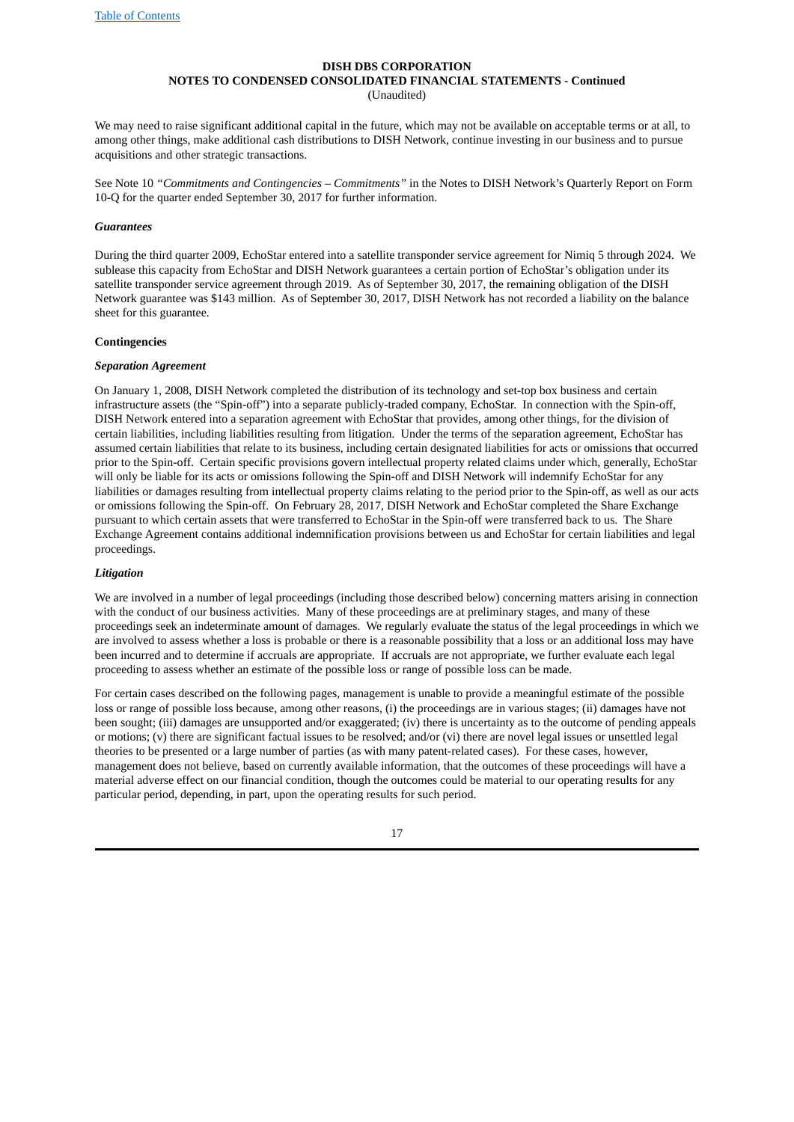(Unaudited)

We may need to raise significant additional capital in the future, which may not be available on acceptable terms or at all, to among other things, make additional cash distributions to DISH Network, continue investing in our business and to pursue acquisitions and other strategic transactions.

See Note 10 *"Commitments and Contingencies – Commitments"* in the Notes to DISH Network's Quarterly Report on Form 10-Q for the quarter ended September 30, 2017 for further information.

#### *Guarantees*

During the third quarter 2009, EchoStar entered into a satellite transponder service agreement for Nimiq 5 through 2024. We sublease this capacity from EchoStar and DISH Network guarantees a certain portion of EchoStar's obligation under its satellite transponder service agreement through 2019. As of September 30, 2017, the remaining obligation of the DISH Network guarantee was \$143 million. As of September 30, 2017, DISH Network has not recorded a liability on the balance sheet for this guarantee.

#### **Contingencies**

#### *Separation Agreement*

On January 1, 2008, DISH Network completed the distribution of its technology and set-top box business and certain infrastructure assets (the "Spin-off") into a separate publicly-traded company, EchoStar. In connection with the Spin-off, DISH Network entered into a separation agreement with EchoStar that provides, among other things, for the division of certain liabilities, including liabilities resulting from litigation. Under the terms of the separation agreement, EchoStar has assumed certain liabilities that relate to its business, including certain designated liabilities for acts or omissions that occurred prior to the Spin-off. Certain specific provisions govern intellectual property related claims under which, generally, EchoStar will only be liable for its acts or omissions following the Spin-off and DISH Network will indemnify EchoStar for any liabilities or damages resulting from intellectual property claims relating to the period prior to the Spin-off, as well as our acts or omissions following the Spin-off. On February 28, 2017, DISH Network and EchoStar completed the Share Exchange pursuant to which certain assets that were transferred to EchoStar in the Spin-off were transferred back to us. The Share Exchange Agreement contains additional indemnification provisions between us and EchoStar for certain liabilities and legal proceedings.

#### *Litigation*

We are involved in a number of legal proceedings (including those described below) concerning matters arising in connection with the conduct of our business activities. Many of these proceedings are at preliminary stages, and many of these proceedings seek an indeterminate amount of damages. We regularly evaluate the status of the legal proceedings in which we are involved to assess whether a loss is probable or there is a reasonable possibility that a loss or an additional loss may have been incurred and to determine if accruals are appropriate. If accruals are not appropriate, we further evaluate each legal proceeding to assess whether an estimate of the possible loss or range of possible loss can be made.

For certain cases described on the following pages, management is unable to provide a meaningful estimate of the possible loss or range of possible loss because, among other reasons, (i) the proceedings are in various stages; (ii) damages have not been sought; (iii) damages are unsupported and/or exaggerated; (iv) there is uncertainty as to the outcome of pending appeals or motions; (v) there are significant factual issues to be resolved; and/or (vi) there are novel legal issues or unsettled legal theories to be presented or a large number of parties (as with many patent-related cases). For these cases, however, management does not believe, based on currently available information, that the outcomes of these proceedings will have a material adverse effect on our financial condition, though the outcomes could be material to our operating results for any particular period, depending, in part, upon the operating results for such period.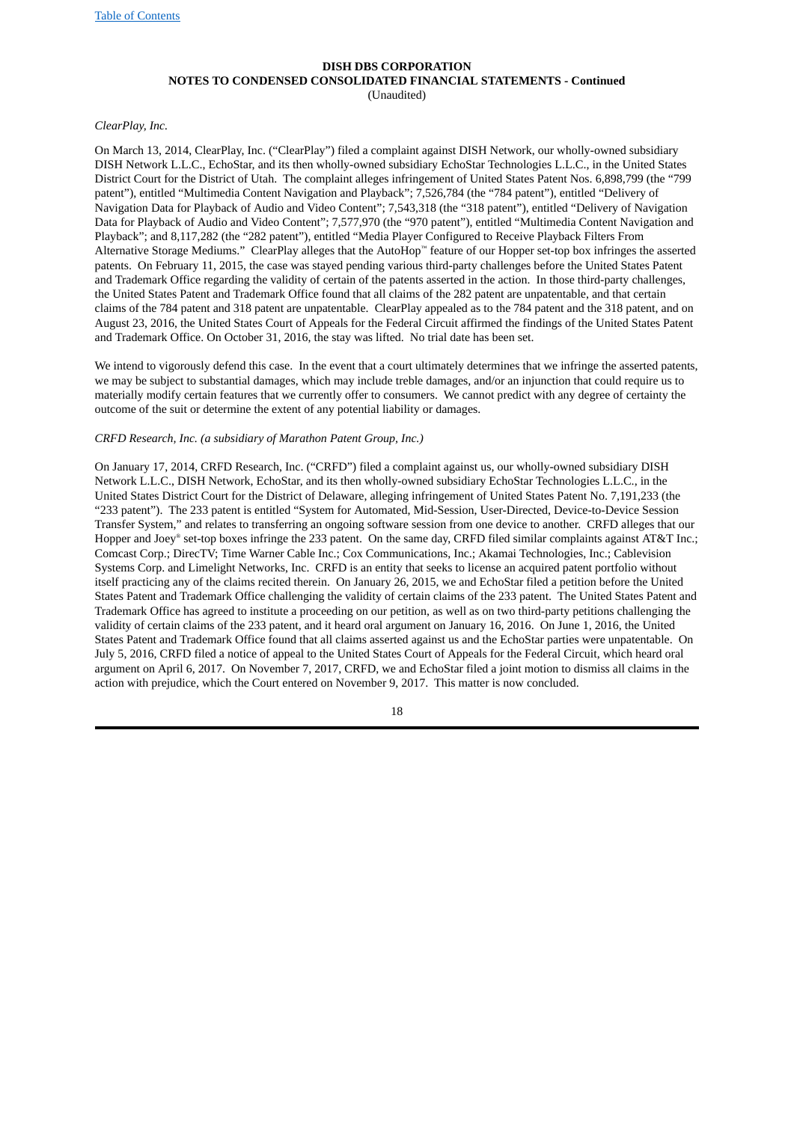*ClearPlay, Inc.*

On March 13, 2014, ClearPlay, Inc. ("ClearPlay") filed a complaint against DISH Network, our wholly-owned subsidiary DISH Network L.L.C., EchoStar, and its then wholly-owned subsidiary EchoStar Technologies L.L.C., in the United States District Court for the District of Utah. The complaint alleges infringement of United States Patent Nos. 6,898,799 (the "799 patent"), entitled "Multimedia Content Navigation and Playback"; 7,526,784 (the "784 patent"), entitled "Delivery of Navigation Data for Playback of Audio and Video Content"; 7,543,318 (the "318 patent"), entitled "Delivery of Navigation Data for Playback of Audio and Video Content"; 7,577,970 (the "970 patent"), entitled "Multimedia Content Navigation and Playback"; and 8,117,282 (the "282 patent"), entitled "Media Player Configured to Receive Playback Filters From Alternative Storage Mediums." ClearPlay alleges that the AutoHop™ feature of our Hopper set-top box infringes the asserted patents. On February 11, 2015, the case was stayed pending various third-party challenges before the United States Patent and Trademark Office regarding the validity of certain of the patents asserted in the action. In those third-party challenges, the United States Patent and Trademark Office found that all claims of the 282 patent are unpatentable, and that certain claims of the 784 patent and 318 patent are unpatentable. ClearPlay appealed as to the 784 patent and the 318 patent, and on August 23, 2016, the United States Court of Appeals for the Federal Circuit affirmed the findings of the United States Patent and Trademark Office. On October 31, 2016, the stay was lifted. No trial date has been set.

We intend to vigorously defend this case. In the event that a court ultimately determines that we infringe the asserted patents, we may be subject to substantial damages, which may include treble damages, and/or an injunction that could require us to materially modify certain features that we currently offer to consumers. We cannot predict with any degree of certainty the outcome of the suit or determine the extent of any potential liability or damages.

#### *CRFD Research, Inc. (a subsidiary of Marathon Patent Group, Inc.)*

On January 17, 2014, CRFD Research, Inc. ("CRFD") filed a complaint against us, our wholly-owned subsidiary DISH Network L.L.C., DISH Network, EchoStar, and its then wholly-owned subsidiary EchoStar Technologies L.L.C., in the United States District Court for the District of Delaware, alleging infringement of United States Patent No. 7,191,233 (the "233 patent"). The 233 patent is entitled "System for Automated, Mid-Session, User-Directed, Device-to-Device Session Transfer System," and relates to transferring an ongoing software session from one device to another. CRFD alleges that our Hopper and Joey® set-top boxes infringe the 233 patent. On the same day, CRFD filed similar complaints against AT&T Inc.; Comcast Corp.; DirecTV; Time Warner Cable Inc.; Cox Communications, Inc.; Akamai Technologies, Inc.; Cablevision Systems Corp. and Limelight Networks, Inc. CRFD is an entity that seeks to license an acquired patent portfolio without itself practicing any of the claims recited therein. On January 26, 2015, we and EchoStar filed a petition before the United States Patent and Trademark Office challenging the validity of certain claims of the 233 patent. The United States Patent and Trademark Office has agreed to institute a proceeding on our petition, as well as on two third-party petitions challenging the validity of certain claims of the 233 patent, and it heard oral argument on January 16, 2016. On June 1, 2016, the United States Patent and Trademark Office found that all claims asserted against us and the EchoStar parties were unpatentable. On July 5, 2016, CRFD filed a notice of appeal to the United States Court of Appeals for the Federal Circuit, which heard oral argument on April 6, 2017. On November 7, 2017, CRFD, we and EchoStar filed a joint motion to dismiss all claims in the action with prejudice, which the Court entered on November 9, 2017. This matter is now concluded.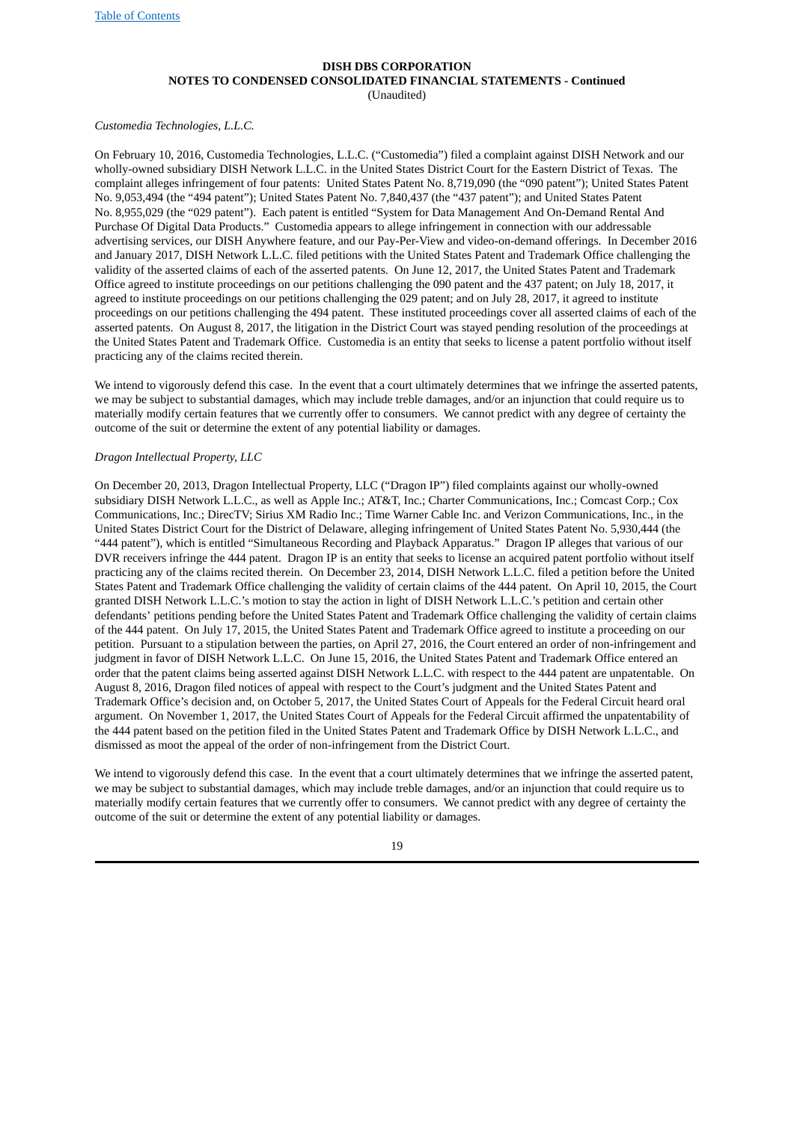*Customedia Technologies, L.L.C.*

On February 10, 2016, Customedia Technologies, L.L.C. ("Customedia") filed a complaint against DISH Network and our wholly-owned subsidiary DISH Network L.L.C. in the United States District Court for the Eastern District of Texas. The complaint alleges infringement of four patents: United States Patent No. 8,719,090 (the "090 patent"); United States Patent No. 9,053,494 (the "494 patent"); United States Patent No. 7,840,437 (the "437 patent"); and United States Patent No. 8,955,029 (the "029 patent"). Each patent is entitled "System for Data Management And On-Demand Rental And Purchase Of Digital Data Products." Customedia appears to allege infringement in connection with our addressable advertising services, our DISH Anywhere feature, and our Pay-Per-View and video-on-demand offerings. In December 2016 and January 2017, DISH Network L.L.C. filed petitions with the United States Patent and Trademark Office challenging the validity of the asserted claims of each of the asserted patents. On June 12, 2017, the United States Patent and Trademark Office agreed to institute proceedings on our petitions challenging the 090 patent and the 437 patent; on July 18, 2017, it agreed to institute proceedings on our petitions challenging the 029 patent; and on July 28, 2017, it agreed to institute proceedings on our petitions challenging the 494 patent. These instituted proceedings cover all asserted claims of each of the asserted patents. On August 8, 2017, the litigation in the District Court was stayed pending resolution of the proceedings at the United States Patent and Trademark Office. Customedia is an entity that seeks to license a patent portfolio without itself practicing any of the claims recited therein.

We intend to vigorously defend this case. In the event that a court ultimately determines that we infringe the asserted patents, we may be subject to substantial damages, which may include treble damages, and/or an injunction that could require us to materially modify certain features that we currently offer to consumers. We cannot predict with any degree of certainty the outcome of the suit or determine the extent of any potential liability or damages.

#### *Dragon Intellectual Property, LLC*

On December 20, 2013, Dragon Intellectual Property, LLC ("Dragon IP") filed complaints against our wholly-owned subsidiary DISH Network L.L.C., as well as Apple Inc.; AT&T, Inc.; Charter Communications, Inc.; Comcast Corp.; Cox Communications, Inc.; DirecTV; Sirius XM Radio Inc.; Time Warner Cable Inc. and Verizon Communications, Inc., in the United States District Court for the District of Delaware, alleging infringement of United States Patent No. 5,930,444 (the "444 patent"), which is entitled "Simultaneous Recording and Playback Apparatus." Dragon IP alleges that various of our DVR receivers infringe the 444 patent. Dragon IP is an entity that seeks to license an acquired patent portfolio without itself practicing any of the claims recited therein. On December 23, 2014, DISH Network L.L.C. filed a petition before the United States Patent and Trademark Office challenging the validity of certain claims of the 444 patent. On April 10, 2015, the Court granted DISH Network L.L.C.'s motion to stay the action in light of DISH Network L.L.C.'s petition and certain other defendants' petitions pending before the United States Patent and Trademark Office challenging the validity of certain claims of the 444 patent. On July 17, 2015, the United States Patent and Trademark Office agreed to institute a proceeding on our petition. Pursuant to a stipulation between the parties, on April 27, 2016, the Court entered an order of non-infringement and judgment in favor of DISH Network L.L.C. On June 15, 2016, the United States Patent and Trademark Office entered an order that the patent claims being asserted against DISH Network L.L.C. with respect to the 444 patent are unpatentable. On August 8, 2016, Dragon filed notices of appeal with respect to the Court's judgment and the United States Patent and Trademark Office's decision and, on October 5, 2017, the United States Court of Appeals for the Federal Circuit heard oral argument. On November 1, 2017, the United States Court of Appeals for the Federal Circuit affirmed the unpatentability of the 444 patent based on the petition filed in the United States Patent and Trademark Office by DISH Network L.L.C., and dismissed as moot the appeal of the order of non-infringement from the District Court.

We intend to vigorously defend this case. In the event that a court ultimately determines that we infringe the asserted patent, we may be subject to substantial damages, which may include treble damages, and/or an injunction that could require us to materially modify certain features that we currently offer to consumers. We cannot predict with any degree of certainty the outcome of the suit or determine the extent of any potential liability or damages.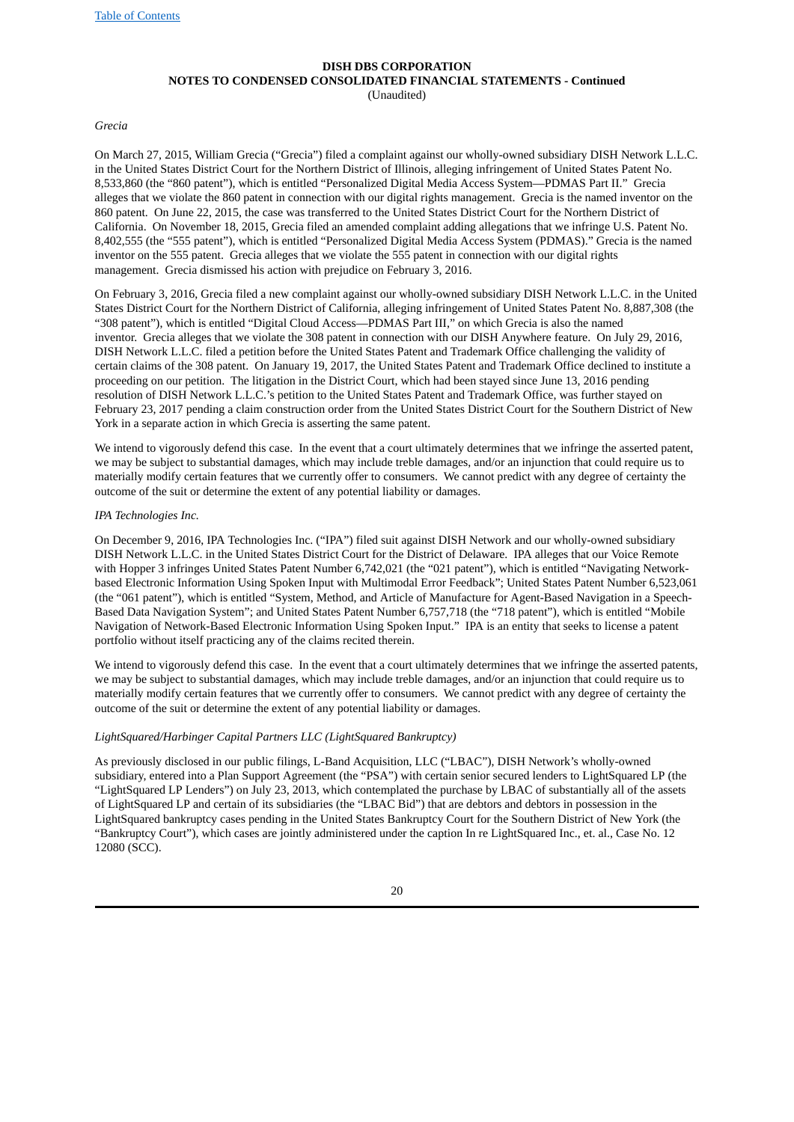#### *Grecia*

On March 27, 2015, William Grecia ("Grecia") filed a complaint against our wholly-owned subsidiary DISH Network L.L.C. in the United States District Court for the Northern District of Illinois, alleging infringement of United States Patent No. 8,533,860 (the "860 patent"), which is entitled "Personalized Digital Media Access System—PDMAS Part II." Grecia alleges that we violate the 860 patent in connection with our digital rights management. Grecia is the named inventor on the 860 patent. On June 22, 2015, the case was transferred to the United States District Court for the Northern District of California. On November 18, 2015, Grecia filed an amended complaint adding allegations that we infringe U.S. Patent No. 8,402,555 (the "555 patent"), which is entitled "Personalized Digital Media Access System (PDMAS)." Grecia is the named inventor on the 555 patent. Grecia alleges that we violate the 555 patent in connection with our digital rights management. Grecia dismissed his action with prejudice on February 3, 2016.

On February 3, 2016, Grecia filed a new complaint against our wholly-owned subsidiary DISH Network L.L.C. in the United States District Court for the Northern District of California, alleging infringement of United States Patent No. 8,887,308 (the "308 patent"), which is entitled "Digital Cloud Access—PDMAS Part III," on which Grecia is also the named inventor. Grecia alleges that we violate the 308 patent in connection with our DISH Anywhere feature. On July 29, 2016, DISH Network L.L.C. filed a petition before the United States Patent and Trademark Office challenging the validity of certain claims of the 308 patent. On January 19, 2017, the United States Patent and Trademark Office declined to institute a proceeding on our petition. The litigation in the District Court, which had been stayed since June 13, 2016 pending resolution of DISH Network L.L.C.'s petition to the United States Patent and Trademark Office, was further stayed on February 23, 2017 pending a claim construction order from the United States District Court for the Southern District of New York in a separate action in which Grecia is asserting the same patent.

We intend to vigorously defend this case. In the event that a court ultimately determines that we infringe the asserted patent, we may be subject to substantial damages, which may include treble damages, and/or an injunction that could require us to materially modify certain features that we currently offer to consumers. We cannot predict with any degree of certainty the outcome of the suit or determine the extent of any potential liability or damages.

## *IPA Technologies Inc.*

On December 9, 2016, IPA Technologies Inc. ("IPA") filed suit against DISH Network and our wholly-owned subsidiary DISH Network L.L.C. in the United States District Court for the District of Delaware. IPA alleges that our Voice Remote with Hopper 3 infringes United States Patent Number 6,742,021 (the "021 patent"), which is entitled "Navigating Networkbased Electronic Information Using Spoken Input with Multimodal Error Feedback"; United States Patent Number 6,523,061 (the "061 patent"), which is entitled "System, Method, and Article of Manufacture for Agent-Based Navigation in a Speech-Based Data Navigation System"; and United States Patent Number 6,757,718 (the "718 patent"), which is entitled "Mobile Navigation of Network-Based Electronic Information Using Spoken Input." IPA is an entity that seeks to license a patent portfolio without itself practicing any of the claims recited therein.

We intend to vigorously defend this case. In the event that a court ultimately determines that we infringe the asserted patents, we may be subject to substantial damages, which may include treble damages, and/or an injunction that could require us to materially modify certain features that we currently offer to consumers. We cannot predict with any degree of certainty the outcome of the suit or determine the extent of any potential liability or damages.

# *LightSquared/Harbinger Capital Partners LLC (LightSquared Bankruptcy)*

As previously disclosed in our public filings, L-Band Acquisition, LLC ("LBAC"), DISH Network's wholly-owned subsidiary, entered into a Plan Support Agreement (the "PSA") with certain senior secured lenders to LightSquared LP (the "LightSquared LP Lenders") on July 23, 2013, which contemplated the purchase by LBAC of substantially all of the assets of LightSquared LP and certain of its subsidiaries (the "LBAC Bid") that are debtors and debtors in possession in the LightSquared bankruptcy cases pending in the United States Bankruptcy Court for the Southern District of New York (the "Bankruptcy Court"), which cases are jointly administered under the caption In re LightSquared Inc., et. al., Case No. 12 12080 (SCC).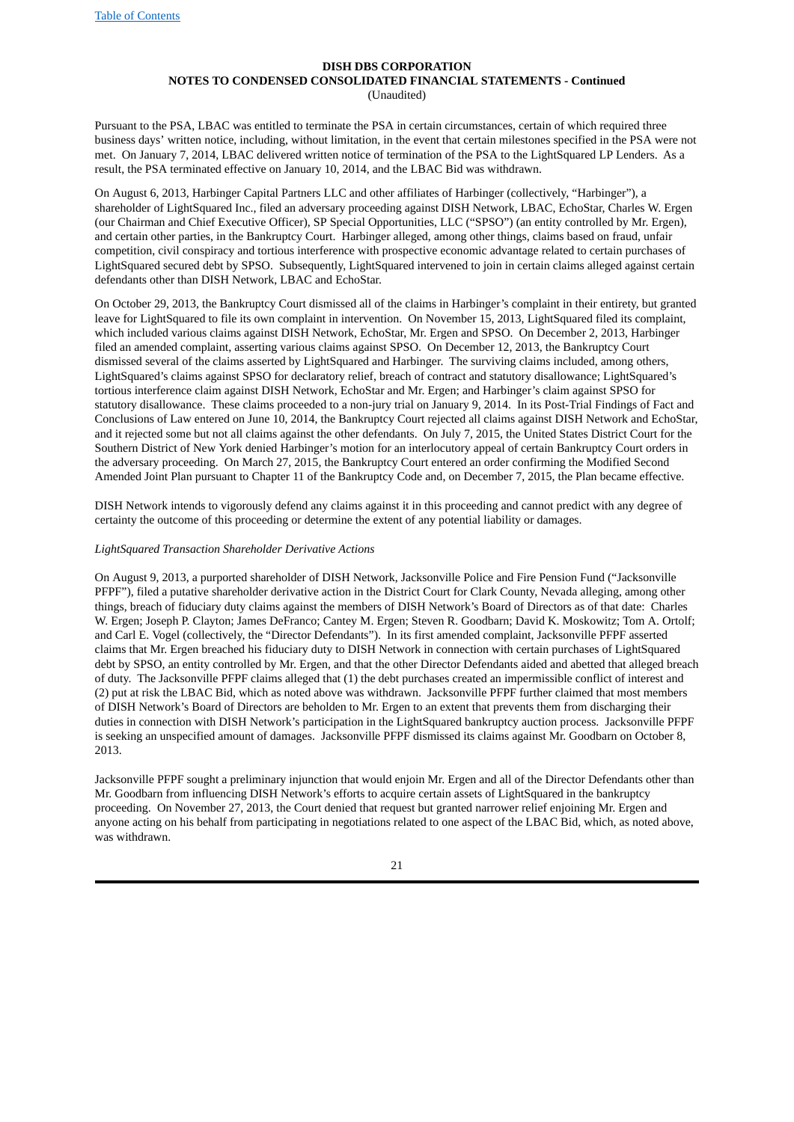# **DISH DBS CORPORATION**

**NOTES TO CONDENSED CONSOLIDATED FINANCIAL STATEMENTS - Continued**

(Unaudited)

Pursuant to the PSA, LBAC was entitled to terminate the PSA in certain circumstances, certain of which required three business days' written notice, including, without limitation, in the event that certain milestones specified in the PSA were not met. On January 7, 2014, LBAC delivered written notice of termination of the PSA to the LightSquared LP Lenders. As a result, the PSA terminated effective on January 10, 2014, and the LBAC Bid was withdrawn.

On August 6, 2013, Harbinger Capital Partners LLC and other affiliates of Harbinger (collectively, "Harbinger"), a shareholder of LightSquared Inc., filed an adversary proceeding against DISH Network, LBAC, EchoStar, Charles W. Ergen (our Chairman and Chief Executive Officer), SP Special Opportunities, LLC ("SPSO") (an entity controlled by Mr. Ergen), and certain other parties, in the Bankruptcy Court. Harbinger alleged, among other things, claims based on fraud, unfair competition, civil conspiracy and tortious interference with prospective economic advantage related to certain purchases of LightSquared secured debt by SPSO. Subsequently, LightSquared intervened to join in certain claims alleged against certain defendants other than DISH Network, LBAC and EchoStar.

On October 29, 2013, the Bankruptcy Court dismissed all of the claims in Harbinger's complaint in their entirety, but granted leave for LightSquared to file its own complaint in intervention. On November 15, 2013, LightSquared filed its complaint, which included various claims against DISH Network, EchoStar, Mr. Ergen and SPSO. On December 2, 2013, Harbinger filed an amended complaint, asserting various claims against SPSO. On December 12, 2013, the Bankruptcy Court dismissed several of the claims asserted by LightSquared and Harbinger. The surviving claims included, among others, LightSquared's claims against SPSO for declaratory relief, breach of contract and statutory disallowance; LightSquared's tortious interference claim against DISH Network, EchoStar and Mr. Ergen; and Harbinger's claim against SPSO for statutory disallowance. These claims proceeded to a non-jury trial on January 9, 2014. In its Post-Trial Findings of Fact and Conclusions of Law entered on June 10, 2014, the Bankruptcy Court rejected all claims against DISH Network and EchoStar, and it rejected some but not all claims against the other defendants. On July 7, 2015, the United States District Court for the Southern District of New York denied Harbinger's motion for an interlocutory appeal of certain Bankruptcy Court orders in the adversary proceeding. On March 27, 2015, the Bankruptcy Court entered an order confirming the Modified Second Amended Joint Plan pursuant to Chapter 11 of the Bankruptcy Code and, on December 7, 2015, the Plan became effective.

DISH Network intends to vigorously defend any claims against it in this proceeding and cannot predict with any degree of certainty the outcome of this proceeding or determine the extent of any potential liability or damages.

#### *LightSquared Transaction Shareholder Derivative Actions*

On August 9, 2013, a purported shareholder of DISH Network, Jacksonville Police and Fire Pension Fund ("Jacksonville PFPF"), filed a putative shareholder derivative action in the District Court for Clark County, Nevada alleging, among other things, breach of fiduciary duty claims against the members of DISH Network's Board of Directors as of that date: Charles W. Ergen; Joseph P. Clayton; James DeFranco; Cantey M. Ergen; Steven R. Goodbarn; David K. Moskowitz; Tom A. Ortolf; and Carl E. Vogel (collectively, the "Director Defendants"). In its first amended complaint, Jacksonville PFPF asserted claims that Mr. Ergen breached his fiduciary duty to DISH Network in connection with certain purchases of LightSquared debt by SPSO, an entity controlled by Mr. Ergen, and that the other Director Defendants aided and abetted that alleged breach of duty. The Jacksonville PFPF claims alleged that (1) the debt purchases created an impermissible conflict of interest and (2) put at risk the LBAC Bid, which as noted above was withdrawn. Jacksonville PFPF further claimed that most members of DISH Network's Board of Directors are beholden to Mr. Ergen to an extent that prevents them from discharging their duties in connection with DISH Network's participation in the LightSquared bankruptcy auction process. Jacksonville PFPF is seeking an unspecified amount of damages. Jacksonville PFPF dismissed its claims against Mr. Goodbarn on October 8, 2013.

Jacksonville PFPF sought a preliminary injunction that would enjoin Mr. Ergen and all of the Director Defendants other than Mr. Goodbarn from influencing DISH Network's efforts to acquire certain assets of LightSquared in the bankruptcy proceeding. On November 27, 2013, the Court denied that request but granted narrower relief enjoining Mr. Ergen and anyone acting on his behalf from participating in negotiations related to one aspect of the LBAC Bid, which, as noted above, was withdrawn.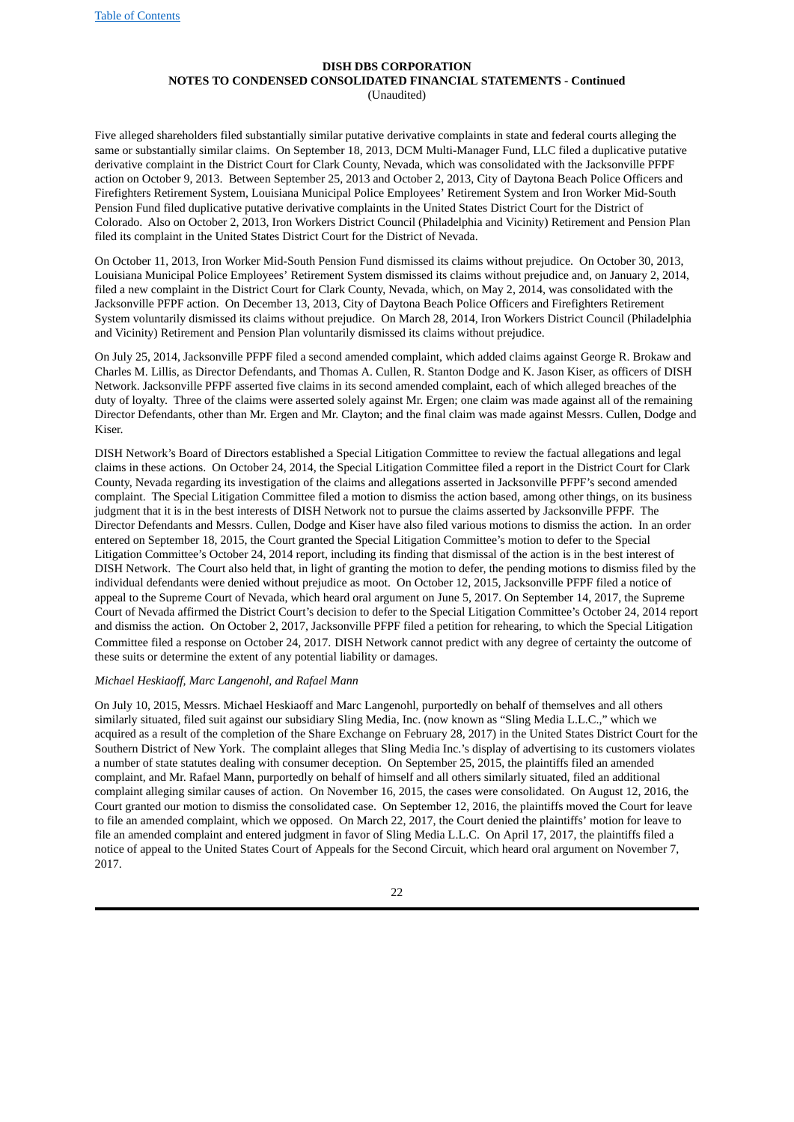Five alleged shareholders filed substantially similar putative derivative complaints in state and federal courts alleging the same or substantially similar claims. On September 18, 2013, DCM Multi-Manager Fund, LLC filed a duplicative putative derivative complaint in the District Court for Clark County, Nevada, which was consolidated with the Jacksonville PFPF action on October 9, 2013. Between September 25, 2013 and October 2, 2013, City of Daytona Beach Police Officers and Firefighters Retirement System, Louisiana Municipal Police Employees' Retirement System and Iron Worker Mid-South Pension Fund filed duplicative putative derivative complaints in the United States District Court for the District of Colorado. Also on October 2, 2013, Iron Workers District Council (Philadelphia and Vicinity) Retirement and Pension Plan filed its complaint in the United States District Court for the District of Nevada.

On October 11, 2013, Iron Worker Mid-South Pension Fund dismissed its claims without prejudice. On October 30, 2013, Louisiana Municipal Police Employees' Retirement System dismissed its claims without prejudice and, on January 2, 2014, filed a new complaint in the District Court for Clark County, Nevada, which, on May 2, 2014, was consolidated with the Jacksonville PFPF action. On December 13, 2013, City of Daytona Beach Police Officers and Firefighters Retirement System voluntarily dismissed its claims without prejudice. On March 28, 2014, Iron Workers District Council (Philadelphia and Vicinity) Retirement and Pension Plan voluntarily dismissed its claims without prejudice.

On July 25, 2014, Jacksonville PFPF filed a second amended complaint, which added claims against George R. Brokaw and Charles M. Lillis, as Director Defendants, and Thomas A. Cullen, R. Stanton Dodge and K. Jason Kiser, as officers of DISH Network. Jacksonville PFPF asserted five claims in its second amended complaint, each of which alleged breaches of the duty of loyalty. Three of the claims were asserted solely against Mr. Ergen; one claim was made against all of the remaining Director Defendants, other than Mr. Ergen and Mr. Clayton; and the final claim was made against Messrs. Cullen, Dodge and Kiser.

DISH Network's Board of Directors established a Special Litigation Committee to review the factual allegations and legal claims in these actions. On October 24, 2014, the Special Litigation Committee filed a report in the District Court for Clark County, Nevada regarding its investigation of the claims and allegations asserted in Jacksonville PFPF's second amended complaint. The Special Litigation Committee filed a motion to dismiss the action based, among other things, on its business judgment that it is in the best interests of DISH Network not to pursue the claims asserted by Jacksonville PFPF. The Director Defendants and Messrs. Cullen, Dodge and Kiser have also filed various motions to dismiss the action. In an order entered on September 18, 2015, the Court granted the Special Litigation Committee's motion to defer to the Special Litigation Committee's October 24, 2014 report, including its finding that dismissal of the action is in the best interest of DISH Network. The Court also held that, in light of granting the motion to defer, the pending motions to dismiss filed by the individual defendants were denied without prejudice as moot. On October 12, 2015, Jacksonville PFPF filed a notice of appeal to the Supreme Court of Nevada, which heard oral argument on June 5, 2017. On September 14, 2017, the Supreme Court of Nevada affirmed the District Court's decision to defer to the Special Litigation Committee's October 24, 2014 report and dismiss the action. On October 2, 2017, Jacksonville PFPF filed a petition for rehearing, to which the Special Litigation Committee filed a response on October 24, 2017. DISH Network cannot predict with any degree of certainty the outcome of these suits or determine the extent of any potential liability or damages.

#### *Michael Heskiaoff, Marc Langenohl, and Rafael Mann*

On July 10, 2015, Messrs. Michael Heskiaoff and Marc Langenohl, purportedly on behalf of themselves and all others similarly situated, filed suit against our subsidiary Sling Media, Inc. (now known as "Sling Media L.L.C.," which we acquired as a result of the completion of the Share Exchange on February 28, 2017) in the United States District Court for the Southern District of New York. The complaint alleges that Sling Media Inc.'s display of advertising to its customers violates a number of state statutes dealing with consumer deception. On September 25, 2015, the plaintiffs filed an amended complaint, and Mr. Rafael Mann, purportedly on behalf of himself and all others similarly situated, filed an additional complaint alleging similar causes of action. On November 16, 2015, the cases were consolidated. On August 12, 2016, the Court granted our motion to dismiss the consolidated case. On September 12, 2016, the plaintiffs moved the Court for leave to file an amended complaint, which we opposed. On March 22, 2017, the Court denied the plaintiffs' motion for leave to file an amended complaint and entered judgment in favor of Sling Media L.L.C. On April 17, 2017, the plaintiffs filed a notice of appeal to the United States Court of Appeals for the Second Circuit, which heard oral argument on November 7, 2017.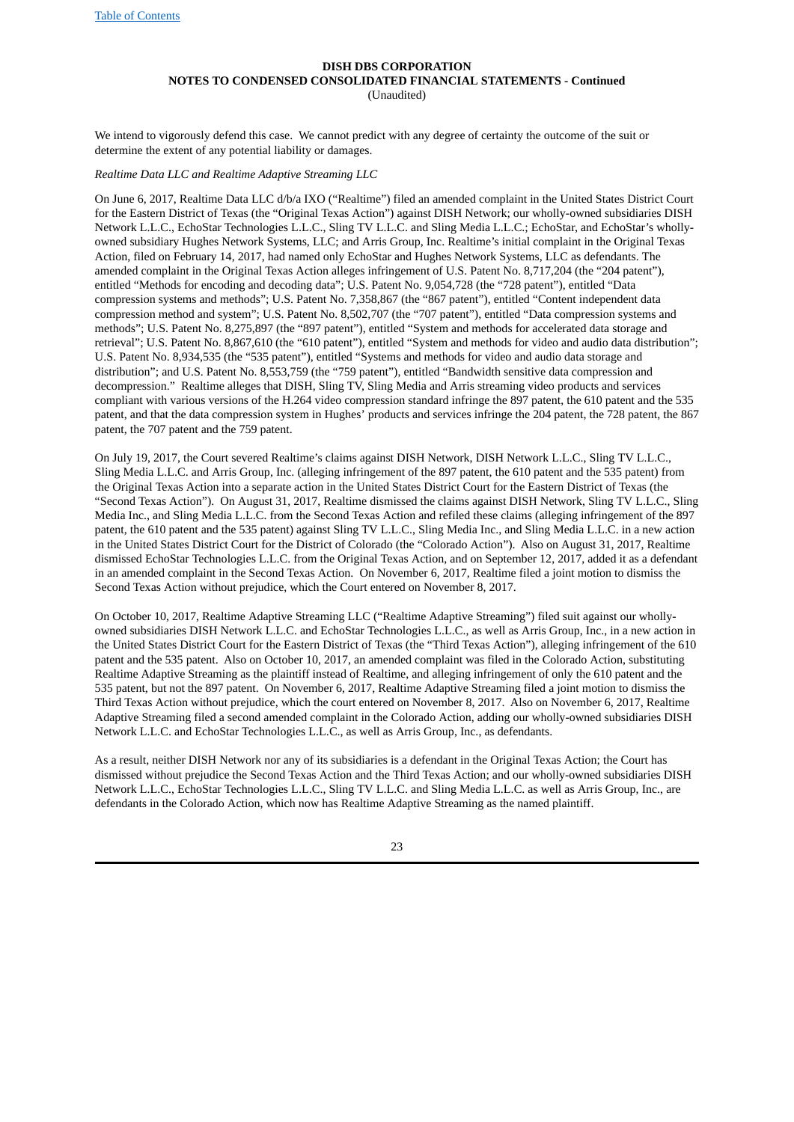We intend to vigorously defend this case. We cannot predict with any degree of certainty the outcome of the suit or determine the extent of any potential liability or damages.

*Realtime Data LLC and Realtime Adaptive Streaming LLC*

On June 6, 2017, Realtime Data LLC d/b/a IXO ("Realtime") filed an amended complaint in the United States District Court for the Eastern District of Texas (the "Original Texas Action") against DISH Network; our wholly-owned subsidiaries DISH Network L.L.C., EchoStar Technologies L.L.C., Sling TV L.L.C. and Sling Media L.L.C.; EchoStar, and EchoStar's whollyowned subsidiary Hughes Network Systems, LLC; and Arris Group, Inc. Realtime's initial complaint in the Original Texas Action, filed on February 14, 2017, had named only EchoStar and Hughes Network Systems, LLC as defendants. The amended complaint in the Original Texas Action alleges infringement of U.S. Patent No. 8,717,204 (the "204 patent"), entitled "Methods for encoding and decoding data"; U.S. Patent No. 9,054,728 (the "728 patent"), entitled "Data compression systems and methods"; U.S. Patent No. 7,358,867 (the "867 patent"), entitled "Content independent data compression method and system"; U.S. Patent No. 8,502,707 (the "707 patent"), entitled "Data compression systems and methods"; U.S. Patent No. 8,275,897 (the "897 patent"), entitled "System and methods for accelerated data storage and retrieval"; U.S. Patent No. 8,867,610 (the "610 patent"), entitled "System and methods for video and audio data distribution"; U.S. Patent No. 8,934,535 (the "535 patent"), entitled "Systems and methods for video and audio data storage and distribution"; and U.S. Patent No. 8,553,759 (the "759 patent"), entitled "Bandwidth sensitive data compression and decompression." Realtime alleges that DISH, Sling TV, Sling Media and Arris streaming video products and services compliant with various versions of the H.264 video compression standard infringe the 897 patent, the 610 patent and the 535 patent, and that the data compression system in Hughes' products and services infringe the 204 patent, the 728 patent, the 867 patent, the 707 patent and the 759 patent.

On July 19, 2017, the Court severed Realtime's claims against DISH Network, DISH Network L.L.C., Sling TV L.L.C., Sling Media L.L.C. and Arris Group, Inc. (alleging infringement of the 897 patent, the 610 patent and the 535 patent) from the Original Texas Action into a separate action in the United States District Court for the Eastern District of Texas (the "Second Texas Action"). On August 31, 2017, Realtime dismissed the claims against DISH Network, Sling TV L.L.C., Sling Media Inc., and Sling Media L.L.C. from the Second Texas Action and refiled these claims (alleging infringement of the 897 patent, the 610 patent and the 535 patent) against Sling TV L.L.C., Sling Media Inc., and Sling Media L.L.C. in a new action in the United States District Court for the District of Colorado (the "Colorado Action"). Also on August 31, 2017, Realtime dismissed EchoStar Technologies L.L.C. from the Original Texas Action, and on September 12, 2017, added it as a defendant in an amended complaint in the Second Texas Action. On November 6, 2017, Realtime filed a joint motion to dismiss the Second Texas Action without prejudice, which the Court entered on November 8, 2017.

On October 10, 2017, Realtime Adaptive Streaming LLC ("Realtime Adaptive Streaming") filed suit against our whollyowned subsidiaries DISH Network L.L.C. and EchoStar Technologies L.L.C., as well as Arris Group, Inc., in a new action in the United States District Court for the Eastern District of Texas (the "Third Texas Action"), alleging infringement of the 610 patent and the 535 patent. Also on October 10, 2017, an amended complaint was filed in the Colorado Action, substituting Realtime Adaptive Streaming as the plaintiff instead of Realtime, and alleging infringement of only the 610 patent and the 535 patent, but not the 897 patent. On November 6, 2017, Realtime Adaptive Streaming filed a joint motion to dismiss the Third Texas Action without prejudice, which the court entered on November 8, 2017. Also on November 6, 2017, Realtime Adaptive Streaming filed a second amended complaint in the Colorado Action, adding our wholly-owned subsidiaries DISH Network L.L.C. and EchoStar Technologies L.L.C., as well as Arris Group, Inc., as defendants.

As a result, neither DISH Network nor any of its subsidiaries is a defendant in the Original Texas Action; the Court has dismissed without prejudice the Second Texas Action and the Third Texas Action; and our wholly-owned subsidiaries DISH Network L.L.C., EchoStar Technologies L.L.C., Sling TV L.L.C. and Sling Media L.L.C. as well as Arris Group, Inc., are defendants in the Colorado Action, which now has Realtime Adaptive Streaming as the named plaintiff.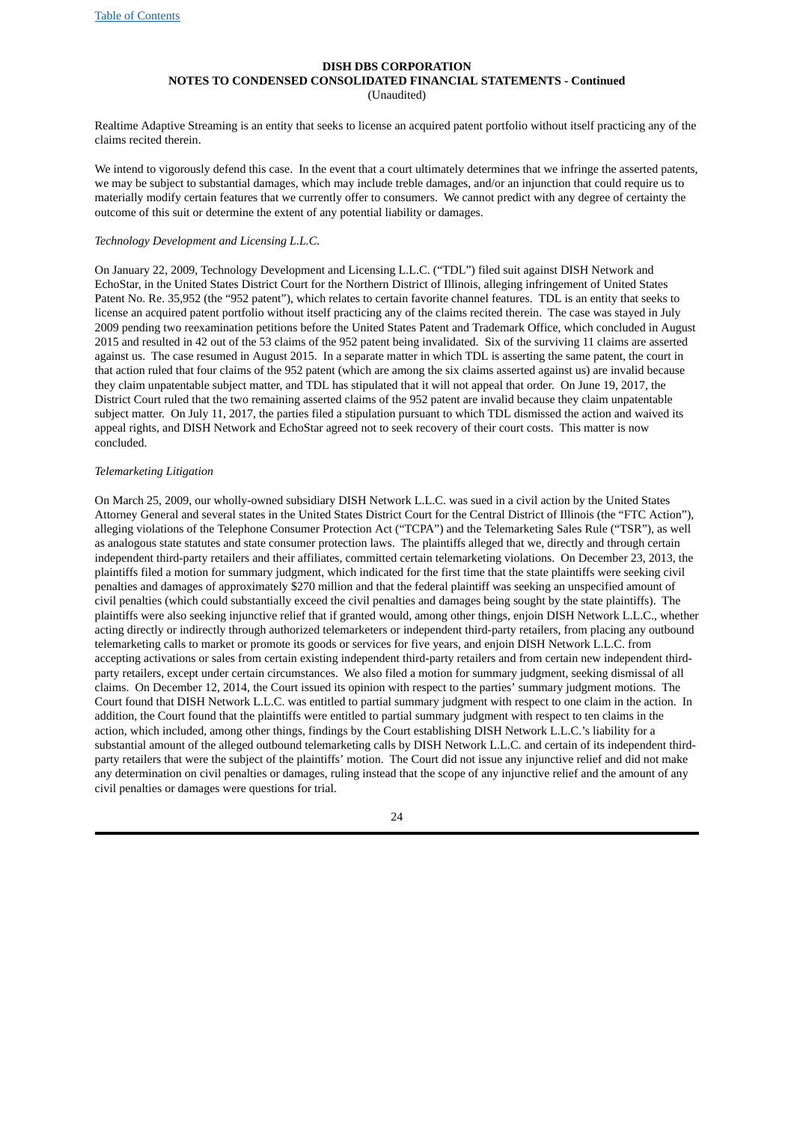Realtime Adaptive Streaming is an entity that seeks to license an acquired patent portfolio without itself practicing any of the claims recited therein.

We intend to vigorously defend this case. In the event that a court ultimately determines that we infringe the asserted patents, we may be subject to substantial damages, which may include treble damages, and/or an injunction that could require us to materially modify certain features that we currently offer to consumers. We cannot predict with any degree of certainty the outcome of this suit or determine the extent of any potential liability or damages.

#### *Technology Development and Licensing L.L.C.*

On January 22, 2009, Technology Development and Licensing L.L.C. ("TDL") filed suit against DISH Network and EchoStar, in the United States District Court for the Northern District of Illinois, alleging infringement of United States Patent No. Re. 35,952 (the "952 patent"), which relates to certain favorite channel features. TDL is an entity that seeks to license an acquired patent portfolio without itself practicing any of the claims recited therein. The case was stayed in July 2009 pending two reexamination petitions before the United States Patent and Trademark Office, which concluded in August 2015 and resulted in 42 out of the 53 claims of the 952 patent being invalidated. Six of the surviving 11 claims are asserted against us. The case resumed in August 2015. In a separate matter in which TDL is asserting the same patent, the court in that action ruled that four claims of the 952 patent (which are among the six claims asserted against us) are invalid because they claim unpatentable subject matter, and TDL has stipulated that it will not appeal that order. On June 19, 2017, the District Court ruled that the two remaining asserted claims of the 952 patent are invalid because they claim unpatentable subject matter. On July 11, 2017, the parties filed a stipulation pursuant to which TDL dismissed the action and waived its appeal rights, and DISH Network and EchoStar agreed not to seek recovery of their court costs. This matter is now concluded.

# *Telemarketing Litigation*

On March 25, 2009, our wholly-owned subsidiary DISH Network L.L.C. was sued in a civil action by the United States Attorney General and several states in the United States District Court for the Central District of Illinois (the "FTC Action"), alleging violations of the Telephone Consumer Protection Act ("TCPA") and the Telemarketing Sales Rule ("TSR"), as well as analogous state statutes and state consumer protection laws. The plaintiffs alleged that we, directly and through certain independent third-party retailers and their affiliates, committed certain telemarketing violations. On December 23, 2013, the plaintiffs filed a motion for summary judgment, which indicated for the first time that the state plaintiffs were seeking civil penalties and damages of approximately \$270 million and that the federal plaintiff was seeking an unspecified amount of civil penalties (which could substantially exceed the civil penalties and damages being sought by the state plaintiffs). The plaintiffs were also seeking injunctive relief that if granted would, among other things, enjoin DISH Network L.L.C., whether acting directly or indirectly through authorized telemarketers or independent third-party retailers, from placing any outbound telemarketing calls to market or promote its goods or services for five years, and enjoin DISH Network L.L.C. from accepting activations or sales from certain existing independent third-party retailers and from certain new independent thirdparty retailers, except under certain circumstances. We also filed a motion for summary judgment, seeking dismissal of all claims. On December 12, 2014, the Court issued its opinion with respect to the parties' summary judgment motions. The Court found that DISH Network L.L.C. was entitled to partial summary judgment with respect to one claim in the action. In addition, the Court found that the plaintiffs were entitled to partial summary judgment with respect to ten claims in the action, which included, among other things, findings by the Court establishing DISH Network L.L.C.'s liability for a substantial amount of the alleged outbound telemarketing calls by DISH Network L.L.C. and certain of its independent thirdparty retailers that were the subject of the plaintiffs' motion. The Court did not issue any injunctive relief and did not make any determination on civil penalties or damages, ruling instead that the scope of any injunctive relief and the amount of any civil penalties or damages were questions for trial.

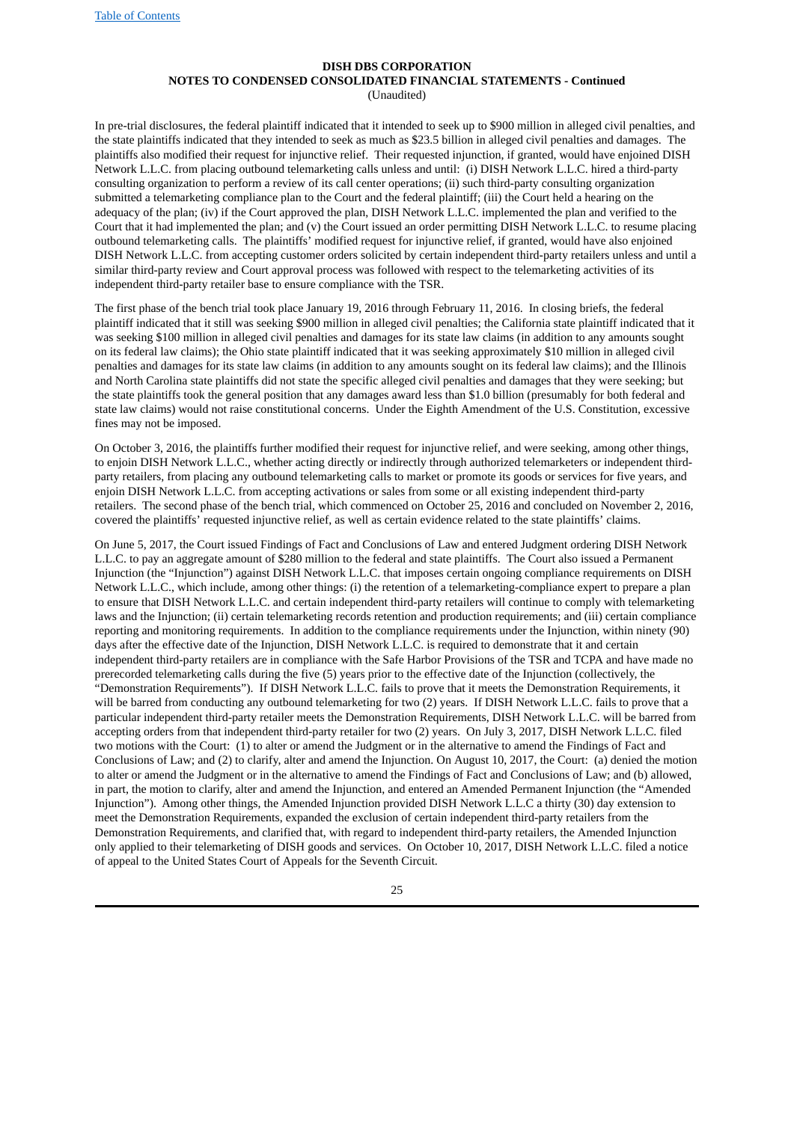In pre-trial disclosures, the federal plaintiff indicated that it intended to seek up to \$900 million in alleged civil penalties, and the state plaintiffs indicated that they intended to seek as much as \$23.5 billion in alleged civil penalties and damages. The plaintiffs also modified their request for injunctive relief. Their requested injunction, if granted, would have enjoined DISH Network L.L.C. from placing outbound telemarketing calls unless and until: (i) DISH Network L.L.C. hired a third-party consulting organization to perform a review of its call center operations; (ii) such third-party consulting organization submitted a telemarketing compliance plan to the Court and the federal plaintiff; (iii) the Court held a hearing on the adequacy of the plan; (iv) if the Court approved the plan, DISH Network L.L.C. implemented the plan and verified to the Court that it had implemented the plan; and (v) the Court issued an order permitting DISH Network L.L.C. to resume placing outbound telemarketing calls. The plaintiffs' modified request for injunctive relief, if granted, would have also enjoined DISH Network L.L.C. from accepting customer orders solicited by certain independent third-party retailers unless and until a similar third-party review and Court approval process was followed with respect to the telemarketing activities of its independent third-party retailer base to ensure compliance with the TSR.

The first phase of the bench trial took place January 19, 2016 through February 11, 2016. In closing briefs, the federal plaintiff indicated that it still was seeking \$900 million in alleged civil penalties; the California state plaintiff indicated that it was seeking \$100 million in alleged civil penalties and damages for its state law claims (in addition to any amounts sought on its federal law claims); the Ohio state plaintiff indicated that it was seeking approximately \$10 million in alleged civil penalties and damages for its state law claims (in addition to any amounts sought on its federal law claims); and the Illinois and North Carolina state plaintiffs did not state the specific alleged civil penalties and damages that they were seeking; but the state plaintiffs took the general position that any damages award less than \$1.0 billion (presumably for both federal and state law claims) would not raise constitutional concerns. Under the Eighth Amendment of the U.S. Constitution, excessive fines may not be imposed.

On October 3, 2016, the plaintiffs further modified their request for injunctive relief, and were seeking, among other things, to enjoin DISH Network L.L.C., whether acting directly or indirectly through authorized telemarketers or independent thirdparty retailers, from placing any outbound telemarketing calls to market or promote its goods or services for five years, and enjoin DISH Network L.L.C. from accepting activations or sales from some or all existing independent third-party retailers. The second phase of the bench trial, which commenced on October 25, 2016 and concluded on November 2, 2016, covered the plaintiffs' requested injunctive relief, as well as certain evidence related to the state plaintiffs' claims.

On June 5, 2017, the Court issued Findings of Fact and Conclusions of Law and entered Judgment ordering DISH Network L.L.C. to pay an aggregate amount of \$280 million to the federal and state plaintiffs. The Court also issued a Permanent Injunction (the "Injunction") against DISH Network L.L.C. that imposes certain ongoing compliance requirements on DISH Network L.L.C., which include, among other things: (i) the retention of a telemarketing-compliance expert to prepare a plan to ensure that DISH Network L.L.C. and certain independent third-party retailers will continue to comply with telemarketing laws and the Injunction; (ii) certain telemarketing records retention and production requirements; and (iii) certain compliance reporting and monitoring requirements. In addition to the compliance requirements under the Injunction, within ninety (90) days after the effective date of the Injunction, DISH Network L.L.C. is required to demonstrate that it and certain independent third-party retailers are in compliance with the Safe Harbor Provisions of the TSR and TCPA and have made no prerecorded telemarketing calls during the five (5) years prior to the effective date of the Injunction (collectively, the "Demonstration Requirements"). If DISH Network L.L.C. fails to prove that it meets the Demonstration Requirements, it will be barred from conducting any outbound telemarketing for two (2) years. If DISH Network L.L.C. fails to prove that a particular independent third-party retailer meets the Demonstration Requirements, DISH Network L.L.C. will be barred from accepting orders from that independent third-party retailer for two (2) years. On July 3, 2017, DISH Network L.L.C. filed two motions with the Court: (1) to alter or amend the Judgment or in the alternative to amend the Findings of Fact and Conclusions of Law; and (2) to clarify, alter and amend the Injunction. On August 10, 2017, the Court: (a) denied the motion to alter or amend the Judgment or in the alternative to amend the Findings of Fact and Conclusions of Law; and (b) allowed, in part, the motion to clarify, alter and amend the Injunction, and entered an Amended Permanent Injunction (the "Amended Injunction"). Among other things, the Amended Injunction provided DISH Network L.L.C a thirty (30) day extension to meet the Demonstration Requirements, expanded the exclusion of certain independent third-party retailers from the Demonstration Requirements, and clarified that, with regard to independent third-party retailers, the Amended Injunction only applied to their telemarketing of DISH goods and services. On October 10, 2017, DISH Network L.L.C. filed a notice of appeal to the United States Court of Appeals for the Seventh Circuit.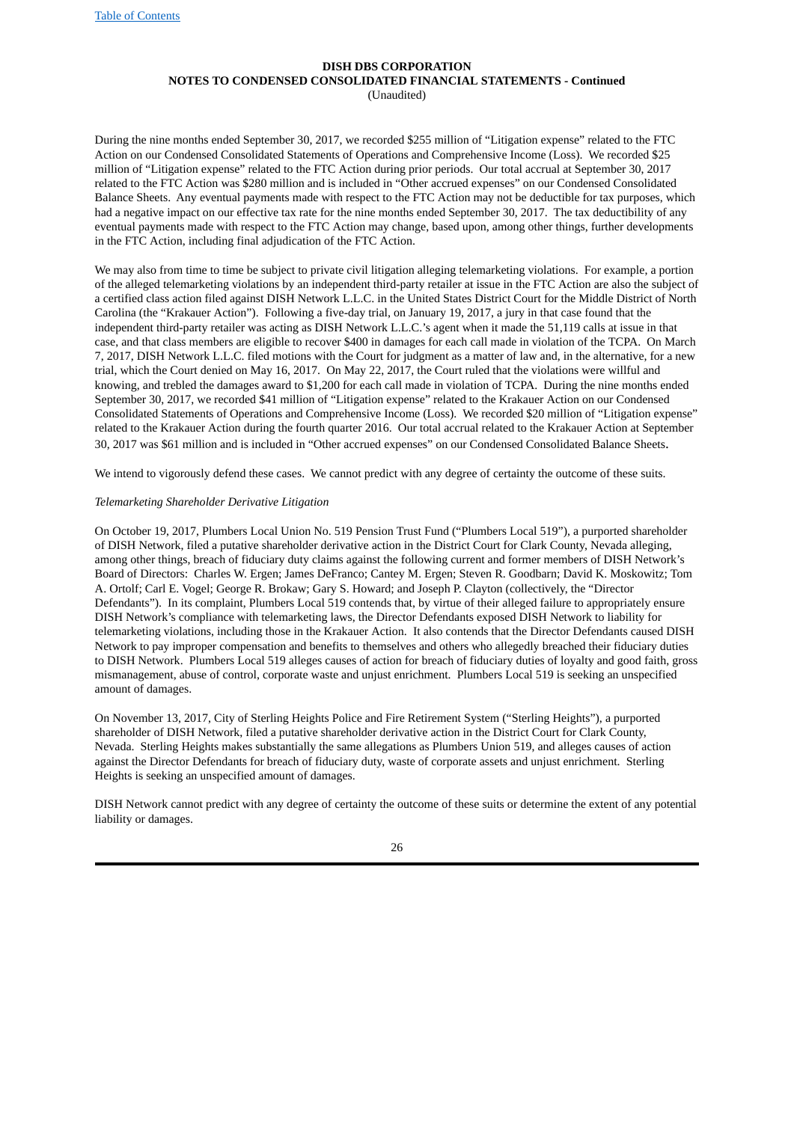During the nine months ended September 30, 2017, we recorded \$255 million of "Litigation expense" related to the FTC Action on our Condensed Consolidated Statements of Operations and Comprehensive Income (Loss). We recorded \$25 million of "Litigation expense" related to the FTC Action during prior periods. Our total accrual at September 30, 2017 related to the FTC Action was \$280 million and is included in "Other accrued expenses" on our Condensed Consolidated Balance Sheets. Any eventual payments made with respect to the FTC Action may not be deductible for tax purposes, which had a negative impact on our effective tax rate for the nine months ended September 30, 2017. The tax deductibility of any eventual payments made with respect to the FTC Action may change, based upon, among other things, further developments in the FTC Action, including final adjudication of the FTC Action.

We may also from time to time be subject to private civil litigation alleging telemarketing violations. For example, a portion of the alleged telemarketing violations by an independent third-party retailer at issue in the FTC Action are also the subject of a certified class action filed against DISH Network L.L.C. in the United States District Court for the Middle District of North Carolina (the "Krakauer Action"). Following a five-day trial, on January 19, 2017, a jury in that case found that the independent third-party retailer was acting as DISH Network L.L.C.'s agent when it made the 51,119 calls at issue in that case, and that class members are eligible to recover \$400 in damages for each call made in violation of the TCPA. On March 7, 2017, DISH Network L.L.C. filed motions with the Court for judgment as a matter of law and, in the alternative, for a new trial, which the Court denied on May 16, 2017. On May 22, 2017, the Court ruled that the violations were willful and knowing, and trebled the damages award to \$1,200 for each call made in violation of TCPA. During the nine months ended September 30, 2017, we recorded \$41 million of "Litigation expense" related to the Krakauer Action on our Condensed Consolidated Statements of Operations and Comprehensive Income (Loss). We recorded \$20 million of "Litigation expense" related to the Krakauer Action during the fourth quarter 2016. Our total accrual related to the Krakauer Action at September 30, 2017 was \$61 million and is included in "Other accrued expenses" on our Condensed Consolidated Balance Sheets.

We intend to vigorously defend these cases. We cannot predict with any degree of certainty the outcome of these suits.

#### *Telemarketing Shareholder Derivative Litigation*

On October 19, 2017, Plumbers Local Union No. 519 Pension Trust Fund ("Plumbers Local 519"), a purported shareholder of DISH Network, filed a putative shareholder derivative action in the District Court for Clark County, Nevada alleging, among other things, breach of fiduciary duty claims against the following current and former members of DISH Network's Board of Directors: Charles W. Ergen; James DeFranco; Cantey M. Ergen; Steven R. Goodbarn; David K. Moskowitz; Tom A. Ortolf; Carl E. Vogel; George R. Brokaw; Gary S. Howard; and Joseph P. Clayton (collectively, the "Director Defendants"). In its complaint, Plumbers Local 519 contends that, by virtue of their alleged failure to appropriately ensure DISH Network's compliance with telemarketing laws, the Director Defendants exposed DISH Network to liability for telemarketing violations, including those in the Krakauer Action. It also contends that the Director Defendants caused DISH Network to pay improper compensation and benefits to themselves and others who allegedly breached their fiduciary duties to DISH Network. Plumbers Local 519 alleges causes of action for breach of fiduciary duties of loyalty and good faith, gross mismanagement, abuse of control, corporate waste and unjust enrichment. Plumbers Local 519 is seeking an unspecified amount of damages.

On November 13, 2017, City of Sterling Heights Police and Fire Retirement System ("Sterling Heights"), a purported shareholder of DISH Network, filed a putative shareholder derivative action in the District Court for Clark County, Nevada. Sterling Heights makes substantially the same allegations as Plumbers Union 519, and alleges causes of action against the Director Defendants for breach of fiduciary duty, waste of corporate assets and unjust enrichment. Sterling Heights is seeking an unspecified amount of damages.

DISH Network cannot predict with any degree of certainty the outcome of these suits or determine the extent of any potential liability or damages.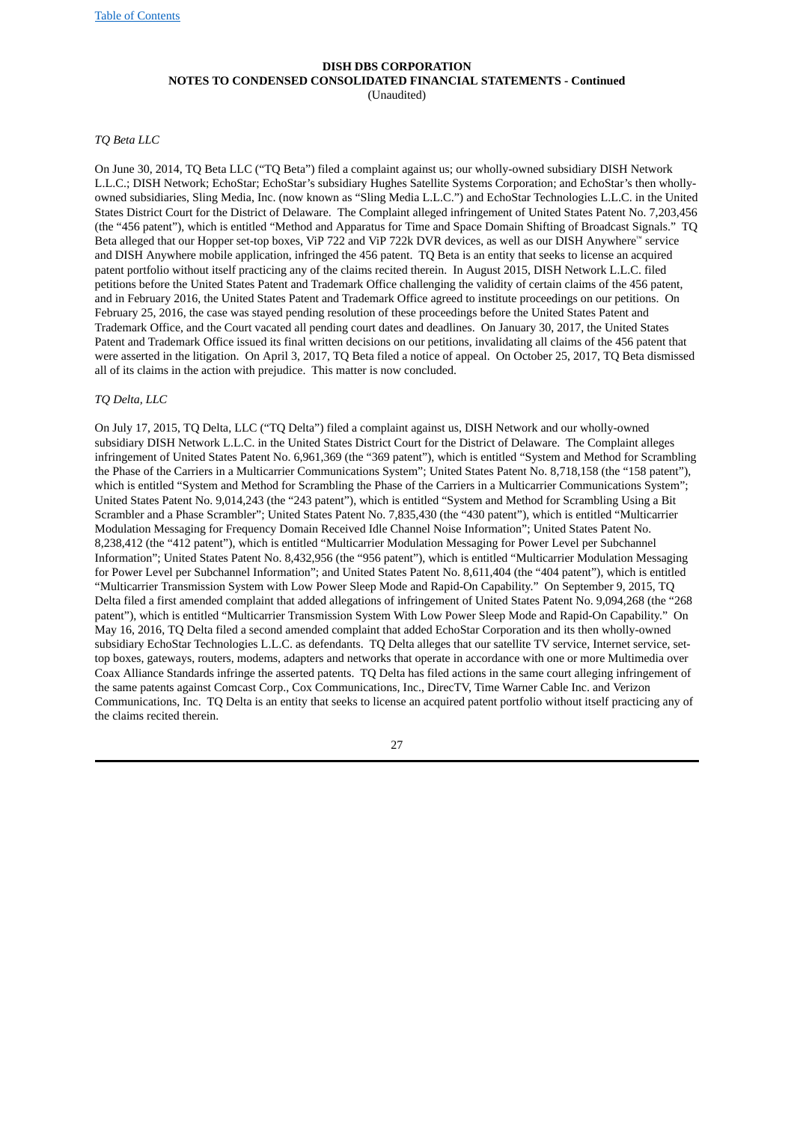# *TQ Beta LLC*

On June 30, 2014, TQ Beta LLC ("TQ Beta") filed a complaint against us; our wholly-owned subsidiary DISH Network L.L.C.; DISH Network; EchoStar; EchoStar's subsidiary Hughes Satellite Systems Corporation; and EchoStar's then whollyowned subsidiaries, Sling Media, Inc. (now known as "Sling Media L.L.C.") and EchoStar Technologies L.L.C. in the United States District Court for the District of Delaware. The Complaint alleged infringement of United States Patent No. 7,203,456 (the "456 patent"), which is entitled "Method and Apparatus for Time and Space Domain Shifting of Broadcast Signals." TQ Beta alleged that our Hopper set-top boxes, ViP 722 and ViP 722k DVR devices, as well as our DISH Anywhere™ service and DISH Anywhere mobile application, infringed the 456 patent. TQ Beta is an entity that seeks to license an acquired patent portfolio without itself practicing any of the claims recited therein. In August 2015, DISH Network L.L.C. filed petitions before the United States Patent and Trademark Office challenging the validity of certain claims of the 456 patent, and in February 2016, the United States Patent and Trademark Office agreed to institute proceedings on our petitions. On February 25, 2016, the case was stayed pending resolution of these proceedings before the United States Patent and Trademark Office, and the Court vacated all pending court dates and deadlines. On January 30, 2017, the United States Patent and Trademark Office issued its final written decisions on our petitions, invalidating all claims of the 456 patent that were asserted in the litigation. On April 3, 2017, TQ Beta filed a notice of appeal. On October 25, 2017, TQ Beta dismissed all of its claims in the action with prejudice. This matter is now concluded.

#### *TQ Delta, LLC*

On July 17, 2015, TQ Delta, LLC ("TQ Delta") filed a complaint against us, DISH Network and our wholly-owned subsidiary DISH Network L.L.C. in the United States District Court for the District of Delaware. The Complaint alleges infringement of United States Patent No. 6,961,369 (the "369 patent"), which is entitled "System and Method for Scrambling the Phase of the Carriers in a Multicarrier Communications System"; United States Patent No. 8,718,158 (the "158 patent"), which is entitled "System and Method for Scrambling the Phase of the Carriers in a Multicarrier Communications System"; United States Patent No. 9,014,243 (the "243 patent"), which is entitled "System and Method for Scrambling Using a Bit Scrambler and a Phase Scrambler"; United States Patent No. 7,835,430 (the "430 patent"), which is entitled "Multicarrier Modulation Messaging for Frequency Domain Received Idle Channel Noise Information"; United States Patent No. 8,238,412 (the "412 patent"), which is entitled "Multicarrier Modulation Messaging for Power Level per Subchannel Information"; United States Patent No. 8,432,956 (the "956 patent"), which is entitled "Multicarrier Modulation Messaging for Power Level per Subchannel Information"; and United States Patent No. 8,611,404 (the "404 patent"), which is entitled "Multicarrier Transmission System with Low Power Sleep Mode and Rapid-On Capability." On September 9, 2015, TQ Delta filed a first amended complaint that added allegations of infringement of United States Patent No. 9,094,268 (the "268 patent"), which is entitled "Multicarrier Transmission System With Low Power Sleep Mode and Rapid-On Capability." On May 16, 2016, TQ Delta filed a second amended complaint that added EchoStar Corporation and its then wholly-owned subsidiary EchoStar Technologies L.L.C. as defendants. TQ Delta alleges that our satellite TV service, Internet service, settop boxes, gateways, routers, modems, adapters and networks that operate in accordance with one or more Multimedia over Coax Alliance Standards infringe the asserted patents. TQ Delta has filed actions in the same court alleging infringement of the same patents against Comcast Corp., Cox Communications, Inc., DirecTV, Time Warner Cable Inc. and Verizon Communications, Inc. TQ Delta is an entity that seeks to license an acquired patent portfolio without itself practicing any of the claims recited therein.

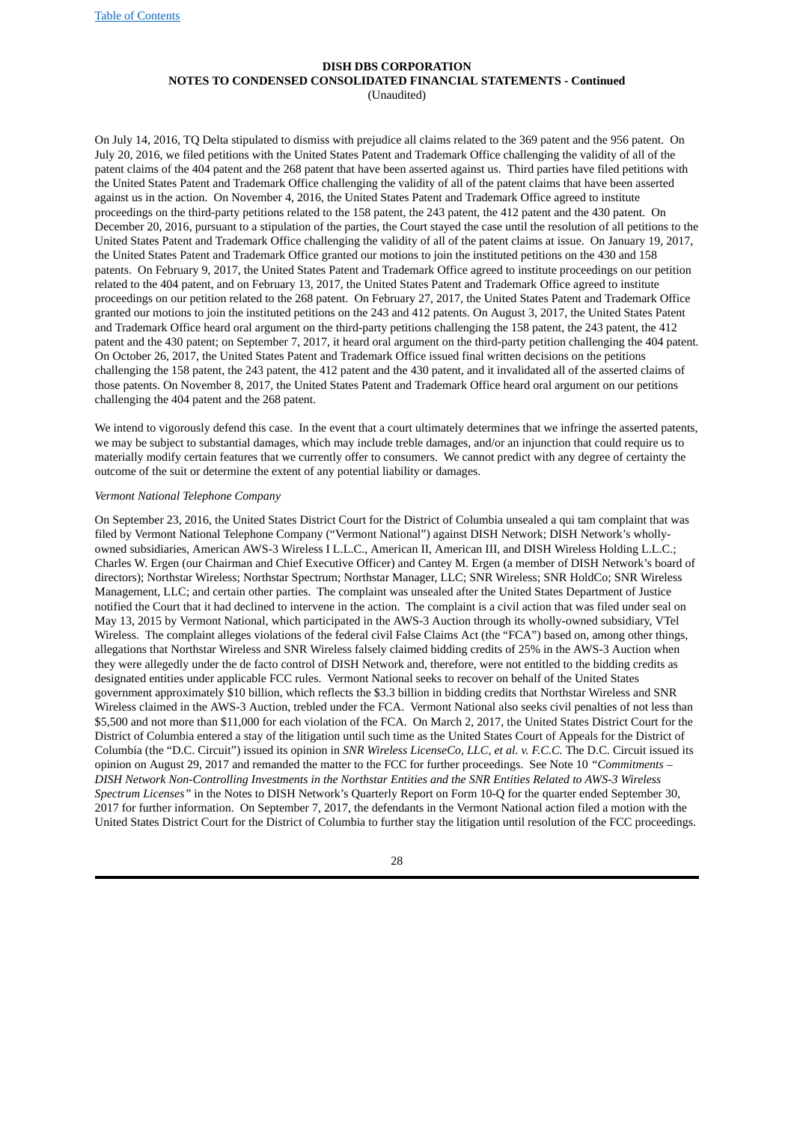On July 14, 2016, TQ Delta stipulated to dismiss with prejudice all claims related to the 369 patent and the 956 patent. On July 20, 2016, we filed petitions with the United States Patent and Trademark Office challenging the validity of all of the patent claims of the 404 patent and the 268 patent that have been asserted against us. Third parties have filed petitions with the United States Patent and Trademark Office challenging the validity of all of the patent claims that have been asserted against us in the action. On November 4, 2016, the United States Patent and Trademark Office agreed to institute proceedings on the third-party petitions related to the 158 patent, the 243 patent, the 412 patent and the 430 patent. On December 20, 2016, pursuant to a stipulation of the parties, the Court stayed the case until the resolution of all petitions to the United States Patent and Trademark Office challenging the validity of all of the patent claims at issue. On January 19, 2017, the United States Patent and Trademark Office granted our motions to join the instituted petitions on the 430 and 158 patents. On February 9, 2017, the United States Patent and Trademark Office agreed to institute proceedings on our petition related to the 404 patent, and on February 13, 2017, the United States Patent and Trademark Office agreed to institute proceedings on our petition related to the 268 patent. On February 27, 2017, the United States Patent and Trademark Office granted our motions to join the instituted petitions on the 243 and 412 patents. On August 3, 2017, the United States Patent and Trademark Office heard oral argument on the third-party petitions challenging the 158 patent, the 243 patent, the 412 patent and the 430 patent; on September 7, 2017, it heard oral argument on the third-party petition challenging the 404 patent. On October 26, 2017, the United States Patent and Trademark Office issued final written decisions on the petitions challenging the 158 patent, the 243 patent, the 412 patent and the 430 patent, and it invalidated all of the asserted claims of those patents. On November 8, 2017, the United States Patent and Trademark Office heard oral argument on our petitions challenging the 404 patent and the 268 patent.

We intend to vigorously defend this case. In the event that a court ultimately determines that we infringe the asserted patents, we may be subject to substantial damages, which may include treble damages, and/or an injunction that could require us to materially modify certain features that we currently offer to consumers. We cannot predict with any degree of certainty the outcome of the suit or determine the extent of any potential liability or damages.

#### *Vermont National Telephone Company*

On September 23, 2016, the United States District Court for the District of Columbia unsealed a qui tam complaint that was filed by Vermont National Telephone Company ("Vermont National") against DISH Network; DISH Network's whollyowned subsidiaries, American AWS-3 Wireless I L.L.C., American II, American III, and DISH Wireless Holding L.L.C.; Charles W. Ergen (our Chairman and Chief Executive Officer) and Cantey M. Ergen (a member of DISH Network's board of directors); Northstar Wireless; Northstar Spectrum; Northstar Manager, LLC; SNR Wireless; SNR HoldCo; SNR Wireless Management, LLC; and certain other parties. The complaint was unsealed after the United States Department of Justice notified the Court that it had declined to intervene in the action. The complaint is a civil action that was filed under seal on May 13, 2015 by Vermont National, which participated in the AWS-3 Auction through its wholly-owned subsidiary, VTel Wireless. The complaint alleges violations of the federal civil False Claims Act (the "FCA") based on, among other things, allegations that Northstar Wireless and SNR Wireless falsely claimed bidding credits of 25% in the AWS-3 Auction when they were allegedly under the de facto control of DISH Network and, therefore, were not entitled to the bidding credits as designated entities under applicable FCC rules. Vermont National seeks to recover on behalf of the United States government approximately \$10 billion, which reflects the \$3.3 billion in bidding credits that Northstar Wireless and SNR Wireless claimed in the AWS-3 Auction, trebled under the FCA. Vermont National also seeks civil penalties of not less than \$5,500 and not more than \$11,000 for each violation of the FCA. On March 2, 2017, the United States District Court for the District of Columbia entered a stay of the litigation until such time as the United States Court of Appeals for the District of Columbia (the "D.C. Circuit") issued its opinion in *SNR Wireless LicenseCo, LLC, et al. v. F.C.C.* The D.C. Circuit issued its opinion on August 29, 2017 and remanded the matter to the FCC for further proceedings. See Note 10 *"Commitments –* DISH Network Non-Controlling Investments in the Northstar Entities and the SNR Entities Related to AWS-3 Wireless *Spectrum Licenses"* in the Notes to DISH Network's Quarterly Report on Form 10-Q for the quarter ended September 30, 2017 for further information. On September 7, 2017, the defendants in the Vermont National action filed a motion with the United States District Court for the District of Columbia to further stay the litigation until resolution of the FCC proceedings.

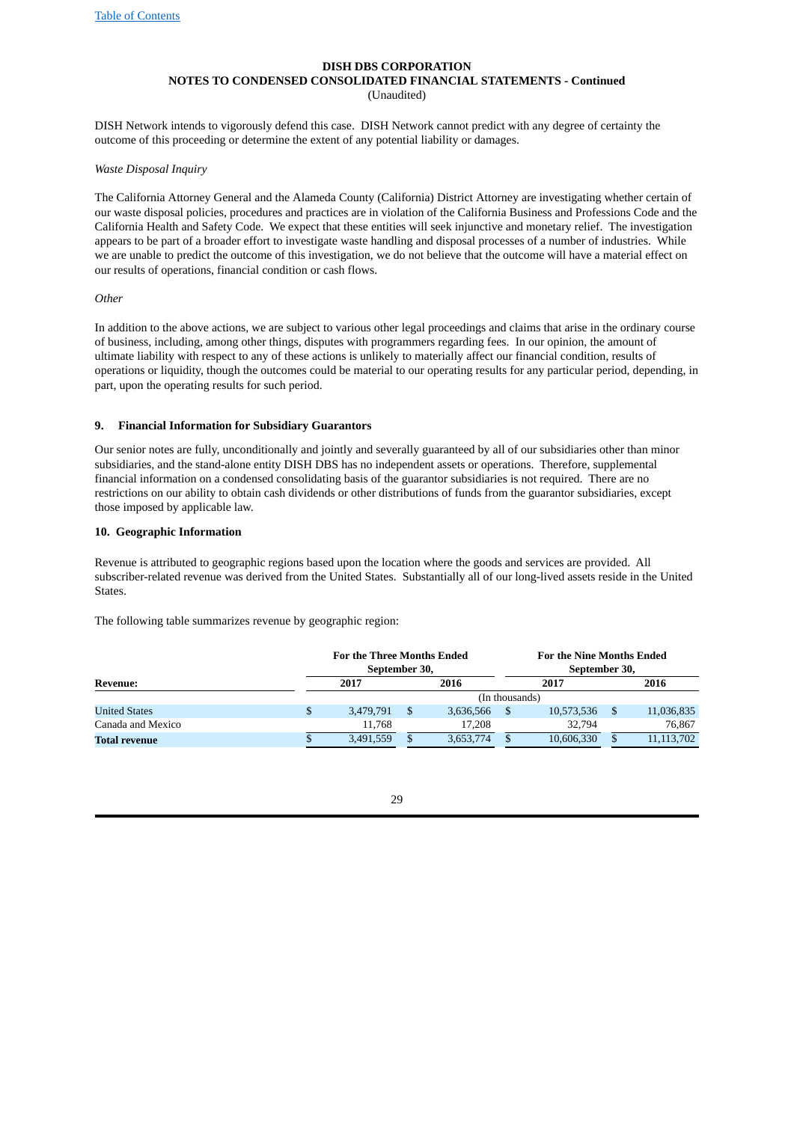DISH Network intends to vigorously defend this case. DISH Network cannot predict with any degree of certainty the outcome of this proceeding or determine the extent of any potential liability or damages.

*Waste Disposal Inquiry*

The California Attorney General and the Alameda County (California) District Attorney are investigating whether certain of our waste disposal policies, procedures and practices are in violation of the California Business and Professions Code and the California Health and Safety Code. We expect that these entities will seek injunctive and monetary relief. The investigation appears to be part of a broader effort to investigate waste handling and disposal processes of a number of industries. While we are unable to predict the outcome of this investigation, we do not believe that the outcome will have a material effect on our results of operations, financial condition or cash flows.

#### *Other*

In addition to the above actions, we are subject to various other legal proceedings and claims that arise in the ordinary course of business, including, among other things, disputes with programmers regarding fees. In our opinion, the amount of ultimate liability with respect to any of these actions is unlikely to materially affect our financial condition, results of operations or liquidity, though the outcomes could be material to our operating results for any particular period, depending, in part, upon the operating results for such period.

#### **9. Financial Information for Subsidiary Guarantors**

Our senior notes are fully, unconditionally and jointly and severally guaranteed by all of our subsidiaries other than minor subsidiaries, and the stand-alone entity DISH DBS has no independent assets or operations. Therefore, supplemental financial information on a condensed consolidating basis of the guarantor subsidiaries is not required. There are no restrictions on our ability to obtain cash dividends or other distributions of funds from the guarantor subsidiaries, except those imposed by applicable law.

# **10. Geographic Information**

Revenue is attributed to geographic regions based upon the location where the goods and services are provided. All subscriber-related revenue was derived from the United States. Substantially all of our long-lived assets reside in the United States.

The following table summarizes revenue by geographic region:

|                      |   | <b>For the Three Months Ended</b><br>September 30, |  | <b>For the Nine Months Ended</b><br>September 30, |      |                |  |              |
|----------------------|---|----------------------------------------------------|--|---------------------------------------------------|------|----------------|--|--------------|
| <b>Revenue:</b>      |   | 2017<br>2016                                       |  |                                                   | 2017 | 2016           |  |              |
|                      |   |                                                    |  |                                                   |      | (In thousands) |  |              |
| <b>United States</b> | S | 3,479,791                                          |  | 3,636,566                                         |      | 10,573,536     |  | 11,036,835   |
| Canada and Mexico    |   | 11.768                                             |  | 17.208                                            |      | 32.794         |  | 76,867       |
| Total revenue        |   | 3,491,559                                          |  | 3,653,774                                         |      | 10,606,330     |  | 11, 113, 702 |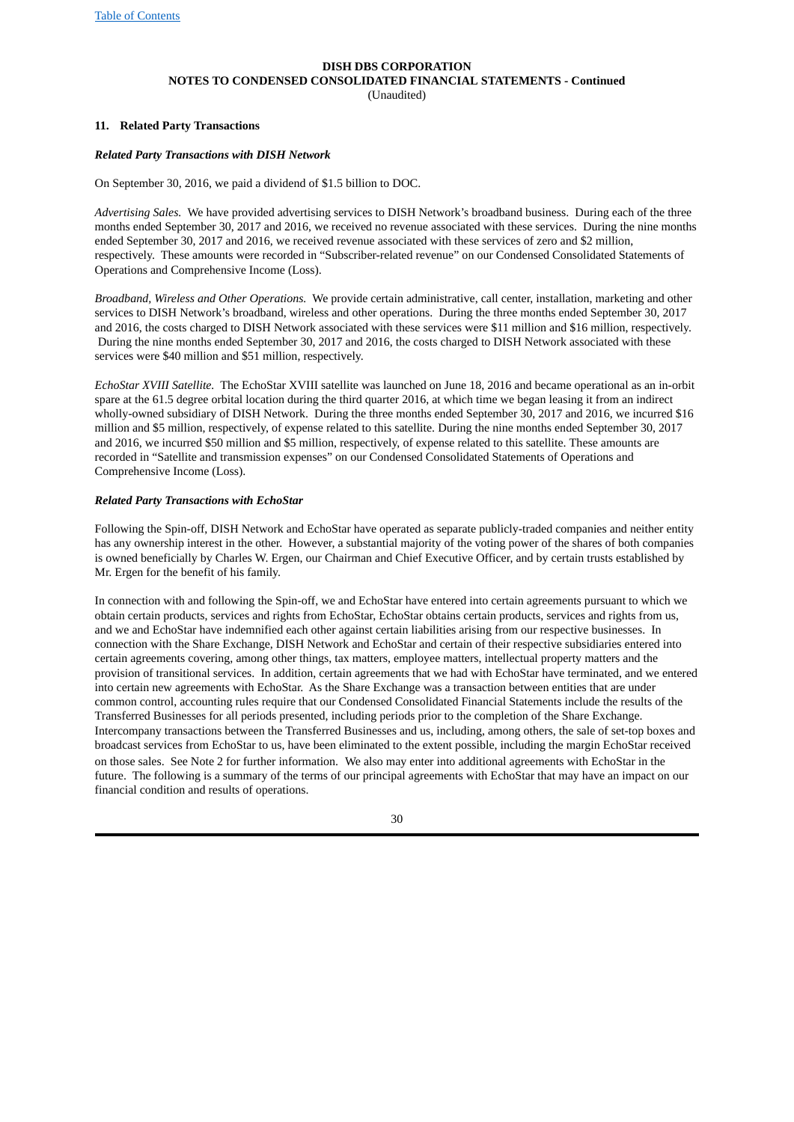#### **11. Related Party Transactions**

#### *Related Party Transactions with DISH Network*

On September 30, 2016, we paid a dividend of \$1.5 billion to DOC.

*Advertising Sales.* We have provided advertising services to DISH Network's broadband business. During each of the three months ended September 30, 2017 and 2016, we received no revenue associated with these services. During the nine months ended September 30, 2017 and 2016, we received revenue associated with these services of zero and \$2 million, respectively. These amounts were recorded in "Subscriber-related revenue" on our Condensed Consolidated Statements of Operations and Comprehensive Income (Loss).

*Broadband, Wireless and Other Operations.* We provide certain administrative, call center, installation, marketing and other services to DISH Network's broadband, wireless and other operations. During the three months ended September 30, 2017 and 2016, the costs charged to DISH Network associated with these services were \$11 million and \$16 million, respectively. During the nine months ended September 30, 2017 and 2016, the costs charged to DISH Network associated with these services were \$40 million and \$51 million, respectively.

*EchoStar XVIII Satellite.* The EchoStar XVIII satellite was launched on June 18, 2016 and became operational as an in-orbit spare at the 61.5 degree orbital location during the third quarter 2016, at which time we began leasing it from an indirect wholly-owned subsidiary of DISH Network. During the three months ended September 30, 2017 and 2016, we incurred \$16 million and \$5 million, respectively, of expense related to this satellite. During the nine months ended September 30, 2017 and 2016, we incurred \$50 million and \$5 million, respectively, of expense related to this satellite. These amounts are recorded in "Satellite and transmission expenses" on our Condensed Consolidated Statements of Operations and Comprehensive Income (Loss).

#### *Related Party Transactions with EchoStar*

Following the Spin-off, DISH Network and EchoStar have operated as separate publicly-traded companies and neither entity has any ownership interest in the other. However, a substantial majority of the voting power of the shares of both companies is owned beneficially by Charles W. Ergen, our Chairman and Chief Executive Officer, and by certain trusts established by Mr. Ergen for the benefit of his family.

In connection with and following the Spin-off, we and EchoStar have entered into certain agreements pursuant to which we obtain certain products, services and rights from EchoStar, EchoStar obtains certain products, services and rights from us, and we and EchoStar have indemnified each other against certain liabilities arising from our respective businesses. In connection with the Share Exchange, DISH Network and EchoStar and certain of their respective subsidiaries entered into certain agreements covering, among other things, tax matters, employee matters, intellectual property matters and the provision of transitional services. In addition, certain agreements that we had with EchoStar have terminated, and we entered into certain new agreements with EchoStar. As the Share Exchange was a transaction between entities that are under common control, accounting rules require that our Condensed Consolidated Financial Statements include the results of the Transferred Businesses for all periods presented, including periods prior to the completion of the Share Exchange. Intercompany transactions between the Transferred Businesses and us, including, among others, the sale of set-top boxes and broadcast services from EchoStar to us, have been eliminated to the extent possible, including the margin EchoStar received on those sales. See Note 2 for further information. We also may enter into additional agreements with EchoStar in the future. The following is a summary of the terms of our principal agreements with EchoStar that may have an impact on our financial condition and results of operations.

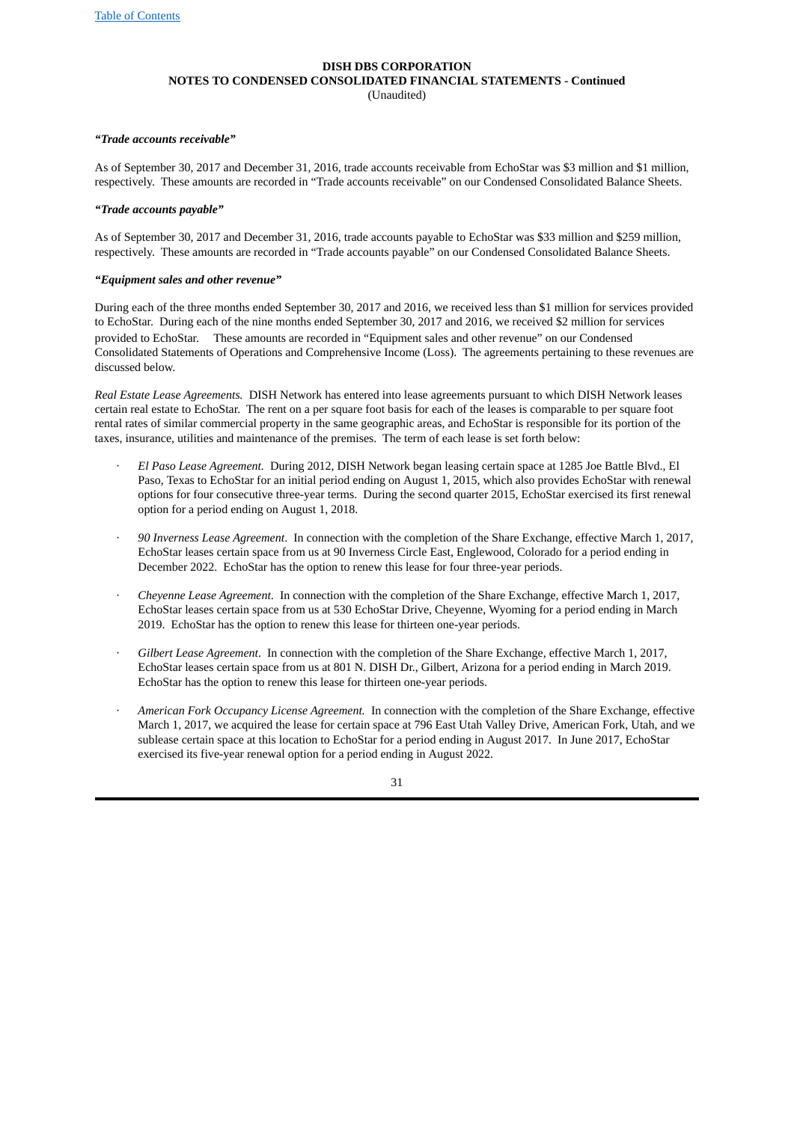#### *"Trade accounts receivable"*

As of September 30, 2017 and December 31, 2016, trade accounts receivable from EchoStar was \$3 million and \$1 million, respectively. These amounts are recorded in "Trade accounts receivable" on our Condensed Consolidated Balance Sheets.

#### *"Trade accounts payable"*

As of September 30, 2017 and December 31, 2016, trade accounts payable to EchoStar was \$33 million and \$259 million, respectively. These amounts are recorded in "Trade accounts payable" on our Condensed Consolidated Balance Sheets.

#### *"Equipment sales and other revenue"*

During each of the three months ended September 30, 2017 and 2016, we received less than \$1 million for services provided to EchoStar. During each of the nine months ended September 30, 2017 and 2016, we received \$2 million for services provided to EchoStar. These amounts are recorded in "Equipment sales and other revenue" on our Condensed Consolidated Statements of Operations and Comprehensive Income (Loss). The agreements pertaining to these revenues are discussed below.

*Real Estate Lease Agreements.* DISH Network has entered into lease agreements pursuant to which DISH Network leases certain real estate to EchoStar. The rent on a per square foot basis for each of the leases is comparable to per square foot rental rates of similar commercial property in the same geographic areas, and EchoStar is responsible for its portion of the taxes, insurance, utilities and maintenance of the premises. The term of each lease is set forth below:

- · *El Paso Lease Agreement.* During 2012, DISH Network began leasing certain space at 1285 Joe Battle Blvd., El Paso, Texas to EchoStar for an initial period ending on August 1, 2015, which also provides EchoStar with renewal options for four consecutive three-year terms. During the second quarter 2015, EchoStar exercised its first renewal option for a period ending on August 1, 2018.
- · *90 Inverness Lease Agreement*. In connection with the completion of the Share Exchange, effective March 1, 2017, EchoStar leases certain space from us at 90 Inverness Circle East, Englewood, Colorado for a period ending in December 2022. EchoStar has the option to renew this lease for four three-year periods.
- · *Cheyenne Lease Agreement*. In connection with the completion of the Share Exchange, effective March 1, 2017, EchoStar leases certain space from us at 530 EchoStar Drive, Cheyenne, Wyoming for a period ending in March 2019. EchoStar has the option to renew this lease for thirteen one-year periods.
- · *Gilbert Lease Agreement*. In connection with the completion of the Share Exchange, effective March 1, 2017, EchoStar leases certain space from us at 801 N. DISH Dr., Gilbert, Arizona for a period ending in March 2019. EchoStar has the option to renew this lease for thirteen one-year periods.
- · *American Fork Occupancy License Agreement.* In connection with the completion of the Share Exchange, effective March 1, 2017, we acquired the lease for certain space at 796 East Utah Valley Drive, American Fork, Utah, and we sublease certain space at this location to EchoStar for a period ending in August 2017. In June 2017, EchoStar exercised its five-year renewal option for a period ending in August 2022.

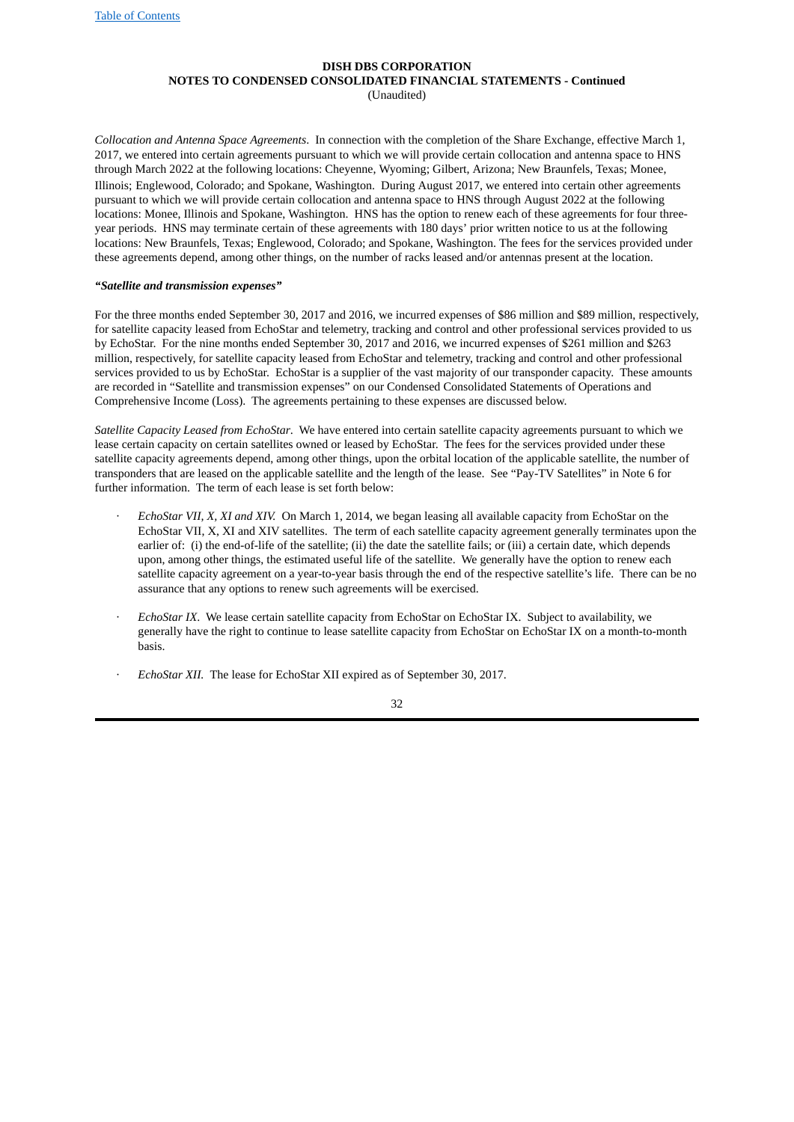*Collocation and Antenna Space Agreements*. In connection with the completion of the Share Exchange, effective March 1, 2017, we entered into certain agreements pursuant to which we will provide certain collocation and antenna space to HNS through March 2022 at the following locations: Cheyenne, Wyoming; Gilbert, Arizona; New Braunfels, Texas; Monee, Illinois; Englewood, Colorado; and Spokane, Washington. During August 2017, we entered into certain other agreements pursuant to which we will provide certain collocation and antenna space to HNS through August 2022 at the following locations: Monee, Illinois and Spokane, Washington. HNS has the option to renew each of these agreements for four threeyear periods. HNS may terminate certain of these agreements with 180 days' prior written notice to us at the following locations: New Braunfels, Texas; Englewood, Colorado; and Spokane, Washington. The fees for the services provided under these agreements depend, among other things, on the number of racks leased and/or antennas present at the location.

#### *"Satellite and transmission expenses"*

For the three months ended September 30, 2017 and 2016, we incurred expenses of \$86 million and \$89 million, respectively, for satellite capacity leased from EchoStar and telemetry, tracking and control and other professional services provided to us by EchoStar. For the nine months ended September 30, 2017 and 2016, we incurred expenses of \$261 million and \$263 million, respectively, for satellite capacity leased from EchoStar and telemetry, tracking and control and other professional services provided to us by EchoStar. EchoStar is a supplier of the vast majority of our transponder capacity. These amounts are recorded in "Satellite and transmission expenses" on our Condensed Consolidated Statements of Operations and Comprehensive Income (Loss). The agreements pertaining to these expenses are discussed below.

*Satellite Capacity Leased from EchoStar*. We have entered into certain satellite capacity agreements pursuant to which we lease certain capacity on certain satellites owned or leased by EchoStar. The fees for the services provided under these satellite capacity agreements depend, among other things, upon the orbital location of the applicable satellite, the number of transponders that are leased on the applicable satellite and the length of the lease. See "Pay-TV Satellites" in Note 6 for further information. The term of each lease is set forth below:

- · *EchoStar VII, X, XI and XIV.* On March 1, 2014, we began leasing all available capacity from EchoStar on the EchoStar VII, X, XI and XIV satellites. The term of each satellite capacity agreement generally terminates upon the earlier of: (i) the end-of-life of the satellite; (ii) the date the satellite fails; or (iii) a certain date, which depends upon, among other things, the estimated useful life of the satellite. We generally have the option to renew each satellite capacity agreement on a year-to-year basis through the end of the respective satellite's life. There can be no assurance that any options to renew such agreements will be exercised.
- · *EchoStar IX*. We lease certain satellite capacity from EchoStar on EchoStar IX. Subject to availability, we generally have the right to continue to lease satellite capacity from EchoStar on EchoStar IX on a month-to-month basis.
- · *EchoStar XII.* The lease for EchoStar XII expired as of September 30, 2017.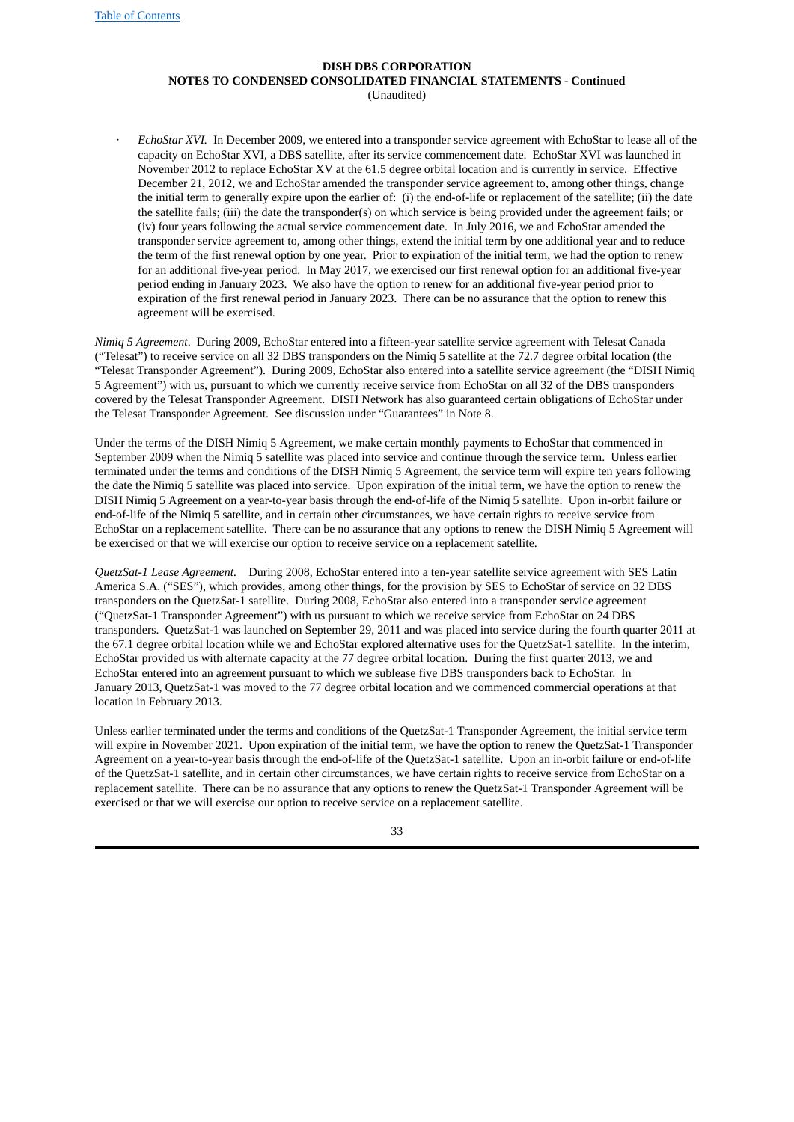· *EchoStar XVI.* In December 2009, we entered into a transponder service agreement with EchoStar to lease all of the capacity on EchoStar XVI, a DBS satellite, after its service commencement date. EchoStar XVI was launched in November 2012 to replace EchoStar XV at the 61.5 degree orbital location and is currently in service. Effective December 21, 2012, we and EchoStar amended the transponder service agreement to, among other things, change the initial term to generally expire upon the earlier of: (i) the end-of-life or replacement of the satellite; (ii) the date the satellite fails; (iii) the date the transponder(s) on which service is being provided under the agreement fails; or (iv) four years following the actual service commencement date. In July 2016, we and EchoStar amended the transponder service agreement to, among other things, extend the initial term by one additional year and to reduce the term of the first renewal option by one year. Prior to expiration of the initial term, we had the option to renew for an additional five-year period. In May 2017, we exercised our first renewal option for an additional five-year period ending in January 2023. We also have the option to renew for an additional five-year period prior to expiration of the first renewal period in January 2023. There can be no assurance that the option to renew this agreement will be exercised.

*Nimiq 5 Agreement*. During 2009, EchoStar entered into a fifteen-year satellite service agreement with Telesat Canada ("Telesat") to receive service on all 32 DBS transponders on the Nimiq 5 satellite at the 72.7 degree orbital location (the "Telesat Transponder Agreement"). During 2009, EchoStar also entered into a satellite service agreement (the "DISH Nimiq 5 Agreement") with us, pursuant to which we currently receive service from EchoStar on all 32 of the DBS transponders covered by the Telesat Transponder Agreement. DISH Network has also guaranteed certain obligations of EchoStar under the Telesat Transponder Agreement. See discussion under "Guarantees" in Note 8.

Under the terms of the DISH Nimiq 5 Agreement, we make certain monthly payments to EchoStar that commenced in September 2009 when the Nimiq 5 satellite was placed into service and continue through the service term. Unless earlier terminated under the terms and conditions of the DISH Nimiq 5 Agreement, the service term will expire ten years following the date the Nimiq 5 satellite was placed into service. Upon expiration of the initial term, we have the option to renew the DISH Nimiq 5 Agreement on a year-to-year basis through the end-of-life of the Nimiq 5 satellite. Upon in‑orbit failure or end-of-life of the Nimiq 5 satellite, and in certain other circumstances, we have certain rights to receive service from EchoStar on a replacement satellite. There can be no assurance that any options to renew the DISH Nimiq 5 Agreement will be exercised or that we will exercise our option to receive service on a replacement satellite.

*QuetzSat-1 Lease Agreement.* During 2008, EchoStar entered into a ten-year satellite service agreement with SES Latin America S.A. ("SES"), which provides, among other things, for the provision by SES to EchoStar of service on 32 DBS transponders on the QuetzSat-1 satellite. During 2008, EchoStar also entered into a transponder service agreement ("QuetzSat-1 Transponder Agreement") with us pursuant to which we receive service from EchoStar on 24 DBS transponders. QuetzSat-1 was launched on September 29, 2011 and was placed into service during the fourth quarter 2011 at the 67.1 degree orbital location while we and EchoStar explored alternative uses for the QuetzSat-1 satellite. In the interim, EchoStar provided us with alternate capacity at the 77 degree orbital location. During the first quarter 2013, we and EchoStar entered into an agreement pursuant to which we sublease five DBS transponders back to EchoStar. In January 2013, QuetzSat-1 was moved to the 77 degree orbital location and we commenced commercial operations at that location in February 2013.

Unless earlier terminated under the terms and conditions of the QuetzSat-1 Transponder Agreement, the initial service term will expire in November 2021. Upon expiration of the initial term, we have the option to renew the QuetzSat-1 Transponder Agreement on a year-to-year basis through the end-of-life of the QuetzSat-1 satellite. Upon an in-orbit failure or end-of-life of the QuetzSat-1 satellite, and in certain other circumstances, we have certain rights to receive service from EchoStar on a replacement satellite. There can be no assurance that any options to renew the QuetzSat-1 Transponder Agreement will be exercised or that we will exercise our option to receive service on a replacement satellite.

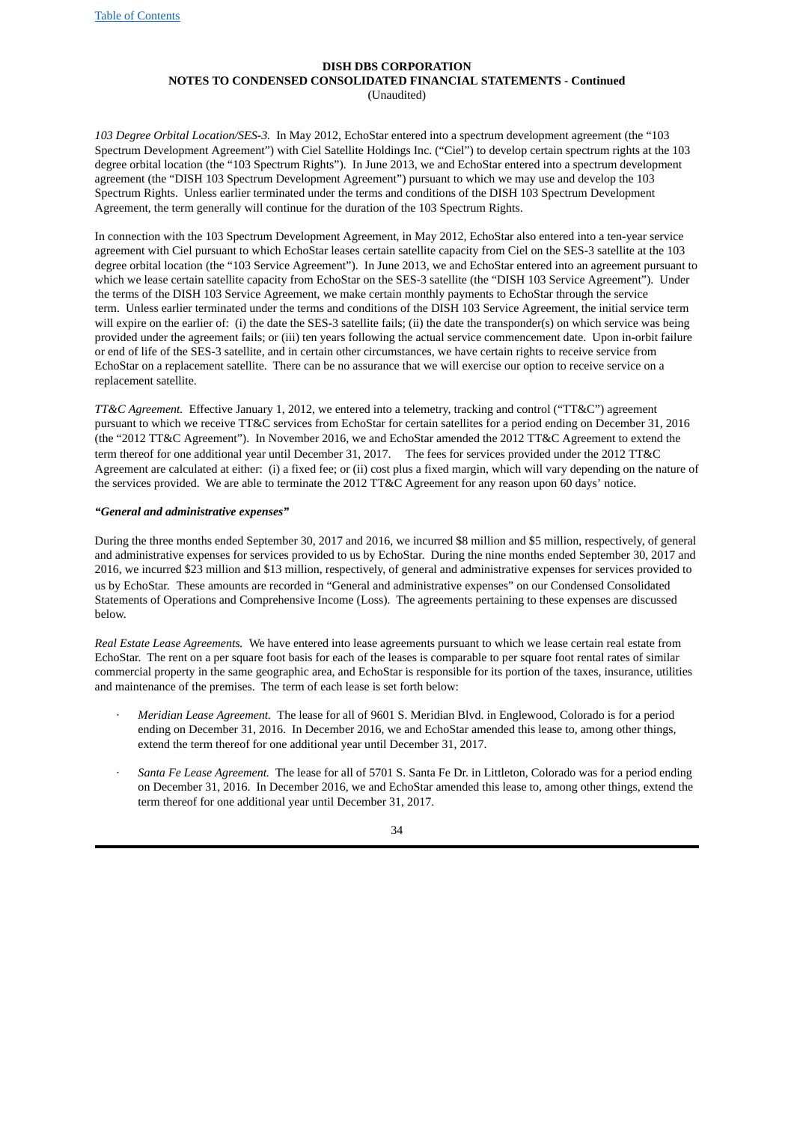*103 Degree Orbital Location/SES-3.* In May 2012, EchoStar entered into a spectrum development agreement (the "103 Spectrum Development Agreement") with Ciel Satellite Holdings Inc. ("Ciel") to develop certain spectrum rights at the 103 degree orbital location (the "103 Spectrum Rights"). In June 2013, we and EchoStar entered into a spectrum development agreement (the "DISH 103 Spectrum Development Agreement") pursuant to which we may use and develop the 103 Spectrum Rights. Unless earlier terminated under the terms and conditions of the DISH 103 Spectrum Development Agreement, the term generally will continue for the duration of the 103 Spectrum Rights.

In connection with the 103 Spectrum Development Agreement, in May 2012, EchoStar also entered into a ten-year service agreement with Ciel pursuant to which EchoStar leases certain satellite capacity from Ciel on the SES-3 satellite at the 103 degree orbital location (the "103 Service Agreement"). In June 2013, we and EchoStar entered into an agreement pursuant to which we lease certain satellite capacity from EchoStar on the SES-3 satellite (the "DISH 103 Service Agreement"). Under the terms of the DISH 103 Service Agreement, we make certain monthly payments to EchoStar through the service term. Unless earlier terminated under the terms and conditions of the DISH 103 Service Agreement, the initial service term will expire on the earlier of: (i) the date the SES-3 satellite fails; (ii) the date the transponder(s) on which service was being provided under the agreement fails; or (iii) ten years following the actual service commencement date. Upon in-orbit failure or end of life of the SES-3 satellite, and in certain other circumstances, we have certain rights to receive service from EchoStar on a replacement satellite. There can be no assurance that we will exercise our option to receive service on a replacement satellite.

*TT&C Agreement.* Effective January 1, 2012, we entered into a telemetry, tracking and control ("TT&C") agreement pursuant to which we receive TT&C services from EchoStar for certain satellites for a period ending on December 31, 2016 (the "2012 TT&C Agreement"). In November 2016, we and EchoStar amended the 2012 TT&C Agreement to extend the term thereof for one additional year until December 31, 2017. The fees for services provided under the 2012 TT&C Agreement are calculated at either: (i) a fixed fee; or (ii) cost plus a fixed margin, which will vary depending on the nature of the services provided. We are able to terminate the 2012 TT&C Agreement for any reason upon 60 days' notice.

#### *"General and administrative expenses"*

During the three months ended September 30, 2017 and 2016, we incurred \$8 million and \$5 million, respectively, of general and administrative expenses for services provided to us by EchoStar. During the nine months ended September 30, 2017 and 2016, we incurred \$23 million and \$13 million, respectively, of general and administrative expenses for services provided to us by EchoStar. These amounts are recorded in "General and administrative expenses" on our Condensed Consolidated Statements of Operations and Comprehensive Income (Loss). The agreements pertaining to these expenses are discussed below.

*Real Estate Lease Agreements.* We have entered into lease agreements pursuant to which we lease certain real estate from EchoStar. The rent on a per square foot basis for each of the leases is comparable to per square foot rental rates of similar commercial property in the same geographic area, and EchoStar is responsible for its portion of the taxes, insurance, utilities and maintenance of the premises. The term of each lease is set forth below:

- · *Meridian Lease Agreement.* The lease for all of 9601 S. Meridian Blvd. in Englewood, Colorado is for a period ending on December 31, 2016. In December 2016, we and EchoStar amended this lease to, among other things, extend the term thereof for one additional year until December 31, 2017.
- · *Santa Fe Lease Agreement.* The lease for all of 5701 S. Santa Fe Dr. in Littleton, Colorado was for a period ending on December 31, 2016. In December 2016, we and EchoStar amended this lease to, among other things, extend the term thereof for one additional year until December 31, 2017.

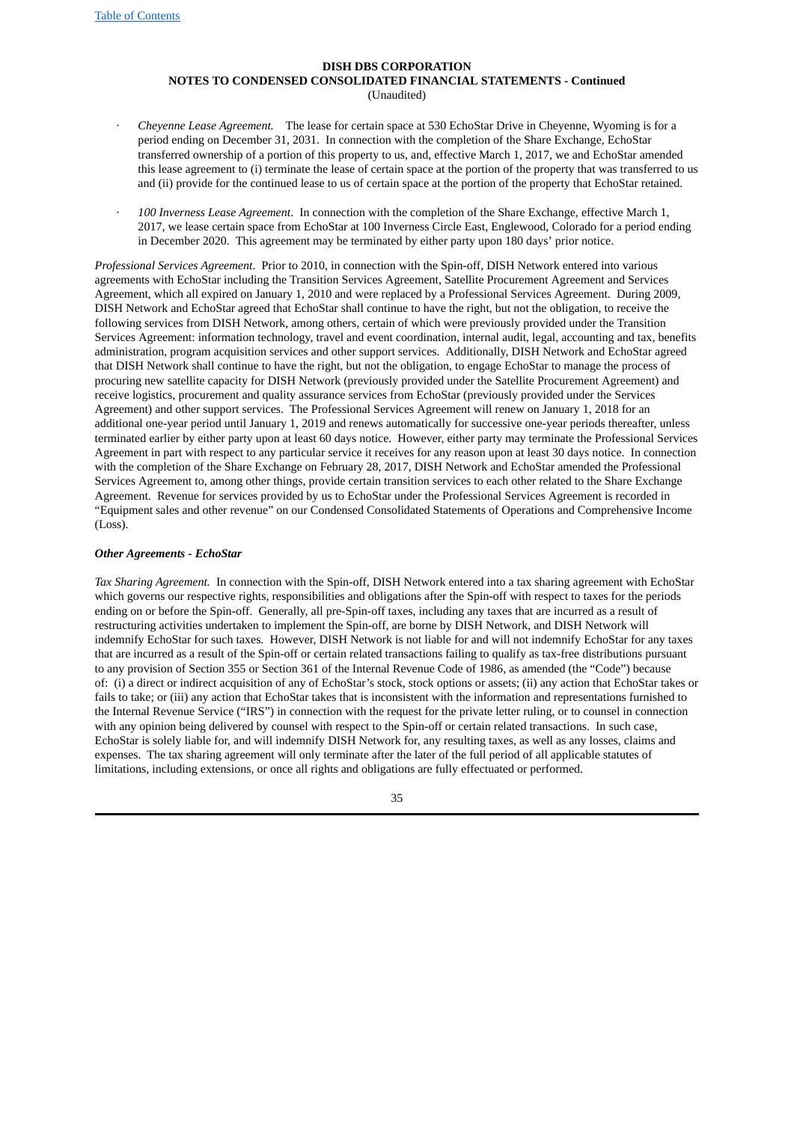- · *Cheyenne Lease Agreement.* The lease for certain space at 530 EchoStar Drive in Cheyenne, Wyoming is for a period ending on December 31, 2031. In connection with the completion of the Share Exchange, EchoStar transferred ownership of a portion of this property to us, and, effective March 1, 2017, we and EchoStar amended this lease agreement to (i) terminate the lease of certain space at the portion of the property that was transferred to us and (ii) provide for the continued lease to us of certain space at the portion of the property that EchoStar retained.
- · *100 Inverness Lease Agreement*. In connection with the completion of the Share Exchange, effective March 1, 2017, we lease certain space from EchoStar at 100 Inverness Circle East, Englewood, Colorado for a period ending in December 2020. This agreement may be terminated by either party upon 180 days' prior notice.

*Professional Services Agreement*. Prior to 2010, in connection with the Spin-off, DISH Network entered into various agreements with EchoStar including the Transition Services Agreement, Satellite Procurement Agreement and Services Agreement, which all expired on January 1, 2010 and were replaced by a Professional Services Agreement. During 2009, DISH Network and EchoStar agreed that EchoStar shall continue to have the right, but not the obligation, to receive the following services from DISH Network, among others, certain of which were previously provided under the Transition Services Agreement: information technology, travel and event coordination, internal audit, legal, accounting and tax, benefits administration, program acquisition services and other support services. Additionally, DISH Network and EchoStar agreed that DISH Network shall continue to have the right, but not the obligation, to engage EchoStar to manage the process of procuring new satellite capacity for DISH Network (previously provided under the Satellite Procurement Agreement) and receive logistics, procurement and quality assurance services from EchoStar (previously provided under the Services Agreement) and other support services. The Professional Services Agreement will renew on January 1, 2018 for an additional one-year period until January 1, 2019 and renews automatically for successive one-year periods thereafter, unless terminated earlier by either party upon at least 60 days notice. However, either party may terminate the Professional Services Agreement in part with respect to any particular service it receives for any reason upon at least 30 days notice. In connection with the completion of the Share Exchange on February 28, 2017, DISH Network and EchoStar amended the Professional Services Agreement to, among other things, provide certain transition services to each other related to the Share Exchange Agreement. Revenue for services provided by us to EchoStar under the Professional Services Agreement is recorded in "Equipment sales and other revenue" on our Condensed Consolidated Statements of Operations and Comprehensive Income (Loss).

#### *Other Agreements - EchoStar*

*Tax Sharing Agreement.* In connection with the Spin-off, DISH Network entered into a tax sharing agreement with EchoStar which governs our respective rights, responsibilities and obligations after the Spin-off with respect to taxes for the periods ending on or before the Spin-off. Generally, all pre-Spin-off taxes, including any taxes that are incurred as a result of restructuring activities undertaken to implement the Spin-off, are borne by DISH Network, and DISH Network will indemnify EchoStar for such taxes. However, DISH Network is not liable for and will not indemnify EchoStar for any taxes that are incurred as a result of the Spin-off or certain related transactions failing to qualify as tax-free distributions pursuant to any provision of Section 355 or Section 361 of the Internal Revenue Code of 1986, as amended (the "Code") because of: (i) a direct or indirect acquisition of any of EchoStar's stock, stock options or assets; (ii) any action that EchoStar takes or fails to take; or (iii) any action that EchoStar takes that is inconsistent with the information and representations furnished to the Internal Revenue Service ("IRS") in connection with the request for the private letter ruling, or to counsel in connection with any opinion being delivered by counsel with respect to the Spin-off or certain related transactions. In such case, EchoStar is solely liable for, and will indemnify DISH Network for, any resulting taxes, as well as any losses, claims and expenses. The tax sharing agreement will only terminate after the later of the full period of all applicable statutes of limitations, including extensions, or once all rights and obligations are fully effectuated or performed.

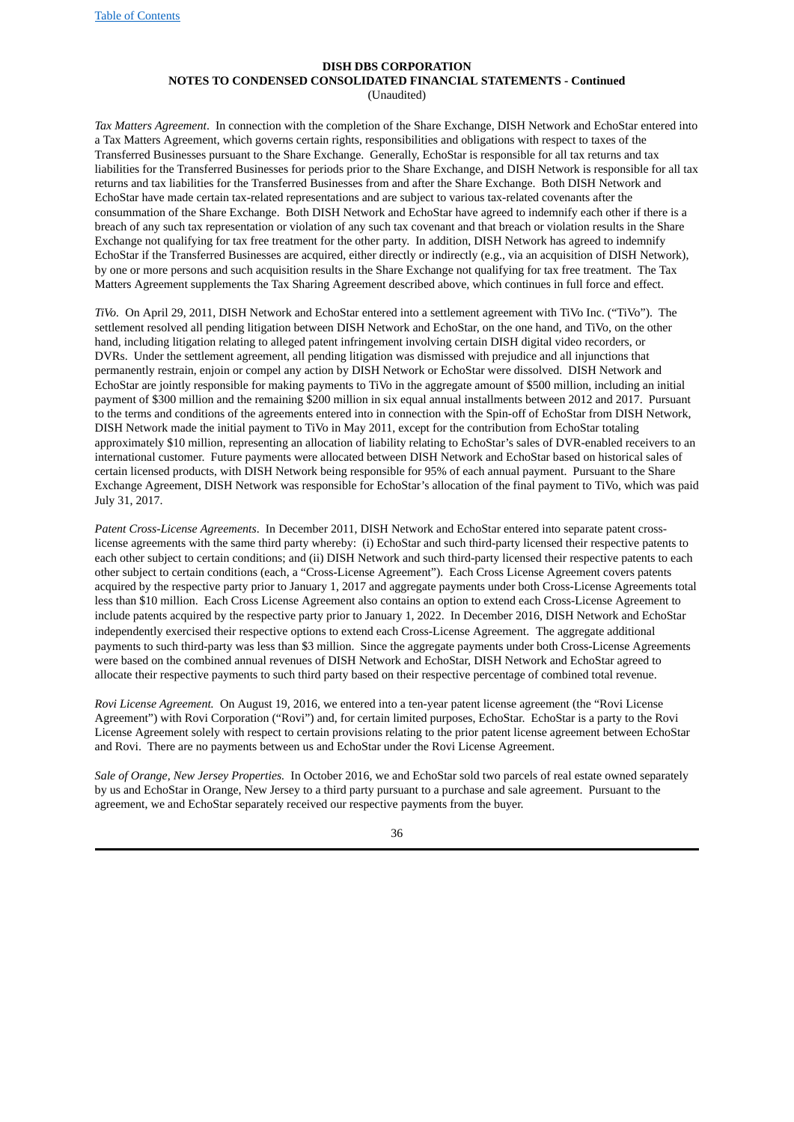*Tax Matters Agreement*. In connection with the completion of the Share Exchange, DISH Network and EchoStar entered into a Tax Matters Agreement, which governs certain rights, responsibilities and obligations with respect to taxes of the Transferred Businesses pursuant to the Share Exchange. Generally, EchoStar is responsible for all tax returns and tax liabilities for the Transferred Businesses for periods prior to the Share Exchange, and DISH Network is responsible for all tax returns and tax liabilities for the Transferred Businesses from and after the Share Exchange. Both DISH Network and EchoStar have made certain tax-related representations and are subject to various tax-related covenants after the consummation of the Share Exchange. Both DISH Network and EchoStar have agreed to indemnify each other if there is a breach of any such tax representation or violation of any such tax covenant and that breach or violation results in the Share Exchange not qualifying for tax free treatment for the other party. In addition, DISH Network has agreed to indemnify EchoStar if the Transferred Businesses are acquired, either directly or indirectly (e.g., via an acquisition of DISH Network), by one or more persons and such acquisition results in the Share Exchange not qualifying for tax free treatment. The Tax Matters Agreement supplements the Tax Sharing Agreement described above, which continues in full force and effect.

*TiVo.* On April 29, 2011, DISH Network and EchoStar entered into a settlement agreement with TiVo Inc. ("TiVo"). The settlement resolved all pending litigation between DISH Network and EchoStar, on the one hand, and TiVo, on the other hand, including litigation relating to alleged patent infringement involving certain DISH digital video recorders, or DVRs. Under the settlement agreement, all pending litigation was dismissed with prejudice and all injunctions that permanently restrain, enjoin or compel any action by DISH Network or EchoStar were dissolved. DISH Network and EchoStar are jointly responsible for making payments to TiVo in the aggregate amount of \$500 million, including an initial payment of \$300 million and the remaining \$200 million in six equal annual installments between 2012 and 2017. Pursuant to the terms and conditions of the agreements entered into in connection with the Spin-off of EchoStar from DISH Network, DISH Network made the initial payment to TiVo in May 2011, except for the contribution from EchoStar totaling approximately \$10 million, representing an allocation of liability relating to EchoStar's sales of DVR-enabled receivers to an international customer. Future payments were allocated between DISH Network and EchoStar based on historical sales of certain licensed products, with DISH Network being responsible for 95% of each annual payment. Pursuant to the Share Exchange Agreement, DISH Network was responsible for EchoStar's allocation of the final payment to TiVo, which was paid July 31, 2017.

*Patent Cross-License Agreements*. In December 2011, DISH Network and EchoStar entered into separate patent crosslicense agreements with the same third party whereby: (i) EchoStar and such third-party licensed their respective patents to each other subject to certain conditions; and (ii) DISH Network and such third-party licensed their respective patents to each other subject to certain conditions (each, a "Cross-License Agreement"). Each Cross License Agreement covers patents acquired by the respective party prior to January 1, 2017 and aggregate payments under both Cross-License Agreements total less than \$10 million. Each Cross License Agreement also contains an option to extend each Cross-License Agreement to include patents acquired by the respective party prior to January 1, 2022. In December 2016, DISH Network and EchoStar independently exercised their respective options to extend each Cross-License Agreement. The aggregate additional payments to such third-party was less than \$3 million. Since the aggregate payments under both Cross-License Agreements were based on the combined annual revenues of DISH Network and EchoStar, DISH Network and EchoStar agreed to allocate their respective payments to such third party based on their respective percentage of combined total revenue.

*Rovi License Agreement.* On August 19, 2016, we entered into a ten-year patent license agreement (the "Rovi License Agreement") with Rovi Corporation ("Rovi") and, for certain limited purposes, EchoStar. EchoStar is a party to the Rovi License Agreement solely with respect to certain provisions relating to the prior patent license agreement between EchoStar and Rovi. There are no payments between us and EchoStar under the Rovi License Agreement.

*Sale of Orange, New Jersey Properties.* In October 2016, we and EchoStar sold two parcels of real estate owned separately by us and EchoStar in Orange, New Jersey to a third party pursuant to a purchase and sale agreement. Pursuant to the agreement, we and EchoStar separately received our respective payments from the buyer.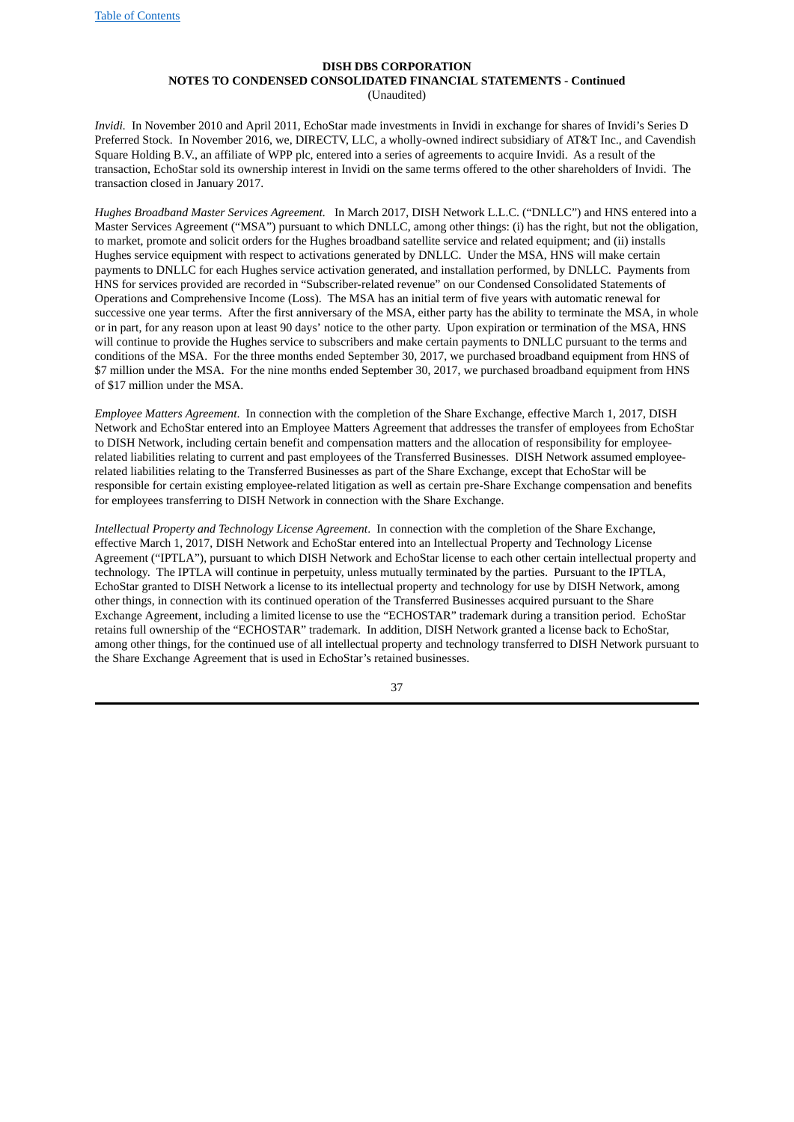*Invidi.* In November 2010 and April 2011, EchoStar made investments in Invidi in exchange for shares of Invidi's Series D Preferred Stock. In November 2016, we, DIRECTV, LLC, a wholly-owned indirect subsidiary of AT&T Inc., and Cavendish Square Holding B.V., an affiliate of WPP plc, entered into a series of agreements to acquire Invidi. As a result of the transaction, EchoStar sold its ownership interest in Invidi on the same terms offered to the other shareholders of Invidi. The transaction closed in January 2017.

*Hughes Broadband Master Services Agreement.* In March 2017, DISH Network L.L.C. ("DNLLC") and HNS entered into a Master Services Agreement ("MSA") pursuant to which DNLLC, among other things: (i) has the right, but not the obligation, to market, promote and solicit orders for the Hughes broadband satellite service and related equipment; and (ii) installs Hughes service equipment with respect to activations generated by DNLLC. Under the MSA, HNS will make certain payments to DNLLC for each Hughes service activation generated, and installation performed, by DNLLC. Payments from HNS for services provided are recorded in "Subscriber-related revenue" on our Condensed Consolidated Statements of Operations and Comprehensive Income (Loss). The MSA has an initial term of five years with automatic renewal for successive one year terms. After the first anniversary of the MSA, either party has the ability to terminate the MSA, in whole or in part, for any reason upon at least 90 days' notice to the other party. Upon expiration or termination of the MSA, HNS will continue to provide the Hughes service to subscribers and make certain payments to DNLLC pursuant to the terms and conditions of the MSA. For the three months ended September 30, 2017, we purchased broadband equipment from HNS of \$7 million under the MSA. For the nine months ended September 30, 2017, we purchased broadband equipment from HNS of \$17 million under the MSA.

*Employee Matters Agreement*. In connection with the completion of the Share Exchange, effective March 1, 2017, DISH Network and EchoStar entered into an Employee Matters Agreement that addresses the transfer of employees from EchoStar to DISH Network, including certain benefit and compensation matters and the allocation of responsibility for employeerelated liabilities relating to current and past employees of the Transferred Businesses. DISH Network assumed employeerelated liabilities relating to the Transferred Businesses as part of the Share Exchange, except that EchoStar will be responsible for certain existing employee-related litigation as well as certain pre-Share Exchange compensation and benefits for employees transferring to DISH Network in connection with the Share Exchange.

*Intellectual Property and Technology License Agreement*. In connection with the completion of the Share Exchange, effective March 1, 2017, DISH Network and EchoStar entered into an Intellectual Property and Technology License Agreement ("IPTLA"), pursuant to which DISH Network and EchoStar license to each other certain intellectual property and technology. The IPTLA will continue in perpetuity, unless mutually terminated by the parties. Pursuant to the IPTLA, EchoStar granted to DISH Network a license to its intellectual property and technology for use by DISH Network, among other things, in connection with its continued operation of the Transferred Businesses acquired pursuant to the Share Exchange Agreement, including a limited license to use the "ECHOSTAR" trademark during a transition period. EchoStar retains full ownership of the "ECHOSTAR" trademark. In addition, DISH Network granted a license back to EchoStar, among other things, for the continued use of all intellectual property and technology transferred to DISH Network pursuant to the Share Exchange Agreement that is used in EchoStar's retained businesses.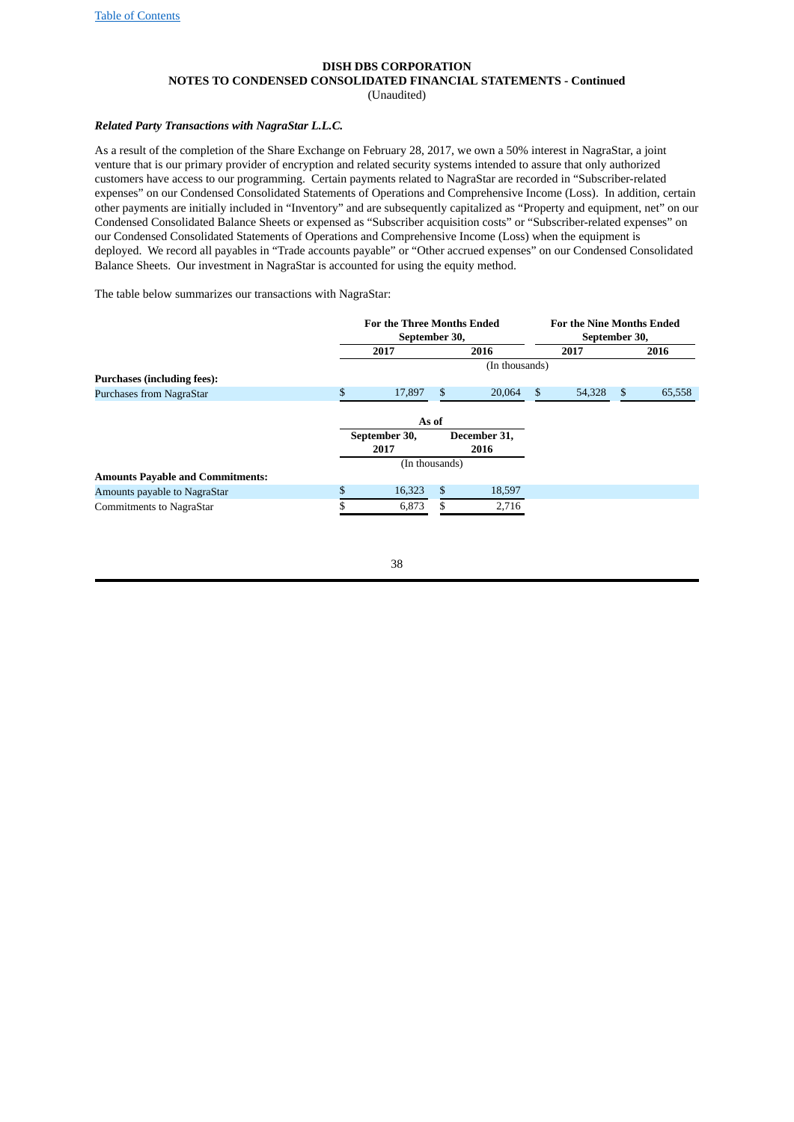(Unaudited)

#### *Related Party Transactions with NagraStar L.L.C.*

As a result of the completion of the Share Exchange on February 28, 2017, we own a 50% interest in NagraStar, a joint venture that is our primary provider of encryption and related security systems intended to assure that only authorized customers have access to our programming. Certain payments related to NagraStar are recorded in "Subscriber-related expenses" on our Condensed Consolidated Statements of Operations and Comprehensive Income (Loss). In addition, certain other payments are initially included in "Inventory" and are subsequently capitalized as "Property and equipment, net" on our Condensed Consolidated Balance Sheets or expensed as "Subscriber acquisition costs" or "Subscriber-related expenses" on our Condensed Consolidated Statements of Operations and Comprehensive Income (Loss) when the equipment is deployed. We record all payables in "Trade accounts payable" or "Other accrued expenses" on our Condensed Consolidated Balance Sheets. Our investment in NagraStar is accounted for using the equity method.

The table below summarizes our transactions with NagraStar:

|                                         |     | <b>For the Three Months Ended</b><br>September 30, |                | <b>For the Nine Months Ended</b><br>September 30, |    |        |    |        |  |  |
|-----------------------------------------|-----|----------------------------------------------------|----------------|---------------------------------------------------|----|--------|----|--------|--|--|
|                                         |     | 2017                                               |                | 2016                                              |    | 2017   |    | 2016   |  |  |
|                                         |     |                                                    |                | (In thousands)                                    |    |        |    |        |  |  |
| <b>Purchases (including fees):</b>      |     |                                                    |                |                                                   |    |        |    |        |  |  |
| Purchases from NagraStar                | \$  | 17,897                                             | S              | 20,064                                            | S. | 54,328 | \$ | 65,558 |  |  |
|                                         |     |                                                    |                |                                                   |    |        |    |        |  |  |
|                                         |     | As of                                              |                |                                                   |    |        |    |        |  |  |
|                                         |     | September 30,                                      |                | December 31,                                      |    |        |    |        |  |  |
|                                         |     | 2017                                               |                | 2016                                              |    |        |    |        |  |  |
|                                         |     |                                                    | (In thousands) |                                                   |    |        |    |        |  |  |
| <b>Amounts Payable and Commitments:</b> |     |                                                    |                |                                                   |    |        |    |        |  |  |
| Amounts payable to NagraStar            | \$. | 16,323                                             | \$             | 18,597                                            |    |        |    |        |  |  |
| Commitments to NagraStar                |     | 6,873                                              |                | 2,716                                             |    |        |    |        |  |  |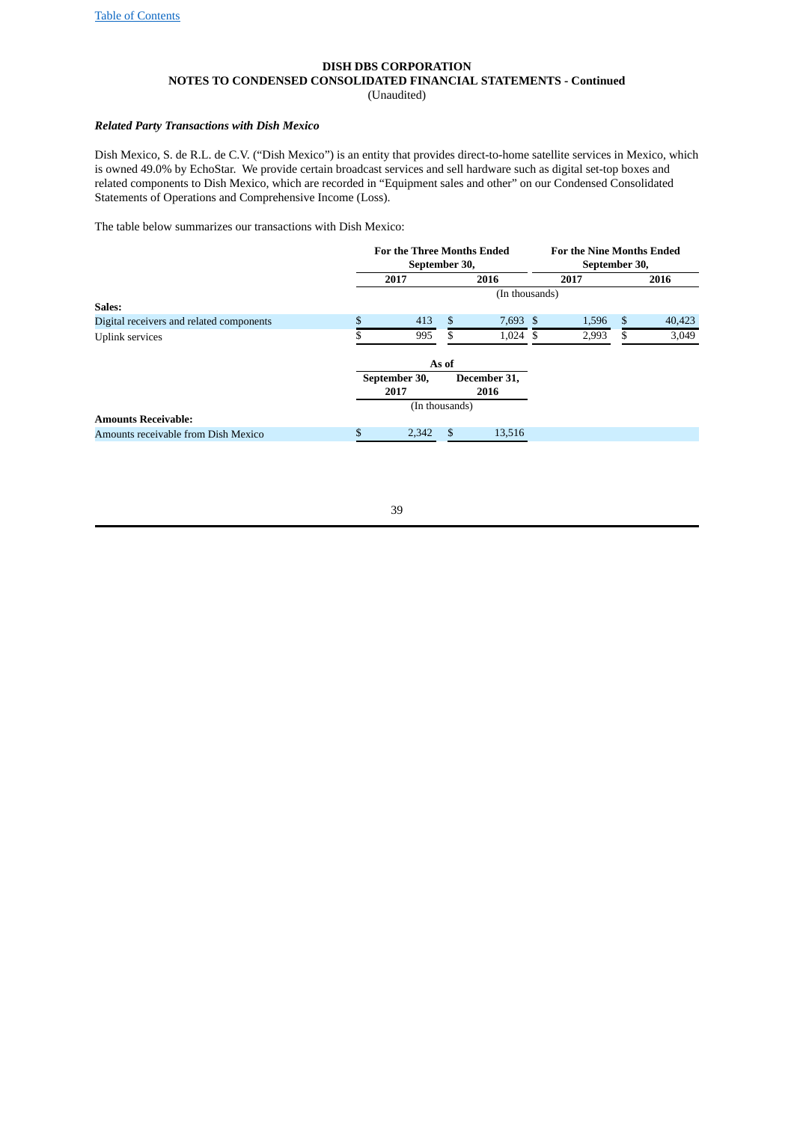(Unaudited)

# *Related Party Transactions with Dish Mexico*

Dish Mexico, S. de R.L. de C.V. ("Dish Mexico") is an entity that provides direct-to-home satellite services in Mexico, which is owned 49.0% by EchoStar. We provide certain broadcast services and sell hardware such as digital set-top boxes and related components to Dish Mexico, which are recorded in "Equipment sales and other" on our Condensed Consolidated Statements of Operations and Comprehensive Income (Loss).

The table below summarizes our transactions with Dish Mexico:

|                                          | For the Three Months Ended<br>September 30, |                |                |  |       | <b>For the Nine Months Ended</b><br>September 30, |        |  |  |  |
|------------------------------------------|---------------------------------------------|----------------|----------------|--|-------|---------------------------------------------------|--------|--|--|--|
|                                          | 2017                                        |                | 2016           |  | 2017  |                                                   | 2016   |  |  |  |
|                                          |                                             |                | (In thousands) |  |       |                                                   |        |  |  |  |
| Sales:                                   |                                             |                |                |  |       |                                                   |        |  |  |  |
| Digital receivers and related components | \$<br>413                                   | \$             | $7,693$ \$     |  | 1,596 | \$                                                | 40,423 |  |  |  |
| Uplink services                          | 995                                         | S              | $1,024$ \$     |  | 2,993 | s                                                 | 3,049  |  |  |  |
|                                          |                                             | As of          |                |  |       |                                                   |        |  |  |  |
|                                          | September 30,                               |                | December 31,   |  |       |                                                   |        |  |  |  |
|                                          | 2017                                        |                | 2016           |  |       |                                                   |        |  |  |  |
|                                          |                                             | (In thousands) |                |  |       |                                                   |        |  |  |  |
| <b>Amounts Receivable:</b>               |                                             |                |                |  |       |                                                   |        |  |  |  |
| Amounts receivable from Dish Mexico      | \$<br>2,342                                 | \$             | 13,516         |  |       |                                                   |        |  |  |  |

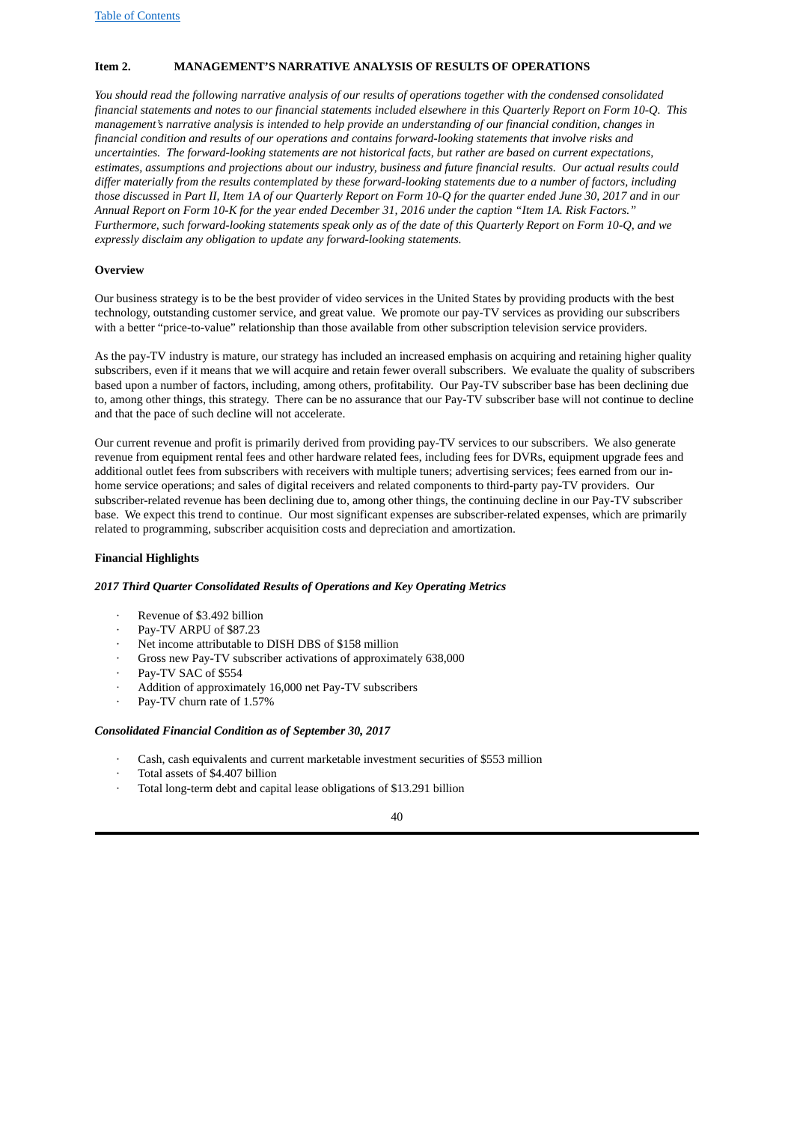<span id="page-45-0"></span>You should read the following narrative analysis of our results of operations together with the condensed consolidated financial statements and notes to our financial statements included elsewhere in this Quarterly Report on Form 10-O. This management's narrative analysis is intended to help provide an understanding of our financial condition, changes in *financial condition and results of our operations and contains forward-looking statements that involve risks and uncertainties. The forward-looking statements are not historical facts, but rather are based on current expectations,* estimates, assumptions and projections about our industry, business and future financial results. Our actual results could differ materially from the results contemplated by these forward-looking statements due to a number of factors, including those discussed in Part II, Item 1A of our Quarterly Report on Form 10-Q for the quarter ended June 30, 2017 and in our Annual Report on Form 10-K for the year ended December 31, 2016 under the caption "Item 1A. Risk Factors." Furthermore, such forward-looking statements speak only as of the date of this Quarterly Report on Form 10-Q, and we *expressly disclaim any obligation to update any forward-looking statements.*

#### **Overview**

Our business strategy is to be the best provider of video services in the United States by providing products with the best technology, outstanding customer service, and great value. We promote our pay-TV services as providing our subscribers with a better "price-to-value" relationship than those available from other subscription television service providers.

As the pay-TV industry is mature, our strategy has included an increased emphasis on acquiring and retaining higher quality subscribers, even if it means that we will acquire and retain fewer overall subscribers. We evaluate the quality of subscribers based upon a number of factors, including, among others, profitability. Our Pay-TV subscriber base has been declining due to, among other things, this strategy. There can be no assurance that our Pay-TV subscriber base will not continue to decline and that the pace of such decline will not accelerate.

Our current revenue and profit is primarily derived from providing pay-TV services to our subscribers. We also generate revenue from equipment rental fees and other hardware related fees, including fees for DVRs, equipment upgrade fees and additional outlet fees from subscribers with receivers with multiple tuners; advertising services; fees earned from our inhome service operations; and sales of digital receivers and related components to third-party pay-TV providers. Our subscriber-related revenue has been declining due to, among other things, the continuing decline in our Pay-TV subscriber base. We expect this trend to continue. Our most significant expenses are subscriber-related expenses, which are primarily related to programming, subscriber acquisition costs and depreciation and amortization.

#### **Financial Highlights**

#### *2017 Third Quarter Consolidated Results of Operations and Key Operating Metrics*

- Revenue of \$3.492 billion
- Pay-TV ARPU of \$87.23
- Net income attributable to DISH DBS of \$158 million
- · Gross new Pay-TV subscriber activations of approximately 638,000
- Pay-TV SAC of \$554
- Addition of approximately 16,000 net Pay-TV subscribers
- Pay-TV churn rate of 1.57%

#### *Consolidated Financial Condition as of September 30, 2017*

- · Cash, cash equivalents and current marketable investment securities of \$553 million
- Total assets of \$4.407 billion
- · Total long-term debt and capital lease obligations of \$13.291 billion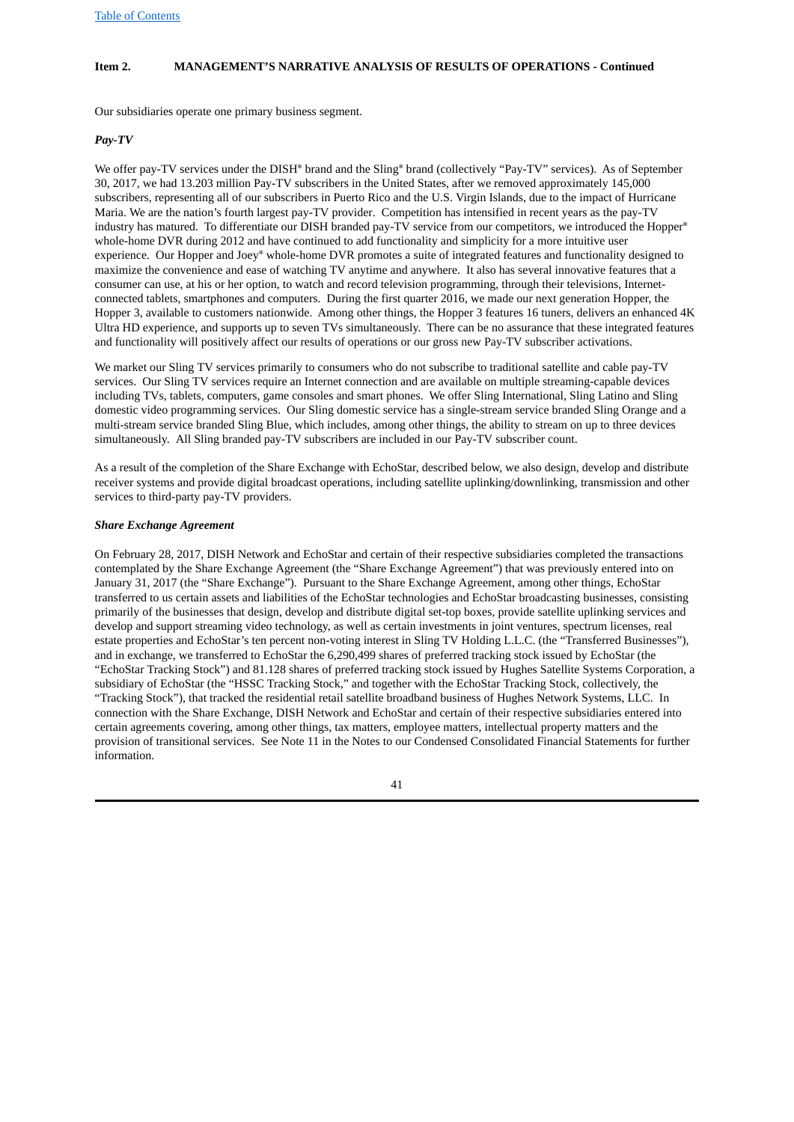Our subsidiaries operate one primary business segment.

## *Pay-TV*

We offer pay-TV services under the DISH<sup>®</sup> brand and the Sling<sup>®</sup> brand (collectively "Pay-TV" services). As of September 30, 2017, we had 13.203 million Pay-TV subscribers in the United States, after we removed approximately 145,000 subscribers, representing all of our subscribers in Puerto Rico and the U.S. Virgin Islands, due to the impact of Hurricane Maria. We are the nation's fourth largest pay-TV provider. Competition has intensified in recent years as the pay-TV industry has matured. To differentiate our DISH branded pay-TV service from our competitors, we introduced the Hopper **®** whole-home DVR during 2012 and have continued to add functionality and simplicity for a more intuitive user experience. Our Hopper and Joey® whole-home DVR promotes a suite of integrated features and functionality designed to maximize the convenience and ease of watching TV anytime and anywhere. It also has several innovative features that a consumer can use, at his or her option, to watch and record television programming, through their televisions, Internetconnected tablets, smartphones and computers. During the first quarter 2016, we made our next generation Hopper, the Hopper 3, available to customers nationwide. Among other things, the Hopper 3 features 16 tuners, delivers an enhanced 4K Ultra HD experience, and supports up to seven TVs simultaneously. There can be no assurance that these integrated features and functionality will positively affect our results of operations or our gross new Pay-TV subscriber activations.

We market our Sling TV services primarily to consumers who do not subscribe to traditional satellite and cable pay-TV services. Our Sling TV services require an Internet connection and are available on multiple streaming-capable devices including TVs, tablets, computers, game consoles and smart phones. We offer Sling International, Sling Latino and Sling domestic video programming services. Our Sling domestic service has a single-stream service branded Sling Orange and a multi-stream service branded Sling Blue, which includes, among other things, the ability to stream on up to three devices simultaneously. All Sling branded pay-TV subscribers are included in our Pay-TV subscriber count.

As a result of the completion of the Share Exchange with EchoStar, described below, we also design, develop and distribute receiver systems and provide digital broadcast operations, including satellite uplinking/downlinking, transmission and other services to third-party pay-TV providers.

#### *Share Exchange Agreement*

On February 28, 2017, DISH Network and EchoStar and certain of their respective subsidiaries completed the transactions contemplated by the Share Exchange Agreement (the "Share Exchange Agreement") that was previously entered into on January 31, 2017 (the "Share Exchange"). Pursuant to the Share Exchange Agreement, among other things, EchoStar transferred to us certain assets and liabilities of the EchoStar technologies and EchoStar broadcasting businesses, consisting primarily of the businesses that design, develop and distribute digital set-top boxes, provide satellite uplinking services and develop and support streaming video technology, as well as certain investments in joint ventures, spectrum licenses, real estate properties and EchoStar's ten percent non-voting interest in Sling TV Holding L.L.C. (the "Transferred Businesses"), and in exchange, we transferred to EchoStar the 6,290,499 shares of preferred tracking stock issued by EchoStar (the "EchoStar Tracking Stock") and 81.128 shares of preferred tracking stock issued by Hughes Satellite Systems Corporation, a subsidiary of EchoStar (the "HSSC Tracking Stock," and together with the EchoStar Tracking Stock, collectively, the "Tracking Stock"), that tracked the residential retail satellite broadband business of Hughes Network Systems, LLC. In connection with the Share Exchange, DISH Network and EchoStar and certain of their respective subsidiaries entered into certain agreements covering, among other things, tax matters, employee matters, intellectual property matters and the provision of transitional services. See Note 11 in the Notes to our Condensed Consolidated Financial Statements for further information.

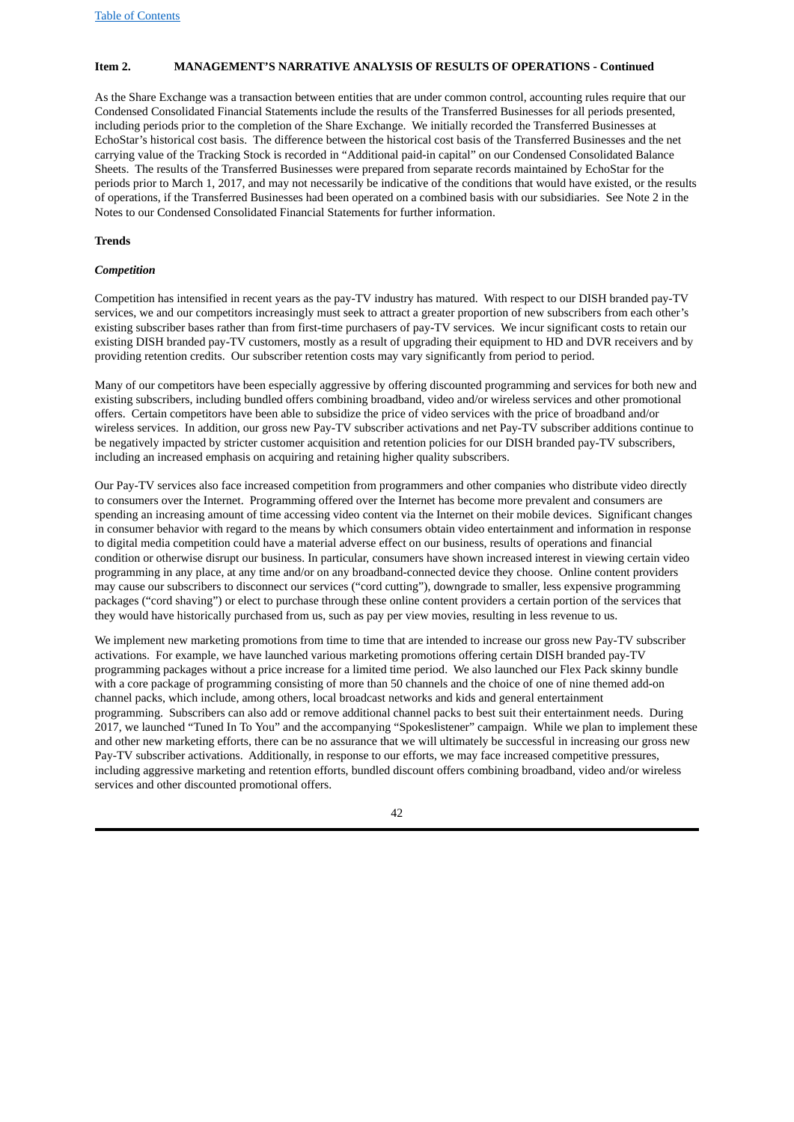As the Share Exchange was a transaction between entities that are under common control, accounting rules require that our Condensed Consolidated Financial Statements include the results of the Transferred Businesses for all periods presented, including periods prior to the completion of the Share Exchange. We initially recorded the Transferred Businesses at EchoStar's historical cost basis. The difference between the historical cost basis of the Transferred Businesses and the net carrying value of the Tracking Stock is recorded in "Additional paid-in capital" on our Condensed Consolidated Balance Sheets. The results of the Transferred Businesses were prepared from separate records maintained by EchoStar for the periods prior to March 1, 2017, and may not necessarily be indicative of the conditions that would have existed, or the results of operations, if the Transferred Businesses had been operated on a combined basis with our subsidiaries. See Note 2 in the Notes to our Condensed Consolidated Financial Statements for further information.

#### **Trends**

#### *Competition*

Competition has intensified in recent years as the pay-TV industry has matured. With respect to our DISH branded pay‑TV services, we and our competitors increasingly must seek to attract a greater proportion of new subscribers from each other's existing subscriber bases rather than from first-time purchasers of pay-TV services. We incur significant costs to retain our existing DISH branded pay-TV customers, mostly as a result of upgrading their equipment to HD and DVR receivers and by providing retention credits. Our subscriber retention costs may vary significantly from period to period.

Many of our competitors have been especially aggressive by offering discounted programming and services for both new and existing subscribers, including bundled offers combining broadband, video and/or wireless services and other promotional offers. Certain competitors have been able to subsidize the price of video services with the price of broadband and/or wireless services. In addition, our gross new Pay-TV subscriber activations and net Pay-TV subscriber additions continue to be negatively impacted by stricter customer acquisition and retention policies for our DISH branded pay-TV subscribers, including an increased emphasis on acquiring and retaining higher quality subscribers.

Our Pay-TV services also face increased competition from programmers and other companies who distribute video directly to consumers over the Internet. Programming offered over the Internet has become more prevalent and consumers are spending an increasing amount of time accessing video content via the Internet on their mobile devices. Significant changes in consumer behavior with regard to the means by which consumers obtain video entertainment and information in response to digital media competition could have a material adverse effect on our business, results of operations and financial condition or otherwise disrupt our business. In particular, consumers have shown increased interest in viewing certain video programming in any place, at any time and/or on any broadband-connected device they choose. Online content providers may cause our subscribers to disconnect our services ("cord cutting"), downgrade to smaller, less expensive programming packages ("cord shaving") or elect to purchase through these online content providers a certain portion of the services that they would have historically purchased from us, such as pay per view movies, resulting in less revenue to us.

We implement new marketing promotions from time to time that are intended to increase our gross new Pay-TV subscriber activations. For example, we have launched various marketing promotions offering certain DISH branded pay-TV programming packages without a price increase for a limited time period. We also launched our Flex Pack skinny bundle with a core package of programming consisting of more than 50 channels and the choice of one of nine themed add-on channel packs, which include, among others, local broadcast networks and kids and general entertainment programming. Subscribers can also add or remove additional channel packs to best suit their entertainment needs. During 2017, we launched "Tuned In To You" and the accompanying "Spokeslistener" campaign. While we plan to implement these and other new marketing efforts, there can be no assurance that we will ultimately be successful in increasing our gross new Pay-TV subscriber activations. Additionally, in response to our efforts, we may face increased competitive pressures, including aggressive marketing and retention efforts, bundled discount offers combining broadband, video and/or wireless services and other discounted promotional offers.

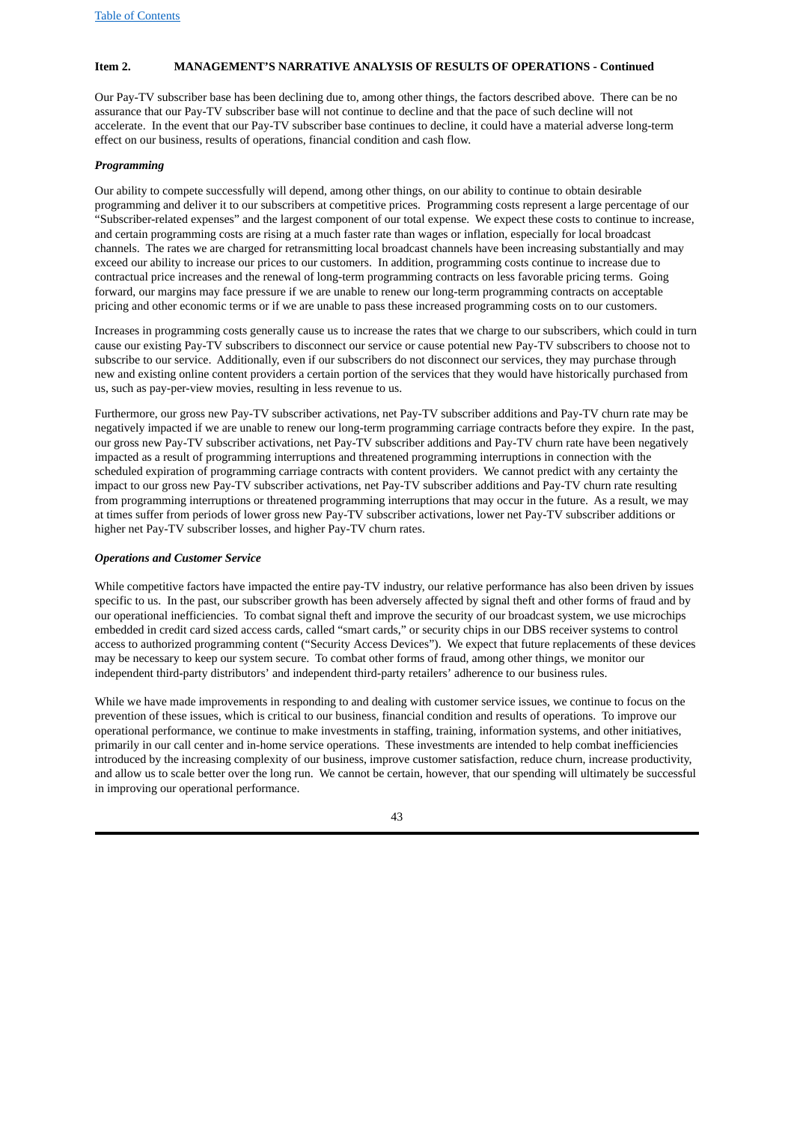Our Pay-TV subscriber base has been declining due to, among other things, the factors described above. There can be no assurance that our Pay-TV subscriber base will not continue to decline and that the pace of such decline will not accelerate. In the event that our Pay-TV subscriber base continues to decline, it could have a material adverse long-term effect on our business, results of operations, financial condition and cash flow.

## *Programming*

Our ability to compete successfully will depend, among other things, on our ability to continue to obtain desirable programming and deliver it to our subscribers at competitive prices. Programming costs represent a large percentage of our "Subscriber-related expenses" and the largest component of our total expense. We expect these costs to continue to increase, and certain programming costs are rising at a much faster rate than wages or inflation, especially for local broadcast channels. The rates we are charged for retransmitting local broadcast channels have been increasing substantially and may exceed our ability to increase our prices to our customers. In addition, programming costs continue to increase due to contractual price increases and the renewal of long-term programming contracts on less favorable pricing terms. Going forward, our margins may face pressure if we are unable to renew our long-term programming contracts on acceptable pricing and other economic terms or if we are unable to pass these increased programming costs on to our customers.

Increases in programming costs generally cause us to increase the rates that we charge to our subscribers, which could in turn cause our existing Pay-TV subscribers to disconnect our service or cause potential new Pay-TV subscribers to choose not to subscribe to our service. Additionally, even if our subscribers do not disconnect our services, they may purchase through new and existing online content providers a certain portion of the services that they would have historically purchased from us, such as pay-per-view movies, resulting in less revenue to us.

Furthermore, our gross new Pay-TV subscriber activations, net Pay-TV subscriber additions and Pay-TV churn rate may be negatively impacted if we are unable to renew our long-term programming carriage contracts before they expire. In the past, our gross new Pay-TV subscriber activations, net Pay-TV subscriber additions and Pay-TV churn rate have been negatively impacted as a result of programming interruptions and threatened programming interruptions in connection with the scheduled expiration of programming carriage contracts with content providers. We cannot predict with any certainty the impact to our gross new Pay-TV subscriber activations, net Pay-TV subscriber additions and Pay-TV churn rate resulting from programming interruptions or threatened programming interruptions that may occur in the future. As a result, we may at times suffer from periods of lower gross new Pay-TV subscriber activations, lower net Pay-TV subscriber additions or higher net Pay-TV subscriber losses, and higher Pay-TV churn rates.

#### *Operations and Customer Service*

While competitive factors have impacted the entire pay-TV industry, our relative performance has also been driven by issues specific to us. In the past, our subscriber growth has been adversely affected by signal theft and other forms of fraud and by our operational inefficiencies. To combat signal theft and improve the security of our broadcast system, we use microchips embedded in credit card sized access cards, called "smart cards," or security chips in our DBS receiver systems to control access to authorized programming content ("Security Access Devices"). We expect that future replacements of these devices may be necessary to keep our system secure. To combat other forms of fraud, among other things, we monitor our independent third-party distributors' and independent third-party retailers' adherence to our business rules.

While we have made improvements in responding to and dealing with customer service issues, we continue to focus on the prevention of these issues, which is critical to our business, financial condition and results of operations. To improve our operational performance, we continue to make investments in staffing, training, information systems, and other initiatives, primarily in our call center and in-home service operations. These investments are intended to help combat inefficiencies introduced by the increasing complexity of our business, improve customer satisfaction, reduce churn, increase productivity, and allow us to scale better over the long run. We cannot be certain, however, that our spending will ultimately be successful in improving our operational performance.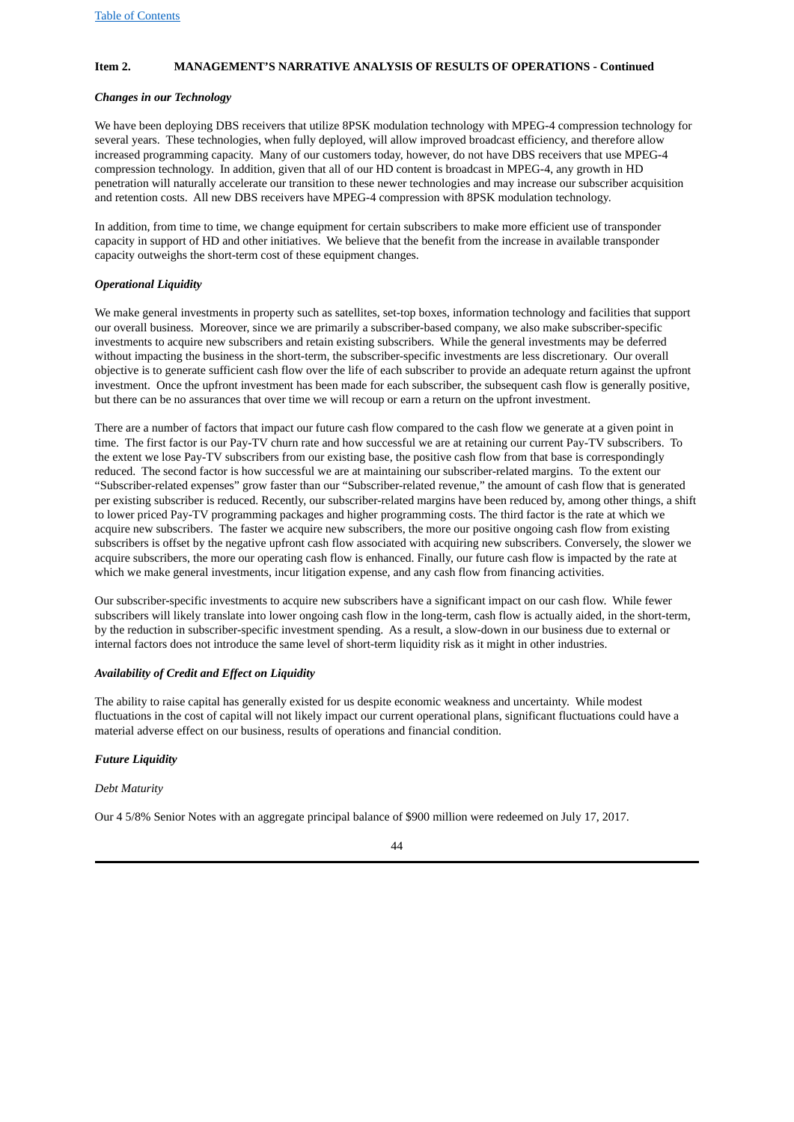#### *Changes in our Technology*

We have been deploying DBS receivers that utilize 8PSK modulation technology with MPEG-4 compression technology for several years. These technologies, when fully deployed, will allow improved broadcast efficiency, and therefore allow increased programming capacity. Many of our customers today, however, do not have DBS receivers that use MPEG-4 compression technology. In addition, given that all of our HD content is broadcast in MPEG-4, any growth in HD penetration will naturally accelerate our transition to these newer technologies and may increase our subscriber acquisition and retention costs. All new DBS receivers have MPEG-4 compression with 8PSK modulation technology.

In addition, from time to time, we change equipment for certain subscribers to make more efficient use of transponder capacity in support of HD and other initiatives. We believe that the benefit from the increase in available transponder capacity outweighs the short-term cost of these equipment changes.

#### *Operational Liquidity*

We make general investments in property such as satellites, set-top boxes, information technology and facilities that support our overall business. Moreover, since we are primarily a subscriber-based company, we also make subscriber-specific investments to acquire new subscribers and retain existing subscribers. While the general investments may be deferred without impacting the business in the short-term, the subscriber-specific investments are less discretionary. Our overall objective is to generate sufficient cash flow over the life of each subscriber to provide an adequate return against the upfront investment. Once the upfront investment has been made for each subscriber, the subsequent cash flow is generally positive, but there can be no assurances that over time we will recoup or earn a return on the upfront investment.

There are a number of factors that impact our future cash flow compared to the cash flow we generate at a given point in time. The first factor is our Pay-TV churn rate and how successful we are at retaining our current Pay-TV subscribers. To the extent we lose Pay-TV subscribers from our existing base, the positive cash flow from that base is correspondingly reduced. The second factor is how successful we are at maintaining our subscriber-related margins. To the extent our "Subscriber-related expenses" grow faster than our "Subscriber-related revenue," the amount of cash flow that is generated per existing subscriber is reduced. Recently, our subscriber-related margins have been reduced by, among other things, a shift to lower priced Pay-TV programming packages and higher programming costs. The third factor is the rate at which we acquire new subscribers. The faster we acquire new subscribers, the more our positive ongoing cash flow from existing subscribers is offset by the negative upfront cash flow associated with acquiring new subscribers. Conversely, the slower we acquire subscribers, the more our operating cash flow is enhanced. Finally, our future cash flow is impacted by the rate at which we make general investments, incur litigation expense, and any cash flow from financing activities.

Our subscriber-specific investments to acquire new subscribers have a significant impact on our cash flow. While fewer subscribers will likely translate into lower ongoing cash flow in the long-term, cash flow is actually aided, in the short-term, by the reduction in subscriber-specific investment spending. As a result, a slow-down in our business due to external or internal factors does not introduce the same level of short-term liquidity risk as it might in other industries.

# *Availability of Credit and Effect on Liquidity*

The ability to raise capital has generally existed for us despite economic weakness and uncertainty. While modest fluctuations in the cost of capital will not likely impact our current operational plans, significant fluctuations could have a material adverse effect on our business, results of operations and financial condition.

#### *Future Liquidity*

*Debt Maturity*

Our 4 5/8% Senior Notes with an aggregate principal balance of \$900 million were redeemed on July 17, 2017.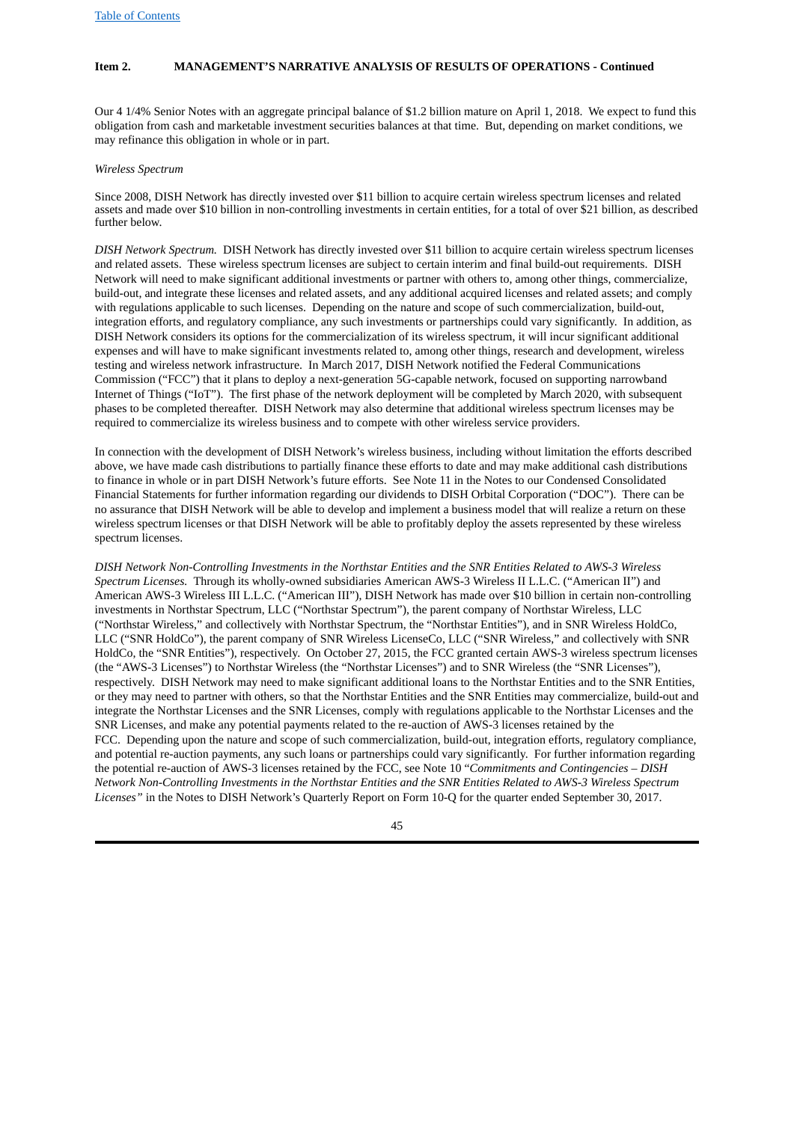Our 4 1/4% Senior Notes with an aggregate principal balance of \$1.2 billion mature on April 1, 2018. We expect to fund this obligation from cash and marketable investment securities balances at that time. But, depending on market conditions, we may refinance this obligation in whole or in part.

#### *Wireless Spectrum*

Since 2008, DISH Network has directly invested over \$11 billion to acquire certain wireless spectrum licenses and related assets and made over \$10 billion in non-controlling investments in certain entities, for a total of over \$21 billion, as described further below.

*DISH Network Spectrum.* DISH Network has directly invested over \$11 billion to acquire certain wireless spectrum licenses and related assets. These wireless spectrum licenses are subject to certain interim and final build-out requirements. DISH Network will need to make significant additional investments or partner with others to, among other things, commercialize, build-out, and integrate these licenses and related assets, and any additional acquired licenses and related assets; and comply with regulations applicable to such licenses. Depending on the nature and scope of such commercialization, build-out, integration efforts, and regulatory compliance, any such investments or partnerships could vary significantly. In addition, as DISH Network considers its options for the commercialization of its wireless spectrum, it will incur significant additional expenses and will have to make significant investments related to, among other things, research and development, wireless testing and wireless network infrastructure. In March 2017, DISH Network notified the Federal Communications Commission ("FCC") that it plans to deploy a next-generation 5G-capable network, focused on supporting narrowband Internet of Things ("IoT"). The first phase of the network deployment will be completed by March 2020, with subsequent phases to be completed thereafter. DISH Network may also determine that additional wireless spectrum licenses may be required to commercialize its wireless business and to compete with other wireless service providers.

In connection with the development of DISH Network's wireless business, including without limitation the efforts described above, we have made cash distributions to partially finance these efforts to date and may make additional cash distributions to finance in whole or in part DISH Network's future efforts. See Note 11 in the Notes to our Condensed Consolidated Financial Statements for further information regarding our dividends to DISH Orbital Corporation ("DOC"). There can be no assurance that DISH Network will be able to develop and implement a business model that will realize a return on these wireless spectrum licenses or that DISH Network will be able to profitably deploy the assets represented by these wireless spectrum licenses.

DISH Network Non-Controlling Investments in the Northstar Entities and the SNR Entities Related to AWS-3 Wireless *Spectrum Licenses.* Through its wholly-owned subsidiaries American AWS-3 Wireless II L.L.C. ("American II") and American AWS-3 Wireless III L.L.C. ("American III"), DISH Network has made over \$10 billion in certain non-controlling investments in Northstar Spectrum, LLC ("Northstar Spectrum"), the parent company of Northstar Wireless, LLC ("Northstar Wireless," and collectively with Northstar Spectrum, the "Northstar Entities"), and in SNR Wireless HoldCo, LLC ("SNR HoldCo"), the parent company of SNR Wireless LicenseCo, LLC ("SNR Wireless," and collectively with SNR HoldCo, the "SNR Entities"), respectively. On October 27, 2015, the FCC granted certain AWS-3 wireless spectrum licenses (the "AWS-3 Licenses") to Northstar Wireless (the "Northstar Licenses") and to SNR Wireless (the "SNR Licenses"), respectively. DISH Network may need to make significant additional loans to the Northstar Entities and to the SNR Entities, or they may need to partner with others, so that the Northstar Entities and the SNR Entities may commercialize, build-out and integrate the Northstar Licenses and the SNR Licenses, comply with regulations applicable to the Northstar Licenses and the SNR Licenses, and make any potential payments related to the re-auction of AWS-3 licenses retained by the FCC. Depending upon the nature and scope of such commercialization, build-out, integration efforts, regulatory compliance, and potential re-auction payments, any such loans or partnerships could vary significantly. For further information regarding the potential re-auction of AWS-3 licenses retained by the FCC, see Note 10 "*Commitments and Contingencies – DISH* Network Non-Controlling Investments in the Northstar Entities and the SNR Entities Related to AWS-3 Wireless Spectrum *Licenses"* in the Notes to DISH Network's Quarterly Report on Form 10-Q for the quarter ended September 30, 2017.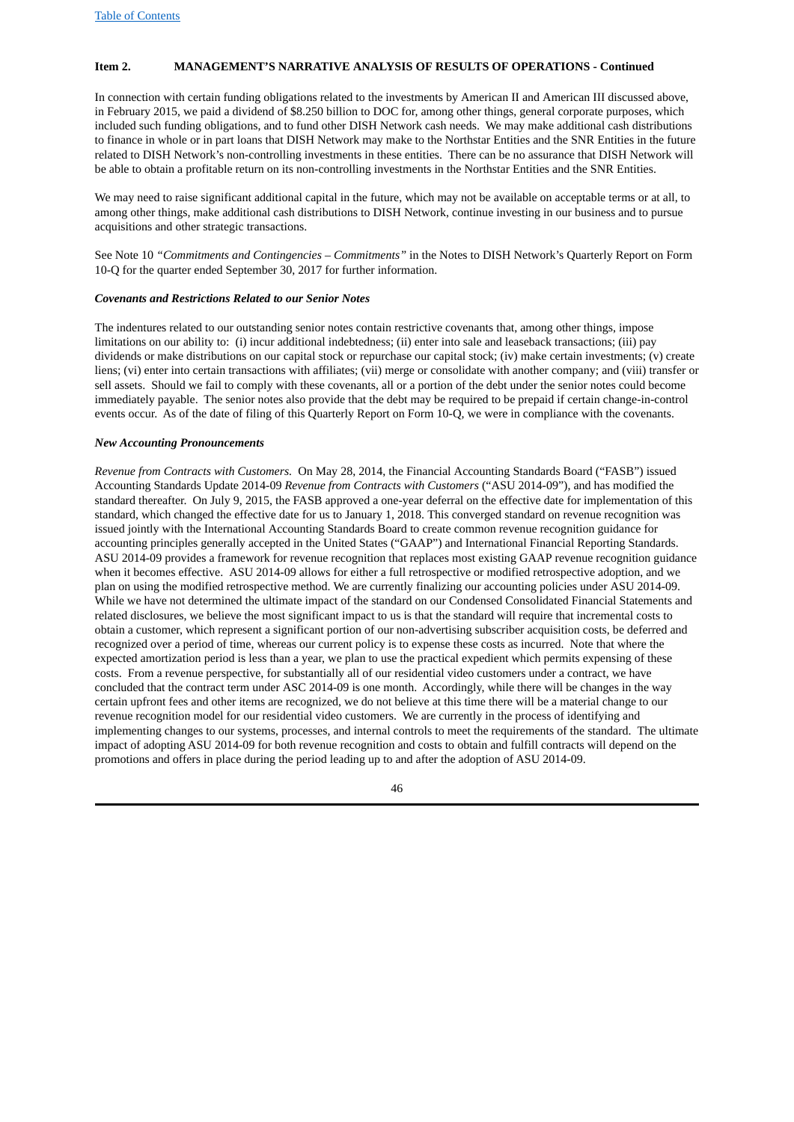In connection with certain funding obligations related to the investments by American II and American III discussed above, in February 2015, we paid a dividend of \$8.250 billion to DOC for, among other things, general corporate purposes, which included such funding obligations, and to fund other DISH Network cash needs. We may make additional cash distributions to finance in whole or in part loans that DISH Network may make to the Northstar Entities and the SNR Entities in the future related to DISH Network's non-controlling investments in these entities. There can be no assurance that DISH Network will be able to obtain a profitable return on its non-controlling investments in the Northstar Entities and the SNR Entities.

We may need to raise significant additional capital in the future, which may not be available on acceptable terms or at all, to among other things, make additional cash distributions to DISH Network, continue investing in our business and to pursue acquisitions and other strategic transactions.

See Note 10 *"Commitments and Contingencies – Commitments"* in the Notes to DISH Network's Quarterly Report on Form 10-Q for the quarter ended September 30, 2017 for further information.

#### *Covenants and Restrictions Related to our Senior Notes*

The indentures related to our outstanding senior notes contain restrictive covenants that, among other things, impose limitations on our ability to: (i) incur additional indebtedness; (ii) enter into sale and leaseback transactions; (iii) pay dividends or make distributions on our capital stock or repurchase our capital stock; (iv) make certain investments; (v) create liens; (vi) enter into certain transactions with affiliates; (vii) merge or consolidate with another company; and (viii) transfer or sell assets. Should we fail to comply with these covenants, all or a portion of the debt under the senior notes could become immediately payable. The senior notes also provide that the debt may be required to be prepaid if certain change-in-control events occur. As of the date of filing of this Quarterly Report on Form 10-Q, we were in compliance with the covenants.

## *New Accounting Pronouncements*

*Revenue from Contracts with Customers.* On May 28, 2014, the Financial Accounting Standards Board ("FASB") issued Accounting Standards Update 2014-09 *Revenue from Contracts with Customers* ("ASU 2014-09"), and has modified the standard thereafter. On July 9, 2015, the FASB approved a one-year deferral on the effective date for implementation of this standard, which changed the effective date for us to January 1, 2018. This converged standard on revenue recognition was issued jointly with the International Accounting Standards Board to create common revenue recognition guidance for accounting principles generally accepted in the United States ("GAAP") and International Financial Reporting Standards. ASU 2014-09 provides a framework for revenue recognition that replaces most existing GAAP revenue recognition guidance when it becomes effective. ASU 2014-09 allows for either a full retrospective or modified retrospective adoption, and we plan on using the modified retrospective method. We are currently finalizing our accounting policies under ASU 2014-09. While we have not determined the ultimate impact of the standard on our Condensed Consolidated Financial Statements and related disclosures, we believe the most significant impact to us is that the standard will require that incremental costs to obtain a customer, which represent a significant portion of our non-advertising subscriber acquisition costs, be deferred and recognized over a period of time, whereas our current policy is to expense these costs as incurred. Note that where the expected amortization period is less than a year, we plan to use the practical expedient which permits expensing of these costs. From a revenue perspective, for substantially all of our residential video customers under a contract, we have concluded that the contract term under ASC 2014-09 is one month. Accordingly, while there will be changes in the way certain upfront fees and other items are recognized, we do not believe at this time there will be a material change to our revenue recognition model for our residential video customers. We are currently in the process of identifying and implementing changes to our systems, processes, and internal controls to meet the requirements of the standard. The ultimate impact of adopting ASU 2014-09 for both revenue recognition and costs to obtain and fulfill contracts will depend on the promotions and offers in place during the period leading up to and after the adoption of ASU 2014-09.

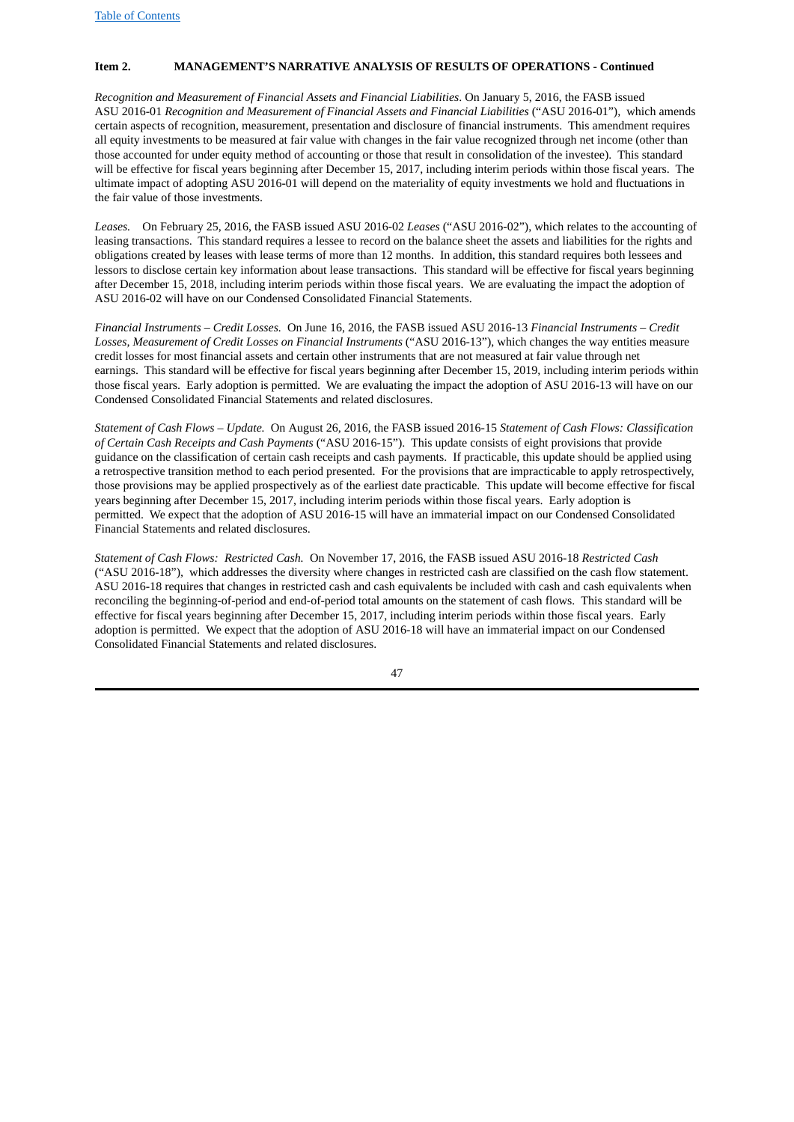*Recognition and Measurement of Financial Assets and Financial Liabilities*. On January 5, 2016, the FASB issued ASU 2016-01 *Recognition and Measurement of Financial Assets and Financial Liabilities* ("ASU 2016-01")*,* which amends certain aspects of recognition, measurement, presentation and disclosure of financial instruments. This amendment requires all equity investments to be measured at fair value with changes in the fair value recognized through net income (other than those accounted for under equity method of accounting or those that result in consolidation of the investee). This standard will be effective for fiscal years beginning after December 15, 2017, including interim periods within those fiscal years. The ultimate impact of adopting ASU 2016-01 will depend on the materiality of equity investments we hold and fluctuations in the fair value of those investments.

*Leases.* On February 25, 2016, the FASB issued ASU 2016-02 *Leases* ("ASU 2016-02"), which relates to the accounting of leasing transactions. This standard requires a lessee to record on the balance sheet the assets and liabilities for the rights and obligations created by leases with lease terms of more than 12 months. In addition, this standard requires both lessees and lessors to disclose certain key information about lease transactions. This standard will be effective for fiscal years beginning after December 15, 2018, including interim periods within those fiscal years. We are evaluating the impact the adoption of ASU 2016-02 will have on our Condensed Consolidated Financial Statements.

*Financial Instruments – Credit Losses.* On June 16, 2016, the FASB issued ASU 2016-13 *Financial Instruments – Credit Losses, Measurement of Credit Losses on Financial Instruments* ("ASU 2016-13"), which changes the way entities measure credit losses for most financial assets and certain other instruments that are not measured at fair value through net earnings. This standard will be effective for fiscal years beginning after December 15, 2019, including interim periods within those fiscal years. Early adoption is permitted. We are evaluating the impact the adoption of ASU 2016-13 will have on our Condensed Consolidated Financial Statements and related disclosures.

*Statement of Cash Flows – Update.* On August 26, 2016, the FASB issued 2016-15 *Statement of Cash Flows: Classification of Certain Cash Receipts and Cash Payments* ("ASU 2016-15"). This update consists of eight provisions that provide guidance on the classification of certain cash receipts and cash payments. If practicable, this update should be applied using a retrospective transition method to each period presented. For the provisions that are impracticable to apply retrospectively, those provisions may be applied prospectively as of the earliest date practicable. This update will become effective for fiscal years beginning after December 15, 2017, including interim periods within those fiscal years. Early adoption is permitted. We expect that the adoption of ASU 2016-15 will have an immaterial impact on our Condensed Consolidated Financial Statements and related disclosures.

*Statement of Cash Flows: Restricted Cash.* On November 17, 2016, the FASB issued ASU 2016-18 *Restricted Cash* ("ASU 2016-18")*,* which addresses the diversity where changes in restricted cash are classified on the cash flow statement. ASU 2016-18 requires that changes in restricted cash and cash equivalents be included with cash and cash equivalents when reconciling the beginning-of-period and end-of-period total amounts on the statement of cash flows. This standard will be effective for fiscal years beginning after December 15, 2017, including interim periods within those fiscal years. Early adoption is permitted. We expect that the adoption of ASU 2016-18 will have an immaterial impact on our Condensed Consolidated Financial Statements and related disclosures.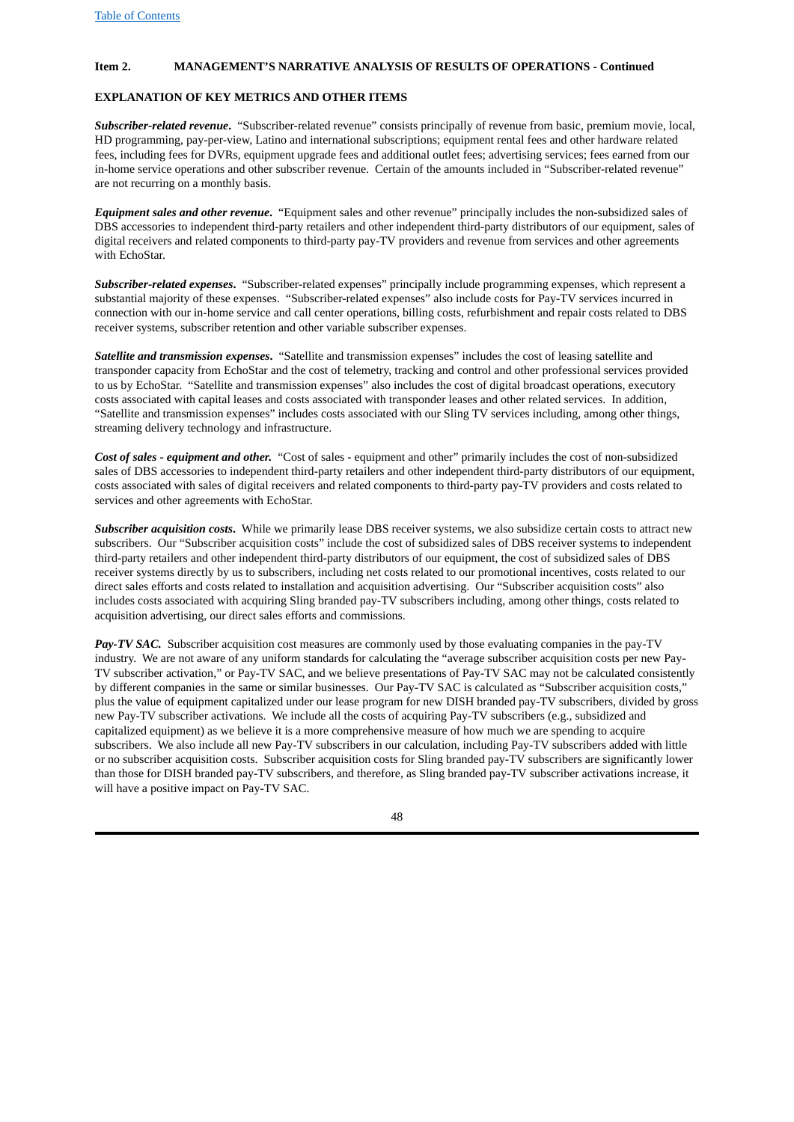#### **EXPLANATION OF KEY METRICS AND OTHER ITEMS**

*Subscriber-related revenue***.** "Subscriber-related revenue" consists principally of revenue from basic, premium movie, local, HD programming, pay-per-view, Latino and international subscriptions; equipment rental fees and other hardware related fees, including fees for DVRs, equipment upgrade fees and additional outlet fees; advertising services; fees earned from our in-home service operations and other subscriber revenue. Certain of the amounts included in "Subscriber-related revenue" are not recurring on a monthly basis.

*Equipment sales and other revenue***.** "Equipment sales and other revenue" principally includes the non-subsidized sales of DBS accessories to independent third-party retailers and other independent third-party distributors of our equipment, sales of digital receivers and related components to third-party pay-TV providers and revenue from services and other agreements with EchoStar.

*Subscriber-related expenses***.** "Subscriber-related expenses" principally include programming expenses, which represent a substantial majority of these expenses. "Subscriber-related expenses" also include costs for Pay-TV services incurred in connection with our in-home service and call center operations, billing costs, refurbishment and repair costs related to DBS receiver systems, subscriber retention and other variable subscriber expenses.

*Satellite and transmission expenses***.** "Satellite and transmission expenses" includes the cost of leasing satellite and transponder capacity from EchoStar and the cost of telemetry, tracking and control and other professional services provided to us by EchoStar. "Satellite and transmission expenses" also includes the cost of digital broadcast operations, executory costs associated with capital leases and costs associated with transponder leases and other related services. In addition, "Satellite and transmission expenses" includes costs associated with our Sling TV services including, among other things, streaming delivery technology and infrastructure.

*Cost of sales - equipment and other.* "Cost of sales - equipment and other" primarily includes the cost of non-subsidized sales of DBS accessories to independent third-party retailers and other independent third-party distributors of our equipment, costs associated with sales of digital receivers and related components to third-party pay-TV providers and costs related to services and other agreements with EchoStar.

*Subscriber acquisition costs***.** While we primarily lease DBS receiver systems, we also subsidize certain costs to attract new subscribers. Our "Subscriber acquisition costs" include the cost of subsidized sales of DBS receiver systems to independent third-party retailers and other independent third-party distributors of our equipment, the cost of subsidized sales of DBS receiver systems directly by us to subscribers, including net costs related to our promotional incentives, costs related to our direct sales efforts and costs related to installation and acquisition advertising. Our "Subscriber acquisition costs" also includes costs associated with acquiring Sling branded pay-TV subscribers including, among other things, costs related to acquisition advertising, our direct sales efforts and commissions.

*Pay-TV SAC.* Subscriber acquisition cost measures are commonly used by those evaluating companies in the pay-TV industry. We are not aware of any uniform standards for calculating the "average subscriber acquisition costs per new Pay-TV subscriber activation," or Pay-TV SAC, and we believe presentations of Pay-TV SAC may not be calculated consistently by different companies in the same or similar businesses. Our Pay-TV SAC is calculated as "Subscriber acquisition costs," plus the value of equipment capitalized under our lease program for new DISH branded pay-TV subscribers, divided by gross new Pay-TV subscriber activations. We include all the costs of acquiring Pay-TV subscribers (e.g., subsidized and capitalized equipment) as we believe it is a more comprehensive measure of how much we are spending to acquire subscribers. We also include all new Pay-TV subscribers in our calculation, including Pay-TV subscribers added with little or no subscriber acquisition costs. Subscriber acquisition costs for Sling branded pay-TV subscribers are significantly lower than those for DISH branded pay-TV subscribers, and therefore, as Sling branded pay-TV subscriber activations increase, it will have a positive impact on Pay-TV SAC.

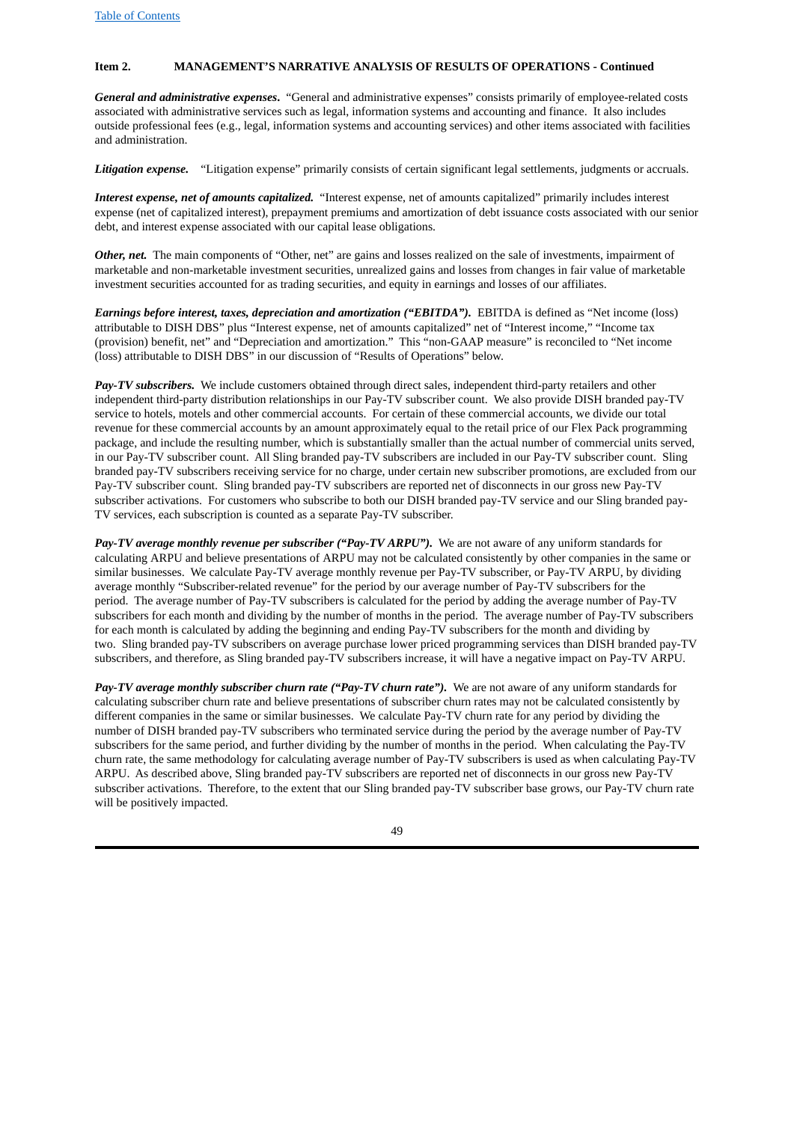*General and administrative expenses***.** "General and administrative expenses" consists primarily of employee-related costs associated with administrative services such as legal, information systems and accounting and finance. It also includes outside professional fees (e.g., legal, information systems and accounting services) and other items associated with facilities and administration.

*Litigation expense.* "Litigation expense" primarily consists of certain significant legal settlements, judgments or accruals.

*Interest expense, net of amounts capitalized.* "Interest expense, net of amounts capitalized" primarily includes interest expense (net of capitalized interest), prepayment premiums and amortization of debt issuance costs associated with our senior debt, and interest expense associated with our capital lease obligations.

*Other, net.* The main components of "Other, net" are gains and losses realized on the sale of investments, impairment of marketable and non-marketable investment securities, unrealized gains and losses from changes in fair value of marketable investment securities accounted for as trading securities, and equity in earnings and losses of our affiliates.

*Earnings before interest, taxes, depreciation and amortization ("EBITDA").* EBITDA is defined as "Net income (loss) attributable to DISH DBS" plus "Interest expense, net of amounts capitalized" net of "Interest income," "Income tax (provision) benefit, net" and "Depreciation and amortization." This "non-GAAP measure" is reconciled to "Net income (loss) attributable to DISH DBS" in our discussion of "Results of Operations" below.

*Pay-TV subscribers.* We include customers obtained through direct sales, independent third-party retailers and other independent third-party distribution relationships in our Pay-TV subscriber count. We also provide DISH branded pay-TV service to hotels, motels and other commercial accounts. For certain of these commercial accounts, we divide our total revenue for these commercial accounts by an amount approximately equal to the retail price of our Flex Pack programming package, and include the resulting number, which is substantially smaller than the actual number of commercial units served, in our Pay-TV subscriber count. All Sling branded pay-TV subscribers are included in our Pay-TV subscriber count. Sling branded pay-TV subscribers receiving service for no charge, under certain new subscriber promotions, are excluded from our Pay-TV subscriber count. Sling branded pay-TV subscribers are reported net of disconnects in our gross new Pay-TV subscriber activations. For customers who subscribe to both our DISH branded pay-TV service and our Sling branded pay-TV services, each subscription is counted as a separate Pay-TV subscriber.

*Pay-TV average monthly revenue per subscriber ("Pay-TV ARPU").* We are not aware of any uniform standards for calculating ARPU and believe presentations of ARPU may not be calculated consistently by other companies in the same or similar businesses. We calculate Pay-TV average monthly revenue per Pay-TV subscriber, or Pay-TV ARPU, by dividing average monthly "Subscriber-related revenue" for the period by our average number of Pay-TV subscribers for the period. The average number of Pay-TV subscribers is calculated for the period by adding the average number of Pay-TV subscribers for each month and dividing by the number of months in the period. The average number of Pay-TV subscribers for each month is calculated by adding the beginning and ending Pay-TV subscribers for the month and dividing by two. Sling branded pay-TV subscribers on average purchase lower priced programming services than DISH branded pay-TV subscribers, and therefore, as Sling branded pay-TV subscribers increase, it will have a negative impact on Pay-TV ARPU.

*Pay-TV average monthly subscriber churn rate ("Pay-TV churn rate").* We are not aware of any uniform standards for calculating subscriber churn rate and believe presentations of subscriber churn rates may not be calculated consistently by different companies in the same or similar businesses. We calculate Pay-TV churn rate for any period by dividing the number of DISH branded pay-TV subscribers who terminated service during the period by the average number of Pay-TV subscribers for the same period, and further dividing by the number of months in the period. When calculating the Pay-TV churn rate, the same methodology for calculating average number of Pay-TV subscribers is used as when calculating Pay-TV ARPU. As described above, Sling branded pay-TV subscribers are reported net of disconnects in our gross new Pay-TV subscriber activations. Therefore, to the extent that our Sling branded pay-TV subscriber base grows, our Pay-TV churn rate will be positively impacted.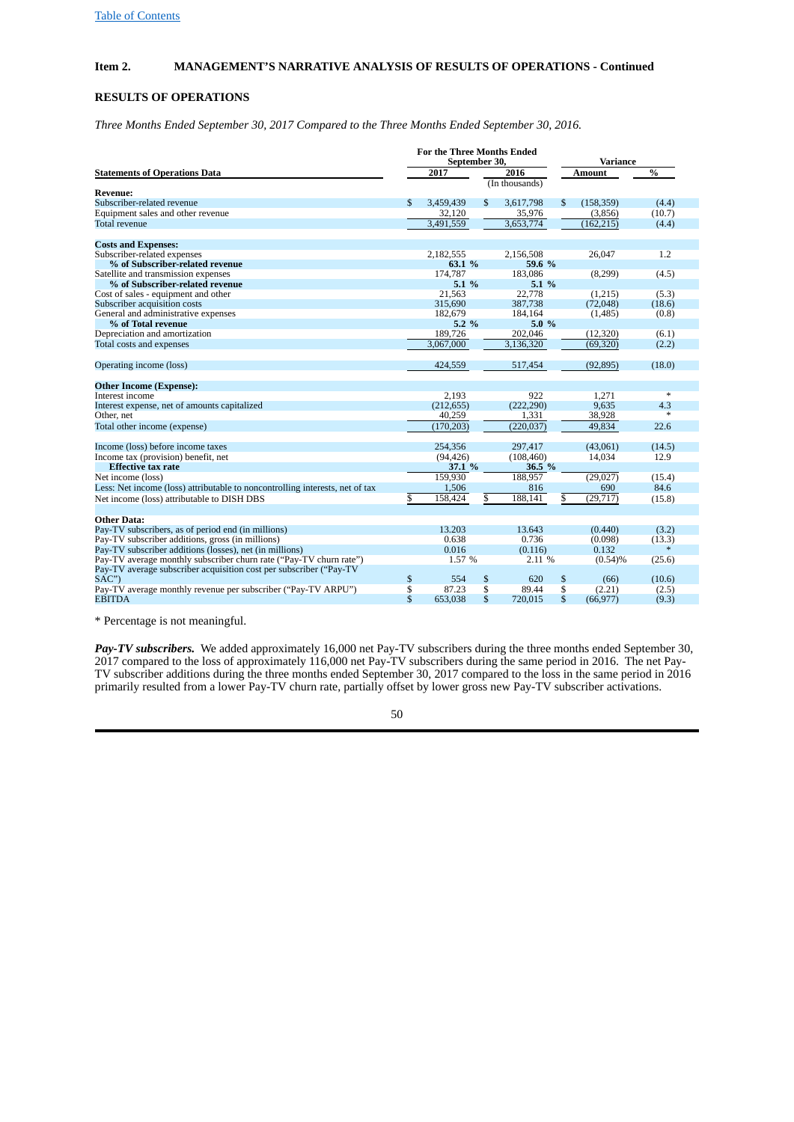# **RESULTS OF OPERATIONS**

*Three Months Ended September 30, 2017 Compared to the Three Months Ended September 30, 2016.*

|                                                                              |               | <b>For the Three Months Ended</b><br>September 30, |                         |                | <b>Variance</b>         |               |               |  |
|------------------------------------------------------------------------------|---------------|----------------------------------------------------|-------------------------|----------------|-------------------------|---------------|---------------|--|
| <b>Statements of Operations Data</b>                                         |               | 2017                                               |                         | 2016           |                         | <b>Amount</b> | $\frac{0}{2}$ |  |
|                                                                              |               |                                                    |                         | (In thousands) |                         |               |               |  |
| <b>Revenue:</b>                                                              |               |                                                    |                         |                |                         |               |               |  |
| Subscriber-related revenue                                                   | \$            | 3,459,439                                          | \$                      | 3,617,798      | \$                      | (158, 359)    | (4.4)         |  |
| Equipment sales and other revenue                                            |               | 32,120                                             |                         | 35,976         |                         | (3,856)       | (10.7)        |  |
| <b>Total revenue</b>                                                         |               | 3.491.559                                          |                         | 3.653.774      |                         | (162.215)     | (4.4)         |  |
| <b>Costs and Expenses:</b>                                                   |               |                                                    |                         |                |                         |               |               |  |
| Subscriber-related expenses                                                  |               | 2,182,555                                          |                         | 2,156,508      |                         | 26.047        | 1.2           |  |
| % of Subscriber-related revenue                                              |               | 63.1 %                                             |                         | 59.6 %         |                         |               |               |  |
| Satellite and transmission expenses                                          |               | 174,787                                            |                         | 183,086        |                         | (8,299)       | (4.5)         |  |
| % of Subscriber-related revenue                                              |               | 5.1 %                                              |                         | 5.1 %          |                         |               |               |  |
| Cost of sales - equipment and other                                          |               | 21,563                                             |                         | 22,778         |                         | (1,215)       | (5.3)         |  |
| Subscriber acquisition costs                                                 |               | 315,690                                            |                         | 387,738        |                         | (72,048)      | (18.6)        |  |
| General and administrative expenses                                          |               | 182.679                                            |                         | 184,164        |                         | (1,485)       | (0.8)         |  |
| % of Total revenue                                                           |               | 5.2%                                               |                         | 5.0%           |                         |               |               |  |
| Depreciation and amortization                                                |               | 189,726                                            |                         | 202,046        |                         | (12, 320)     | (6.1)         |  |
| Total costs and expenses                                                     |               | 3.067.000                                          |                         | 3,136,320      |                         | (69, 320)     | (2.2)         |  |
| Operating income (loss)                                                      |               | 424,559                                            |                         | 517,454        |                         | (92, 895)     | (18.0)        |  |
| <b>Other Income (Expense):</b>                                               |               |                                                    |                         |                |                         |               |               |  |
| Interest income                                                              |               | 2,193                                              |                         | 922            |                         | 1,271         | $\ast$        |  |
| Interest expense, net of amounts capitalized                                 |               | (212, 655)                                         |                         | (222, 290)     |                         | 9,635         | 4.3           |  |
| Other, net                                                                   |               | 40,259                                             |                         | 1,331          |                         | 38,928        |               |  |
| Total other income (expense)                                                 |               | (170, 203)                                         |                         | (220, 037)     |                         | 49,834        | 22.6          |  |
| Income (loss) before income taxes                                            |               | 254,356                                            |                         | 297,417        |                         | (43,061)      | (14.5)        |  |
| Income tax (provision) benefit, net                                          |               | (94, 426)                                          |                         | (108, 460)     |                         | 14,034        | 12.9          |  |
| <b>Effective tax rate</b>                                                    |               | 37.1 %                                             |                         | 36.5 %         |                         |               |               |  |
| Net income (loss)                                                            |               | 159,930                                            |                         | 188,957        |                         | (29,027)      | (15.4)        |  |
| Less: Net income (loss) attributable to noncontrolling interests, net of tax |               | 1,506                                              |                         | 816            |                         | 690           | 84.6          |  |
| Net income (loss) attributable to DISH DBS                                   | \$            | 158,424                                            | $\overline{\mathbb{S}}$ | 188,141        | $\overline{\mathbb{S}}$ | (29,717)      | (15.8)        |  |
| Other Data:                                                                  |               |                                                    |                         |                |                         |               |               |  |
|                                                                              |               | 13.203                                             |                         | 13.643         |                         |               |               |  |
| Pay-TV subscribers, as of period end (in millions)                           |               |                                                    |                         | 0.736          |                         | (0.440)       | (3.2)         |  |
| Pay-TV subscriber additions, gross (in millions)                             |               | 0.638                                              |                         |                |                         | (0.098)       | (13.3)        |  |
| Pay-TV subscriber additions (losses), net (in millions)                      |               | 0.016                                              |                         | (0.116)        |                         | 0.132         |               |  |
| Pay-TV average monthly subscriber churn rate ("Pay-TV churn rate")           |               | 1.57 %                                             |                         | 2.11 %         |                         | (0.54)%       | (25.6)        |  |
| Pay-TV average subscriber acquisition cost per subscriber ("Pay-TV<br>SAC"   |               | 554                                                | \$                      | 620            | \$                      | (66)          | (10.6)        |  |
| Pay-TV average monthly revenue per subscriber ("Pay-TV ARPU")                | $\frac{5}{5}$ | 87.23                                              | \$                      | 89.44          | $\overline{\mathbb{S}}$ | (2.21)        | (2.5)         |  |
| <b>EBITDA</b>                                                                | \$            | 653.038                                            | \$                      | 720.015        | \$                      | (66, 977)     | (9.3)         |  |

\* Percentage is not meaningful.

*Pay-TV subscribers.* We added approximately 16,000 net Pay-TV subscribers during the three months ended September 30, 2017 compared to the loss of approximately 116,000 net Pay-TV subscribers during the same period in 2016. The net Pay-TV subscriber additions during the three months ended September 30, 2017 compared to the loss in the same period in 2016 primarily resulted from a lower Pay-TV churn rate, partially offset by lower gross new Pay-TV subscriber activations.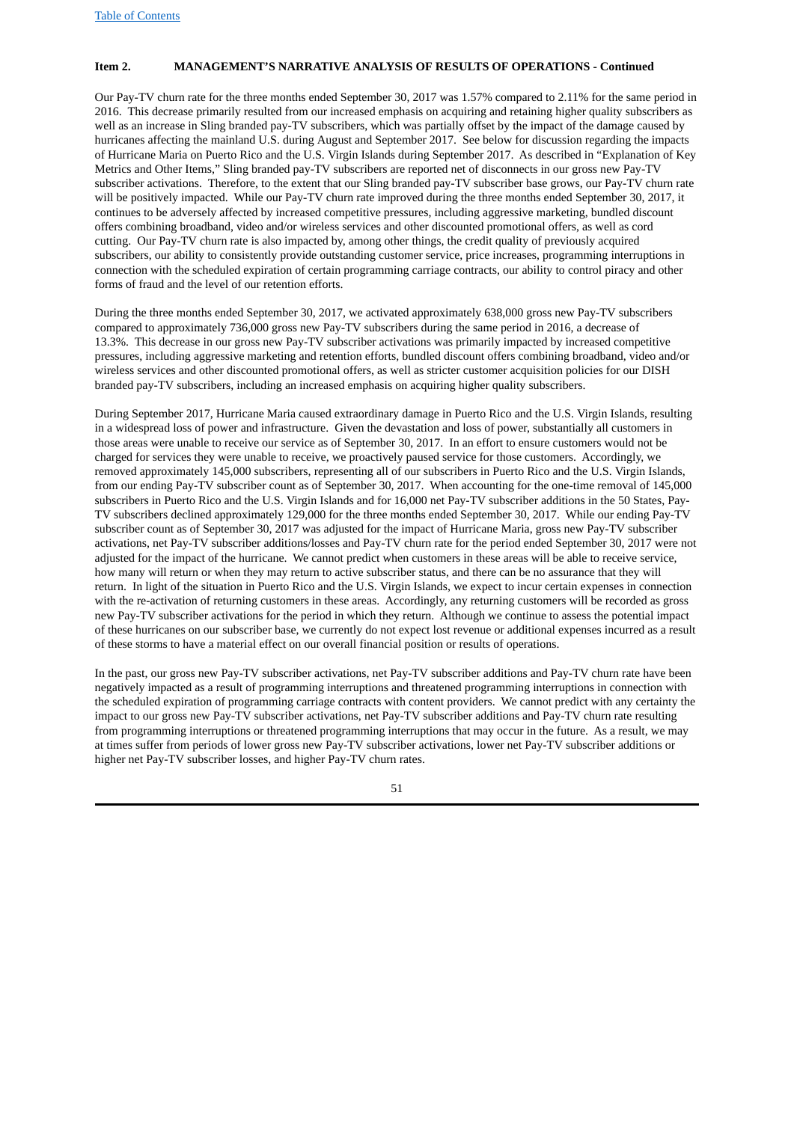Our Pay-TV churn rate for the three months ended September 30, 2017 was 1.57% compared to 2.11% for the same period in 2016. This decrease primarily resulted from our increased emphasis on acquiring and retaining higher quality subscribers as well as an increase in Sling branded pay-TV subscribers, which was partially offset by the impact of the damage caused by hurricanes affecting the mainland U.S. during August and September 2017. See below for discussion regarding the impacts of Hurricane Maria on Puerto Rico and the U.S. Virgin Islands during September 2017. As described in "Explanation of Key Metrics and Other Items," Sling branded pay-TV subscribers are reported net of disconnects in our gross new Pay-TV subscriber activations. Therefore, to the extent that our Sling branded pay-TV subscriber base grows, our Pay-TV churn rate will be positively impacted. While our Pay-TV churn rate improved during the three months ended September 30, 2017, it continues to be adversely affected by increased competitive pressures, including aggressive marketing, bundled discount offers combining broadband, video and/or wireless services and other discounted promotional offers, as well as cord cutting. Our Pay-TV churn rate is also impacted by, among other things, the credit quality of previously acquired subscribers, our ability to consistently provide outstanding customer service, price increases, programming interruptions in connection with the scheduled expiration of certain programming carriage contracts, our ability to control piracy and other forms of fraud and the level of our retention efforts.

During the three months ended September 30, 2017, we activated approximately 638,000 gross new Pay-TV subscribers compared to approximately 736,000 gross new Pay-TV subscribers during the same period in 2016, a decrease of 13.3%. This decrease in our gross new Pay-TV subscriber activations was primarily impacted by increased competitive pressures, including aggressive marketing and retention efforts, bundled discount offers combining broadband, video and/or wireless services and other discounted promotional offers, as well as stricter customer acquisition policies for our DISH branded pay-TV subscribers, including an increased emphasis on acquiring higher quality subscribers.

During September 2017, Hurricane Maria caused extraordinary damage in Puerto Rico and the U.S. Virgin Islands, resulting in a widespread loss of power and infrastructure. Given the devastation and loss of power, substantially all customers in those areas were unable to receive our service as of September 30, 2017. In an effort to ensure customers would not be charged for services they were unable to receive, we proactively paused service for those customers. Accordingly, we removed approximately 145,000 subscribers, representing all of our subscribers in Puerto Rico and the U.S. Virgin Islands, from our ending Pay-TV subscriber count as of September 30, 2017. When accounting for the one-time removal of 145,000 subscribers in Puerto Rico and the U.S. Virgin Islands and for 16,000 net Pay-TV subscriber additions in the 50 States, Pay-TV subscribers declined approximately 129,000 for the three months ended September 30, 2017. While our ending Pay-TV subscriber count as of September 30, 2017 was adjusted for the impact of Hurricane Maria, gross new Pay-TV subscriber activations, net Pay-TV subscriber additions/losses and Pay-TV churn rate for the period ended September 30, 2017 were not adjusted for the impact of the hurricane. We cannot predict when customers in these areas will be able to receive service, how many will return or when they may return to active subscriber status, and there can be no assurance that they will return. In light of the situation in Puerto Rico and the U.S. Virgin Islands, we expect to incur certain expenses in connection with the re-activation of returning customers in these areas. Accordingly, any returning customers will be recorded as gross new Pay-TV subscriber activations for the period in which they return. Although we continue to assess the potential impact of these hurricanes on our subscriber base, we currently do not expect lost revenue or additional expenses incurred as a result of these storms to have a material effect on our overall financial position or results of operations.

In the past, our gross new Pay-TV subscriber activations, net Pay-TV subscriber additions and Pay-TV churn rate have been negatively impacted as a result of programming interruptions and threatened programming interruptions in connection with the scheduled expiration of programming carriage contracts with content providers. We cannot predict with any certainty the impact to our gross new Pay-TV subscriber activations, net Pay-TV subscriber additions and Pay-TV churn rate resulting from programming interruptions or threatened programming interruptions that may occur in the future. As a result, we may at times suffer from periods of lower gross new Pay-TV subscriber activations, lower net Pay-TV subscriber additions or higher net Pay-TV subscriber losses, and higher Pay-TV churn rates.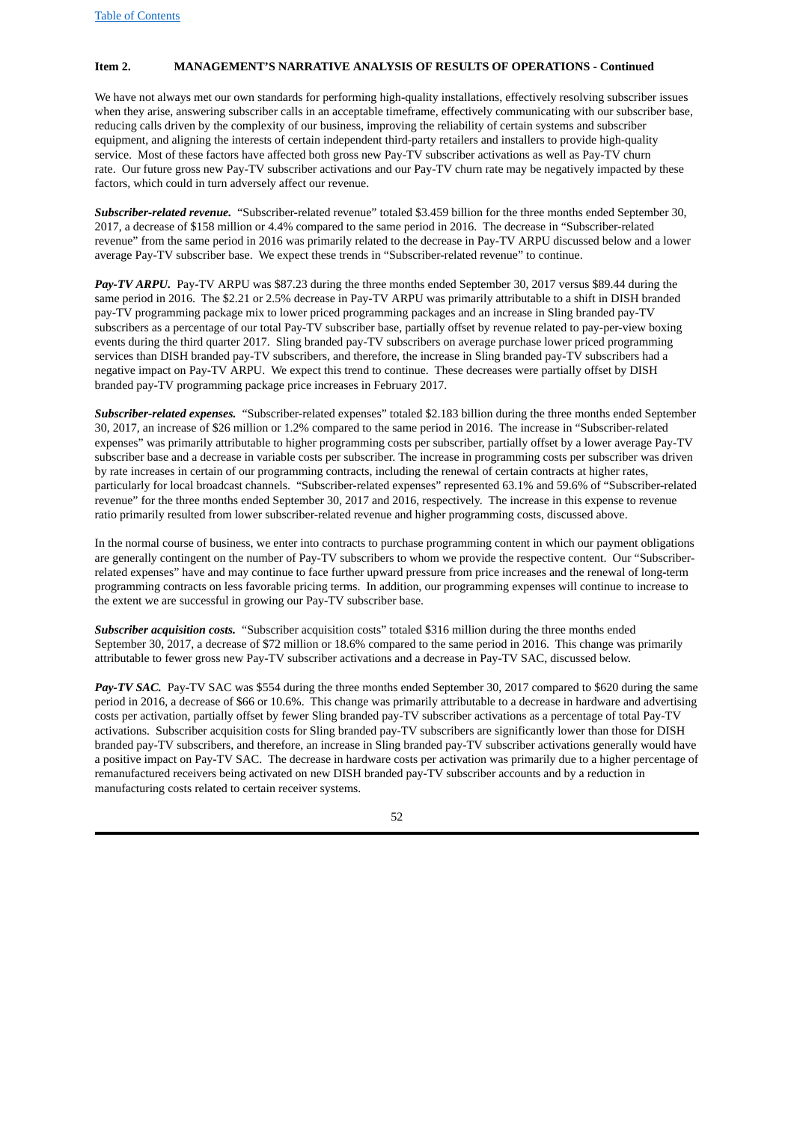We have not always met our own standards for performing high-quality installations, effectively resolving subscriber issues when they arise, answering subscriber calls in an acceptable timeframe, effectively communicating with our subscriber base, reducing calls driven by the complexity of our business, improving the reliability of certain systems and subscriber equipment, and aligning the interests of certain independent third-party retailers and installers to provide high-quality service. Most of these factors have affected both gross new Pay-TV subscriber activations as well as Pay-TV churn rate. Our future gross new Pay-TV subscriber activations and our Pay-TV churn rate may be negatively impacted by these factors, which could in turn adversely affect our revenue.

*Subscriber-related revenue.* "Subscriber-related revenue" totaled \$3.459 billion for the three months ended September 30, 2017, a decrease of \$158 million or 4.4% compared to the same period in 2016. The decrease in "Subscriber-related revenue" from the same period in 2016 was primarily related to the decrease in Pay-TV ARPU discussed below and a lower average Pay-TV subscriber base. We expect these trends in "Subscriber-related revenue" to continue.

*Pay-TV ARPU.* Pay-TV ARPU was \$87.23 during the three months ended September 30, 2017 versus \$89.44 during the same period in 2016. The \$2.21 or 2.5% decrease in Pay-TV ARPU was primarily attributable to a shift in DISH branded pay-TV programming package mix to lower priced programming packages and an increase in Sling branded pay-TV subscribers as a percentage of our total Pay-TV subscriber base, partially offset by revenue related to pay-per-view boxing events during the third quarter 2017. Sling branded pay-TV subscribers on average purchase lower priced programming services than DISH branded pay-TV subscribers, and therefore, the increase in Sling branded pay-TV subscribers had a negative impact on Pay-TV ARPU. We expect this trend to continue. These decreases were partially offset by DISH branded pay-TV programming package price increases in February 2017.

*Subscriber-related expenses.* "Subscriber-related expenses" totaled \$2.183 billion during the three months ended September 30, 2017, an increase of \$26 million or 1.2% compared to the same period in 2016. The increase in "Subscriber-related expenses" was primarily attributable to higher programming costs per subscriber, partially offset by a lower average Pay-TV subscriber base and a decrease in variable costs per subscriber. The increase in programming costs per subscriber was driven by rate increases in certain of our programming contracts, including the renewal of certain contracts at higher rates, particularly for local broadcast channels. "Subscriber-related expenses" represented 63.1% and 59.6% of "Subscriber-related revenue" for the three months ended September 30, 2017 and 2016, respectively. The increase in this expense to revenue ratio primarily resulted from lower subscriber-related revenue and higher programming costs, discussed above.

In the normal course of business, we enter into contracts to purchase programming content in which our payment obligations are generally contingent on the number of Pay-TV subscribers to whom we provide the respective content. Our "Subscriberrelated expenses" have and may continue to face further upward pressure from price increases and the renewal of long-term programming contracts on less favorable pricing terms. In addition, our programming expenses will continue to increase to the extent we are successful in growing our Pay-TV subscriber base.

*Subscriber acquisition costs.* "Subscriber acquisition costs" totaled \$316 million during the three months ended September 30, 2017, a decrease of \$72 million or 18.6% compared to the same period in 2016. This change was primarily attributable to fewer gross new Pay-TV subscriber activations and a decrease in Pay-TV SAC, discussed below.

*Pay-TV SAC.* Pay-TV SAC was \$554 during the three months ended September 30, 2017 compared to \$620 during the same period in 2016, a decrease of \$66 or 10.6%. This change was primarily attributable to a decrease in hardware and advertising costs per activation, partially offset by fewer Sling branded pay-TV subscriber activations as a percentage of total Pay-TV activations. Subscriber acquisition costs for Sling branded pay-TV subscribers are significantly lower than those for DISH branded pay-TV subscribers, and therefore, an increase in Sling branded pay-TV subscriber activations generally would have a positive impact on Pay-TV SAC. The decrease in hardware costs per activation was primarily due to a higher percentage of remanufactured receivers being activated on new DISH branded pay-TV subscriber accounts and by a reduction in manufacturing costs related to certain receiver systems.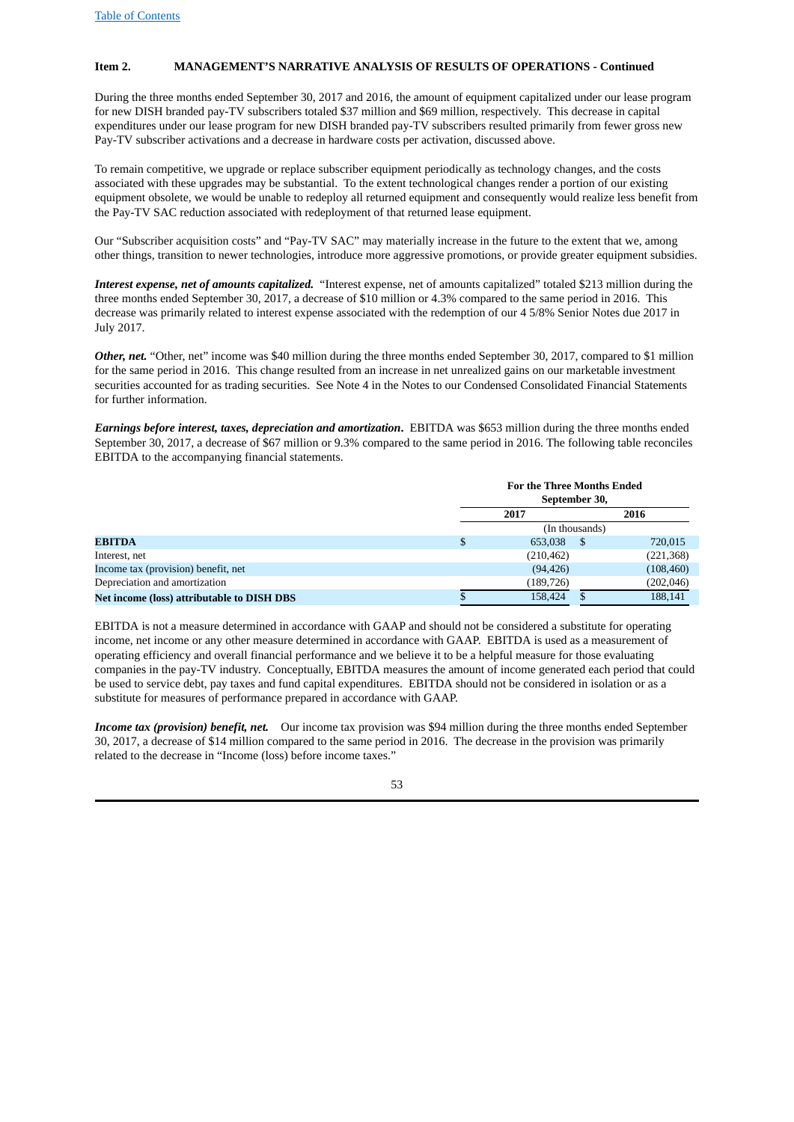During the three months ended September 30, 2017 and 2016, the amount of equipment capitalized under our lease program for new DISH branded pay-TV subscribers totaled \$37 million and \$69 million, respectively. This decrease in capital expenditures under our lease program for new DISH branded pay-TV subscribers resulted primarily from fewer gross new Pay-TV subscriber activations and a decrease in hardware costs per activation, discussed above.

To remain competitive, we upgrade or replace subscriber equipment periodically as technology changes, and the costs associated with these upgrades may be substantial. To the extent technological changes render a portion of our existing equipment obsolete, we would be unable to redeploy all returned equipment and consequently would realize less benefit from the Pay-TV SAC reduction associated with redeployment of that returned lease equipment.

Our "Subscriber acquisition costs" and "Pay-TV SAC" may materially increase in the future to the extent that we, among other things, transition to newer technologies, introduce more aggressive promotions, or provide greater equipment subsidies.

*Interest expense, net of amounts capitalized.* "Interest expense, net of amounts capitalized" totaled \$213 million during the three months ended September 30, 2017, a decrease of \$10 million or 4.3% compared to the same period in 2016. This decrease was primarily related to interest expense associated with the redemption of our 4 5/8% Senior Notes due 2017 in July 2017.

*Other, net.* "Other, net" income was \$40 million during the three months ended September 30, 2017, compared to \$1 million for the same period in 2016. This change resulted from an increase in net unrealized gains on our marketable investment securities accounted for as trading securities. See Note 4 in the Notes to our Condensed Consolidated Financial Statements for further information.

*Earnings before interest, taxes, depreciation and amortization***.** EBITDA was \$653 million during the three months ended September 30, 2017, a decrease of \$67 million or 9.3% compared to the same period in 2016. The following table reconciles EBITDA to the accompanying financial statements.

|                                                   |     | <b>For the Three Months Ended</b><br>September 30, |            |  |  |  |  |
|---------------------------------------------------|-----|----------------------------------------------------|------------|--|--|--|--|
|                                                   |     | 2017                                               | 2016       |  |  |  |  |
|                                                   |     | (In thousands)                                     |            |  |  |  |  |
| <b>EBITDA</b>                                     | \$. | 653,038<br>-S                                      | 720,015    |  |  |  |  |
| Interest, net                                     |     | (210, 462)                                         | (221, 368) |  |  |  |  |
| Income tax (provision) benefit, net               |     | (94, 426)                                          | (108, 460) |  |  |  |  |
| Depreciation and amortization                     |     | (189, 726)                                         | (202, 046) |  |  |  |  |
| <b>Net income (loss) attributable to DISH DBS</b> |     | 158,424                                            | 188.141    |  |  |  |  |

EBITDA is not a measure determined in accordance with GAAP and should not be considered a substitute for operating income, net income or any other measure determined in accordance with GAAP. EBITDA is used as a measurement of operating efficiency and overall financial performance and we believe it to be a helpful measure for those evaluating companies in the pay-TV industry. Conceptually, EBITDA measures the amount of income generated each period that could be used to service debt, pay taxes and fund capital expenditures. EBITDA should not be considered in isolation or as a substitute for measures of performance prepared in accordance with GAAP.

*Income tax (provision) benefit, net.* Our income tax provision was \$94 million during the three months ended September 30, 2017, a decrease of \$14 million compared to the same period in 2016. The decrease in the provision was primarily related to the decrease in "Income (loss) before income taxes."

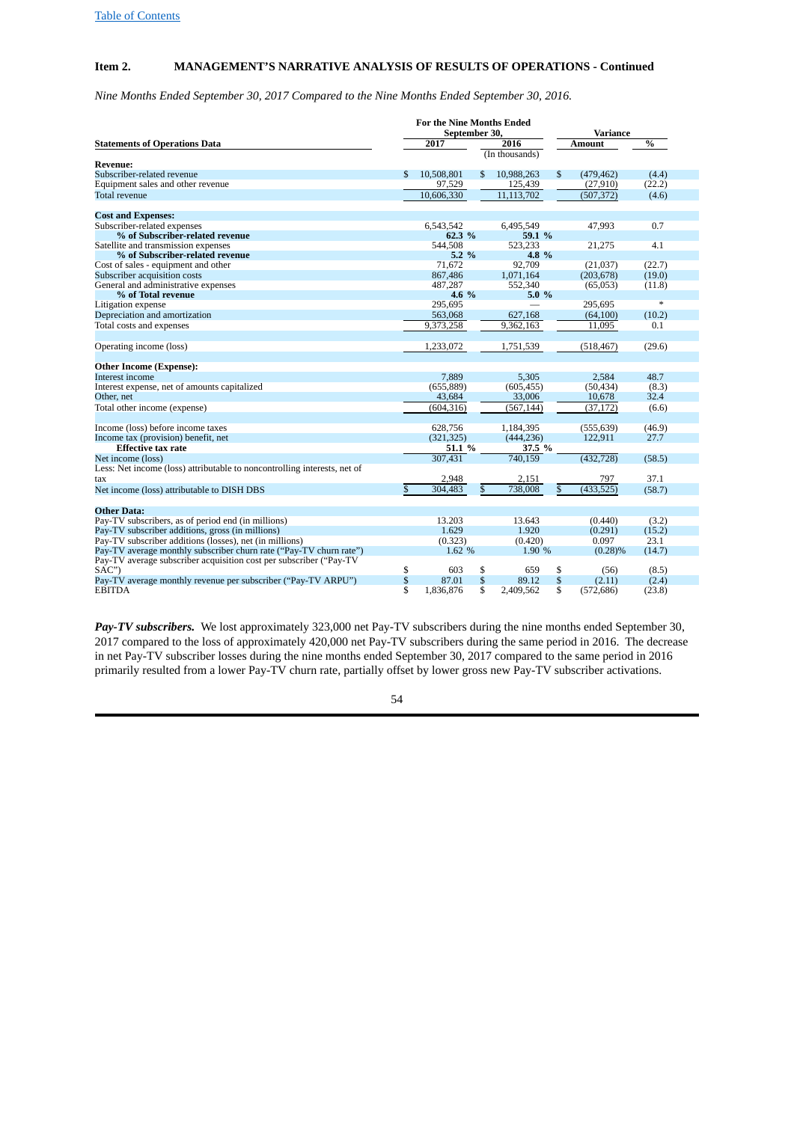*Nine Months Ended September 30, 2017 Compared to the Nine Months Ended September 30, 2016.*

|                                                                          | <b>For the Nine Months Ended</b><br>September 30, |                  | Variance         |               |
|--------------------------------------------------------------------------|---------------------------------------------------|------------------|------------------|---------------|
| <b>Statements of Operations Data</b>                                     | 2017                                              | 2016             | Amount           | $\frac{0}{6}$ |
|                                                                          |                                                   | (In thousands)   |                  |               |
| <b>Revenue:</b><br>Subscriber-related revenue                            | \$<br>10,508,801                                  | \$<br>10,988,263 | \$<br>(479, 462) | (4.4)         |
| Equipment sales and other revenue                                        | 97,529                                            | 125,439          | (27, 910)        | (22.2)        |
| Total revenue                                                            | 10,606,330                                        | 11,113,702       | (507, 372)       |               |
|                                                                          |                                                   |                  |                  | (4.6)         |
| <b>Cost and Expenses:</b>                                                |                                                   |                  |                  |               |
| Subscriber-related expenses                                              | 6,543,542                                         | 6,495,549        | 47,993           | 0.7           |
| % of Subscriber-related revenue                                          | 62.3 %                                            | 59.1 %           |                  |               |
| Satellite and transmission expenses                                      | 544,508                                           | 523,233          | 21,275           | 4.1           |
| % of Subscriber-related revenue                                          | 5.2%                                              | 4.8 %            |                  |               |
| Cost of sales - equipment and other                                      | 71,672                                            | 92,709           | (21,037)         | (22.7)        |
| Subscriber acquisition costs                                             | 867,486                                           | 1,071,164        | (203, 678)       | (19.0)        |
| General and administrative expenses                                      | 487,287                                           | 552,340          | (65,053)         | (11.8)        |
| % of Total revenue                                                       | 4.6 $%$                                           | 5.0%             |                  |               |
| Litigation expense                                                       | 295,695                                           |                  | 295,695          | $*$           |
| Depreciation and amortization                                            | 563,068                                           | 627,168          | (64, 100)        | (10.2)        |
| Total costs and expenses                                                 | 9,373,258                                         | 9.362.163        | 11.095           | 0.1           |
|                                                                          |                                                   |                  |                  |               |
| Operating income (loss)                                                  | 1,233,072                                         | 1,751,539        | (518, 467)       | (29.6)        |
|                                                                          |                                                   |                  |                  |               |
| <b>Other Income (Expense):</b>                                           |                                                   |                  |                  |               |
| Interest income                                                          | 7,889                                             | 5,305            | 2,584            | 48.7          |
| Interest expense, net of amounts capitalized                             | (655, 889)                                        | (605, 455)       | (50, 434)        | (8.3)         |
| Other, net                                                               | 43,684                                            | 33,006           | 10,678           | 32.4          |
| Total other income (expense)                                             | (604, 316)                                        | (567, 144)       | (37, 172)        | (6.6)         |
|                                                                          |                                                   |                  |                  |               |
| Income (loss) before income taxes                                        | 628,756                                           | 1,184,395        | (555, 639)       | (46.9)        |
| Income tax (provision) benefit, net                                      | (321, 325)                                        | (444, 236)       | 122,911          | 27.7          |
| <b>Effective tax rate</b>                                                | 51.1 %                                            | 37.5 %           |                  |               |
| Net income (loss)                                                        | 307,431                                           | 740,159          | (432, 728)       | (58.5)        |
| Less: Net income (loss) attributable to noncontrolling interests, net of |                                                   |                  |                  |               |
| tax                                                                      | 2,948                                             | 2,151            | 797              | 37.1          |
| Net income (loss) attributable to DISH DBS                               | \$<br>304,483                                     | \$<br>738,008    | \$<br>(433, 525) | (58.7)        |
|                                                                          |                                                   |                  |                  |               |
| <b>Other Data:</b>                                                       |                                                   |                  |                  |               |
| Pay-TV subscribers, as of period end (in millions)                       | 13.203                                            | 13.643           | (0.440)          | (3.2)         |
| Pay-TV subscriber additions, gross (in millions)                         | 1.629                                             | 1.920            | (0.291)          | (15.2)        |
| Pay-TV subscriber additions (losses), net (in millions)                  | (0.323)                                           | (0.420)          | 0.097            | 23.1          |
| Pay-TV average monthly subscriber churn rate ("Pay-TV churn rate")       | 1.62 %                                            | 1.90 %           | $(0.28)\%$       | (14.7)        |
| Pay-TV average subscriber acquisition cost per subscriber ("Pay-TV       |                                                   |                  |                  |               |
| SAC"                                                                     | \$<br>603                                         | \$<br>659        | \$<br>(56)       | (8.5)         |
| Pay-TV average monthly revenue per subscriber ("Pay-TV ARPU")            | \$<br>87.01                                       | \$<br>89.12      | \$<br>(2.11)     | (2.4)         |
| <b>EBITDA</b>                                                            | \$<br>1,836,876                                   | \$<br>2.409.562  | \$<br>(572, 686) | (23.8)        |

*Pay-TV subscribers.* We lost approximately 323,000 net Pay-TV subscribers during the nine months ended September 30, 2017 compared to the loss of approximately 420,000 net Pay-TV subscribers during the same period in 2016. The decrease in net Pay-TV subscriber losses during the nine months ended September 30, 2017 compared to the same period in 2016 primarily resulted from a lower Pay-TV churn rate, partially offset by lower gross new Pay-TV subscriber activations.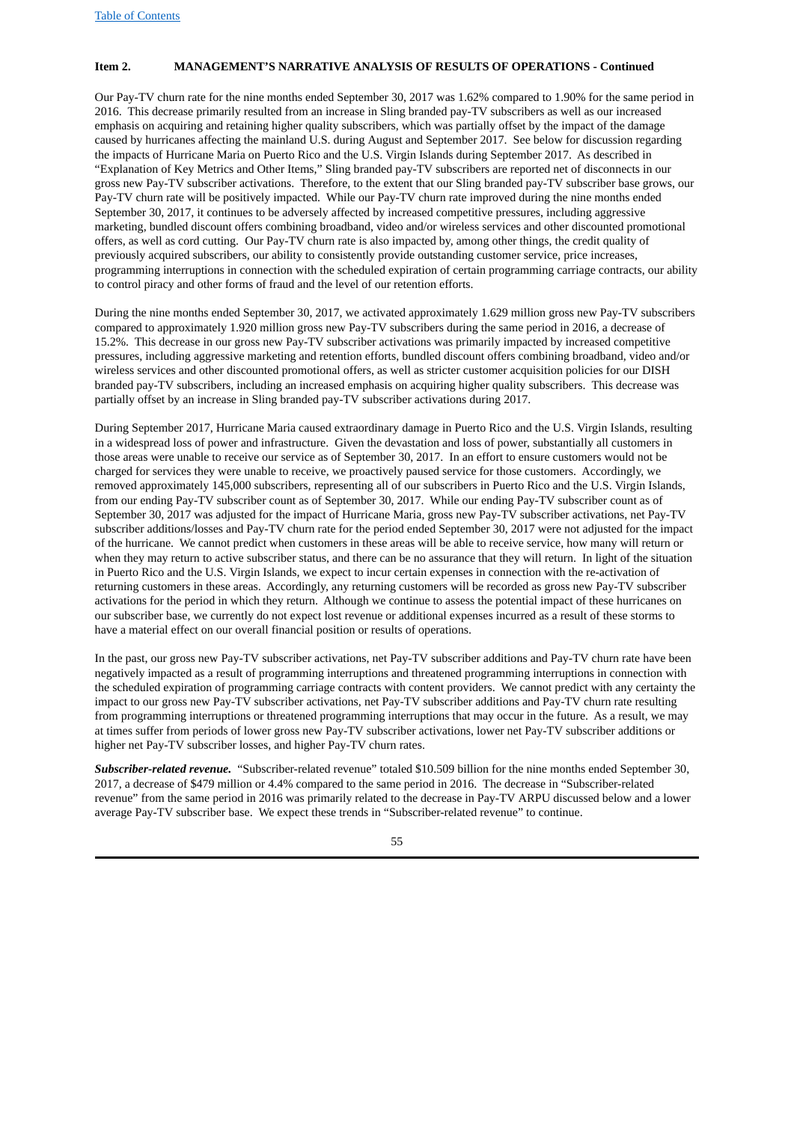Our Pay-TV churn rate for the nine months ended September 30, 2017 was 1.62% compared to 1.90% for the same period in 2016. This decrease primarily resulted from an increase in Sling branded pay-TV subscribers as well as our increased emphasis on acquiring and retaining higher quality subscribers, which was partially offset by the impact of the damage caused by hurricanes affecting the mainland U.S. during August and September 2017. See below for discussion regarding the impacts of Hurricane Maria on Puerto Rico and the U.S. Virgin Islands during September 2017. As described in "Explanation of Key Metrics and Other Items," Sling branded pay-TV subscribers are reported net of disconnects in our gross new Pay-TV subscriber activations. Therefore, to the extent that our Sling branded pay-TV subscriber base grows, our Pay-TV churn rate will be positively impacted. While our Pay-TV churn rate improved during the nine months ended September 30, 2017, it continues to be adversely affected by increased competitive pressures, including aggressive marketing, bundled discount offers combining broadband, video and/or wireless services and other discounted promotional offers, as well as cord cutting. Our Pay-TV churn rate is also impacted by, among other things, the credit quality of previously acquired subscribers, our ability to consistently provide outstanding customer service, price increases, programming interruptions in connection with the scheduled expiration of certain programming carriage contracts, our ability to control piracy and other forms of fraud and the level of our retention efforts.

During the nine months ended September 30, 2017, we activated approximately 1.629 million gross new Pay-TV subscribers compared to approximately 1.920 million gross new Pay-TV subscribers during the same period in 2016, a decrease of 15.2%. This decrease in our gross new Pay-TV subscriber activations was primarily impacted by increased competitive pressures, including aggressive marketing and retention efforts, bundled discount offers combining broadband, video and/or wireless services and other discounted promotional offers, as well as stricter customer acquisition policies for our DISH branded pay-TV subscribers, including an increased emphasis on acquiring higher quality subscribers. This decrease was partially offset by an increase in Sling branded pay-TV subscriber activations during 2017.

During September 2017, Hurricane Maria caused extraordinary damage in Puerto Rico and the U.S. Virgin Islands, resulting in a widespread loss of power and infrastructure. Given the devastation and loss of power, substantially all customers in those areas were unable to receive our service as of September 30, 2017. In an effort to ensure customers would not be charged for services they were unable to receive, we proactively paused service for those customers. Accordingly, we removed approximately 145,000 subscribers, representing all of our subscribers in Puerto Rico and the U.S. Virgin Islands, from our ending Pay-TV subscriber count as of September 30, 2017. While our ending Pay-TV subscriber count as of September 30, 2017 was adjusted for the impact of Hurricane Maria, gross new Pay-TV subscriber activations, net Pay-TV subscriber additions/losses and Pay-TV churn rate for the period ended September 30, 2017 were not adjusted for the impact of the hurricane. We cannot predict when customers in these areas will be able to receive service, how many will return or when they may return to active subscriber status, and there can be no assurance that they will return. In light of the situation in Puerto Rico and the U.S. Virgin Islands, we expect to incur certain expenses in connection with the re-activation of returning customers in these areas. Accordingly, any returning customers will be recorded as gross new Pay-TV subscriber activations for the period in which they return. Although we continue to assess the potential impact of these hurricanes on our subscriber base, we currently do not expect lost revenue or additional expenses incurred as a result of these storms to have a material effect on our overall financial position or results of operations.

In the past, our gross new Pay-TV subscriber activations, net Pay-TV subscriber additions and Pay-TV churn rate have been negatively impacted as a result of programming interruptions and threatened programming interruptions in connection with the scheduled expiration of programming carriage contracts with content providers. We cannot predict with any certainty the impact to our gross new Pay-TV subscriber activations, net Pay-TV subscriber additions and Pay-TV churn rate resulting from programming interruptions or threatened programming interruptions that may occur in the future. As a result, we may at times suffer from periods of lower gross new Pay-TV subscriber activations, lower net Pay-TV subscriber additions or higher net Pay-TV subscriber losses, and higher Pay-TV churn rates.

*Subscriber-related revenue.* "Subscriber-related revenue" totaled \$10.509 billion for the nine months ended September 30, 2017, a decrease of \$479 million or 4.4% compared to the same period in 2016. The decrease in "Subscriber-related revenue" from the same period in 2016 was primarily related to the decrease in Pay-TV ARPU discussed below and a lower average Pay-TV subscriber base. We expect these trends in "Subscriber-related revenue" to continue.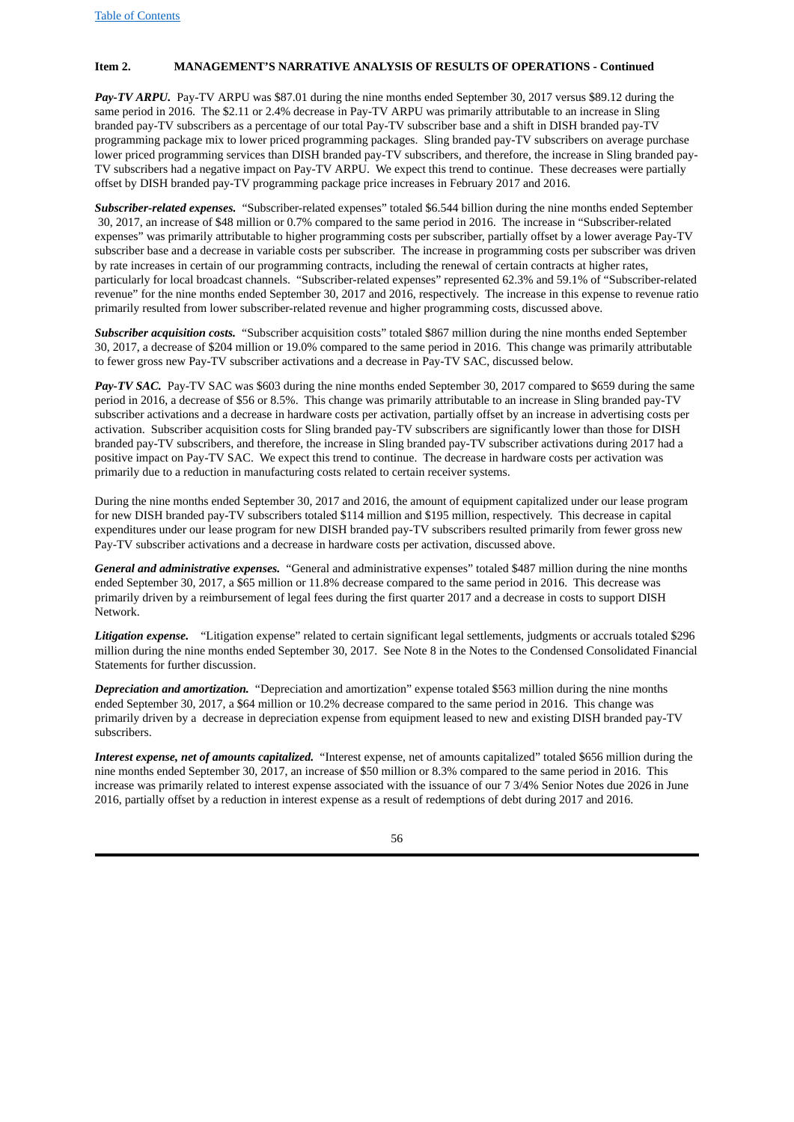*Pay-TV ARPU.* Pay-TV ARPU was \$87.01 during the nine months ended September 30, 2017 versus \$89.12 during the same period in 2016. The \$2.11 or 2.4% decrease in Pay-TV ARPU was primarily attributable to an increase in Sling branded pay-TV subscribers as a percentage of our total Pay-TV subscriber base and a shift in DISH branded pay-TV programming package mix to lower priced programming packages. Sling branded pay-TV subscribers on average purchase lower priced programming services than DISH branded pay-TV subscribers, and therefore, the increase in Sling branded pay-TV subscribers had a negative impact on Pay-TV ARPU. We expect this trend to continue. These decreases were partially offset by DISH branded pay-TV programming package price increases in February 2017 and 2016.

*Subscriber-related expenses.* "Subscriber-related expenses" totaled \$6.544 billion during the nine months ended September 30, 2017, an increase of \$48 million or 0.7% compared to the same period in 2016. The increase in "Subscriber-related expenses" was primarily attributable to higher programming costs per subscriber, partially offset by a lower average Pay-TV subscriber base and a decrease in variable costs per subscriber. The increase in programming costs per subscriber was driven by rate increases in certain of our programming contracts, including the renewal of certain contracts at higher rates, particularly for local broadcast channels. "Subscriber-related expenses" represented 62.3% and 59.1% of "Subscriber-related revenue" for the nine months ended September 30, 2017 and 2016, respectively. The increase in this expense to revenue ratio primarily resulted from lower subscriber-related revenue and higher programming costs, discussed above.

*Subscriber acquisition costs.* "Subscriber acquisition costs" totaled \$867 million during the nine months ended September 30, 2017, a decrease of \$204 million or 19.0% compared to the same period in 2016. This change was primarily attributable to fewer gross new Pay-TV subscriber activations and a decrease in Pay-TV SAC, discussed below.

*Pay-TV SAC.* Pay-TV SAC was \$603 during the nine months ended September 30, 2017 compared to \$659 during the same period in 2016, a decrease of \$56 or 8.5%. This change was primarily attributable to an increase in Sling branded pay-TV subscriber activations and a decrease in hardware costs per activation, partially offset by an increase in advertising costs per activation. Subscriber acquisition costs for Sling branded pay-TV subscribers are significantly lower than those for DISH branded pay-TV subscribers, and therefore, the increase in Sling branded pay-TV subscriber activations during 2017 had a positive impact on Pay-TV SAC. We expect this trend to continue. The decrease in hardware costs per activation was primarily due to a reduction in manufacturing costs related to certain receiver systems.

During the nine months ended September 30, 2017 and 2016, the amount of equipment capitalized under our lease program for new DISH branded pay-TV subscribers totaled \$114 million and \$195 million, respectively. This decrease in capital expenditures under our lease program for new DISH branded pay-TV subscribers resulted primarily from fewer gross new Pay-TV subscriber activations and a decrease in hardware costs per activation, discussed above.

*General and administrative expenses.* "General and administrative expenses" totaled \$487 million during the nine months ended September 30, 2017, a \$65 million or 11.8% decrease compared to the same period in 2016. This decrease was primarily driven by a reimbursement of legal fees during the first quarter 2017 and a decrease in costs to support DISH Network.

*Litigation expense.* "Litigation expense" related to certain significant legal settlements, judgments or accruals totaled \$296 million during the nine months ended September 30, 2017. See Note 8 in the Notes to the Condensed Consolidated Financial Statements for further discussion.

*Depreciation and amortization.* "Depreciation and amortization" expense totaled \$563 million during the nine months ended September 30, 2017, a \$64 million or 10.2% decrease compared to the same period in 2016. This change was primarily driven by a decrease in depreciation expense from equipment leased to new and existing DISH branded pay-TV subscribers.

*Interest expense, net of amounts capitalized.* "Interest expense, net of amounts capitalized" totaled \$656 million during the nine months ended September 30, 2017, an increase of \$50 million or 8.3% compared to the same period in 2016. This increase was primarily related to interest expense associated with the issuance of our 7 3/4% Senior Notes due 2026 in June 2016, partially offset by a reduction in interest expense as a result of redemptions of debt during 2017 and 2016.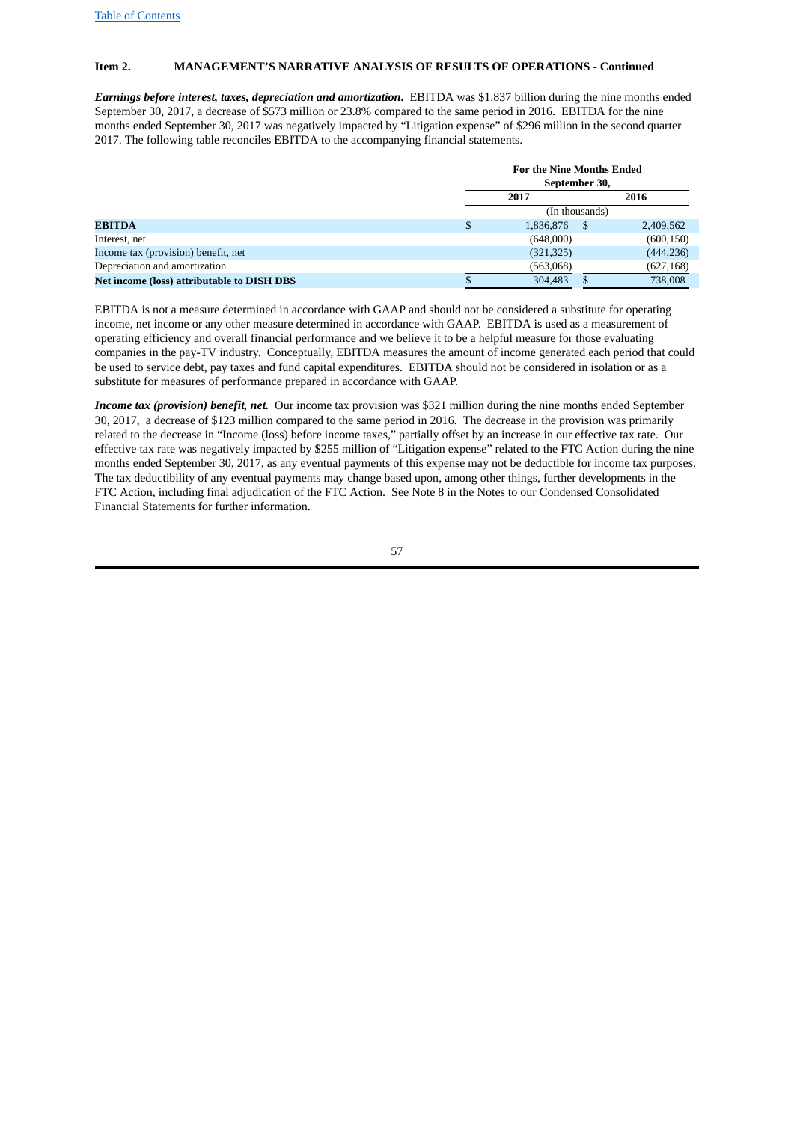*Earnings before interest, taxes, depreciation and amortization***.** EBITDA was \$1.837 billion during the nine months ended September 30, 2017, a decrease of \$573 million or 23.8% compared to the same period in 2016. EBITDA for the nine months ended September 30, 2017 was negatively impacted by "Litigation expense" of \$296 million in the second quarter 2017. The following table reconciles EBITDA to the accompanying financial statements.

|                                            | <b>For the Nine Months Ended</b><br>September 30, |      |            |  |  |  |
|--------------------------------------------|---------------------------------------------------|------|------------|--|--|--|
|                                            | 2017                                              |      | 2016       |  |  |  |
|                                            | (In thousands)                                    |      |            |  |  |  |
| <b>EBITDA</b>                              | \$<br>1,836,876                                   | - \$ | 2,409,562  |  |  |  |
| Interest, net                              | (648,000)                                         |      | (600, 150) |  |  |  |
| Income tax (provision) benefit, net        | (321, 325)                                        |      | (444, 236) |  |  |  |
| Depreciation and amortization              | (563,068)                                         |      | (627, 168) |  |  |  |
| Net income (loss) attributable to DISH DBS | 304.483                                           |      | 738,008    |  |  |  |

EBITDA is not a measure determined in accordance with GAAP and should not be considered a substitute for operating income, net income or any other measure determined in accordance with GAAP. EBITDA is used as a measurement of operating efficiency and overall financial performance and we believe it to be a helpful measure for those evaluating companies in the pay-TV industry. Conceptually, EBITDA measures the amount of income generated each period that could be used to service debt, pay taxes and fund capital expenditures. EBITDA should not be considered in isolation or as a substitute for measures of performance prepared in accordance with GAAP.

*Income tax (provision) benefit, net.* Our income tax provision was \$321 million during the nine months ended September 30, 2017, a decrease of \$123 million compared to the same period in 2016. The decrease in the provision was primarily related to the decrease in "Income (loss) before income taxes," partially offset by an increase in our effective tax rate. Our effective tax rate was negatively impacted by \$255 million of "Litigation expense" related to the FTC Action during the nine months ended September 30, 2017, as any eventual payments of this expense may not be deductible for income tax purposes. The tax deductibility of any eventual payments may change based upon, among other things, further developments in the FTC Action, including final adjudication of the FTC Action. See Note 8 in the Notes to our Condensed Consolidated Financial Statements for further information.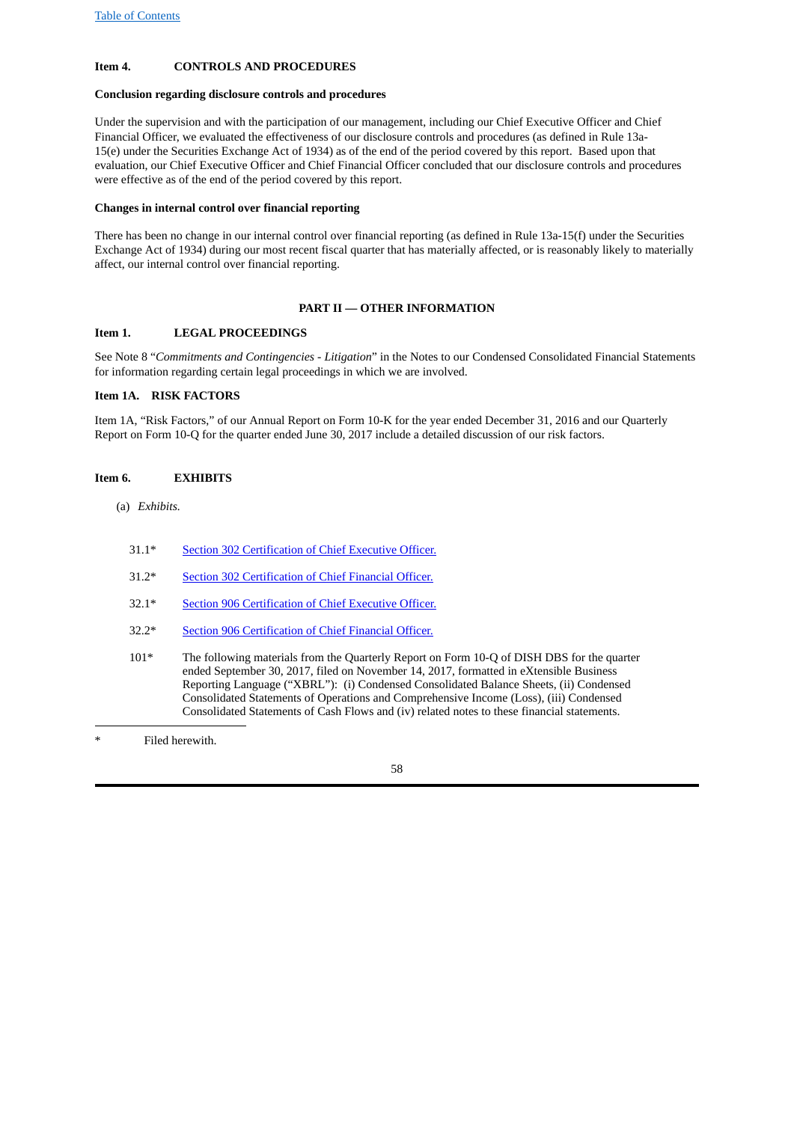# **Item 4. CONTROLS AND PROCEDURES**

### **Conclusion regarding disclosure controls and procedures**

Under the supervision and with the participation of our management, including our Chief Executive Officer and Chief Financial Officer, we evaluated the effectiveness of our disclosure controls and procedures (as defined in Rule 13a-15(e) under the Securities Exchange Act of 1934) as of the end of the period covered by this report. Based upon that evaluation, our Chief Executive Officer and Chief Financial Officer concluded that our disclosure controls and procedures were effective as of the end of the period covered by this report.

#### **Changes in internal control over financial reporting**

There has been no change in our internal control over financial reporting (as defined in Rule 13a-15(f) under the Securities Exchange Act of 1934) during our most recent fiscal quarter that has materially affected, or is reasonably likely to materially affect, our internal control over financial reporting.

# <span id="page-63-3"></span><span id="page-63-2"></span><span id="page-63-1"></span><span id="page-63-0"></span>**PART II — OTHER INFORMATION**

#### **Item 1. LEGAL PROCEEDINGS**

See Note 8 "*Commitments and Contingencies - Litigation*" in the Notes to our Condensed Consolidated Financial Statements for information regarding certain legal proceedings in which we are involved.

#### **Item 1A. RISK FACTORS**

Item 1A, "Risk Factors," of our Annual Report on Form 10-K for the year ended December 31, 2016 and our Quarterly Report on Form 10-Q for the quarter ended June 30, 2017 include a detailed discussion of our risk factors.

#### **Item 6. EXHIBITS**

- <span id="page-63-4"></span>(a) *Exhibits.*
	- 31.1\* Section 302 [Certification](#page-65-0) of Chief Executive Officer.
	- 31.2\* Section 302 [Certification](#page-66-0) of Chief Financial Officer.
	- 32.1\* Section 906 [Certification](#page-67-0) of Chief Executive Officer.
	- 32.2\* Section 906 [Certification](#page-68-0) of Chief Financial Officer.
	- 101\* The following materials from the Quarterly Report on Form 10-Q of DISH DBS for the quarter ended September 30, 2017, filed on November 14, 2017, formatted in eXtensible Business Reporting Language ("XBRL"): (i) Condensed Consolidated Balance Sheets, (ii) Condensed Consolidated Statements of Operations and Comprehensive Income (Loss), (iii) Condensed Consolidated Statements of Cash Flows and (iv) related notes to these financial statements.

Filed herewith.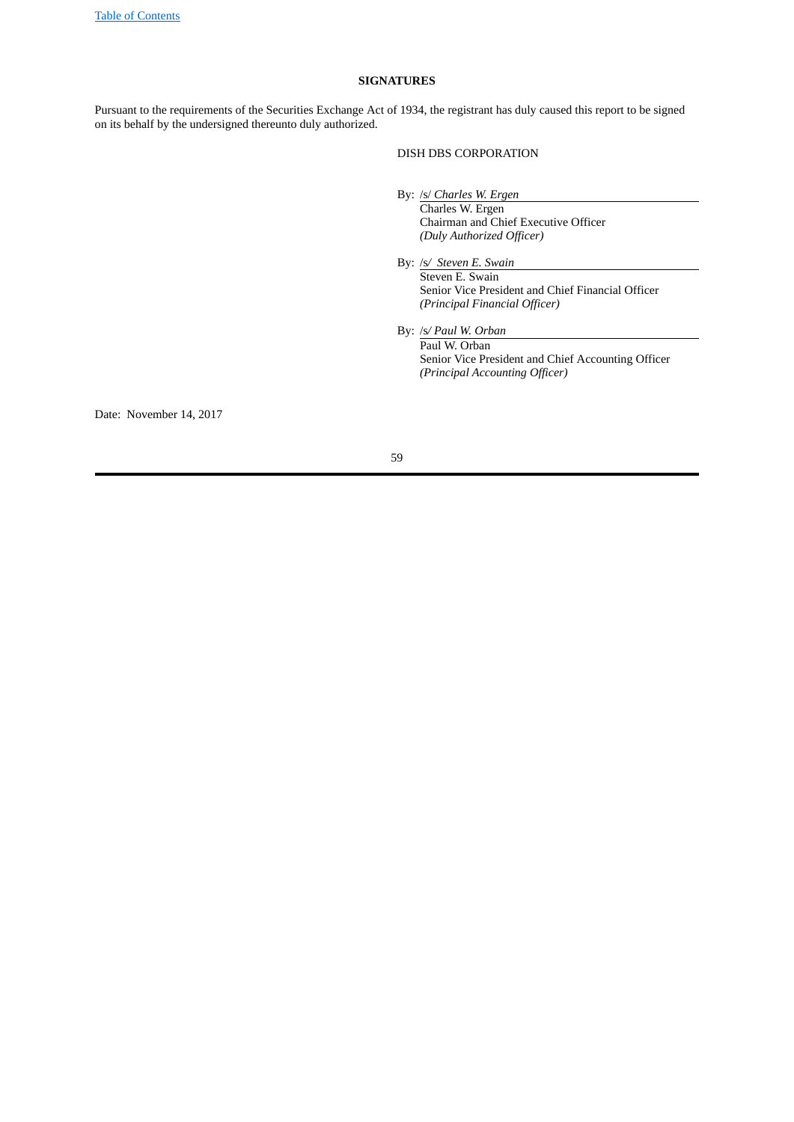# <span id="page-64-0"></span>**SIGNATURES**

Pursuant to the requirements of the Securities Exchange Act of 1934, the registrant has duly caused this report to be signed on its behalf by the undersigned thereunto duly authorized.

DISH DBS CORPORATION

By: /s/ *Charles W. Ergen*

Charles W. Ergen Chairman and Chief Executive Officer *(Duly Authorized Officer)*

By: /s*/ Steven E. Swain* Steven E. Swain Senior Vice President and Chief Financial Officer *(Principal Financial Officer)*

By: /s*/ Paul W. Orban*

Paul W. Orban Senior Vice President and Chief Accounting Officer *(Principal Accounting Officer)*

Date: November 14, 2017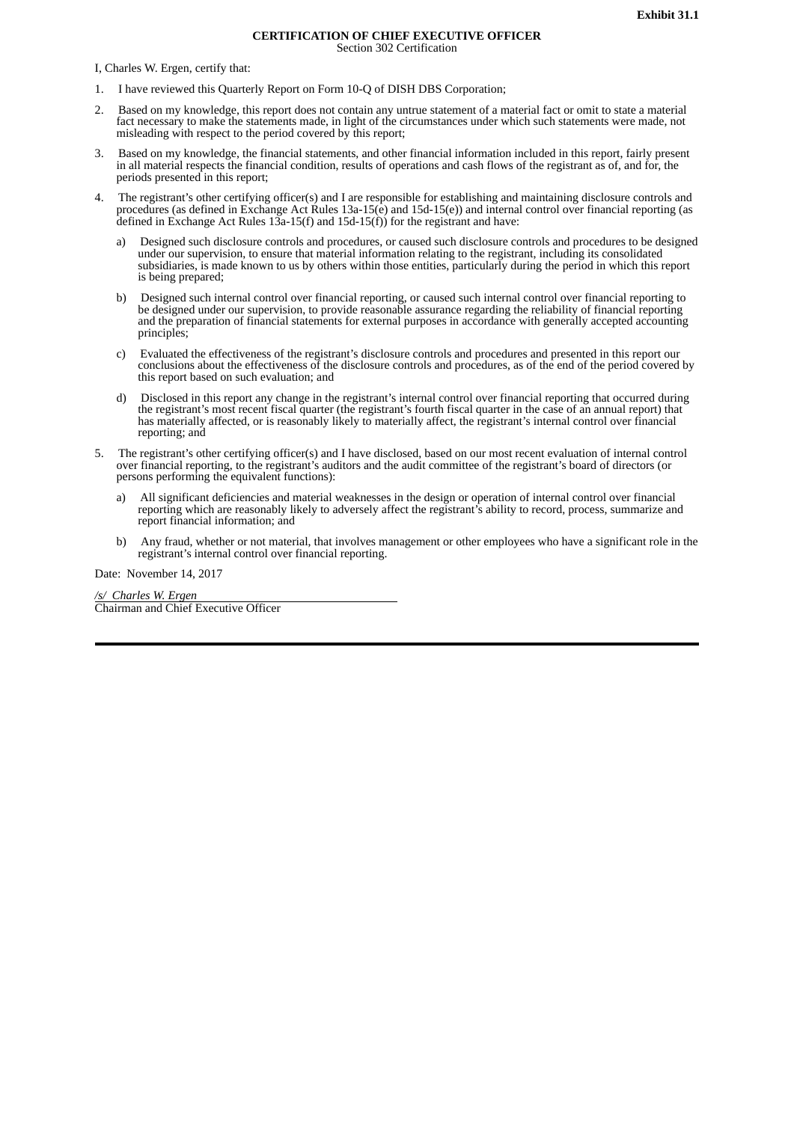# **CERTIFICATION OF CHIEF EXECUTIVE OFFICER**

Section 302 Certification

<span id="page-65-0"></span>I, Charles W. Ergen, certify that:

- 1. I have reviewed this Quarterly Report on Form 10-Q of DISH DBS Corporation;
- 2. Based on my knowledge, this report does not contain any untrue statement of a material fact or omit to state a material fact necessary to make the statements made, in light of the circumstances under which such statements were made, not misleading with respect to the period covered by this report;
- 3. Based on my knowledge, the financial statements, and other financial information included in this report, fairly present in all material respects the financial condition, results of operations and cash flows of the registrant as of, and for, the periods presented in this report;
- 4. The registrant's other certifying officer(s) and I are responsible for establishing and maintaining disclosure controls and procedures (as defined in Exchange Act Rules 13a-15(e) and 15d-15(e)) and internal control over financial reporting (as defined in Exchange Act Rules 13a-15(f) and 15d-15(f)) for the registrant and have:
	- Designed such disclosure controls and procedures, or caused such disclosure controls and procedures to be designed under our supervision, to ensure that material information relating to the registrant, including its consolidated subsidiaries, is made known to us by others within those entities, particularly during the period in which this report is being prepared;
	- b) Designed such internal control over financial reporting, or caused such internal control over financial reporting to be designed under our supervision, to provide reasonable assurance regarding the reliability of financial reporting and the preparation of financial statements for external purposes in accordance with generally accepted accounting principles;
	- c) Evaluated the effectiveness of the registrant's disclosure controls and procedures and presented in this report our conclusions about the effectiveness of the disclosure controls and procedures, as of the end of the period covered by this report based on such evaluation; and
	- d) Disclosed in this report any change in the registrant's internal control over financial reporting that occurred during the registrant's most recent fiscal quarter (the registrant's fourth fiscal quarter in the case of an annual report) that has materially affected, or is reasonably likely to materially affect, the registrant's internal control over financial reporting; and
- 5. The registrant's other certifying officer(s) and I have disclosed, based on our most recent evaluation of internal control over financial reporting, to the registrant's auditors and the audit committee of the registrant's board of directors (or persons performing the equivalent functions):
	- a) All significant deficiencies and material weaknesses in the design or operation of internal control over financial reporting which are reasonably likely to adversely affect the registrant's ability to record, process, summarize and report financial information; and
	- b) Any fraud, whether or not material, that involves management or other employees who have a significant role in the registrant's internal control over financial reporting.

Date: November 14, 2017

*/s/ Charles W. Ergen* Chairman and Chief Executive Officer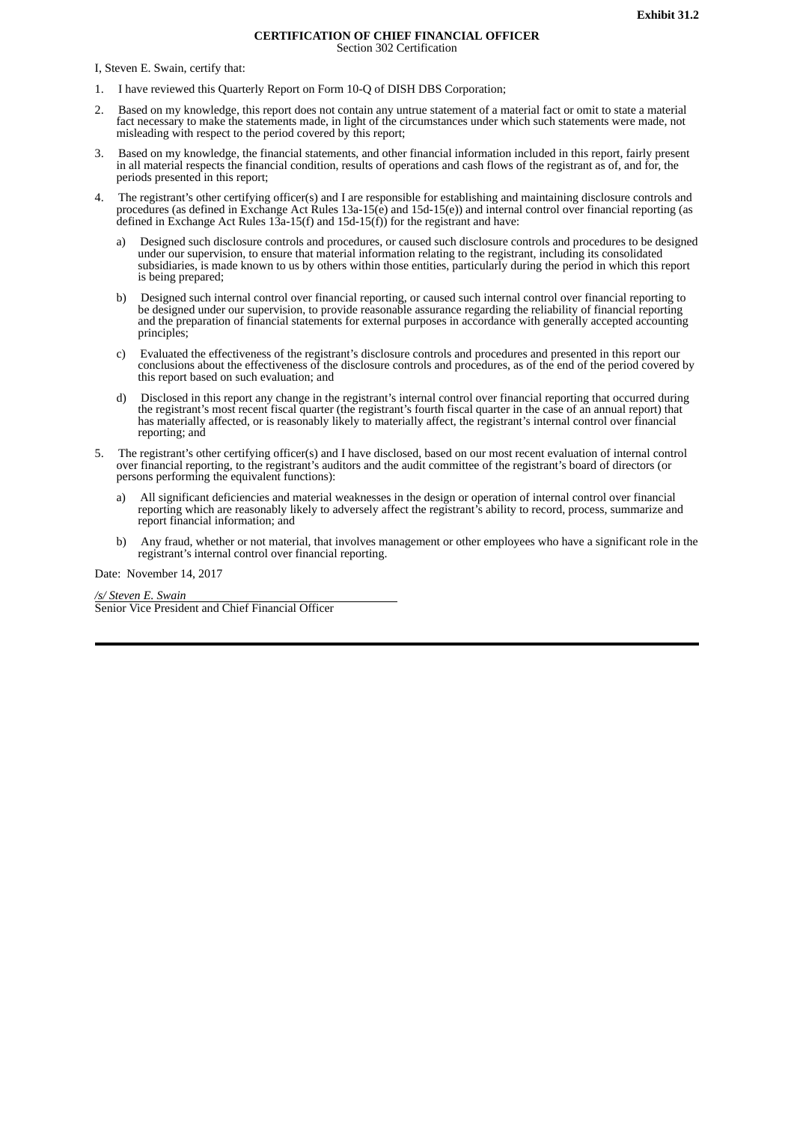# **CERTIFICATION OF CHIEF FINANCIAL OFFICER**

Section 302 Certification

<span id="page-66-0"></span>I, Steven E. Swain, certify that:

- 1. I have reviewed this Quarterly Report on Form 10-Q of DISH DBS Corporation;
- 2. Based on my knowledge, this report does not contain any untrue statement of a material fact or omit to state a material fact necessary to make the statements made, in light of the circumstances under which such statements were made, not misleading with respect to the period covered by this report;
- 3. Based on my knowledge, the financial statements, and other financial information included in this report, fairly present in all material respects the financial condition, results of operations and cash flows of the registrant as of, and for, the periods presented in this report;
- 4. The registrant's other certifying officer(s) and I are responsible for establishing and maintaining disclosure controls and procedures (as defined in Exchange Act Rules 13a-15(e) and 15d-15(e)) and internal control over financial reporting (as defined in Exchange Act Rules 13a-15(f) and 15d-15(f)) for the registrant and have:
	- Designed such disclosure controls and procedures, or caused such disclosure controls and procedures to be designed under our supervision, to ensure that material information relating to the registrant, including its consolidated subsidiaries, is made known to us by others within those entities, particularly during the period in which this report is being prepared;
	- b) Designed such internal control over financial reporting, or caused such internal control over financial reporting to be designed under our supervision, to provide reasonable assurance regarding the reliability of financial reporting and the preparation of financial statements for external purposes in accordance with generally accepted accounting principles;
	- c) Evaluated the effectiveness of the registrant's disclosure controls and procedures and presented in this report our conclusions about the effectiveness of the disclosure controls and procedures, as of the end of the period covered by this report based on such evaluation; and
	- d) Disclosed in this report any change in the registrant's internal control over financial reporting that occurred during the registrant's most recent fiscal quarter (the registrant's fourth fiscal quarter in the case of an annual report) that has materially affected, or is reasonably likely to materially affect, the registrant's internal control over financial reporting; and
- 5. The registrant's other certifying officer(s) and I have disclosed, based on our most recent evaluation of internal control over financial reporting, to the registrant's auditors and the audit committee of the registrant's board of directors (or persons performing the equivalent functions):
	- a) All significant deficiencies and material weaknesses in the design or operation of internal control over financial reporting which are reasonably likely to adversely affect the registrant's ability to record, process, summarize and report financial information; and
	- b) Any fraud, whether or not material, that involves management or other employees who have a significant role in the registrant's internal control over financial reporting.

Date: November 14, 2017

*/s/ Steven E. Swain* Senior Vice President and Chief Financial Officer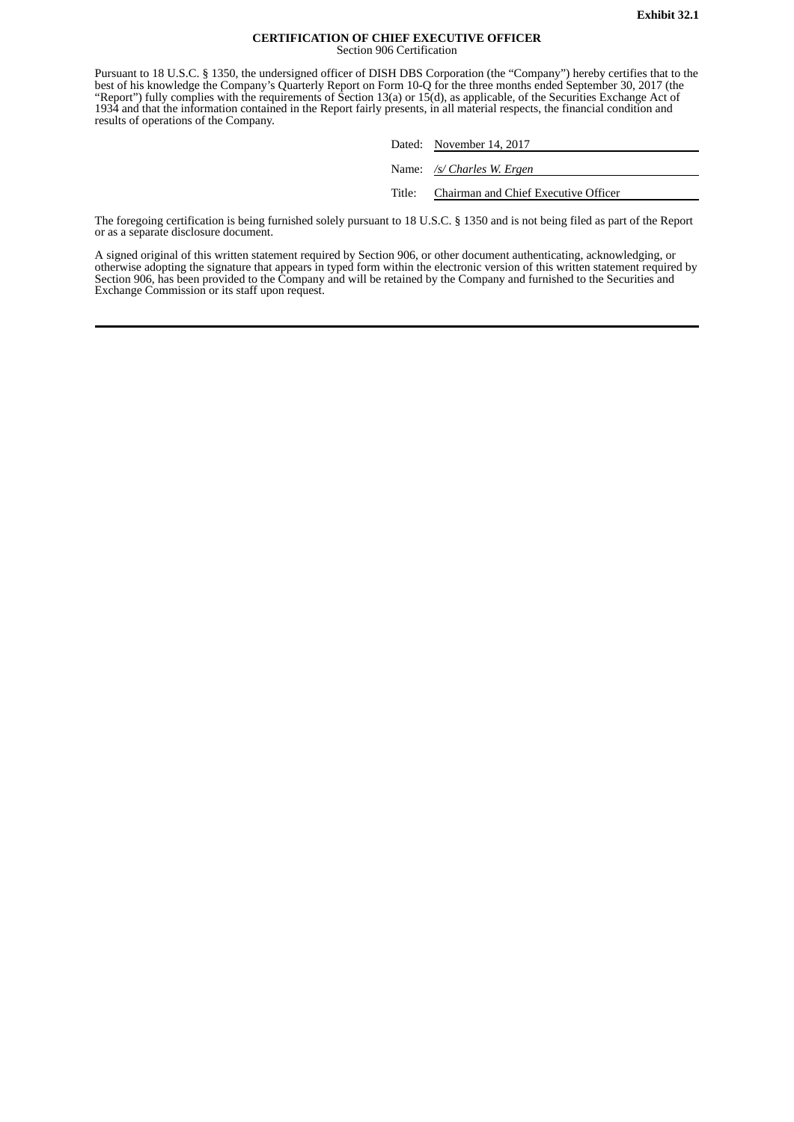#### **CERTIFICATION OF CHIEF EXECUTIVE OFFICER** Section 906 Certification

<span id="page-67-0"></span>Pursuant to 18 U.S.C. § 1350, the undersigned officer of DISH DBS Corporation (the "Company") hereby certifies that to the best of his knowledge the Company's Quarterly Report on Form 10-Q for the three months ended September 30, 2017 (the "Report") fully complies with the requirements of Section 13(a) or 15(d), as applicable, of the Securities Exchange Act of 1934 and that the information contained in the Report fairly presents, in all material respects, the financial condition and results of operations of the Company.

| Dated: November 14, 2017                    |
|---------------------------------------------|
| Name: /s/ Charles W. Ergen                  |
| Title: Chairman and Chief Executive Officer |

The foregoing certification is being furnished solely pursuant to 18 U.S.C. § 1350 and is not being filed as part of the Report or as a separate disclosure document.

A signed original of this written statement required by Section 906, or other document authenticating, acknowledging, or otherwise adopting the signature that appears in typed form within the electronic version of this written statement required by Section 906, has been provided to the Company and will be retained by the Company and furnished to the Securities and Exchange Commission or its staff upon request.